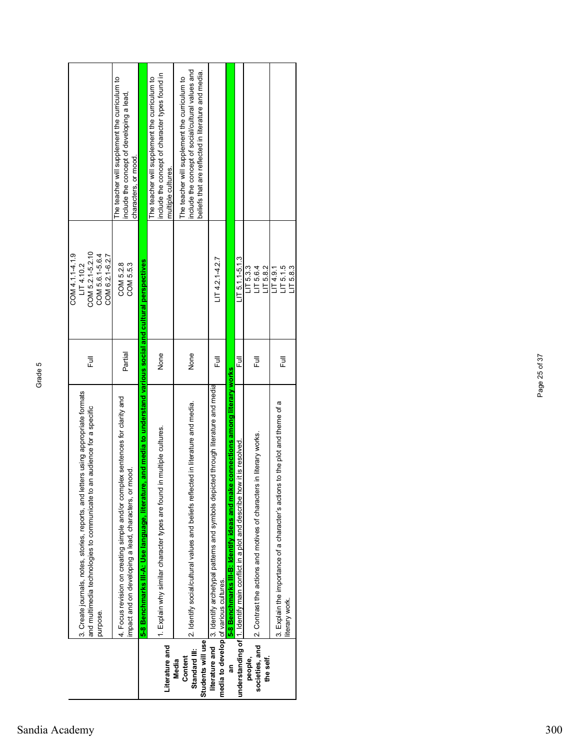|                                    |                                                                                                                                           |         | COM 4.1.1-4.1.9                     |                                                                                                                    |
|------------------------------------|-------------------------------------------------------------------------------------------------------------------------------------------|---------|-------------------------------------|--------------------------------------------------------------------------------------------------------------------|
|                                    | letters using appropriate formats<br>3. Create journals, notes, stories, reports, and                                                     |         | LT4.10.2                            |                                                                                                                    |
|                                    | to an audience for a specific<br>and multimedia technologies to communicate                                                               | Ē       | COM 5.2.1-5.2.10<br>COM 5.6.1-5.6.4 |                                                                                                                    |
|                                    | purpose.                                                                                                                                  |         | COM 6.2.1-6.2.7                     |                                                                                                                    |
|                                    | 4. Focus revision on creating simple and/or complex sentences for clarity and<br>or mood.<br>impact and on developing a lead, characters, | Partial | COM 5.2.8<br>COM 5.5.3              | The teacher will supplement the curriculum to<br>include the concept of developing a lead,<br>characters, or mood. |
|                                    | ure, and media to understand various social and cultural perspectives<br>5-8 Benchmarks III-A: Use language, literat                      |         |                                     |                                                                                                                    |
|                                    | 1. Explain why similar character types are found in multiple cultures.                                                                    | None    |                                     | include the concept of character types found in<br>The teacher will supplement the curriculum to                   |
| Literature and                     |                                                                                                                                           |         |                                     | multiple cultures.                                                                                                 |
| Content<br>Media                   | 2. Identify social/cultural values and beliefs reflected in literature and media.                                                         | None    |                                     | include the concept of social/cultural values and<br>The teacher will supplement the curriculum to                 |
| Students will use<br>Standard III: |                                                                                                                                           |         |                                     | beliefs that are reflected in literature and media.                                                                |
|                                    | <b>literature and</b> [3. Identify archetypal patterns and symbols depicted through literature and media                                  | 卮       | LT 4.2.14.2.7                       |                                                                                                                    |
|                                    | ake connections among literary works<br>5-8 Benchmarks III-B: Identify ideas and m<br>media to develop of various cultures.               |         |                                     |                                                                                                                    |
|                                    | how it is resolved.<br>understanding of  1. Identify main conflict in a plot and describe                                                 | 큲       | $LT 5.1.1 - 5.1.3$                  |                                                                                                                    |
| people,                            |                                                                                                                                           |         | LT5.3                               |                                                                                                                    |
| societies, and                     | 2. Contrast the actions and motives of characters in literary works.                                                                      | 쿤       | LT 5.6.4                            |                                                                                                                    |
| the self.                          |                                                                                                                                           |         | LT5.8.2                             |                                                                                                                    |
|                                    | 3. Explain the importance of a character's actions to the plot and theme of a                                                             | 卮       | LT 5.1.5<br>174.9.1                 |                                                                                                                    |
|                                    | iterary work.                                                                                                                             |         | LT5.8.3                             |                                                                                                                    |

Т

 $\blacksquare$ 

T

٦

Т

## Sandia Academy 300

Page 25 of 37

Page 25 of 37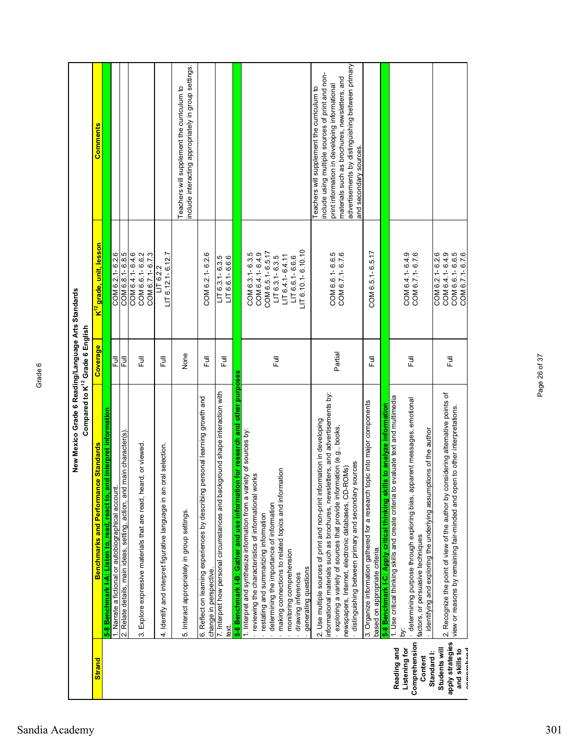|                                  | New Mexico Grade 6 Reading/Language Arts Standards<br>Compared to K <sup>12</sup> Grade 6 English                                                                                                                                                                                           |          |                                                 |                                                                                                                                                                                                                                                      |
|----------------------------------|---------------------------------------------------------------------------------------------------------------------------------------------------------------------------------------------------------------------------------------------------------------------------------------------|----------|-------------------------------------------------|------------------------------------------------------------------------------------------------------------------------------------------------------------------------------------------------------------------------------------------------------|
| <b>Strand</b>                    | <b>Benchmarks and Performance Standards</b>                                                                                                                                                                                                                                                 | Coverage | <mark>K<sup>12</sup> grade, unit, lesson</mark> | <b>Comments</b>                                                                                                                                                                                                                                      |
|                                  | 5-8 Benchmark I-A: Listen to, read, react to, and interpret information                                                                                                                                                                                                                     |          |                                                 |                                                                                                                                                                                                                                                      |
|                                  | 1. Narrate a fictional or autobiographical account                                                                                                                                                                                                                                          | Ē        | COM 6.2.1-6.2.6                                 |                                                                                                                                                                                                                                                      |
|                                  | main character(s)<br>2. Relate details, main ideas, setting, action, and                                                                                                                                                                                                                    | 쿤        | COM 6.8.1-6.8.5                                 |                                                                                                                                                                                                                                                      |
|                                  | က်                                                                                                                                                                                                                                                                                          | Full     | COM 6.4.1-6.4.6<br>COM 6.6.1-6.6.2              |                                                                                                                                                                                                                                                      |
|                                  | Explore expressive materials that are read, heard, or viewed.                                                                                                                                                                                                                               |          | COM 6.7.1-6.7.3                                 |                                                                                                                                                                                                                                                      |
|                                  | oral selection.<br>Identify and interpret figurative language in an<br>4.                                                                                                                                                                                                                   | Full     | $LT$ 6.12.1-6.12.7<br>LT6.22                    |                                                                                                                                                                                                                                                      |
|                                  | 5. Interact appropriately in group settings.                                                                                                                                                                                                                                                | None     |                                                 | include interacting appropriately in group settings.<br>Teachers will supplement the curriculum to                                                                                                                                                   |
|                                  | personal learning growth and<br>6. Reflect on learning experiences by describing<br>change in perspective                                                                                                                                                                                   | 巨        | COM 6.2.1-6.2.6                                 |                                                                                                                                                                                                                                                      |
|                                  | 7. Interpret how personal circumstances and background shape interaction with<br>text.                                                                                                                                                                                                      | 言        | LIT 6.3.1-6.3.5<br>LIT 6.6.1-6.6.6              |                                                                                                                                                                                                                                                      |
|                                  | 5-8 Benchmark I-B: Gather and use information for research and other purposes                                                                                                                                                                                                               |          |                                                 |                                                                                                                                                                                                                                                      |
|                                  | 1. Interpret and synthesize information from a variety of sources by:                                                                                                                                                                                                                       |          |                                                 |                                                                                                                                                                                                                                                      |
|                                  | reviewing the characteristics of informational works                                                                                                                                                                                                                                        |          | COM 6.3.1-6.3.5                                 |                                                                                                                                                                                                                                                      |
|                                  | restating and summarizing information                                                                                                                                                                                                                                                       |          | COM 6.5.1-6.5.17<br>COM 6.4.1-6.4.9             |                                                                                                                                                                                                                                                      |
|                                  | determining the importance of information                                                                                                                                                                                                                                                   | 豆        | $LT$ 6.3.1-6.3.5                                |                                                                                                                                                                                                                                                      |
|                                  | mation<br>making connections to related topics and infor                                                                                                                                                                                                                                    |          | $LT 6.4.1 - 6.4.11$                             |                                                                                                                                                                                                                                                      |
|                                  | monitoring comprehension<br>drawing inferences                                                                                                                                                                                                                                              |          | $LT$ 6.6.1-6.6.6                                |                                                                                                                                                                                                                                                      |
|                                  | generating questions                                                                                                                                                                                                                                                                        |          | $LT$ 6.10.1-6.10.10                             |                                                                                                                                                                                                                                                      |
|                                  | informational materials such as brochures, newsletters, and advertisements by:<br>2. Use multiple sources of print and non-print information in developing<br>exploring a variety of sources that provide information (e.g., books,<br>newspapers, Internet, electronic databases, CD-ROMs) | Partial  | COM 6.6.1-6.6.5<br>COM 6.7.1-6.7.6              | advertisements by distinguishing between primary<br>include using multiple sources of print and non-<br>materials such as brochures, newsletters, and<br>print information in developing informational<br>Teachers will supplement the curriculum to |
|                                  | sources<br>distinguishing between primary and secondary                                                                                                                                                                                                                                     |          |                                                 | and secondary sources.                                                                                                                                                                                                                               |
|                                  | topic into major components<br>3. Organize information gathered for a research<br>based on appropriate criteria.                                                                                                                                                                            | 巨        | COM 6.5.1-6.5.17                                |                                                                                                                                                                                                                                                      |
|                                  | Ils to analyze information<br>5-8 Benchmark I-C: Apply critical thinking ski                                                                                                                                                                                                                |          |                                                 |                                                                                                                                                                                                                                                      |
| Reading and                      | evaluate text and multimedia<br>1. Use critical thinking skills and create criteria to                                                                                                                                                                                                      |          |                                                 |                                                                                                                                                                                                                                                      |
| Comprehension<br>Listening for   | parent messages, emotional<br>determining purpose through exploring bias, ap<br>ä                                                                                                                                                                                                           | Ē        | COM 6.4.1-6.4.9<br>COM 6.7.1-6.7.6              |                                                                                                                                                                                                                                                      |
| Content                          | identifying and exploring the underlying assumptions of the author<br>factors, or persuasive techniques                                                                                                                                                                                     |          |                                                 |                                                                                                                                                                                                                                                      |
| Students will<br>Standard I:     |                                                                                                                                                                                                                                                                                             |          | COM 6.2.1-6.2.6                                 |                                                                                                                                                                                                                                                      |
| apply strategies                 | 2. Recognize the point of view of the author by considering alternative points of<br>view or reasons by remaining fair-minded and open to other interpretations.                                                                                                                            | 言        | COM 6.4.1-6.4.9                                 |                                                                                                                                                                                                                                                      |
| and skills to<br><b>Announce</b> |                                                                                                                                                                                                                                                                                             |          | COM 6.6.1-6.6.5<br>COM 6.7.1-6.7.6              |                                                                                                                                                                                                                                                      |

## Sandia Academy 301

Page 26 of 37

Page 26 of 37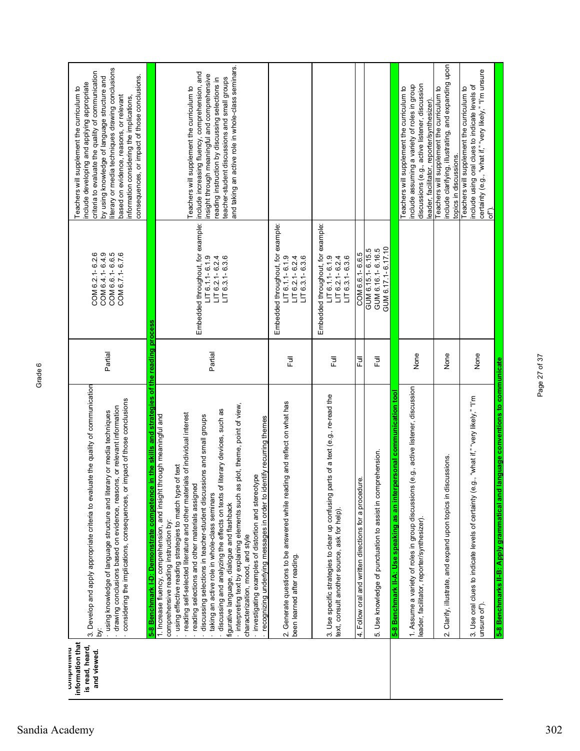| U<br>n |
|--------|
| Œ      |
|        |
|        |
|        |

| information that<br>is read, heard,<br>comprenenu<br>and viewed. | the skills and strategies of the reading process<br>3. Develop and apply appropriate criteria to evaluate the quality of communication<br>considering the implications, consequences, or impact of those conclusions<br>or relevant information<br>using knowledge of language structure and literary or media techniques<br>drawing conclusions based on evidence, reasons,<br>5-8 Benchmark I-D: Demonstrate competence in<br>Σ.                                                                                                                                                                                                                                                                                                                                                                                                    | Partial | COM 6.4.1-6.4.9<br>COM 6.6.1-6.6.5<br>COM 6.7.1-6.7.6<br>COM 6.2.1-6.2.6                          | literary or media techniques drawing conclusions<br>criteria to evaluate the quality of communication<br>consequences, or impact of those conclusions.<br>by using knowledge of language structure and<br>nclude developing and applying appropriate<br>Teachers will supplement the curriculum to<br>based on evidence, reasons, or relevant<br>information considering the implications, |
|------------------------------------------------------------------|---------------------------------------------------------------------------------------------------------------------------------------------------------------------------------------------------------------------------------------------------------------------------------------------------------------------------------------------------------------------------------------------------------------------------------------------------------------------------------------------------------------------------------------------------------------------------------------------------------------------------------------------------------------------------------------------------------------------------------------------------------------------------------------------------------------------------------------|---------|---------------------------------------------------------------------------------------------------|--------------------------------------------------------------------------------------------------------------------------------------------------------------------------------------------------------------------------------------------------------------------------------------------------------------------------------------------------------------------------------------------|
|                                                                  | interpreting text by explaining elements such as plot, theme, point of view,<br>discussing and analyzing the effects on texts of literary devices, such as<br>of individual interest<br>1. Increase fluency, comprehension, and insight through meaningful and<br>ns and small groups<br>recognizing underlying messages in order to identify recurring themes<br>text<br>investigating examples of distortion and stereotype<br>- using effective reading strategies to match type of<br>reading self-selected literature and other materials<br>discussing selections in teacher-student discussio<br>reading selections and other materials assigned<br>taking an active role in whole-class seminars<br>figurative language, dialogue and flashback<br>comprehensive reading instruction by:<br>characterization, mood, and style | Partial | Embedded throughout, for example:<br>$LT6.1.1 - 6.1.9$<br>$LT6.3.1 - 6.3.6$<br>$LT 6.2.1 - 6.2.4$ | and taking an active role in whole-class seminars.<br>include increasing fluency, comprehension, and<br>insight through meaningful and comprehensive<br>teacher-student discussions and small groups<br>reading instruction by discussing selections in<br>Teachers will supplement the curriculum to                                                                                      |
|                                                                  | 2. Generate questions to be answered while reading and reflect on what has<br>been learned after reading.                                                                                                                                                                                                                                                                                                                                                                                                                                                                                                                                                                                                                                                                                                                             | 言       | Embedded throughout, for example:<br>$LT 6.1.1 - 6.1.9$<br>$LT 6.2.1 - 6.2.4$<br>$LT$ 6.3.1-6.3.6 |                                                                                                                                                                                                                                                                                                                                                                                            |
|                                                                  | 3. Use specific strategies to clear up confusing parts of a text (e.g., re-read the<br>text, consult another source, ask for help).                                                                                                                                                                                                                                                                                                                                                                                                                                                                                                                                                                                                                                                                                                   | ラ<br>L  | Embedded throughout, for example:<br>$LT$ 6.1.1-6.1.9<br>$LT 6.2.1 - 6.2.4$<br>$LT6.3.1 - 6.3.6$  |                                                                                                                                                                                                                                                                                                                                                                                            |
|                                                                  | Use knowledge of punctuation to assist in comprehension.<br>4. Follow oral and written directions for a procedure.<br>ယ္ပ                                                                                                                                                                                                                                                                                                                                                                                                                                                                                                                                                                                                                                                                                                             | 言<br>目  | GUM 6.17.1-6.17.10<br>GUM 6.15.1-6.15.5<br>GUM 6.16.1-6.16.5<br>COM 6.6.1-6.6.5                   |                                                                                                                                                                                                                                                                                                                                                                                            |
|                                                                  | g., active listener, discussion<br>sonal communication tool<br>5-8 Benchmark II-A: Use speaking as an interper<br>1. Assume a variety of roles in group discussions (e<br>leader, facilitator, reporter/synthesizer).                                                                                                                                                                                                                                                                                                                                                                                                                                                                                                                                                                                                                 | None    |                                                                                                   | discussions (e.g., active listener, discussion<br>include assuming a variety of roles in group<br>Teachers will supplement the curriculum to<br>leader, facilitator, reporter/synthesizer).                                                                                                                                                                                                |
|                                                                  | issions<br>2. Clarify, illustrate, and expand upon topics in discu                                                                                                                                                                                                                                                                                                                                                                                                                                                                                                                                                                                                                                                                                                                                                                    | None    |                                                                                                   | include clarifying, illustrating, and expanding upon<br>Teachers will supplement the curriculum to<br>topics in discussions.                                                                                                                                                                                                                                                               |
|                                                                  | "what if," "very likely," "I'm<br>3. Use oral clues to indicate levels of certainty (e.g.,<br>unsure of").                                                                                                                                                                                                                                                                                                                                                                                                                                                                                                                                                                                                                                                                                                                            | None    |                                                                                                   | certainty (e.g., "what if," "very likely," "I'm unsure<br>include using oral clues to indicate levels of<br>Teachers will supplement the curriculum to<br>GF)                                                                                                                                                                                                                              |
|                                                                  | guage conventions to communicate<br>5-8 Benchmarks II-B: Apply grammatical and lar                                                                                                                                                                                                                                                                                                                                                                                                                                                                                                                                                                                                                                                                                                                                                    |         |                                                                                                   |                                                                                                                                                                                                                                                                                                                                                                                            |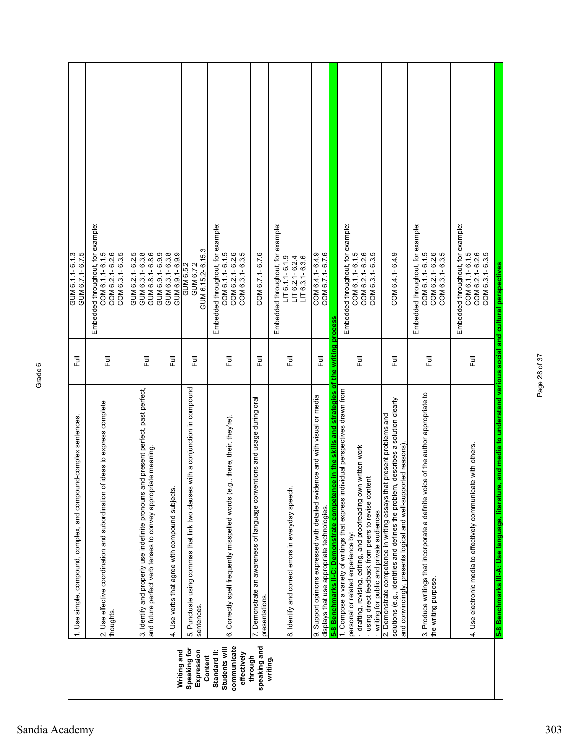|                                                             | 1. Use simple, compound, complex, and compound-complex sentences                                                                                                                                                                                                                                                                                                                              | 巨           | GUM 6.1.1-6.1.3<br>GUM 6.7.1-6.7.5                                                               |  |
|-------------------------------------------------------------|-----------------------------------------------------------------------------------------------------------------------------------------------------------------------------------------------------------------------------------------------------------------------------------------------------------------------------------------------------------------------------------------------|-------------|--------------------------------------------------------------------------------------------------|--|
|                                                             | of ideas to express complete<br>2. Use effective coordination and subordination<br>thoughts.                                                                                                                                                                                                                                                                                                  | Full        | Embedded throughout, for example:<br>COM 6.2.1-6.2.6<br>COM 6.3.1-6.3.5<br>COM 6.1.1-6.1.5       |  |
|                                                             | and present perfect, past perfect,<br>and future perfect verb tenses to convey appropriate meaning.<br>3. Identify and properly use indefinite pronouns                                                                                                                                                                                                                                       | Full        | GUM 6.2.1-6.2.5<br>GUM 6.3.1-6.3.8<br>GUM 6.8.1-6.8.6<br>GUM 6.9.1-6.9.9                         |  |
| Writing and                                                 | Use verbs that agree with compound subjects<br>4.                                                                                                                                                                                                                                                                                                                                             | ラ<br>L      | GUM 6.3.1-6.3.8<br>GUM 6.9.1-6.9.9                                                               |  |
| Speaking for<br>Expression<br>Content                       | 5. Punctuate using commas that link two clauses with a conjunction in compound<br>sentences.                                                                                                                                                                                                                                                                                                  | <b>Full</b> | GUM 6.15.2-6.15.3<br>GUM 6.7.2<br>GUM 6.5.2                                                      |  |
| communicate<br>Students will<br>Standard II:<br>effectively | .g., there, their, they're).<br>6. Correctly spell frequently misspelled words (e                                                                                                                                                                                                                                                                                                             | ラ<br>L      | Embedded throughout, for example:<br>COM 6.2.1-6.2.6<br>COM 6.3.1-6.3.5<br>COM 6.1.1-6.1.5       |  |
| speaking and<br>through                                     | 7. Demonstrate an awareness of language conventions and usage during oral<br>presentations.                                                                                                                                                                                                                                                                                                   | 昆           | COM 6.7.1-6.7.6                                                                                  |  |
| writing.                                                    | 8. Identify and correct errors in everyday speech.                                                                                                                                                                                                                                                                                                                                            | Ē           | Embedded throughout, for example:<br>$LT6.1.1 - 6.1.9$<br>$LT 6.2.1 - 6.2.4$<br>$LT$ 6.3.1-6.3.6 |  |
|                                                             | 9. Support opinions expressed with detailed evidence and with visual or media<br>displays that use appropriate technologies.                                                                                                                                                                                                                                                                  | 目           | COM 6.4.1-6.4.9<br>COM 6.7.1-6.7.6                                                               |  |
|                                                             | 5-8 Benchmarks II-C: Demonstrate competence in the skills and strategies of the writing process<br>1. Compose a variety of writings that express individual perspectives drawn from<br>drafting, revising, editing, and proofreading own written work<br>using direct feedback from peers to revise content<br>writing for public and private audiences<br>personal or related experience by: | Ē           | Embedded throughout, for example:<br>COM 6.1.1-6.1.5<br>COM 6.2.1-6.2.6<br>COM 6.3.1-6.3.5       |  |
|                                                             | solutions (e.g., identifies and defines the problem, describes a solution clearly<br>2. Demonstrate competence in writing essays that present problems and<br>and convincingly, presents logical and well-supported reasons)                                                                                                                                                                  | Ē           | COM 6.4.1-6.4.9                                                                                  |  |
|                                                             | 3. Produce writings that incorporate a definite voice of the author appropriate to<br>the writing purpose.                                                                                                                                                                                                                                                                                    | Ē           | Embedded throughout, for example:<br>COM 6.1.1-6.1.5<br>COM 6.2.1-6.2.6<br>COM 6.3.1-6.3.5       |  |
|                                                             | 4. Use electronic media to effectively communicate with others.                                                                                                                                                                                                                                                                                                                               | ラ<br>Lull   | Embedded throughout, for example:<br>COM 6.2.1-6.2.6<br>COM 6.3.1-6.3.5<br>COM 6.1.1-6.1.5       |  |
|                                                             | 5-8 Benchmarks III-A: Use language, literature, and media to understand various social and cultural perspectives                                                                                                                                                                                                                                                                              |             |                                                                                                  |  |

Page 28 of 37

Page 28 of 37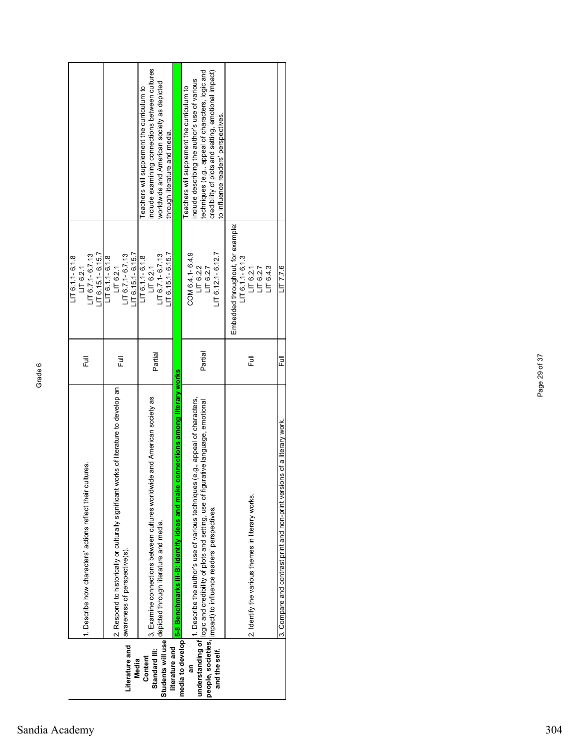|                | 当<br>- | ی ≌ ≋<br>معا≆ی | ਤੂੰ ਕੋ<br>ه د |
|----------------|--------|----------------|---------------|
|                |        |                |               |
| Sandia Academy |        |                |               |

|                                     |                                                                                                                                                                                                                 |         | $LT6.11 - 6.1.8$                  |                                                     |
|-------------------------------------|-----------------------------------------------------------------------------------------------------------------------------------------------------------------------------------------------------------------|---------|-----------------------------------|-----------------------------------------------------|
|                                     | 1. Describe how characters' actions reflect their cultures.                                                                                                                                                     | 쿤       | $LT$ 6.7.1-6.7.13<br>LT 6.2.1     |                                                     |
|                                     |                                                                                                                                                                                                                 |         | $LT$ 6.15.1-6.15.7                |                                                     |
|                                     |                                                                                                                                                                                                                 |         | $LT 6.1.1 - 6.1.8$                |                                                     |
|                                     | works of literature to develop an<br>2. Respond to historically or culturally significant                                                                                                                       | Ē       | LT 6.2.1                          |                                                     |
| Literature and                      | awareness of perspective(s).                                                                                                                                                                                    |         | $LT$ 6.7.1-6.7.13                 |                                                     |
| Media                               |                                                                                                                                                                                                                 |         | $LT 6.15.1 - 6.15.7$              |                                                     |
| Content                             |                                                                                                                                                                                                                 |         | $LT$ 6.1.1-6.1.8                  | Teachers will supplement the curriculum to          |
| Standard III:                       | 3. Examine connections between cultures worldwide and American society as                                                                                                                                       |         | LT 6.2.1                          | nclude examining connections between cultures       |
|                                     | depicted through literature and media.                                                                                                                                                                          | Partial | $LT 6.7.1 - 6.7.13$               | worldwide and American society as depicted          |
| Students will use<br>literature and |                                                                                                                                                                                                                 |         | $LT 6.15.1 - 6.15.7$              | through literature and media.                       |
|                                     | 5-8 Benchmarks III-B: Identify ideas and make connections among literary works                                                                                                                                  |         |                                   |                                                     |
| media to develop                    |                                                                                                                                                                                                                 |         |                                   | Teachers will supplement the curriculum to          |
|                                     |                                                                                                                                                                                                                 |         | COM 6.4.1-6.4.9<br>LT6.2.2        | include describing the author's use of various      |
|                                     | and and the section of 1. Describe the author's use of various techniques (e.g., appeal of characters, and set in the section of characters, and setting, use of figurative language, emotional $\frac{1}{2}$ . | Partial | LT6.2.7                           | techniques (e.g., appeal of characters, logic and   |
|                                     | people, societies   impact) to influence readers' perspectives.                                                                                                                                                 |         | LIT $6.12.1 - 6.12.7$             | credibility of plots and setting, emotional impact) |
|                                     |                                                                                                                                                                                                                 |         |                                   | to influence readers' perspectives.                 |
|                                     |                                                                                                                                                                                                                 |         | Embedded throughout, for example: |                                                     |
|                                     |                                                                                                                                                                                                                 |         | $LT6.1.1 - 6.1.3$                 |                                                     |
|                                     | 2. Identify the various themes in literary works.                                                                                                                                                               | Ē       | LT 6.2.1                          |                                                     |
|                                     |                                                                                                                                                                                                                 |         | LT 6.2.7                          |                                                     |
|                                     |                                                                                                                                                                                                                 |         | LT6.4.3                           |                                                     |
|                                     | 3. Compare and contrast print and non-print versions of a literary work.                                                                                                                                        | 쿤       | LT7.76                            |                                                     |
|                                     |                                                                                                                                                                                                                 |         |                                   |                                                     |
|                                     |                                                                                                                                                                                                                 |         |                                   |                                                     |

Page 29 of 37

Page 29 of 37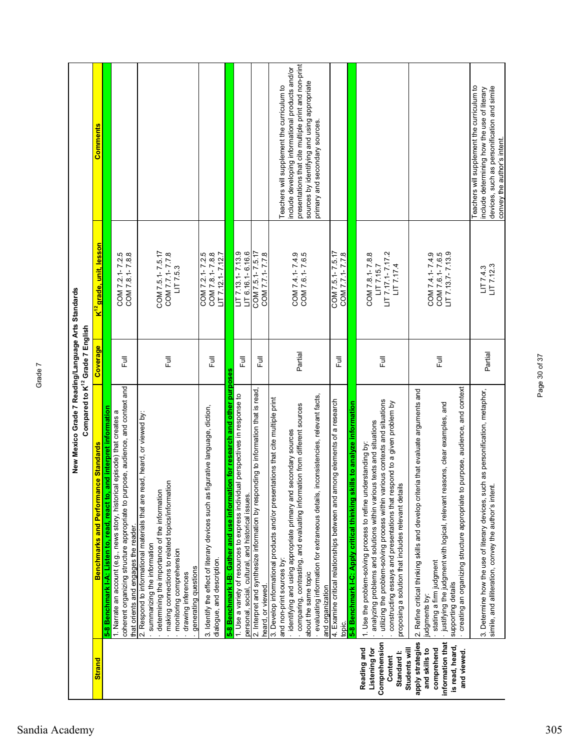|                                                                                                                        | New Mexico Grade 7 Reading/Language Arts Standards<br>Compared to K <sup>12</sup> Grade 7 English                                                                                                                                                                                                                                                                                                                                     |          |                                                                |                                                                                                                                                                                                                                          |
|------------------------------------------------------------------------------------------------------------------------|---------------------------------------------------------------------------------------------------------------------------------------------------------------------------------------------------------------------------------------------------------------------------------------------------------------------------------------------------------------------------------------------------------------------------------------|----------|----------------------------------------------------------------|------------------------------------------------------------------------------------------------------------------------------------------------------------------------------------------------------------------------------------------|
| <b>Strand</b>                                                                                                          | <b>Benchmarks and Performance Standards</b>                                                                                                                                                                                                                                                                                                                                                                                           | Coverage | <mark>K<sup>12</sup> grade, unit, lesson</mark>                | <b>Comments</b>                                                                                                                                                                                                                          |
|                                                                                                                        | 5-8 Benchmark I-A: Listen to, read, react to, and interpret information                                                                                                                                                                                                                                                                                                                                                               |          |                                                                |                                                                                                                                                                                                                                          |
|                                                                                                                        | pose, audience, and context and<br>1. Narrate an account (e.g., news story, historical episode) that creates a<br>coherent organizing structure appropriate to pur<br>that orients and engages the reader.                                                                                                                                                                                                                            | Ē        | COM 7.2.1-7.2.5<br>COM 7.8.1-7.8.8                             |                                                                                                                                                                                                                                          |
|                                                                                                                        | 2. Respond to informational materials that are read, heard, or viewed by:<br>making connections to related topics/information<br>determining the importance of the information<br>summarizing the information<br>monitoring comprehension<br>generating questions<br>drawing inferences                                                                                                                                               | 目        | COM 7.5.1-7.5.17<br>COM 7.7.1-7.7.8<br>LT7.5.3                 |                                                                                                                                                                                                                                          |
|                                                                                                                        | 3. Identify the effect of literary devices such as figurative language, diction,<br>dialogue, and description.                                                                                                                                                                                                                                                                                                                        | Ē        | COM 7.2.1-7.2.5<br>COM 7.8.1-7.8.8<br>$LT 7.12.1 - 7.12.7$     |                                                                                                                                                                                                                                          |
|                                                                                                                        | on for research and other purposes<br>5-8 Benchmark I-B: Gather and use informati                                                                                                                                                                                                                                                                                                                                                     |          |                                                                |                                                                                                                                                                                                                                          |
|                                                                                                                        | 1. Use a variety of resources to express individual perspectives in response to<br>personal, social, cultural, and historical issues.                                                                                                                                                                                                                                                                                                 | 巨        | $LT$ 7.13.1-7.13.9<br>$LT$ 6.16.1-6.16.6                       |                                                                                                                                                                                                                                          |
|                                                                                                                        | 2. Interpret and synthesize information by responding to information that is read,<br>heard, or viewed.                                                                                                                                                                                                                                                                                                                               | 卮        | COM 7.5.1-7.5.17<br>COM 7.7.1-7.7.8                            |                                                                                                                                                                                                                                          |
|                                                                                                                        | nconsistencies, relevant facts,<br>3. Develop informational products and/or presentations that cite multiple print<br>comparing, contrasting, and evaluating information from different sources<br>identifying and using appropriate primary and secondary sources<br>evaluating information for extraneous details,<br>and non-print sources by:<br>about the same topic<br>and organization                                         | Partial  | COM 7.4.1-7.4.9<br>COM 7.6.1-7.6.5                             | presentations that cite multiple print and non-print<br>include developing informational products and/or<br>sources by identifying and using appropriate<br>Teachers will supplement the curriculum to<br>primary and secondary sources. |
|                                                                                                                        | 4. Examine critical relationships between and among elements of a research<br>topic.                                                                                                                                                                                                                                                                                                                                                  | 卮        | COM 7.5.1-7.5.17<br>COM 7.7.1-7.7.8                            |                                                                                                                                                                                                                                          |
| Comprehension<br>Reading and<br>Listening for<br>Standard I:<br>Content                                                | utilizing the problem-solving process within various contexts and situations<br>constructing essays and presentations that respond to a given problem by<br>5-8 Benchmark I-C: Apply critical thinking skills to analyze information<br>analyzing problems and solutions within various texts and situations<br>1. Use the problem-solving process to refine understanding by:<br>proposing a solution that includes relevant details | Ē        | LIT 7.17.1-7.17.2<br>COM 7.8.1-7.8.8<br>LIT 7.15.7<br>LT7.17.4 |                                                                                                                                                                                                                                          |
| apply strategies<br>information that<br>is read, heard,<br>Students will<br>and skills to<br>comprehend<br>and viewed. | purpose, audience, and context<br>2. Refine critical thinking skills and develop criteria that evaluate arguments and<br>· justifying the judgment with logical, relevant reasons, clear examples, and<br>creating an organizing structure appropriate to<br>stating a firm judgment<br>supporting details<br>judgments by:                                                                                                           | 巨        | COM 7.6.1-7.6.5<br>LIT 7.13.7-7.13.9<br>COM 7.4.1-7.4.9        |                                                                                                                                                                                                                                          |
|                                                                                                                        | 3. Determine how the use of literary devices, such as personification, metaphor,<br>simile, and alliteration, convey the author's intent.                                                                                                                                                                                                                                                                                             | Partial  | LT7.12.3<br>LT7.4.3                                            | Teachers will supplement the curriculum to<br>devices, such as personification and simile<br>include determining how the use of literary<br>convey the author's intent.                                                                  |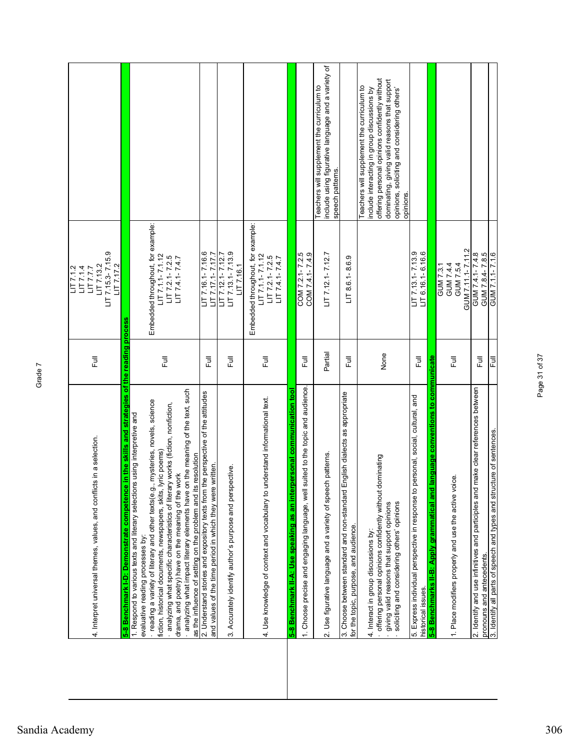|                                                                                                                                                                                                 |         | LT7.1.2                                             |                                                                                                  |
|-------------------------------------------------------------------------------------------------------------------------------------------------------------------------------------------------|---------|-----------------------------------------------------|--------------------------------------------------------------------------------------------------|
| 4. Interpret universal themes, values, and conflicts in a selection.                                                                                                                            | こ<br>L  | LT7.1.4<br>LT7.77                                   |                                                                                                  |
|                                                                                                                                                                                                 |         | $LT$ 7.15.3-7.15.9<br>LT7.13.2<br>LT7.17.2          |                                                                                                  |
| 5-8 Benchmark I-D: Demonstrate competence in the skills and strategies of the reading process                                                                                                   |         |                                                     |                                                                                                  |
| reading a variety of literary and other texts(e.g., mysteries, novels, science<br>1. Respond to various texts and literary selections using interpretive and<br>evaluative reading processes by |         | Embedded throughout, for example:                   |                                                                                                  |
| lyric poems)<br>fiction, historical documents, newspapers, skits,                                                                                                                               |         | $LT 7.1.1 - 7.1.12$                                 |                                                                                                  |
| analyzing what specific characteristics of literary works (fiction, nonfiction,                                                                                                                 | 目       | $LT 7.2.1 - 7.2.5$                                  |                                                                                                  |
| drama, and poetry) have on the meaning of the work                                                                                                                                              |         | $LT 7.4.1 - 7.4.7$                                  |                                                                                                  |
| - analyzing what impact literary elements have on the meaning of the text, such<br>as the influence of setting on the problem and its resolution                                                |         |                                                     |                                                                                                  |
| 2. Understand stories and expository texts from the perspective of the attitudes                                                                                                                |         | $LT$ 7.16.1-7.16.6                                  |                                                                                                  |
| and values of the time period in which they were written.                                                                                                                                       | 目       | LIT 7.17.1-7.17.7                                   |                                                                                                  |
| 3. Accurately identify author's purpose and perspective.                                                                                                                                        | 巨       | $LT$ 7.13.1-7.13.9<br>LIT 7.12.1-7.12.7<br>LT7.16.1 |                                                                                                  |
|                                                                                                                                                                                                 |         | Embedded throughout, for example:                   |                                                                                                  |
| 4. Use knowledge of context and vocabulary to understand informational text.                                                                                                                    | 큹       | $LT 7.1.1 - 7.1.12$<br>$LT 7.2.1 - 7.2.5$           |                                                                                                  |
|                                                                                                                                                                                                 |         | $LT 7.4.1 - 7.4.7$                                  |                                                                                                  |
| personal communication tool<br>5-8 Benchmark II-A: Use speaking as an inter                                                                                                                     |         |                                                     |                                                                                                  |
| suited to the topic and audience.<br>1. Choose precise and engaging language, well                                                                                                              | 巨       | COM 7.2.1-7.2.5<br>COM 7.4.1-7.4.9                  |                                                                                                  |
| 2. Use figurative language and a variety of speech patterns.                                                                                                                                    | Partial | $LT$ 7.12.1-7.12.7                                  | include using figurative language and a variety of<br>Teachers will supplement the curriculum to |
|                                                                                                                                                                                                 |         |                                                     | speech patterns                                                                                  |
| English dialects as appropriate<br>3. Choose between standard and non-standard<br>for the topic, purpose, and audience.                                                                         | 目       | $LT$ 8.6.1-8.6.9                                    |                                                                                                  |
|                                                                                                                                                                                                 |         |                                                     | Teachers will supplement the curriculum to                                                       |
| offering personal opinions confidently without dominating<br>4. Interact in group discussions by:                                                                                               |         |                                                     | offering personal opinions confidently without<br>include interacting in group discussions by    |
| giving valid reasons that support opinions                                                                                                                                                      | None    |                                                     | dominating, giving valid reasons that support                                                    |
| soliciting and considering others' opinions                                                                                                                                                     |         |                                                     | opinions, soliciting and considering others'<br>opinions.                                        |
| personal, social, cultural, and<br>5. Express individual perspective in response to<br>historical issues.                                                                                       | 巨       | LIT 7.13.1-7.13.9<br>LIT 6.16.1-6.16.6              |                                                                                                  |
| language conventions to communicate<br>5-8 Benchmarks II-B: Apply grammatical and                                                                                                               |         |                                                     |                                                                                                  |
|                                                                                                                                                                                                 |         | GUM 7.3.1                                           |                                                                                                  |
| 1. Place modifiers properly and use the active voice.                                                                                                                                           | 昆       | GUM 7.4.4<br>GUM 7.5.4                              |                                                                                                  |
|                                                                                                                                                                                                 |         | GUM 7.11.1-7.11.2                                   |                                                                                                  |
| make clear references between<br>2. Identify and use infinitives and participles and<br>pronouns and antecedents.                                                                               | 言       | GUM 7.8.4-7.8.5<br>GUM 7.4.1-7.4.8                  |                                                                                                  |
| 3. Identify all parts of speech and types and structure of sentences.                                                                                                                           | 巨       | GUM 7.1.1-7.1.6                                     |                                                                                                  |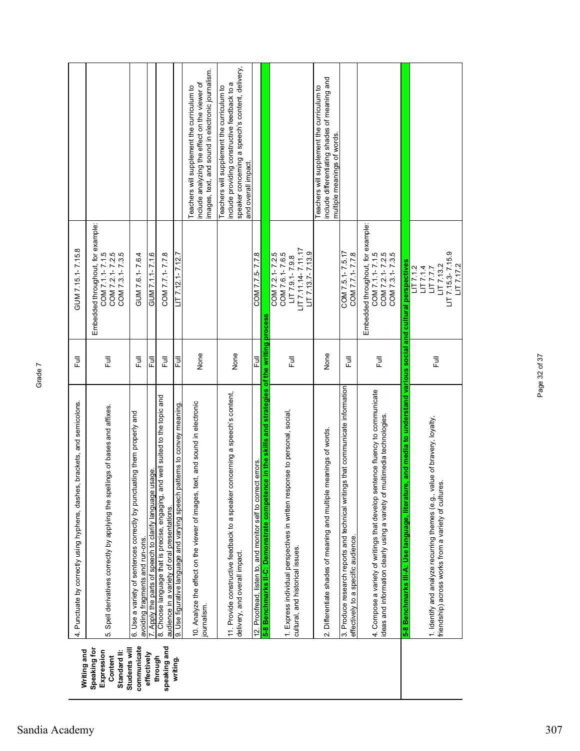| Writing and                                           | 4. Punctuate by correctly using hyphens, dashes, brackets, and semicolons.                                                                                | 長    | GUM 7.15.1-7.15.8                                                                                     |                                                                                                                                                                     |
|-------------------------------------------------------|-----------------------------------------------------------------------------------------------------------------------------------------------------------|------|-------------------------------------------------------------------------------------------------------|---------------------------------------------------------------------------------------------------------------------------------------------------------------------|
| Speaking for<br>Standard II:<br>Expression<br>Content | Spell derivatives correctly by applying the spellings of bases and affixes.<br>ယ္ပ                                                                        | ĒJ   | Embedded throughout, for example:<br>COM 7.1.1-7.1.5<br>COM 7.2.1-7.2.5<br>COM 7.3.1-7.3.5            |                                                                                                                                                                     |
| communicate<br>Students will                          | 6. Use a variety of sentences correctly by punctuating them properly and<br>avoiding fragments and run-ons.                                               | ĒJ   | GUM 7.6.1-7.6.4                                                                                       |                                                                                                                                                                     |
| effectively                                           | usage<br>7. Apply the parts of speech to clarify language                                                                                                 | 쿤    | GUM 7.1.1-7.1.6                                                                                       |                                                                                                                                                                     |
| speaking and<br>through                               | 8. Choose language that is precise, engaging, and well suited to the topic and<br>audience in a variety of oral presentations.                            | 巨    | COM 7.7.1-7.7.8                                                                                       |                                                                                                                                                                     |
| writing.                                              | batterns to convey meaning<br>9. Use figurative language and varying speech                                                                               | 큲    | $LT$ 7.12.1-7.12.                                                                                     |                                                                                                                                                                     |
|                                                       | text, and sound in electronic<br>10. Analyze the effect on the viewer of images,<br>journalism.                                                           | None |                                                                                                       | mages, text, and sound in electronic journalism.<br>nclude analyzing the effect on the viewer of<br>Teachers will supplement the curriculum to                      |
|                                                       | concerning a speech's content,<br>11. Provide constructive feedback to a speaker<br>delivery, and overall impact.                                         | None |                                                                                                       | speaker concerning a speech's content, delivery,<br>nclude providing constructive feedback to a<br>Teachers will supplement the curriculum to<br>and overall impact |
|                                                       | 12. Proofread, listen to, and monitor self to correct errors.                                                                                             | 쿤    | COM 7.7.5-7.7.8                                                                                       |                                                                                                                                                                     |
|                                                       | 5-8 Benchmarks II-C: Demonstrate competence in the skills and strategies of the writing process                                                           |      |                                                                                                       |                                                                                                                                                                     |
|                                                       | 1. Express individual perspectives in written response to personal, social,<br>cultural, and historical issues.                                           | Ē    | LIT 7.11.14-7.11.17<br>$LT$ 7.13.7-7.13.9<br>COM 7.6.1-7.6.5<br>COM 7.2.1-7.2.5<br>$LT 7.9.1 - 7.9.8$ |                                                                                                                                                                     |
|                                                       | meanings of words.<br>2. Differentiate shades of meaning and multiple                                                                                     | None |                                                                                                       | include differentiating shades of meaning and<br>Teachers will supplement the curriculum to<br>multiple meanings of words.                                          |
|                                                       | 3. Produce research reports and technical writings that communicate information<br>effectively to a specific audience.                                    | Ē    | COM 7.5.1-7.5.17<br>COM 7.7.1-7.7.8                                                                   |                                                                                                                                                                     |
|                                                       | 4. Compose a variety of writings that develop sentence fluency to communicate<br>ideas and information clearly using a variety of multimedia technologies | 巨    | Embedded throughout, for example:<br>COM 7.1.1-7.1.5<br>COM 7.2.1-7.2.5<br>COM 7.3.1-7.3.5            |                                                                                                                                                                     |
|                                                       | e, and media to understand various social and cultural perspectives<br>5-8 Benchmarks III-A: Use language, literatur                                      |      |                                                                                                       |                                                                                                                                                                     |
|                                                       | 1. Identify and analyze recurring themes (e.g., value of bravery, loyalty,<br>friendship) across works from a variety of cultures.                        | Ē    | LIT 7.15.3-7.15.9<br>LT7.17.2<br>LT7.13.2<br>LT7.1.2<br>LT7.1.4<br>LIT7.77                            |                                                                                                                                                                     |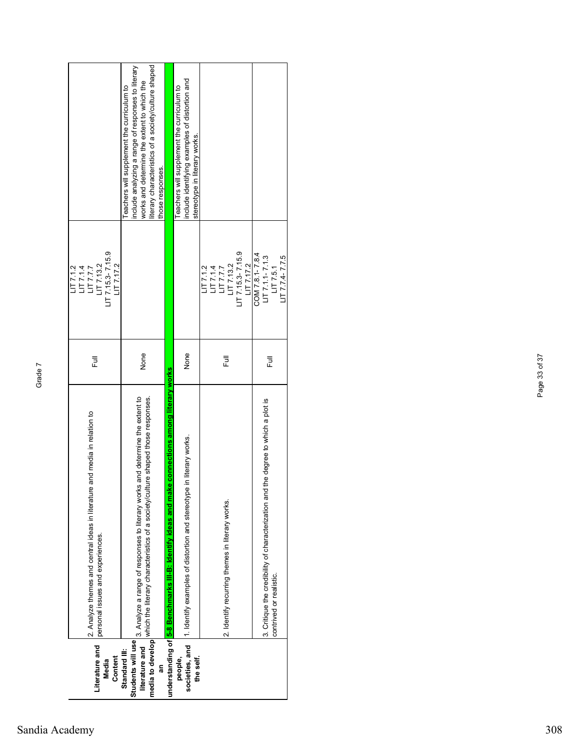|                   |                                                                                                                  |      | $-177.1.2$                                                |                                                     |
|-------------------|------------------------------------------------------------------------------------------------------------------|------|-----------------------------------------------------------|-----------------------------------------------------|
|                   | and media in relation to<br>2. Analyze themes and central ideas in literature                                    | 쿤    | 1177.77                                                   |                                                     |
| Literature and    | personal issues and experiences.                                                                                 |      | LT7.13.2                                                  |                                                     |
| Media             |                                                                                                                  |      | $LT$ 7.15.3-7.15.9                                        |                                                     |
| Content           |                                                                                                                  |      | $-177.17.2$                                               |                                                     |
| Standard III:     |                                                                                                                  |      |                                                           | eachers will supplement the curriculum to           |
| Students will use | 3. Analyze a range of responses to literary works and determine the extent to                                    |      |                                                           | include analyzing a range of responses to literary  |
| literature and    | which the literary characteristics of a society/culture shaped those responses.                                  | None |                                                           | works and determine the extent to which the         |
| media to develop  |                                                                                                                  |      |                                                           | iterary characteristics of a society/culture shaped |
|                   |                                                                                                                  |      |                                                           | those responses.                                    |
|                   | e connections among literary works<br>understanding of <mark>5-8 Benchmarks III-B: Identify ideas and mak</mark> |      |                                                           |                                                     |
| people,           |                                                                                                                  |      |                                                           | eachers will supplement the curriculum to           |
| societies, and    | in literary works.<br>1. Identify examples of distortion and stereotype                                          | None |                                                           | include identifying examples of distortion and      |
| the self.         |                                                                                                                  |      |                                                           | stereotype in literary works.                       |
|                   |                                                                                                                  |      | LT7.1.2                                                   |                                                     |
|                   |                                                                                                                  |      |                                                           |                                                     |
|                   |                                                                                                                  |      |                                                           |                                                     |
|                   | 2. Identify recurring themes in literary works.                                                                  | 危    | LIT 7.1.4<br>LIT 7.7.7<br>LIT 7.13.2<br>LIT 7.15.3-7.15.9 |                                                     |
|                   |                                                                                                                  |      |                                                           |                                                     |
|                   |                                                                                                                  |      | LT7.17.2                                                  |                                                     |
|                   |                                                                                                                  |      | COM 7.8.1-7.8.4                                           |                                                     |
|                   | 3. Critique the credibility of characterization and the degree to which a plot is                                | 豆    | $LT 7.1.1 - 7.1.3$                                        |                                                     |
|                   | contrived or realistic.                                                                                          |      | LT 7.5.1                                                  |                                                     |
|                   |                                                                                                                  |      | $LT 7.74 - 7.75$                                          |                                                     |
|                   |                                                                                                                  |      |                                                           |                                                     |

## Sandia Academy 308

Page 33 of 37

Page 33 of 37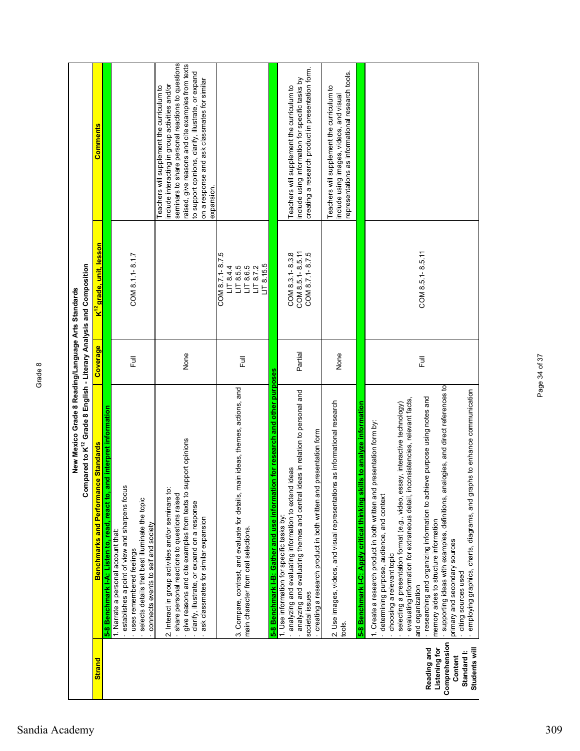|               | Compared to K <sup>12</sup> Grade 8 English - Literary Analysis and Composition<br>New Mexico Grade 8 Reading/Language Arts Standards                                                                                                                                                                                  |          |                                                                                |                                                                                                                                                                                                                                                                                                                            |
|---------------|------------------------------------------------------------------------------------------------------------------------------------------------------------------------------------------------------------------------------------------------------------------------------------------------------------------------|----------|--------------------------------------------------------------------------------|----------------------------------------------------------------------------------------------------------------------------------------------------------------------------------------------------------------------------------------------------------------------------------------------------------------------------|
| <b>Strand</b> | <b>ce Standards</b><br>Benchmarks and Performan                                                                                                                                                                                                                                                                        | Coverage | K <sup>''∠</sup> grade, unit, lesson                                           | Comments                                                                                                                                                                                                                                                                                                                   |
|               | react to, and interpret information<br>5-8 Benchmark I-A: Listen to, read,                                                                                                                                                                                                                                             |          |                                                                                |                                                                                                                                                                                                                                                                                                                            |
|               | establishes a point of view and sharpens focus<br>selects details that best illuminate the topic<br>connects events to self and society<br>1. Narrate a personal account that:<br>uses remembered feelings                                                                                                             | 目        | COM 8.1.1-8.1.7                                                                |                                                                                                                                                                                                                                                                                                                            |
|               | give reasons and cite examples from texts to support opinions<br>2. Interact in group activities and/or seminars to:<br>share personal reactions to questions raised<br>clarify, illustrate, or expand on a response<br>ask classmates for similar expansion                                                           | None     |                                                                                | seminars to share personal reactions to questions<br>raised, give reasons and cite examples from texts<br>to support opinions, clarify, illustrate, or expand<br>on a response and ask classmates for similar<br>nclude interacting in group activities and/or<br>Teachers will supplement the curriculum to<br>expansion. |
|               | 3. Compare, contrast, and evaluate for details, main ideas, themes, actions, and<br>main character from oral selections.                                                                                                                                                                                               | Full     | COM 8.7.1-8.7.5<br>$-178.15.5$<br>11 8.4.4<br>11 8.5.5<br>11 8.7.2<br>11 8.7.2 |                                                                                                                                                                                                                                                                                                                            |
|               | on for research and other purposes<br>5-8 Benchmark I-B: Gather and use informati                                                                                                                                                                                                                                      |          |                                                                                |                                                                                                                                                                                                                                                                                                                            |
|               | analyzing and evaluating themes and central ideas in relation to personal and<br>presentation form<br>ideas<br>analyzing and evaluating information to extend<br>creating a research product in both written and<br>1. Use information for specific tasks by:<br>societal issues                                       | Partial  | COM 8.5.1-8.5.11<br>COM 8.7.1-8.7.5<br>COM 8.3.1-8.3.8                         | creating a research product in presentation form.<br>include using information for specific tasks by<br>Teachers will supplement the curriculum to                                                                                                                                                                         |
|               | is as informational research<br>2. Use images, videos, and visual representation<br>tools.                                                                                                                                                                                                                             | None     |                                                                                | representations as informational research tools.<br>Teachers will supplement the curriculum to<br>nclude using images, videos, and visual                                                                                                                                                                                  |
|               | ills to analyze information<br>5-8 Benchmark I-C: Apply critical thinking sk                                                                                                                                                                                                                                           |          |                                                                                |                                                                                                                                                                                                                                                                                                                            |
|               | evaluating information for extraneous detail, inconsistencies, relevant facts,<br>selecting a presentation format (e.g., video, essay, interactive technology)<br>presentation form by:<br>1. Create a research product in both written and<br>determining purpose, audience, and context<br>choosing a relevant topic |          |                                                                                |                                                                                                                                                                                                                                                                                                                            |

· researching and organizing information to achieve purpose using notes and

Full COM 8.5.1- 8.5.11

 $\overline{F}$ ull

COM 8.5.1-8.5.11

· supporting ideas with examples, definitions, analogies, and direct references to

· researching and organizing information to achieve purpose using notes and<br>memory aides to structure information<br>· supporting ideas with examples, definitions, analogies, and direct references to<br>primary and secondary sou

· employing graphics, charts, diagrams, and graphs to enhance communication

.<br>citing sources used<br>. employing graphics, charts, diagrams, and graphs to enhance communication

memory aides to structure information

primary and secondary sources · citing sources used

and organization

and organization

**Reading and Listening for Comprehension** Reading and<br>
Listening for<br>
Comprehension<br>
Content<br>
Standard I:<br>
Students will **Standard I: Students will**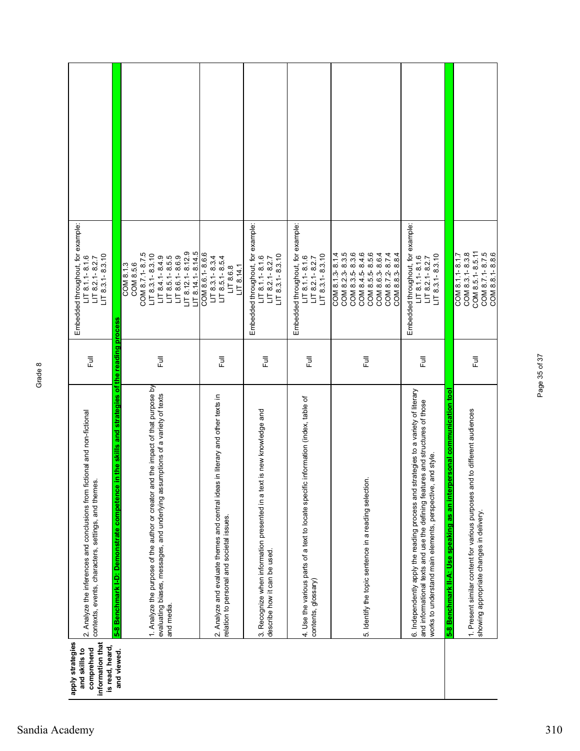| information that<br>apply strategies<br>is read, heard,<br>comprehend<br>and skills to                                            | and viewed.                                                                                   | and media.                                                                                                                                                                 |                                                                                                                              |                                                                                                           |                                                                                                           |                                                                                                                                                      |                                                                                                                                                                                                                                   |                                                                         |                                                                                                                           |
|-----------------------------------------------------------------------------------------------------------------------------------|-----------------------------------------------------------------------------------------------|----------------------------------------------------------------------------------------------------------------------------------------------------------------------------|------------------------------------------------------------------------------------------------------------------------------|-----------------------------------------------------------------------------------------------------------|-----------------------------------------------------------------------------------------------------------|------------------------------------------------------------------------------------------------------------------------------------------------------|-----------------------------------------------------------------------------------------------------------------------------------------------------------------------------------------------------------------------------------|-------------------------------------------------------------------------|---------------------------------------------------------------------------------------------------------------------------|
| 2. Analyze the inferences and conclusions from fictional and non-fictional<br>contexts, events, characters, settings, and themes. | 5-8 Benchmark I-D: Demonstrate competence in the skills and strategies of the reading process | and the impact of that purpose by<br>evaluating biases, messages, and underlying assumptions of a variety of texts<br>1. Analyze the purpose of the author or creator      | 2. Analyze and evaluate themes and central ideas in literary and other texts in<br>relation to personal and societal issues. | lext is new knowledge and<br>3. Recognize when information presented in a<br>describe how it can be used. | 4. Use the various parts of a text to locate specific information (index, table of<br>contents, glossary) | 5. Identify the topic sentence in a reading selection.                                                                                               | 6. Independently apply the reading process and strategies to a variety of literary<br>and informational texts and use the defining features and structures of those<br>works to understand main elements, perspective, and style. | 5-8 Benchmark II-A: Use speaking as an interpersonal communication tool | and to different audiences<br>1. Present similar content for various purposes<br>showing appropriate changes in delivery. |
| う<br>Full                                                                                                                         |                                                                                               | Ē                                                                                                                                                                          | 巨                                                                                                                            | 危                                                                                                         | Ē                                                                                                         | 巨                                                                                                                                                    | 쿤                                                                                                                                                                                                                                 |                                                                         | 巨                                                                                                                         |
| Embedded throughout, for example:<br>$LT 8.3.1 - 8.3.10$<br>$LT 8.1.1 - 8.1.6$<br>$LT$ 8.2.1-8.2.7                                |                                                                                               | $LT$ 8.12.1-8.12.9<br>$LT 8.14.1 - 8.14.5$<br>COM 8.7.1-8.7.5<br>$LT$ 8.3.1-8.3.10<br>$LT$ 8.6.1-8.6.9<br>$LT 8.4.1 - 8.4.9$<br>$LT$ 8.5.1-8.5.5<br>COM 8.5.6<br>COM 8.1.3 | COM 8.6.1-8.6.6<br>$LT$ 8.3.1-8.3.4<br>$LT$ 8.5.1-8.5.4<br>LT 8.14.1<br>LT8.6.8                                              | Embedded throughout, for example:<br>$LT 8.3.1 - 8.3.10$<br>$LT 8.1.1 - 8.1.6$<br>$LT$ 8.2.1-8.2.7        | Embedded throughout, for example:<br>$LT 8.3.1 - 8.3.10$<br>$LT 8.1.1 - 8.1.6$<br>$LT 8.2.1 - 8.2.7$      | COM 8.2.3-8.3.5<br>COM 8.3.5-8.3.6<br>COM 8.4.5-8.4.6<br>COM 8.5.5-8.5.6<br>COM 8.1.3-8.1.4<br>COM 8.6.3-8.6.4<br>COM 8.7.2-8.7.4<br>COM 8.8.3-8.8.4 | Embedded throughout, for example:<br>$LT 8.3.1 - 8.3.10$<br>$LT 8.1.1 - 8.1.6$<br>$LT 8.2.1 - 8.2.7$                                                                                                                              |                                                                         | COM 8.5.1-8.5.11<br>COM 8.7.1-8.7.5<br>COM 8.8.1-8.8.6<br>COM 8.3.1-8.3.8<br>COM 8.1.1-8.1.7                              |
|                                                                                                                                   |                                                                                               |                                                                                                                                                                            |                                                                                                                              |                                                                                                           |                                                                                                           |                                                                                                                                                      |                                                                                                                                                                                                                                   |                                                                         |                                                                                                                           |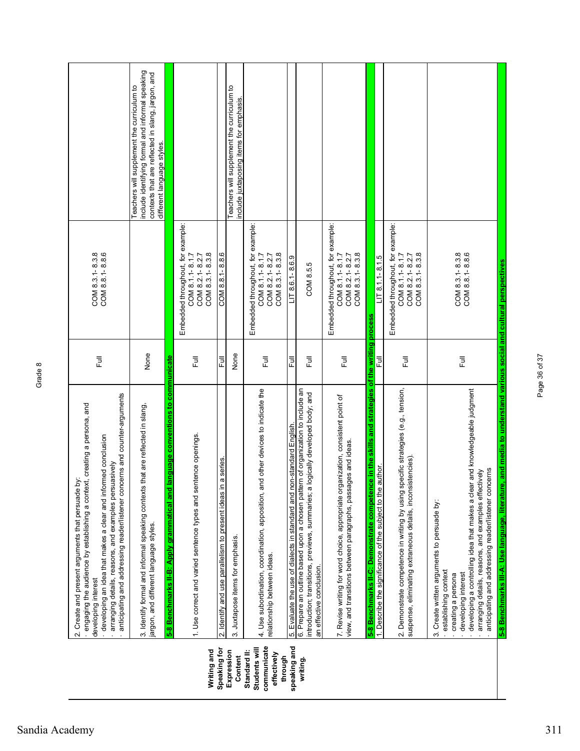|                                                                        | anticipating and addressing reader/listener concerns and counter-arguments<br>engaging the audience by establishing a context, creating a persona, and<br>developing an idea that makes a clear and informed conclusion<br>arranging details, reasons, and examples persuasively<br>ä<br>2. Create and present arguments that persuade<br>developing interest                                                                       | $\overline{\Xi}$ | COM 8.3.1-8.3.8<br>COM 8.8.1-8.8.6                                                         |                                                                                                                                                                                   |  |
|------------------------------------------------------------------------|-------------------------------------------------------------------------------------------------------------------------------------------------------------------------------------------------------------------------------------------------------------------------------------------------------------------------------------------------------------------------------------------------------------------------------------|------------------|--------------------------------------------------------------------------------------------|-----------------------------------------------------------------------------------------------------------------------------------------------------------------------------------|--|
|                                                                        | that are reflected in slang,<br>3. Identify formal and informal speaking contexts<br>argon, and different language styles.                                                                                                                                                                                                                                                                                                          | None             |                                                                                            | include identifying formal and informal speaking<br>contexts that are reflected in slang, jargon, and<br>Teachers will supplement the curriculum to<br>different language styles. |  |
|                                                                        | language conventions to communicate<br>5-8 Benchmarks II-B: Apply grammatical and                                                                                                                                                                                                                                                                                                                                                   |                  |                                                                                            |                                                                                                                                                                                   |  |
| Writing and                                                            | 1. Use correct and varied sentence types and sentence openings.                                                                                                                                                                                                                                                                                                                                                                     | 豆                | Embedded throughout, for example:<br>COM 8.3.1-8.3.8<br>COM 8.1.1-8.1.7<br>COM 8.2.1-8.2.7 |                                                                                                                                                                                   |  |
| Speaking for                                                           | na series.<br>2. Identify and use parallelism to present ideas in                                                                                                                                                                                                                                                                                                                                                                   | $\overline{\Xi}$ | COM 8.8.1-8.8.6                                                                            |                                                                                                                                                                                   |  |
| Expression<br>Content                                                  | 3. Juxtapose items for emphasis.                                                                                                                                                                                                                                                                                                                                                                                                    | None             |                                                                                            | Teachers will supplement the curriculum to<br>include juxtaposing items for emphasis.                                                                                             |  |
| communicate<br>Students will<br>Standard II:<br>effectively<br>through | 4. Use subordination, coordination, apposition, and other devices to indicate the<br>relationship between ideas.                                                                                                                                                                                                                                                                                                                    | 昆                | Embedded throughout, for example:<br>COM 8.3.1-8.3.8<br>COM 8.1.1-8.1.7<br>COM 8.2.1-8.2.7 |                                                                                                                                                                                   |  |
| speaking and                                                           | 5. Evaluate the use of dialects in standard and non-standard English                                                                                                                                                                                                                                                                                                                                                                | 쿤                | $LT$ 8.6.1-8.6.9                                                                           |                                                                                                                                                                                   |  |
| writing.                                                               | 6. Prepare an outline based upon a chosen pattern of organization to include an<br>logically developed body; and<br>introduction; transitions, previews, summaries; a<br>an effective conclusion.                                                                                                                                                                                                                                   | $\bar{5}$        | COM 8.5.5                                                                                  |                                                                                                                                                                                   |  |
|                                                                        | 7. Revise writing for word choice, appropriate organization, consistent point of<br>view, and transitions between paragraphs, passages and ideas.                                                                                                                                                                                                                                                                                   | 巨                | Embedded throughout, for example:<br>COM 8.3.1-8.3.8<br>COM 8.1.1-8.1.7<br>COM 8.2.1-8.2.7 |                                                                                                                                                                                   |  |
|                                                                        | 5-8 Benchmarks II-C: Demonstrate competence in the skills and strategies of the writing process                                                                                                                                                                                                                                                                                                                                     | 巨                | $LT 8.1.1 - 8.1.5$                                                                         |                                                                                                                                                                                   |  |
|                                                                        | 2. Demonstrate competence in writing by using specific strategies (e.g., tension,<br>istencies).<br>1. Describe the significance of the subject to the author.<br>suspense, eliminating extraneous details, incons                                                                                                                                                                                                                  | 卮                | Embedded throughout, for example:<br>COM 8.3.1-8.3.8<br>COM 8.1.1-8.1.7<br>COM 8.2.1-8.2.7 |                                                                                                                                                                                   |  |
|                                                                        | 5-8 Benchmarks III-A: Use language, literature, and media to understand various social and cultural perspectives<br>developing a controlling idea that makes a clear and knowledgeable judgment<br>anticipating and addressing reader/listener concerns<br>arranging details, reasons, and examples effectively<br>3. Create written arguments to persuade by:<br>establishing context<br>developing interest<br>creating a persona | Full             | COM 8.8.1-8.8.6<br>COM 8.3.1-8.3.8                                                         |                                                                                                                                                                                   |  |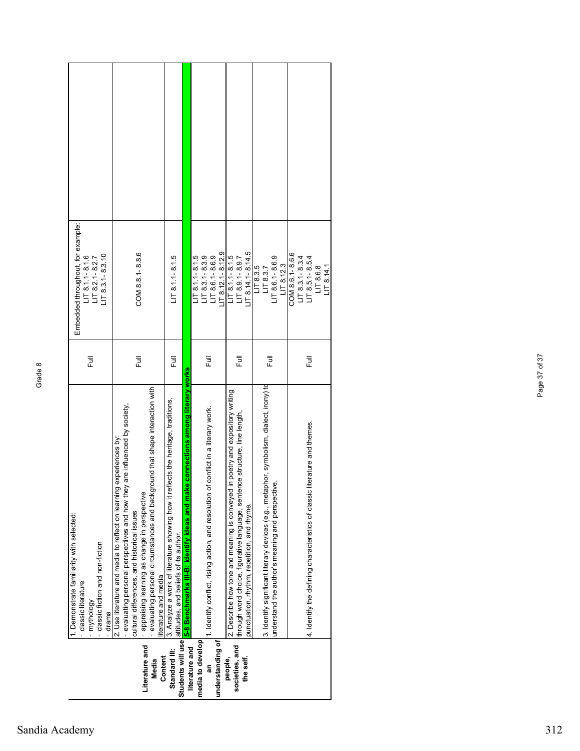| Embedded throughout, for example:<br>$LT$ 8.3.1-8.3.10<br>$LT 8.1.1 - 8.1.6$<br>LIT 8.2.1 - 8.2.7                     | COM 8.8.1-8.8.6                                                                                                                                                                                                                                                                                                                                          | $LT 8.1.1 - 8.1.5$                                                                                                                                   |                                                                                     | $-178.12.1 - 8.12.9$<br>$LT 8.1.1 - 8.1.5$<br>$LT$ 8.3.1-8.3.9<br>$LT$ 8.6.1-8.6.9  | $\sqrt{18.14.1} - 8.14.5$<br>$LT 8.1.1 - 8.1.5$<br>$LT$ 8.9.1-8.9.7                                                                                                                                           | $LT$ 8.6.1-8.6.9<br>$\sqrt{18.12.3}$<br>LT8.3.5<br>LT 8.3.7                                                                                 | COM 8.6.1-8.6.6<br>$LT$ 8.3.1-8.3.4<br>$LT$ 8.5.1-8.5.4<br>LT8.6.8<br>LT 8.14.7 |
|-----------------------------------------------------------------------------------------------------------------------|----------------------------------------------------------------------------------------------------------------------------------------------------------------------------------------------------------------------------------------------------------------------------------------------------------------------------------------------------------|------------------------------------------------------------------------------------------------------------------------------------------------------|-------------------------------------------------------------------------------------|-------------------------------------------------------------------------------------|---------------------------------------------------------------------------------------------------------------------------------------------------------------------------------------------------------------|---------------------------------------------------------------------------------------------------------------------------------------------|---------------------------------------------------------------------------------|
| Ē                                                                                                                     | 目                                                                                                                                                                                                                                                                                                                                                        | 目                                                                                                                                                    |                                                                                     | 큹                                                                                   | 쿦                                                                                                                                                                                                             | 卮                                                                                                                                           | 巨                                                                               |
| Demonstrate familiarity with selected:<br>classic fiction and non-fiction<br>classic literature<br>mythology<br>drama | jround that shape interaction with<br>evaluating personal perspectives and how they are influenced by society,<br>2. Use literature and media to reflect on learning experiences by<br>appraising learning as change in perspective<br>evaluating personal circumstances and backg<br>cultural differences, and historical issues<br>iterature and media | 3. Analyze a work of literature showing how it reflects the heritage, traditions,<br>Students will use <b>attitudes</b> , and beliefs of its author. | ke connections among literary works<br>5-8 Benchmarks III-B: Identify ideas and mal | 1. Identify conflict, rising action, and resolution of conflict in a literary work. | in poetry and expository writing<br>through word choice, figurative language, sentence structure, line length,<br>2. Describe how tone and meaning is conveyed<br>punctuation, rhythm, repetition, and rhyme. | 3. Identify significant literary devices (e.g., metaphor, symbolism, dialect, irony) td<br>understand the author's meaning and perspective. | literature and themes.<br>4. Identify the defining characteristics of classic   |
|                                                                                                                       | Literature and<br>Content<br>Media                                                                                                                                                                                                                                                                                                                       | Standard III:                                                                                                                                        | literature and                                                                      | media to develop<br>understanding of<br>ន្ល                                         | societies, and<br>the self.<br>people,                                                                                                                                                                        |                                                                                                                                             |                                                                                 |

Page 37 of 37

Page 37 of 37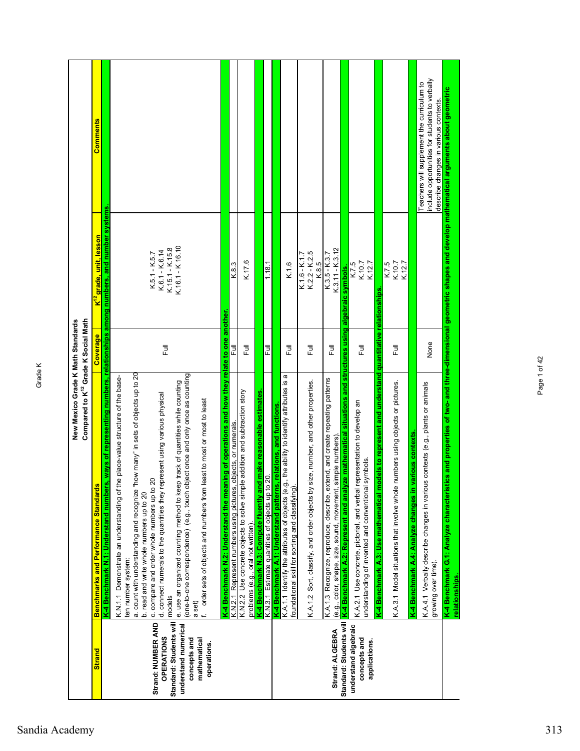|                                                                                                                                           | New Mexico Grade K Math Standards<br>Compared to K <sup>12</sup> Grade K Social Math                                                                                                                                                                                                                                                                                                                                                                                                                                                                                                                                                                                                 |                                 |                                                                                                                                                                |                                                                                                                                       |
|-------------------------------------------------------------------------------------------------------------------------------------------|--------------------------------------------------------------------------------------------------------------------------------------------------------------------------------------------------------------------------------------------------------------------------------------------------------------------------------------------------------------------------------------------------------------------------------------------------------------------------------------------------------------------------------------------------------------------------------------------------------------------------------------------------------------------------------------|---------------------------------|----------------------------------------------------------------------------------------------------------------------------------------------------------------|---------------------------------------------------------------------------------------------------------------------------------------|
| <b>Strand</b>                                                                                                                             | <b>Benchmarks and Performance Standards</b>                                                                                                                                                                                                                                                                                                                                                                                                                                                                                                                                                                                                                                          | Coverage                        | K <sup>12</sup> grade, unit, lesson                                                                                                                            | <b>Comments</b>                                                                                                                       |
| Standard: Students will<br>Strand: NUMBER AND<br>understand numerical<br><b>OPERATIONS</b><br>concepts and<br>mathematical<br>operations. | how many" in sets of objects up to 20<br>(one-to-one correspondence) (e.g., touch object once and only once as counting<br>e place-value structure of the base-<br>e. use an organized counting method to keep track of quantities while counting<br>d. connect numerals to the quantities they represent using various physical<br>order sets of objects and numbers from least to most or most to least<br>c. compare and order whole numbers up to 20<br>K-4 Benchmark N.1: Understand numbers<br>K.N.1.1 Demonstrate an understanding of th<br>a. count with understanding and recognize "<br>b. read and write whole numbers up to 20<br>ten number system:<br>models<br>a set) | 司<br>上                          | , ways of representing numbers, relationships among numbers, and number systems.<br>K.16.1 - K 16.10<br>K.15.1 - K.15.8<br>$K.6.1 - K.6.14$<br>$K.5.1 - K.5.7$ |                                                                                                                                       |
|                                                                                                                                           | K-4 Benchmark N.2: Understand the meaning of operations and how they relate to one another.<br>K.N.2.1 Represent numbers using pictures, objects, or numerals.<br>K.N.2.2 Use concrete objects to solve simple addition and subtraction story                                                                                                                                                                                                                                                                                                                                                                                                                                        | 쿤                               | K.8.3                                                                                                                                                          |                                                                                                                                       |
|                                                                                                                                           | problems (e.g., oral not written).                                                                                                                                                                                                                                                                                                                                                                                                                                                                                                                                                                                                                                                   | ラ<br>L                          | K.17.6                                                                                                                                                         |                                                                                                                                       |
|                                                                                                                                           | K-4 Benchmark N.3: Compute fluently and make reasonable estimates<br>K.N.3.1 Estimate quantities of objects up to 20.                                                                                                                                                                                                                                                                                                                                                                                                                                                                                                                                                                | 쿤                               | 1.18.1                                                                                                                                                         |                                                                                                                                       |
|                                                                                                                                           | K-4 Benchmark A.1: Understand patterns, relations, and functions                                                                                                                                                                                                                                                                                                                                                                                                                                                                                                                                                                                                                     |                                 |                                                                                                                                                                |                                                                                                                                       |
|                                                                                                                                           | K.A.1.1 Identify the attributes of objects (e.g., the ability to identify attributes is a<br>foundational skill for sorting and classifying).                                                                                                                                                                                                                                                                                                                                                                                                                                                                                                                                        | Full                            | K.1.6                                                                                                                                                          |                                                                                                                                       |
|                                                                                                                                           | K.A.1.2 Sort, classify, and order objects by size, number, and other properties                                                                                                                                                                                                                                                                                                                                                                                                                                                                                                                                                                                                      | 言                               | $K.2.2 - K.2.5$<br>K.1.6 - K.1.7<br>K.8.5                                                                                                                      |                                                                                                                                       |
| Standard: Students will<br>Strand: ALGEBRA                                                                                                | K.A.1.3 Recognize, reproduce, describe, extend, and create repeating patterns<br>(e.g., color, shape, size, sound, movement, simple numbers)                                                                                                                                                                                                                                                                                                                                                                                                                                                                                                                                         | 卮                               | $K.3.11 - K.3.12$<br>$K.3.5 - K.3.7$                                                                                                                           |                                                                                                                                       |
| understand algebraic<br>concepts and<br>applications.                                                                                     | K-4 Benchmark A.2: Represent and analyze mathematical situations and structures using algebraic symbols.<br>K.A.2.1 Use concrete, pictorial, and verbal representation to develop an<br>symbols.<br>understanding of invented and conventional                                                                                                                                                                                                                                                                                                                                                                                                                                       | ラ<br>L                          | K.10.7<br>K.12.7<br>K.7.5                                                                                                                                      |                                                                                                                                       |
|                                                                                                                                           | K-4 Benchmark A.3: Use mathematical models to represent and understand<br>numbers using objects or pictures.<br>K.A.3.1 Model situations that involve whole                                                                                                                                                                                                                                                                                                                                                                                                                                                                                                                          | quantitative relationships<br>Ē | K.10.7<br>K.12.7<br>K.7.5                                                                                                                                      |                                                                                                                                       |
|                                                                                                                                           | various contexts<br>K-4 Benchmark A.4: Analyze changes in                                                                                                                                                                                                                                                                                                                                                                                                                                                                                                                                                                                                                            |                                 |                                                                                                                                                                |                                                                                                                                       |
|                                                                                                                                           | K.A.4.1 Verbally describe changes in various contexts (e.g., plants or animals<br>growing over time).                                                                                                                                                                                                                                                                                                                                                                                                                                                                                                                                                                                | None                            |                                                                                                                                                                | include opportunities for students to verbally<br>Teachers will supplement the curriculum to<br>describe changes in various contexts. |
|                                                                                                                                           | K-4 Benchmark G.1: Analyze characterist<br>relationships                                                                                                                                                                                                                                                                                                                                                                                                                                                                                                                                                                                                                             |                                 |                                                                                                                                                                | ics and properties of two- and three-dimensional geometric shapes and develop mathematical arguments about geometric                  |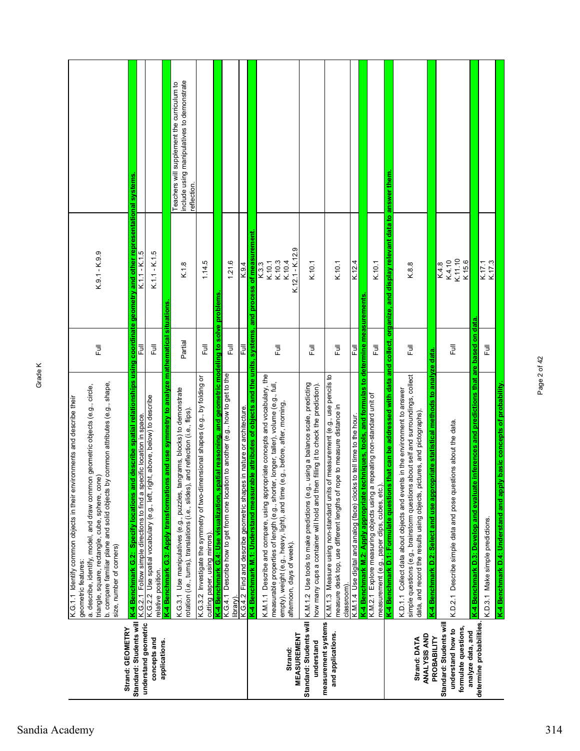| Strand: GEOMETRY                                                                          | b. compare familiar plane and solid objects by common attributes (e.g., shape,<br>a. describe, identify, model, and draw common geometric objects (e.g., circle,<br>K.G.1.1 Identify common objects in their environments and describe their<br>triangle, square, rectangle, cube, sphere, cone)<br>size, number of corners)<br>geometric features: | 司<br>上                    | $K.9.1 - K.9.9$                     |                                                                                                         |
|-------------------------------------------------------------------------------------------|-----------------------------------------------------------------------------------------------------------------------------------------------------------------------------------------------------------------------------------------------------------------------------------------------------------------------------------------------------|---------------------------|-------------------------------------|---------------------------------------------------------------------------------------------------------|
| Standard: Students will                                                                   | K-4 Benchmark G.2:  Specify locations and describe spatial relationships using coordinate geometry and other representational systems<br>K.G.2.1  Follow simple directions to find a specific location in space.                                                                                                                                    |                           |                                     |                                                                                                         |
| understand geometric<br>concepts and                                                      | K.G.2.2 Use spatial vocabulary (e.g., left, right, above, below) to describe<br>relative position.                                                                                                                                                                                                                                                  | $\overline{\overline{z}}$ | $K.1.1 - K.1.5$                     |                                                                                                         |
| applications.                                                                             | is and use symmetry to analyze mathematical situations<br>K-4 Benchmark G.3: Apply transformation                                                                                                                                                                                                                                                   |                           |                                     |                                                                                                         |
|                                                                                           | K.G.3.1 Use manipulatives (e.g., puzzles, tangrams, blocks) to demonstrate<br>and reflection (i.e., flips).<br>rotation (i.e., turns), translations (i.e., slides),                                                                                                                                                                                 | Partial                   | K.1.8                               | include using manipulatives to demonstrate<br>Teachers will supplement the curriculum to<br>reflection. |
|                                                                                           | K.G.3.2 Investigate the symmetry of two-dimensional shapes (e.g., by folding or<br>cutting paper, using mirrors).                                                                                                                                                                                                                                   | <b>Full</b>               | 1.14.5                              |                                                                                                         |
|                                                                                           | K-4 Benchmark G.4: Use visualization, spatial reasoning, and geometric modeling to solve problems                                                                                                                                                                                                                                                   |                           |                                     |                                                                                                         |
|                                                                                           | K.G.4.1 Describe how to get from one location to another (e.g., how to get to the<br>library).                                                                                                                                                                                                                                                      | 同<br>Lu                   | 1.21.6                              |                                                                                                         |
|                                                                                           | K.G.4.2 Find and describe geometric shapes in nature or architecture.                                                                                                                                                                                                                                                                               | 큹                         | K.9.4                               |                                                                                                         |
|                                                                                           | K-4 Benchmark M.1: Understand measurable attributes of objects and the units, systems, and process of measurement                                                                                                                                                                                                                                   |                           |                                     |                                                                                                         |
|                                                                                           | K.M.1.1 Describe and compare, using appropriate concepts and vocabulary, the<br>measurable properties of length (e.g., shorter, longer, taller), volume (e.g., full,<br>e.g., before, after, morning,<br>empty), weight (e.g., heavy, light), and time (                                                                                            | 同<br>L                    | K.10.3<br>K.10.1<br>K.3.3           |                                                                                                         |
| <b>MEASUREMENT</b><br>Strand:                                                             | afternoon, days of week).                                                                                                                                                                                                                                                                                                                           |                           | $K.12.1 - K.12.9$<br>K.10.4         |                                                                                                         |
| understand                                                                                | using a balance scale, predicting<br>how many cups a container will hold and then filling it to check the prediction).<br>Standard: Students will K.M.1.2 Use tools to make predictions (e.g.                                                                                                                                                       | 豆                         | K.10.1                              |                                                                                                         |
| measurement systems<br>and applications.                                                  | K.M.1.3 Measure using non-standard units of measurement (e.g., use pencils to<br>pe to measure distance in<br>measure desk top, use different lengths of ro<br>classroom)                                                                                                                                                                           | $\bar{1}$                 | K.10.1                              |                                                                                                         |
|                                                                                           | K.M.1.4 Use digital and analog (face) clocks to tell time to the hour                                                                                                                                                                                                                                                                               | 쿤                         | K.12.4                              |                                                                                                         |
|                                                                                           | K-4 Benchmark M.2: Apply appropriate techniques, tools, and formulas to determine measurements<br>K.M.2.1 Explore measuring objects using a repeating non-standard unit of<br>measurement (e.g., paper clips, cubes, etc.)                                                                                                                          | 巨                         | K.10.1                              |                                                                                                         |
|                                                                                           | that can be addressed with data and collect, organize, and display relevant data to answer them<br>K-4 Benchmark D.1: Formulate questions                                                                                                                                                                                                           |                           |                                     |                                                                                                         |
| ANALYSIS AND<br>Strand: DATA                                                              | about self and surroundings, collect<br>K.D.1.1 Collect data about objects and events in the environment to answer<br>simple questions (e.g., brainstorm questions about self and surroundi<br>data, and record the results using objects, pictures, and pictographs).                                                                              | 同<br>L                    | K.8.8                               |                                                                                                         |
| PROBABILITY                                                                               | priate statistical methods to analyze data.<br>K-4 Benchmark D.2: Select and use appro                                                                                                                                                                                                                                                              |                           |                                     |                                                                                                         |
| Standard: Students will<br>formulate questions,<br>understand how to<br>analyze data, and | K.D.2.1 Describe simple data and pose questions about the data.                                                                                                                                                                                                                                                                                     | 卮                         | K.4.10<br>K.11.10<br>K15.6<br>K.4.8 |                                                                                                         |
| determine probabilities.                                                                  | e inferences and predictions that are based on data<br>K-4 Benchmark D.3: Develop and evaluat                                                                                                                                                                                                                                                       |                           |                                     |                                                                                                         |
|                                                                                           | K.D.3.1 Make simple predictions.                                                                                                                                                                                                                                                                                                                    | Full                      | K.17.1<br>K.17.3                    |                                                                                                         |
|                                                                                           | K-4 Benchmark D.4: Understand and apply basic concepts of probability.                                                                                                                                                                                                                                                                              |                           |                                     |                                                                                                         |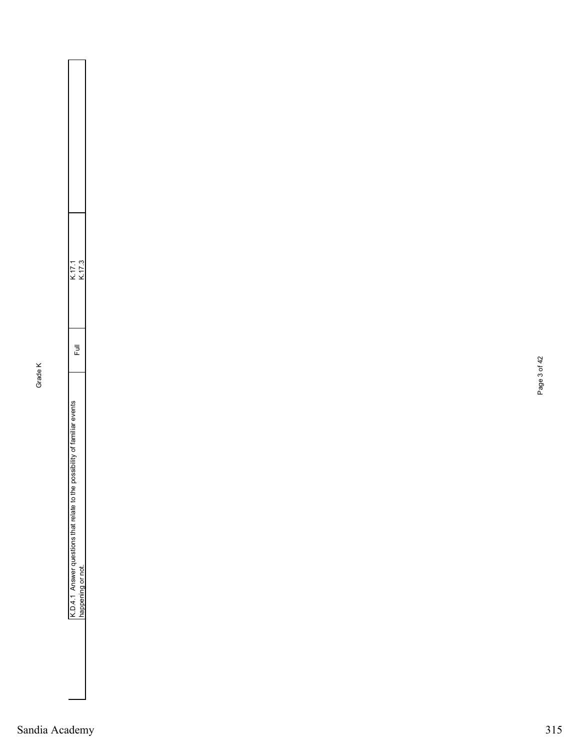| ׄׄׄ<br>۱<br>l<br>I<br>ı |            |  |
|-------------------------|------------|--|
| י                       | !<br>ׇ֚֚֬֕ |  |
| ֚֕֕֡֡<br>I              |            |  |
|                         |            |  |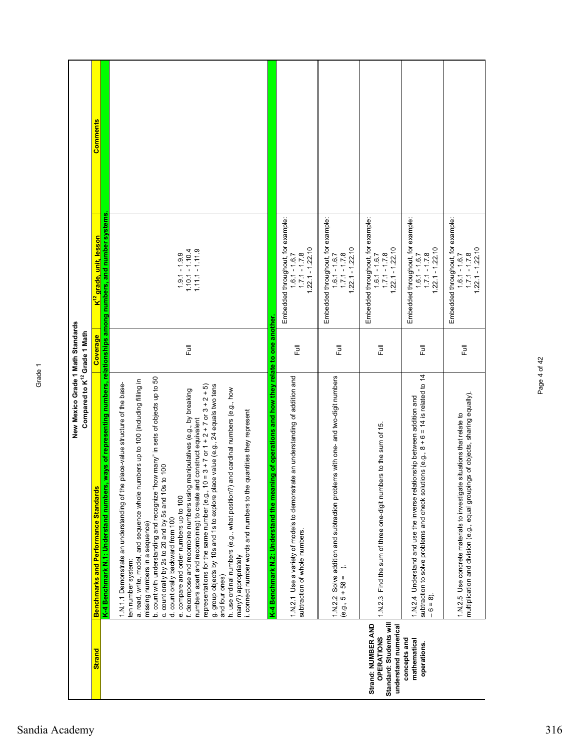|                                                                                            | New Mexico Grade 1 Math Standards<br>Compared to K <sup>12</sup> Grade 1 Math                                                                                                                                                                                                                                                                                                                                                                                                                                                                                                                                                                                                                                                                                                                                                                                                                                                                                                            |             |                                                                                               |          |
|--------------------------------------------------------------------------------------------|------------------------------------------------------------------------------------------------------------------------------------------------------------------------------------------------------------------------------------------------------------------------------------------------------------------------------------------------------------------------------------------------------------------------------------------------------------------------------------------------------------------------------------------------------------------------------------------------------------------------------------------------------------------------------------------------------------------------------------------------------------------------------------------------------------------------------------------------------------------------------------------------------------------------------------------------------------------------------------------|-------------|-----------------------------------------------------------------------------------------------|----------|
| <b>Strand</b>                                                                              | <b>Benchmarks and Performance Standards</b>                                                                                                                                                                                                                                                                                                                                                                                                                                                                                                                                                                                                                                                                                                                                                                                                                                                                                                                                              | Coverage    | K <sup>12</sup> grade, unit, lesson                                                           | Comments |
|                                                                                            | K-4 Benchmark N.1: Understand numbers                                                                                                                                                                                                                                                                                                                                                                                                                                                                                                                                                                                                                                                                                                                                                                                                                                                                                                                                                    |             | , ways of representing numbers, relationships among numbers, and number systems               |          |
|                                                                                            | b. count with understanding and recognize "how many" in sets of objects up to 50<br>a. read, write, model, and sequence whole numbers up to 100 (including filling in<br>1.N.1.1 Demonstrate an understanding of the place-value structure of the base-<br>representations for the same number (e.g., 10 = 3 + 7 or 1 + 2 + 7 or 3 + 2 + 5)<br>g. group objects by 10s and 1s to explore place value (e.g., 24 equals two tens<br>and cardinal numbers (e.g., how<br>f. decompose and recombine numbers using manipulatives (e.g., by breaking<br>quantities they represent<br>numbers apart and recombining) to create and construct equivalent<br>100<br>c. count orally by 2s to 20 and by 5s and 10s<br>h. use ordinal numbers (e.g., what position?)<br>i. connect number words and numbers to the<br>e. compare and order numbers up to 100<br>d. count orally backward from 100<br>missing numbers in a sequence)<br>many?) appropriately<br>ten number system:<br>and four ones) | <b>Full</b> | $1.11.1 - 1.11.9$<br>$1.10.1 - 1.10.4$<br>$1.9.1 - 1.9.9$                                     |          |
|                                                                                            | ning of operations and how they relate to one another<br>1.N.2.1 Use a variety of models to demonstrate an understanding of addition and<br>K-4 Benchmark N.2: Understand the mear<br>subtraction of whole numbers.                                                                                                                                                                                                                                                                                                                                                                                                                                                                                                                                                                                                                                                                                                                                                                      | <b>Full</b> | Embedded throughout, for example:<br>$1.22.1 - 1.22.10$<br>$1.7.1 - 1.7.8$<br>$1.6.1 - 1.6.7$ |          |
|                                                                                            | lems with one- and two-digit numbers<br>1.N.2.2 Solve addition and subtraction probl<br>$(e.g., 5 + 58 =$                                                                                                                                                                                                                                                                                                                                                                                                                                                                                                                                                                                                                                                                                                                                                                                                                                                                                | 昆           | Embedded throughout, for example:<br>$1.22.1 - 1.22.10$<br>$1.7.1 - 1.7.8$<br>$1.6.1 - 1.6.7$ |          |
| Standard: Students will<br>Strand: NUMBER AND<br>understand numerical<br><b>OPERATIONS</b> | 1.N.2.3 Find the sum of three one-digit numbers to the sum of 15.                                                                                                                                                                                                                                                                                                                                                                                                                                                                                                                                                                                                                                                                                                                                                                                                                                                                                                                        | <b>Full</b> | Embedded throughout, for example<br>$1.22.1 - 1.22.10$<br>$1.7.1 - 1.7.8$<br>$1.6.1 - 1.6.7$  |          |
| concepts and<br>mathematical<br>operations.                                                | subtraction to solve problems and check solutions (e.g., $8 + 6 = 14$ is related to 14<br>1.N.2.4 Understand and use the inverse relationship between addition and<br>$-6 = 8.$                                                                                                                                                                                                                                                                                                                                                                                                                                                                                                                                                                                                                                                                                                                                                                                                          | <b>Full</b> | Embedded throughout, for example:<br>$1.22.1 - 1.22.10$<br>$1.7.1 - 1.7.8$<br>$1.6.1 - 1.6.7$ |          |
|                                                                                            | multiplication and division (e.g., equal groupings of objects, sharing equally).<br>1.N.2.5 Use concrete materials to investigate situations that relate to                                                                                                                                                                                                                                                                                                                                                                                                                                                                                                                                                                                                                                                                                                                                                                                                                              | 巨           | Embedded throughout, for example:<br>$1.22.1 - 1.22.10$<br>$1.7.1 - 1.7.8$<br>$1.6.1 - 1.6.7$ |          |

Page 4 of 42

Page 4 of 42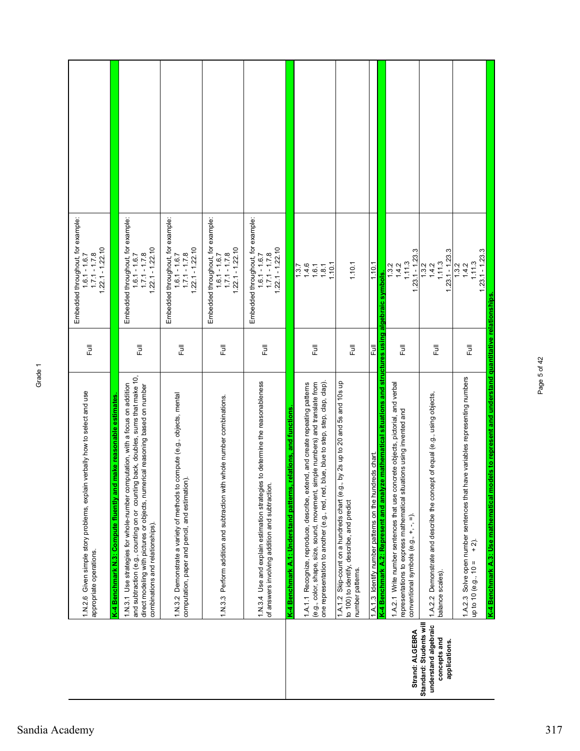|                                                                                  | 1.N.2.6 Given simple story problems, explain verbally how to select and use<br>appropriate operations.                                                                                                                                                                                                                                                      | $\overline{\overline{z}}$ | Embedded throughout, for example:<br>$1.22.1 - 1.22.10$<br>$1.7.1 - 1.7.8$<br>$1.6.1 - 1.6.7$ |  |
|----------------------------------------------------------------------------------|-------------------------------------------------------------------------------------------------------------------------------------------------------------------------------------------------------------------------------------------------------------------------------------------------------------------------------------------------------------|---------------------------|-----------------------------------------------------------------------------------------------|--|
|                                                                                  | and subtraction (e.g., counting on or counting back, doubles, sums that make 10,<br>1.N.3.1 Use strategies for whole-number computation, with a focus on addition<br>direct modeling with pictures or objects, numerical reasoning based on number<br>K-4 Benchmark N.3: Compute fluently and make reasonable estimates<br>combinations and relationships). | Ē                         | Embedded throughout, for example:<br>$1.22.1 - 1.22.10$<br>$1,6.1 - 1.6.7$<br>$1,7.1 - 1.7.8$ |  |
|                                                                                  | 1.N.3.2 Demonstrate a variety of methods to compute (e.g., objects, mental<br>computation, paper and pencil, and estimation).                                                                                                                                                                                                                               | 巨                         | Embedded throughout, for example<br>$1.22.1 - 1.22.10$<br>$1.7.1 - 1.7.8$<br>$1.6.1 - 1.6.7$  |  |
|                                                                                  | 1.N.3.3 Perform addition and subtraction with whole number combinations.                                                                                                                                                                                                                                                                                    | 同                         | Embedded throughout, for example:<br>$1.22.1 - 1.22.10$<br>$1.7.1 - 1.7.8$<br>$1.6.1 - 1.6.7$ |  |
|                                                                                  | 1.N.3.4 Use and explain estimation strategies to determine the reasonableness<br>of answers involving addition and subtraction.                                                                                                                                                                                                                             | Full                      | Embedded throughout, for example:<br>$1.22.1 - 1.22.10$<br>$1.7.1 - 1.7.8$<br>$1.6.1 - 1.6.7$ |  |
|                                                                                  | relations, and functions<br>K-4 Benchmark A.1: Understand patterns,                                                                                                                                                                                                                                                                                         |                           |                                                                                               |  |
|                                                                                  | one representation to another (e.g., red, red, blue, blue to step, step, clap, clap).<br>(e.g., color, shape, size, sound, movement, simple numbers) and translate from<br>1.A.1.1 Recognize, reproduce, describe, extend, and create repeating patterns                                                                                                    | 昆                         | 1.10.1<br>1.3.7<br>$1.4.6$<br>$1.6.1$<br>$1.8.1$                                              |  |
|                                                                                  | 1.A.1.2 Skip-count on a hundreds chart (e.g., by 2s up to 20 and 5s and 10s up<br>to 100) to identify, describe, and predict<br>number patterns.                                                                                                                                                                                                            | こ<br>こ                    | 1.10.1                                                                                        |  |
|                                                                                  | 1.A.1.3 Identify number patterns on the hundreds chart.                                                                                                                                                                                                                                                                                                     | Full                      | 1.10.1                                                                                        |  |
|                                                                                  | K-4 Benchmark A.2: Represent and analyze mathematical situations and structures using algebraic symbols.                                                                                                                                                                                                                                                    |                           |                                                                                               |  |
| Strand: ALGEBRA                                                                  | 1.A.2.1 Write number sentences that use concrete objects, pictorial, and verbal<br>representations to express mathematical situations using invented and<br>conventional symbols (e.g., +, -, =).                                                                                                                                                           | 巨                         | $1,23,1 - 1,23,3$<br>1.11.3<br>1.3.2<br>1.4.2                                                 |  |
| Standard: Students will<br>understand algebraic<br>concepts and<br>applications. | 1.A.2.2 Demonstrate and describe the concept of equal (e.g., using objects,<br>balance scales).                                                                                                                                                                                                                                                             | Full                      | $1.23.1 - 1.23.3$<br>1.11.3<br>1.4.2<br>1.3.2                                                 |  |
|                                                                                  | have variables representing numbers<br>1.A.2.3 Solve open number sentences that<br>$+2$ .<br>up to 10 (e.g., $10 =$                                                                                                                                                                                                                                         | Full                      | $1.23.1 - 1.23.3$<br>1.11.3<br>1.4.2<br>1.3.2                                                 |  |
|                                                                                  | K-4 Benchmark A.3: Use mathematical models to represent and understand quantitative relationships                                                                                                                                                                                                                                                           |                           |                                                                                               |  |

Page 5 of 42

Page 5 of 42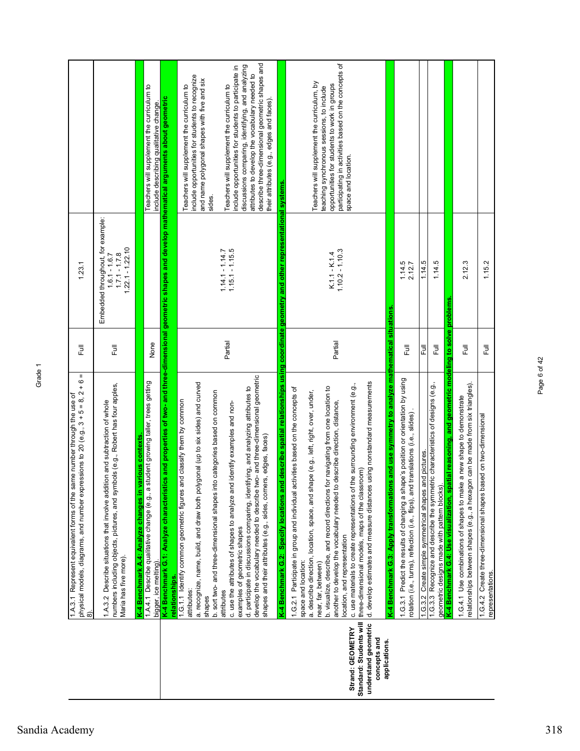|                                                                                  | Ш<br>physical models, diagrams, and number expressions to 20 (e.g., 3 + 5 = 8, 2 + 6<br>1.A.3.1 Represent equivalent forms of the same number through the use of<br>බ                                                                                                                                                                                                                                                     | 巨                       | 1.23.1                                                                                        |                                                                                                                                                                                                                                                                                                           |
|----------------------------------------------------------------------------------|---------------------------------------------------------------------------------------------------------------------------------------------------------------------------------------------------------------------------------------------------------------------------------------------------------------------------------------------------------------------------------------------------------------------------|-------------------------|-----------------------------------------------------------------------------------------------|-----------------------------------------------------------------------------------------------------------------------------------------------------------------------------------------------------------------------------------------------------------------------------------------------------------|
|                                                                                  | numbers including objects, pictures, and symbols (e.g., Robert has four apples,<br>1.A.3.2 Describe situations that involve addition and subtraction of whole<br>Maria has five more).                                                                                                                                                                                                                                    | ラ<br>こ                  | Embedded throughout, for example:<br>$1.22.1 - 1.22.10$<br>$1.7.1 - 1.7.8$<br>$1.6.1 - 1.6.7$ |                                                                                                                                                                                                                                                                                                           |
|                                                                                  | student growing taller, trees getting<br>various contexts<br>1.A.4.1 Describe qualitative change (e.g., a<br>K-4 Benchmark A.4: Analyze changes in<br>bigger, ice melting                                                                                                                                                                                                                                                 | None                    |                                                                                               | Teachers will supplement the curriculum to<br>include describing qualitative change.                                                                                                                                                                                                                      |
|                                                                                  | K-4 Benchmark G.1: Analyze characterist<br>relationships.                                                                                                                                                                                                                                                                                                                                                                 |                         |                                                                                               | ics and properties of two- and three-dimensional geometric shapes and develop mathematical arguments about geometric                                                                                                                                                                                      |
|                                                                                  | a. recognize, name, build, and draw both polygonal (up to six sides) and curved<br>b. sort two- and three-dimensional shapes into categories based on common<br>1.G.1.1 Identify common geometric figures and classify them by common<br>attributes:<br>shapes                                                                                                                                                            |                         |                                                                                               | include opportunities for students to recognize<br>and name polygonal shapes with five and six<br>Teachers will supplement the curriculum to<br>sides.                                                                                                                                                    |
|                                                                                  | develop the vocabulary needed to describe two- and three-dimensional geometric<br>d. participate in discussions comparing, identifying, and analyzing attributes to<br>c. use the attributes of shapes to analyze and identify examples and non-<br>shapes and their attributes (e.g., sides, corners, edges, faces)<br>examples of geometric shapes<br>attributes                                                        | Partial                 | $1.14.1 - 1.14.7$<br>$1.15.1 - 1.15.5$                                                        | describe three-dimensional geometric shapes and<br>discussions comparing, identifying, and analyzing<br>include opportunities for students to participate in<br>attributes to develop the vocabulary needed to<br>Teachers will supplement the curriculum to<br>their attributes (e.g., edges and faces). |
|                                                                                  | nd describe spatial relationships using coordinate geometry and other representational systems<br>1.G.2.1 Participate in group and individual activities based on the concepts of<br>K-4 Benchmark G.2: Specify locations ar                                                                                                                                                                                              |                         |                                                                                               |                                                                                                                                                                                                                                                                                                           |
| Strand: GEOMETRY                                                                 | the surrounding environment (e.g.,<br>b. visualize, describe, and record directions for navigating from one location to<br>a. describe direction, location, space, and shape (e.g., left, right, over, under,<br>another to develop the vocabulary needed to describe direction, distance,<br>c. use materials to create representations of<br>location, and representation<br>space and location:<br>near, far, between) | Partial                 | $1.10.2 - 1.10.3$<br>$K.1.1 - K.1.4$                                                          | participating in activities based on the concepts of<br>Teachers will supplement the curriculum, by<br>opportunities for students to work in groups<br>teaching synchronous sessions, to include<br>space and location.                                                                                   |
| Standard: Students will<br>understand geometric<br>concepts and<br>applications. | d. develop estimates and measure distances using nonstandard measurements<br>three-dimensional models, maps of the classroom)                                                                                                                                                                                                                                                                                             |                         |                                                                                               |                                                                                                                                                                                                                                                                                                           |
|                                                                                  | ns and use symmetry to analyze mathematical situations<br>1.G.3.1 Predict the results of changing a shape's position or orientation by using<br>rotation (i.e., turns), reflection (i.e., flips), and translations (i.e., slides).<br>K-4 Benchmark G.3: Apply transformation                                                                                                                                             | $\overline{5}$          | 1.14.5<br>2.12.7                                                                              |                                                                                                                                                                                                                                                                                                           |
|                                                                                  | 1.G.3.2 Create simple symmetrical shapes and pictures.                                                                                                                                                                                                                                                                                                                                                                    | Full                    | 1.14.5                                                                                        |                                                                                                                                                                                                                                                                                                           |
|                                                                                  | 1.G.3.3 Recognize and describe the symmetric characteristics of designs (e.g.,<br>geometric designs made with pattern blocks)                                                                                                                                                                                                                                                                                             | 巨                       | 1.14.5                                                                                        |                                                                                                                                                                                                                                                                                                           |
|                                                                                  | K-4 Benchmark G.4: Use visualization, spatial reasoning, and geometric modeling to solve problems                                                                                                                                                                                                                                                                                                                         |                         |                                                                                               |                                                                                                                                                                                                                                                                                                           |
|                                                                                  | relationships between shapes (e.g., a hexagon can be made from six triangles).<br>1.G.4.1 Use combinations of shapes to make a new shape to demonstrate                                                                                                                                                                                                                                                                   | $\overline{\mathbb{E}}$ | 2.12.3                                                                                        |                                                                                                                                                                                                                                                                                                           |
|                                                                                  | ased on two-dimensional<br>1.G.4.2 Create three-dimensional shapes ba<br>representations                                                                                                                                                                                                                                                                                                                                  | こ<br>L                  | 1.15.2                                                                                        |                                                                                                                                                                                                                                                                                                           |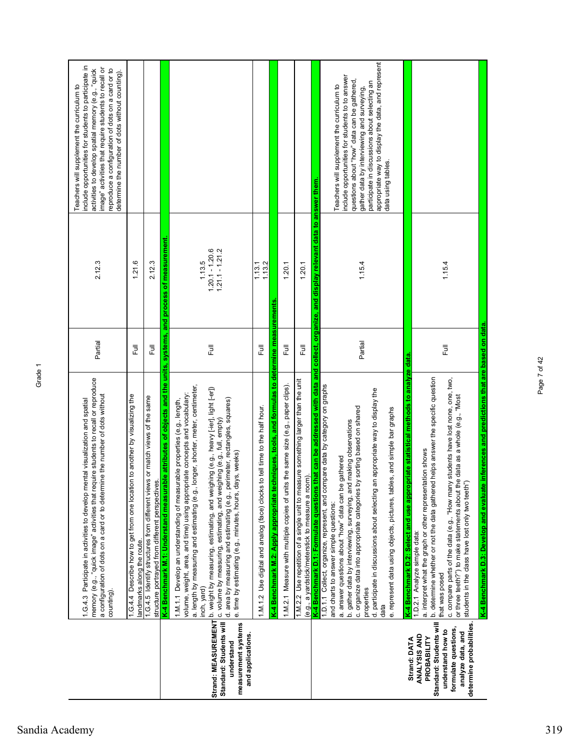|                                                                                                                                                                      | memory (e.g., "quick image" activities that require students to recall or reproduce<br>a configuration of dots on a card or to determine the number of dots without<br>1.G.4.3 Participate in activities to develop mental visualization and spatial<br>counting)                                                                                                                                                                                                                                                                                                                                                                              | Partial                 | 2.12.3                                           | include opportunities for students to participate in<br>image" activities that require students to recall or<br>activities to develop spatial memory (e.g., "quick<br>reproduce a configuration of dots on a card or to<br>determine the number of dots without counting).<br>Teachers will supplement the curriculum to |
|----------------------------------------------------------------------------------------------------------------------------------------------------------------------|------------------------------------------------------------------------------------------------------------------------------------------------------------------------------------------------------------------------------------------------------------------------------------------------------------------------------------------------------------------------------------------------------------------------------------------------------------------------------------------------------------------------------------------------------------------------------------------------------------------------------------------------|-------------------------|--------------------------------------------------|--------------------------------------------------------------------------------------------------------------------------------------------------------------------------------------------------------------------------------------------------------------------------------------------------------------------------|
|                                                                                                                                                                      | 1.G.4.4 Describe how to get from one location to another by visualizing the<br>landmarks along the route.                                                                                                                                                                                                                                                                                                                                                                                                                                                                                                                                      | $\overline{\mathbb{E}}$ | 1.21.6                                           |                                                                                                                                                                                                                                                                                                                          |
|                                                                                                                                                                      | 1.G.4.5 Identify structures from different views or match views of the same<br>structure portrayed from different perspectives.                                                                                                                                                                                                                                                                                                                                                                                                                                                                                                                | 巨                       | 2.12.3                                           |                                                                                                                                                                                                                                                                                                                          |
| Standard: Students will<br>understand                                                                                                                                | K-4 Benchmark M.1: Understand measurable attributes of objects and the units, systems, and process of measurement<br>a. length by measuring and estimating (e.g., longer, shorter, meter, centimeter,<br>Strand: MEASUREMENT D. weight by measuring, estimating, and weighing (e.g., heavy [-ier], light [-er])<br>volume, weight, area, and time) using appropriate concepts and vocabulary:<br>d. area by measuring and estimating (e.g., perimeter, rectangles, squares)<br>1.M.1.1 Develop an understanding of measurable properties (e.g., length,<br>c. volume by measuring, estimating, and weighing (e.g., full, empty)<br>inch, yard) | 昆                       | $1,20,1 - 1,20.6$<br>$1,21,1 - 1,21,2$<br>1.13.5 |                                                                                                                                                                                                                                                                                                                          |
| measurement systems<br>and applications.                                                                                                                             | e. time by estimating (e.g., minutes, hours, days, weeks)                                                                                                                                                                                                                                                                                                                                                                                                                                                                                                                                                                                      |                         |                                                  |                                                                                                                                                                                                                                                                                                                          |
|                                                                                                                                                                      | to tell time to the half hour.<br>1.M.1.2 Use digital and analog (face) clocks                                                                                                                                                                                                                                                                                                                                                                                                                                                                                                                                                                 | Ē                       | 1.13.2<br>1.13.1                                 |                                                                                                                                                                                                                                                                                                                          |
|                                                                                                                                                                      | K-4 Benchmark M.2: Apply appropriate techniques, tools, and formulas to determine measurements                                                                                                                                                                                                                                                                                                                                                                                                                                                                                                                                                 |                         |                                                  |                                                                                                                                                                                                                                                                                                                          |
|                                                                                                                                                                      | 1.M.2.1 Measure with multiple copies of units the same size (e.g., paper clips).                                                                                                                                                                                                                                                                                                                                                                                                                                                                                                                                                               | <b>Full</b>             | 1.20.1                                           |                                                                                                                                                                                                                                                                                                                          |
|                                                                                                                                                                      | 1.M.2.2 Use repetition of a single unit to measure something larger than the unit<br>(e.g., a yardstick/meterstick to measure a room).                                                                                                                                                                                                                                                                                                                                                                                                                                                                                                         | Full                    | 1.20.1                                           |                                                                                                                                                                                                                                                                                                                          |
|                                                                                                                                                                      | K-4 Benchmark D.1: Formulate questions that can be addressed with data and collect, organize, and display relevant data to answer them.                                                                                                                                                                                                                                                                                                                                                                                                                                                                                                        |                         |                                                  |                                                                                                                                                                                                                                                                                                                          |
|                                                                                                                                                                      | 1.D.1.1 Collect, organize, represent, and compare data by category on graphs<br>an appropriate way to display the<br>by sorting based on shared<br>les, and simple bar graphs<br>b. gather data by interviewing, surveying, and making observations<br>a. answer questions about "how" data can be gathered<br>e. represent data using objects, pictures, tab<br>c. organize data into appropriate categories<br>d. participate in discussions about selecting<br>and charts to answer simple questions:<br>properties<br>data                                                                                                                 | Partial                 | 1.15.4                                           | appropriate way to display the data, and represent<br>include opportunities for students to to answer<br>questions about "how" data can be gathered,<br>participate in discussions about selecting an<br>Teachers will supplement the curriculum to<br>gather data by interviewing and surveying,<br>data using tables.  |
| Standard: Students will<br>determine probabilities.<br>formulate questions,<br>understand how to<br>analyze data, and<br>ANALYSIS AND<br>PROBABILITY<br>Strand: DATA | K-4 Benchmark D.3: Develop and evaluate inferences and predictions that are based on data<br>K-4 Benchmark D.2: Select and use appropriate statistical methods to analyze data<br>b. determine whether or not the data gathered helps answer the specific question<br>c. compare parts of the data (e.g., "How many students have lost none, one, two,<br>or three teeth?") to make statements about the data as a whole (e.g., "Most<br>a. interpret what the graph or other representation shows<br>students in the class have lost only two teeth")<br>1.D.2.1 Analyze simple data:<br>that was posed                                       | Full                    | 1.15.4                                           |                                                                                                                                                                                                                                                                                                                          |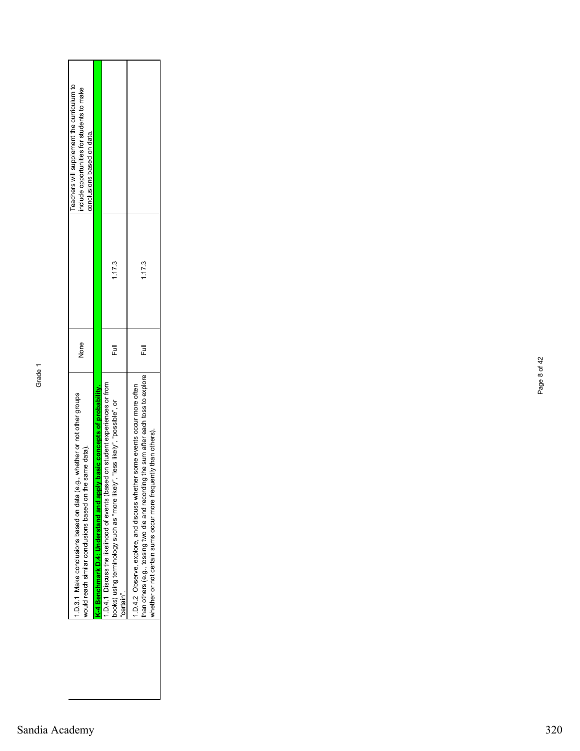| .D.3.1 Make conclusions based on data (e.g., whether or not other groups<br>same data).<br>would reach similar conclusions based on the                                                                                                        | None |        | Teachers will supplement the curriculum to<br>nclude opportunities for students to make<br>conclusions based on data. |
|------------------------------------------------------------------------------------------------------------------------------------------------------------------------------------------------------------------------------------------------|------|--------|-----------------------------------------------------------------------------------------------------------------------|
| <b>K-4 Benchmark D.4: Understand and apply basic concepts of probability.</b>                                                                                                                                                                  |      |        |                                                                                                                       |
| 1.D.4.1 Discuss the likelihood of events (based on student experiences or from<br>books) using terminology such as "more likely", "less likely", "possible", or<br>certain"                                                                    | Ē    | 1.17.3 |                                                                                                                       |
| than others (e.g., tossing two die and recording the sum after each toss to explore<br>ner some events occur more often<br>uently than others).<br>1.D.4.2 Observe, explore, and discuss wheth<br>whether or not certain sums occur more frequ | Ē    | 1.17.3 |                                                                                                                       |

Page 8 of 42

Page 8 of 42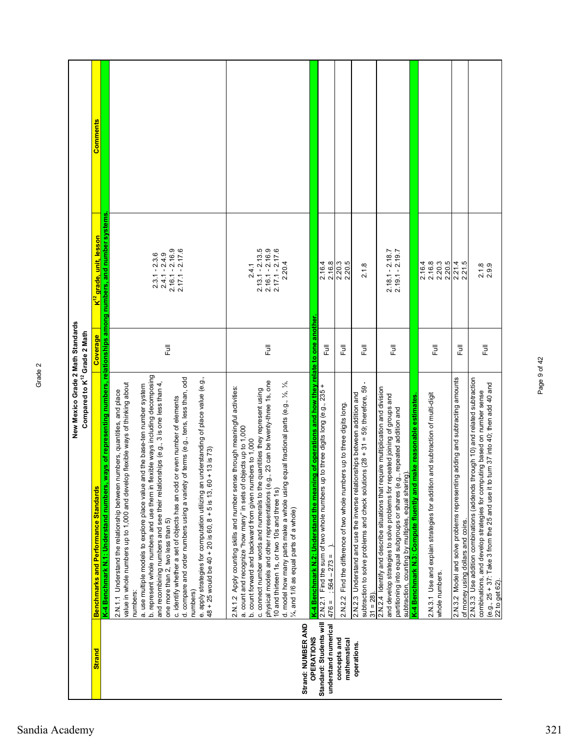|                                                                      | New Mexico Grade 2 Math Standards<br>Compared to K <sup>12</sup> Grade 2 Math                                                                                                                                                                                                                                                                                                                                                                                                                                                                                                                                                                                                                                                                                                                                                                              |                  |                                                                                                                                                                  |          |
|----------------------------------------------------------------------|------------------------------------------------------------------------------------------------------------------------------------------------------------------------------------------------------------------------------------------------------------------------------------------------------------------------------------------------------------------------------------------------------------------------------------------------------------------------------------------------------------------------------------------------------------------------------------------------------------------------------------------------------------------------------------------------------------------------------------------------------------------------------------------------------------------------------------------------------------|------------------|------------------------------------------------------------------------------------------------------------------------------------------------------------------|----------|
| <b>Strand</b>                                                        | <b>Benchmarks and Performance Standards</b>                                                                                                                                                                                                                                                                                                                                                                                                                                                                                                                                                                                                                                                                                                                                                                                                                | Coverage         | <mark>K<sup>12</sup> grade, unit, lesson</mark>                                                                                                                  | Comments |
|                                                                      | flexible ways including decomposing<br>d. compare and order numbers using a variety of terms (e.g., tens, less than, odd<br>e. apply strategies for computation utilizing an understanding of place value (e.g.,<br>48 + 25 would be 40 + 20 is 60, 8 + 5 is 13, 60 + 13 is 73)<br>value in whole numbers up to 1,000 and develop flexible ways of thinking about<br>ilonships (e.g., 3 is one less than 4,<br>a. use multiple models to explore place value and the base-ten number system<br>2.N.1.1 Understand the relationship between numbers, quantities, and place<br>c. identify whether a set of objects has an odd or even number of elements<br>K-4 Benchmark N.1: Understand numbers<br>b. represent whole numbers and use them in<br>and recombining numbers and see their relat<br>one more than 2, two less than 5)<br>numbers:<br>numbers) | 巨                | , ways of representing numbers, relationships among numbers, and number systems.<br>$2.17.1 - 2.17.6$<br>$2.16.1 - 2.16.9$<br>$2.3.1 - 2.3.6$<br>$2.4.1 - 2.4.9$ |          |
| Strand: NUMBER AND                                                   | physical models and other representations (e.g., 23 can be twenty-three 1s, one<br>d. model how many parts make a whole using equal fractional parts (e.g., 1/2, 1/3,<br>2.N.1.2 Apply counting skills and number sense through meaningful activities:<br>c. connect number words and numerals to the quantities they represent using<br>a. count and recognize "how many" in sets of objects up to 1,000<br>b. count forward and backward from given numbers to 1,000<br>10 and thirteen 1s, or two 10s and three 1s)<br>1/4, and 1/6 as equal parts of a whole)                                                                                                                                                                                                                                                                                          | $\overline{\Xi}$ | $2.13.1 - 2.13.5$<br>$2.16.1 - 2.16.9$<br>$2.17.1 - 2.17.6$<br>2.20.4<br>2.4.1                                                                                   |          |
| Standard: Students will<br>understand numerical<br><b>OPERATIONS</b> | K-4 Benchmark N.2: Understand the meaning of operations and how they relate to one another<br>up to three digits long (e.g., 235 +<br>2.N.2.1 Find the sum of two whole numbers<br>$:564 - 273 =$<br>$476 =$                                                                                                                                                                                                                                                                                                                                                                                                                                                                                                                                                                                                                                               | Full             | 2.16.4<br>2.16.8                                                                                                                                                 |          |
| concepts and<br>mathematical                                         | 2.N.2.2 Find the difference of two whole numbers up to three digits long.                                                                                                                                                                                                                                                                                                                                                                                                                                                                                                                                                                                                                                                                                                                                                                                  | Full             | 2.20.5                                                                                                                                                           |          |
| operations.                                                          | subtraction to solve problems and check solutions (28 + 31 = 59; therefore, 59<br>2.N.2.3 Understand and use the inverse relationships between addition and<br>$31 = 28$ )                                                                                                                                                                                                                                                                                                                                                                                                                                                                                                                                                                                                                                                                                 | Full             | 2.1.8                                                                                                                                                            |          |
|                                                                      | 2.N.2.4 Identify and describe situations that require multiplication and division<br>and develop strategies to solve problems for repeated joining of groups and<br>partitioning into equal subgroups or shares (e.g., repeated addition and<br>subtraction, counting by multiples, equal sharing)                                                                                                                                                                                                                                                                                                                                                                                                                                                                                                                                                         | <b>Full</b>      | $2.18.1 - 2.18.7$<br>$2.19.1 - 2.19.7$                                                                                                                           |          |
|                                                                      | K-4 Benchmark N.3: Compute fluently and make reasonable estimates                                                                                                                                                                                                                                                                                                                                                                                                                                                                                                                                                                                                                                                                                                                                                                                          |                  |                                                                                                                                                                  |          |
|                                                                      | 2.N.3.1 Use and explain strategies for addition and subtraction of multi-digit<br>whole numbers.                                                                                                                                                                                                                                                                                                                                                                                                                                                                                                                                                                                                                                                                                                                                                           | Full             | 2.16.8<br>2.20.5<br>2.20.5<br>2.16.4                                                                                                                             |          |
|                                                                      | 2.N.3.2 Model and solve problems representing adding and subtracting amounts<br>of money using dollars and coins.                                                                                                                                                                                                                                                                                                                                                                                                                                                                                                                                                                                                                                                                                                                                          | 昆                | 2.21.4<br>2.21.5                                                                                                                                                 |          |
|                                                                      | 2.N.3.3 Use addition combinations (addends through 10) and related subtraction<br>to turn 37 into 40; then add 40 and<br>combinations, and develop strategies for computing based on number sense<br>(e.g., 25 + 37: Take 3 from the 25 and use it<br>22 to get 62)                                                                                                                                                                                                                                                                                                                                                                                                                                                                                                                                                                                        | Ē                | $2.18$<br>$2.9.9$                                                                                                                                                |          |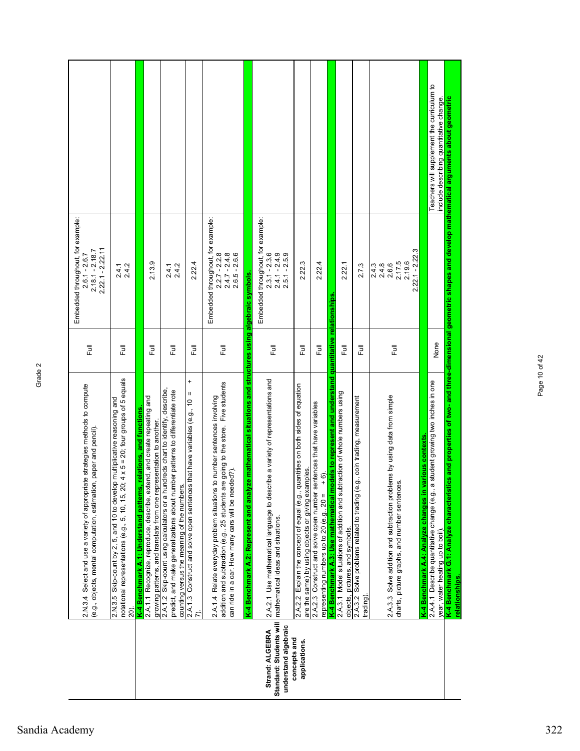|                                                                                    | 2.N.3.4 Select and use a variety of appropriate strategies methods to compute<br>(e.g., objects, mental computation, estimation, paper and pencil).                                                                    | 巨           | Embedded throughout, for example:<br>$2.22.1 - 2.22.11$<br>$2.18.1 - 2.18.7$<br>$2.6.1 - 2.6.7$ |                                                                                                                     |
|------------------------------------------------------------------------------------|------------------------------------------------------------------------------------------------------------------------------------------------------------------------------------------------------------------------|-------------|-------------------------------------------------------------------------------------------------|---------------------------------------------------------------------------------------------------------------------|
|                                                                                    | notational representations (e.g., 5, 10, 15, 20; $4 \times 5 = 20$ ; four groups of 5 equals<br>2.N.3.5 Skip-count by 2, 5, and 10 to develop multiplicative reasoning and<br>20)                                      | 巨           | $2.4.7$<br>2.4.2                                                                                |                                                                                                                     |
|                                                                                    | relations, and functions<br>K-4 Benchmark A.1: Understand patterns,                                                                                                                                                    |             |                                                                                                 |                                                                                                                     |
|                                                                                    | 2.A.1.1 Recognize, reproduce, describe, extend, and create repeating and<br>growing patterns, and translate from one representation to another.                                                                        | Ē           | 2.13.9                                                                                          |                                                                                                                     |
|                                                                                    | 2.A.1.2 Skip-count using calculators or a hundreds chart to identify, describe,<br>predict, and make generalizations about number patterns to differentiate rote<br>counting versus the meaning of the numbers         | 巨           | $2.4.7$<br>2.4.2                                                                                |                                                                                                                     |
|                                                                                    | $\ddot{}$<br>$\mathsf{II}%$<br>2.A.1.3 Construct and solve open sentences that have variables (e.g., 10                                                                                                                | <b>Full</b> | 2.22.4                                                                                          |                                                                                                                     |
|                                                                                    | addition and subtraction (e.g., 25 students are going to the store. Five students<br>to number sentences involving<br>can ride in a car. How many cars will be needed?).<br>2.A.1.4 Relate everyday problem situations | 巨           | Embedded throughout, for example:<br>$2.2.7 - 2.2.8$<br>$2.6.5 - 2.6.6$<br>$2.4.7 - 2.4.8$      |                                                                                                                     |
|                                                                                    | ze mathematical situations and structures using algebraic symbols.<br>K-4 Benchmark A.2: Represent and analy                                                                                                           |             |                                                                                                 |                                                                                                                     |
| Standard: Students will<br>understand algebraic<br>Strand: ALGEBRA<br>concepts and | 2.A.2.1 Use mathematical language to describe a variety of representations and<br>mathematical ideas and situations.                                                                                                   | 昆           | Embedded throughout, for example:<br>$2.3.1 - 2.3.6$<br>$2.4.1 - 2.4.9$<br>$2.5.1 - 2.5.9$      |                                                                                                                     |
| applications.                                                                      | 2.A.2.2 Explain the concept of equal (e.g., quantities on both sides of equation<br>are the same) by using objects or giving examples.                                                                                 | こ<br>こ      | 2.22.3                                                                                          |                                                                                                                     |
|                                                                                    | 2.A.2.3 Construct and solve open number sentences that have variables<br>$+6$ .<br>representing numbers up to 20 (e.g., $20 =$                                                                                         | 큹           | 2.22.4                                                                                          |                                                                                                                     |
|                                                                                    | K-4 Benchmark A.3: Use mathematical models to represent and understand quantitative relationships                                                                                                                      |             |                                                                                                 |                                                                                                                     |
|                                                                                    | 2.A.3.1 Model situations of addition and subtraction of whole numbers using<br>objects, pictures, and symbols.                                                                                                         | 昆           | 2.22.1                                                                                          |                                                                                                                     |
|                                                                                    | g., coin trading, measurement<br>Solve problems related to trading (e.<br>2.A.3.2<br>trading)                                                                                                                          | <b>I</b>    | 2.7.3                                                                                           |                                                                                                                     |
|                                                                                    | 2.A.3.3 Solve addition and subtraction problems by using data from simple<br>charts, picture graphs, and number sentences.                                                                                             | 昆           | $2.22.1 - 2.22.3$<br>217.5<br>2.4.8<br>2.6.6<br>2.4.3                                           |                                                                                                                     |
|                                                                                    | rarious contexts<br>K-4 Benchmark A.4: Analyze changes in <b>\</b>                                                                                                                                                     |             |                                                                                                 |                                                                                                                     |
|                                                                                    | 2.A.4.1 Describe quantitative change (e.g., a student growing two inches in one<br>year, water heating up to boil).                                                                                                    | None        |                                                                                                 | Teachers will supplement the curriculum to<br>include describing quantitative change.                               |
|                                                                                    | K-4 Benchmark G.1: Analyze characterist<br>relationships.                                                                                                                                                              |             |                                                                                                 | cs and properties of two- and three-dimensional geometric shapes and develop mathematical arguments about geometric |

Page 10 of 42

Page 10 of 42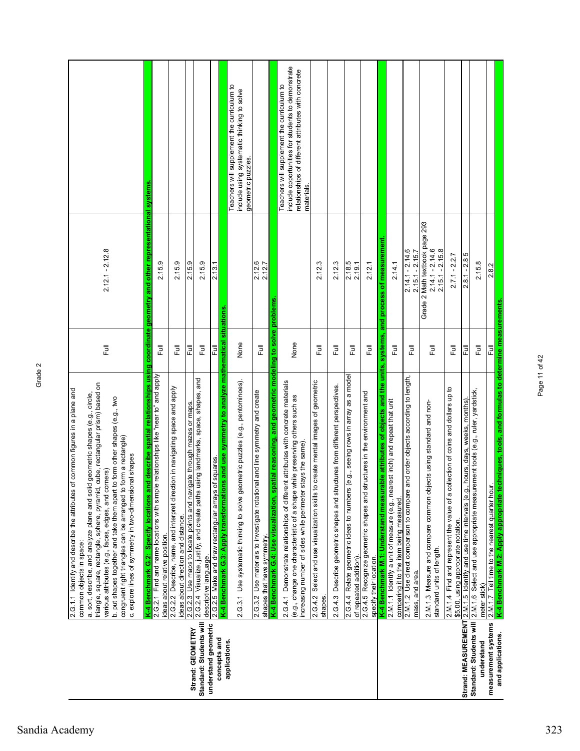|                                          | cube, rectangular prism) based on<br>2.G.1.1 Identify and describe the attributes of common figures in a plane and<br>a. sort, describe, and analyze plane and solid geometric shapes (e.g., circle,<br>b. put shapes together and take them apart to form other shapes (e.g., two<br>form a rectangle)<br>c. explore lines of symmetry in two-dimensional shapes<br>various attributes (e.g., faces, edges, and corners)<br>triangle, square, rectangle, sphere, pyramid,<br>congruent right triangles can be arranged to<br>common objects in space: | $\overline{\overline{z}}$ | $2.12.1 - 2.12.8$                                                        |                                                                                                                                                                      |
|------------------------------------------|--------------------------------------------------------------------------------------------------------------------------------------------------------------------------------------------------------------------------------------------------------------------------------------------------------------------------------------------------------------------------------------------------------------------------------------------------------------------------------------------------------------------------------------------------------|---------------------------|--------------------------------------------------------------------------|----------------------------------------------------------------------------------------------------------------------------------------------------------------------|
|                                          | id describe spatial relationships using coordinate geometry and other representational<br>2.G.2.1 Find and name locations with simple relationships like "near to" and apply<br>K-4 Benchmark G.2: Specify locations an<br>ideas about relative position.                                                                                                                                                                                                                                                                                              | $\overline{\Xi}$          | 2.15.9                                                                   | systems                                                                                                                                                              |
|                                          | ion in navigating space and apply<br>2.G.2.2 Describe, name, and interpret direct<br>ideas about direction and distance.                                                                                                                                                                                                                                                                                                                                                                                                                               | 巨                         | 2.15.9                                                                   |                                                                                                                                                                      |
| Strand: GEOMETRY                         | 2.G.2.3 Use maps to locate points and navigate through mazes or maps.                                                                                                                                                                                                                                                                                                                                                                                                                                                                                  | Ē                         | 2.15.9                                                                   |                                                                                                                                                                      |
| Standard: Students will                  | 2.G.2.4 Visualize, justify, and create paths using landmarks, space, shapes, and<br>descriptive language.                                                                                                                                                                                                                                                                                                                                                                                                                                              | $\overline{\overline{z}}$ | 2.15.9                                                                   |                                                                                                                                                                      |
| understand geometric<br>concepts and     | 2.G.2.5 Make and draw rectangular arrays of squares.                                                                                                                                                                                                                                                                                                                                                                                                                                                                                                   | 쿤                         | 2.13.1                                                                   |                                                                                                                                                                      |
| applications.                            | K-4 Benchmark G.3: Apply transformations and use symmetry to analyze mathematical situations<br>2.G.3.1 Use systematic thinking to solve geometric puzzles (e.g., pentominoes).                                                                                                                                                                                                                                                                                                                                                                        | None                      |                                                                          | Teachers will supplement the curriculum to<br>include using systematic thinking to solve<br>geometric puzzles                                                        |
|                                          | 2.G.3.2 Use materials to investigate rotational and line symmetry and create<br>shapes that have symmetry.                                                                                                                                                                                                                                                                                                                                                                                                                                             | <b>Full</b>               | 2.12.6<br>2.12.7                                                         |                                                                                                                                                                      |
|                                          | K-4 Benchmark G.4: Use visualization, spatial reasoning, and geometric modeling to solve problems                                                                                                                                                                                                                                                                                                                                                                                                                                                      |                           |                                                                          |                                                                                                                                                                      |
|                                          | 2.G.4.1 Demonstrate relationships of different attributes with concrete materials<br>(e.g., change one characteristic of a shape while preserving others such as<br>increasing number of sides while perimeter stays the same)                                                                                                                                                                                                                                                                                                                         | None                      |                                                                          | include opportunities for students to demonstrate<br>relationships of different attributes with concrete<br>Teachers will supplement the curriculum to<br>materials. |
|                                          | create mental images of geometric<br>Select and use visualization skills to<br>2.G.4.2<br>shapes.                                                                                                                                                                                                                                                                                                                                                                                                                                                      | 巨                         | 2.12.3                                                                   |                                                                                                                                                                      |
|                                          | 2.G.4.3 Describe geometric shapes and structures from different perspectives.                                                                                                                                                                                                                                                                                                                                                                                                                                                                          | ラ<br>Lu                   | 2.12.3                                                                   |                                                                                                                                                                      |
|                                          | (e.g., seeing rows in array as a model<br>2.G.4.4 Relate geometric ideas to numbers<br>of repeated addition)                                                                                                                                                                                                                                                                                                                                                                                                                                           | 昆                         | 2.18.5<br>2.19.1                                                         |                                                                                                                                                                      |
|                                          | 2.G.4.5 Recognize geometric shapes and structures in the environment and<br>specify their location.                                                                                                                                                                                                                                                                                                                                                                                                                                                    | 豆                         | 2.12.1                                                                   |                                                                                                                                                                      |
|                                          | K-4 Benchmark M.1: Understand measurable attributes of objects and the units, systems,                                                                                                                                                                                                                                                                                                                                                                                                                                                                 |                           | and process of measurement                                               |                                                                                                                                                                      |
|                                          | 2.M.1.1 Identify a unit of measure (e.g., nearest inch) and repeat that unit<br>comparing it to the item being measured.                                                                                                                                                                                                                                                                                                                                                                                                                               | 巨                         | 2.14.1                                                                   |                                                                                                                                                                      |
|                                          | 2.M.1.2 Use direct comparison to compare and order objects according to length,<br>mass, and area.                                                                                                                                                                                                                                                                                                                                                                                                                                                     | $\overline{\overline{z}}$ | $2.14.1 - 2.14.6$<br>$2.15.1 - 2.15.7$                                   |                                                                                                                                                                      |
|                                          | 2.M.1.3 Measure and compare common objects using standard and non-<br>standard units of length.                                                                                                                                                                                                                                                                                                                                                                                                                                                        | 巨                         | Grade 2 Math textbook page 293<br>$2.14.1 - 2.14.6$<br>$2.15.1 - 2.15.8$ |                                                                                                                                                                      |
|                                          | 2.M.1.4 Find and represent the value of a collection of coins and dollars up to<br>\$5.00, using appropriate notation.                                                                                                                                                                                                                                                                                                                                                                                                                                 | $\bar{\bar{z}}$           | $2.7.1 - 2.2.7$                                                          |                                                                                                                                                                      |
| Strand: MEASUREMENT                      | <u>2.M.1.5_Identify and use time intervals (e.g., hours, days, weeks, months).</u><br>2.M.1.6_Select and use appropriate measurement tools (e.g., ruler, yardstick,                                                                                                                                                                                                                                                                                                                                                                                    | 昆                         | $2.8.1 - 2.85$                                                           |                                                                                                                                                                      |
| Standard: Students will<br>understand    | meter stick)                                                                                                                                                                                                                                                                                                                                                                                                                                                                                                                                           | Ē                         | 2.15.8                                                                   |                                                                                                                                                                      |
| measurement systems<br>and applications. | K-4 Benchmark M.2: Apply appropriate techniques, tools, and formulas to determine measurements.<br>2.M.1.7 Tell time to the nearest quarter hour                                                                                                                                                                                                                                                                                                                                                                                                       | Full                      | 2.8.2                                                                    |                                                                                                                                                                      |
|                                          |                                                                                                                                                                                                                                                                                                                                                                                                                                                                                                                                                        |                           |                                                                          |                                                                                                                                                                      |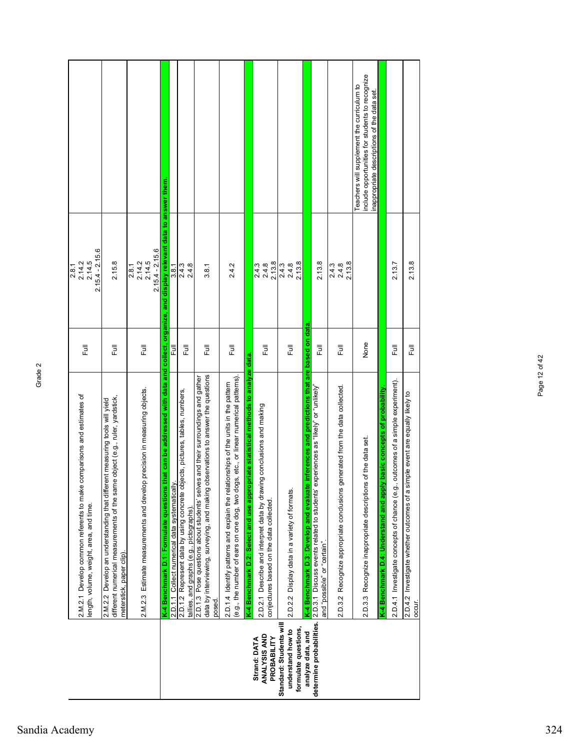|                                                                     | comparisons and estimates of<br>2.M.2.1 Develop common referents to make<br>ength, volume, weight, area, and time                                                                             | 同<br>Eu     | $2.15.4 - 2.15.6$<br>2.14.5<br>$\frac{2.8.1}{2.14.2}$ |                                                                                                                                              |
|---------------------------------------------------------------------|-----------------------------------------------------------------------------------------------------------------------------------------------------------------------------------------------|-------------|-------------------------------------------------------|----------------------------------------------------------------------------------------------------------------------------------------------|
|                                                                     | e object (e.g., ruler, yardstick,<br>ent measuring tools will yield<br>2.M.2.2 Develop an understanding that differ<br>different numerical measurements of the sam<br>meterstick, paper clip) | 昆           | 2.15.8                                                |                                                                                                                                              |
|                                                                     | 2.M.2.3 Estimate measurements and develop precision in measuring objects.                                                                                                                     | 昆           | $2.15.4 - 2.15.6$<br>2.14.5<br>$2.8.1$<br>$2.14.2$    |                                                                                                                                              |
|                                                                     | that can be addressed with data and collect, organize, and display relevant data to answer them.<br>K-4 Benchmark D.1: Formulate questions                                                    |             |                                                       |                                                                                                                                              |
|                                                                     | 2.D.1.1 Collect numerical data systematicall                                                                                                                                                  | 큹           | 3.8.1                                                 |                                                                                                                                              |
|                                                                     | 2.D.1.2 Represent data by using concrete objects, pictures, tables, numbers,<br>tallies, and graphs (e.g., pictographs).                                                                      | 昆           | 2.4.3<br>2.4.8                                        |                                                                                                                                              |
|                                                                     | data by interviewing, surveying, and making observations to answer the questions<br>2.D.1.3 Pose questions about students' selves and their surroundings and gather<br>posed.                 | う<br>こ      | 3.8.1                                                 |                                                                                                                                              |
|                                                                     | (e.g., the number of ears on one dog, two dogs, etc., or linear numerical patterns).<br>2.D.1.4 Identify patterns and explain the relationships of the units in the pattern                   | Full        | 2.4.2                                                 |                                                                                                                                              |
|                                                                     | K-4 Benchmark D.2: Select and use appropriate statistical methods to analyze data.                                                                                                            |             |                                                       |                                                                                                                                              |
| ANALYSIS AND<br>Strand: DATA<br>PROBABILITY                         | 2.D.2.1 Describe and interpret data by drawing conclusions and making<br>conjectures based on the data collected.                                                                             | Full        | 2.13.8<br>2.4.8<br>2.4.3                              |                                                                                                                                              |
| Standard: Students wil<br>formulate questions,<br>understand how to | 2.D.2.2 Display data in a variety of formats.                                                                                                                                                 | 昆           | 2.13.8<br>$2.4.3$<br>$2.4.8$                          |                                                                                                                                              |
| analyze data, and                                                   | inferences and predictions that are based on data<br>K-4 Benchmark D.3: Develop and evaluate                                                                                                  |             |                                                       |                                                                                                                                              |
| determine probabilities.                                            | 2.D.3.1 Discuss events related to students' experiences as "likely" or "unlikely"<br>and "possible" or "certain".                                                                             | <b>Full</b> | 2.13.8                                                |                                                                                                                                              |
|                                                                     | 2.D.3.2 Recognize appropriate conclusions generated from the data collected.                                                                                                                  | Full        | 2.13.8<br>$2.4.3$<br>$2.4.8$                          |                                                                                                                                              |
|                                                                     | 2.D.3.3 Recognize inappropriate descriptions of the data set.                                                                                                                                 | None        |                                                       | include opportunities for students to recognize<br>Teachers will supplement the curriculum to<br>inappropriate descriptions of the data set. |
|                                                                     | y basic concepts of probability.<br>K-4 Benchmark D.4: Understand and apply                                                                                                                   |             |                                                       |                                                                                                                                              |
|                                                                     | outcomes of a simple experiment).<br>2.D.4.1 Investigate concepts of chance (e.g.                                                                                                             | 큹           | 2.13.7                                                |                                                                                                                                              |
|                                                                     | 2.D.4.2 Investigate whether outcomes of a simple event are equally likely to<br>occur.                                                                                                        | 큹           | 2.13.8                                                |                                                                                                                                              |
|                                                                     |                                                                                                                                                                                               |             |                                                       |                                                                                                                                              |

Page 12 of 42

Page 12 of 42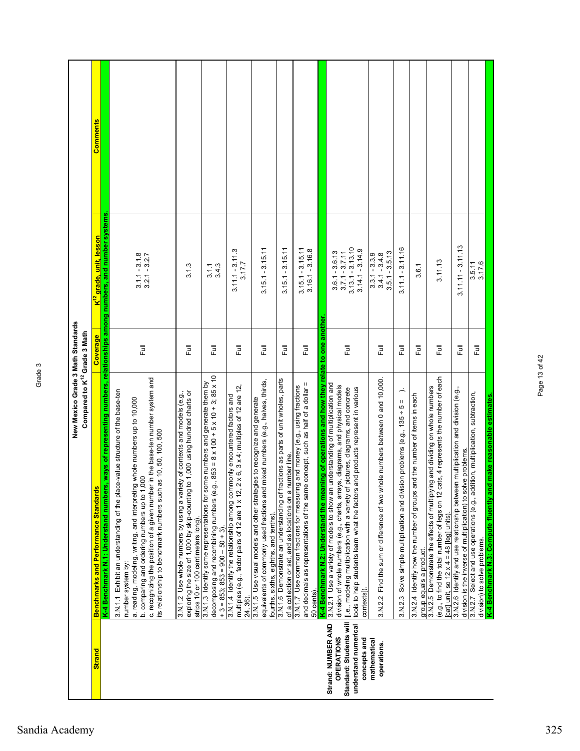|                                                                                      | New Mexico Grade 3 Math Standards<br>Compared to K <sup>12</sup> Grade 3 Math                                                                                                                                                                                                                                                                                                         |          |                                                                                  |                 |
|--------------------------------------------------------------------------------------|---------------------------------------------------------------------------------------------------------------------------------------------------------------------------------------------------------------------------------------------------------------------------------------------------------------------------------------------------------------------------------------|----------|----------------------------------------------------------------------------------|-----------------|
| <b>Strand</b>                                                                        | <b>Benchmarks and Performance Standards</b>                                                                                                                                                                                                                                                                                                                                           | Coverage | <mark>K<sup>12</sup> grade, unit, lesson</mark>                                  | <b>Comments</b> |
|                                                                                      | K-4 Benchmark N.1: Understand numbers                                                                                                                                                                                                                                                                                                                                                 |          | , ways of representing numbers, relationships among numbers, and number systems. |                 |
|                                                                                      | c. recognizing the position of a given number in the base-ten number system and<br>3.N.1.1 Exhibit an understanding of the place-value structure of the base-ten<br>a. reading, modeling, writing, and interpreting whole numbers up to 10,000<br>its relationship to benchmark numbers such as 10, 50, 100, 500<br>b. comparing and ordering numbers up to 1,000<br>number system by | Ē        | $3.1.1 - 3.1.8$<br>$3.2.1 - 3.2.7$                                               |                 |
|                                                                                      | exploring the size of 1,000 by skip-counting to 1,000 using hundred charts or<br>3.N.1.2 Use whole numbers by using a variety of contexts and models (e.g.,<br>strips 10 or 100 centimeters long)                                                                                                                                                                                     | Full     | 3.1.3                                                                            |                 |
|                                                                                      | decomposing and recombining numbers (e.g., $853 = 8 \times 100 + 5 \times 10 + 3$ ; $85 \times 10$<br>3.N.1.3 Identify some representations for some numbers and generate them by<br>$+3 = 853$ ; $853 = 900 - 50 + 3$ )                                                                                                                                                              | Full     | 3.4.3<br>3.1.1                                                                   |                 |
|                                                                                      | multiples (e.g., factor pairs of 12 are 1 x 12, 2 x 6, 3 x 4; multiples of 12 are 12,<br>3.N.1.4 Identify the relationship among commonly encountered factors and<br>24, 36).                                                                                                                                                                                                         | 昆        | $3.11.1 - 3.11.3$<br>3.17.7                                                      |                 |
|                                                                                      | equivalents of commonly used fractions and mixed numbers (e.g., halves, thirds,<br>3.N.1.5 Use visual models and other strategies to recognize and generate<br>fourths, sixths, eighths, and tenths).                                                                                                                                                                                 | 巨        | $3.15.1 - 3.15.11$                                                               |                 |
|                                                                                      | 3.N.1.6 Demonstrate an understanding of fractions as parts of unit wholes, parts<br>of a collection or set, and as locations on a number line.                                                                                                                                                                                                                                        | う<br>こ   | $-3.15.11$<br>3.15.1                                                             |                 |
|                                                                                      | and decimals as representations of the same concept, such as half of a dollar =<br>3.N.1.7 Use common fractions for measuring and money (e.g., using fractions<br>K-4 Benchmark N.2: Understand the meal<br>50 cents).                                                                                                                                                                | う<br>こ   | $3.15.1 - 3.15.11$<br>$3.16.1 - 3.16.8$                                          |                 |
| Strand: NUMBER AND                                                                   | hing of operations and how they relate to one another                                                                                                                                                                                                                                                                                                                                 |          |                                                                                  |                 |
| Standard: Students will<br>understand numerical<br><b>OPERATIONS</b><br>concepts and | understanding of multiplication and<br>division of whole numbers (e.g., charts, arrays, diagrams, and physical models<br>tools to help students learn what the factors and products represent in various<br>[i.e., modeling multiplication with a variety of pictures, diagrams, and concrete<br>3.N.2.1 Use a variety of models to show an<br>contexts]).                            | 昆        | $3.7.1 - 3.7.11$<br>$3.13.1 - 3.13.10$<br>$3.14.1 - 3.14.9$<br>$3.6.1 - 3.6.13$  |                 |
| mathematical<br>operations.                                                          | 3.N.2.2 Find the sum or difference of two whole numbers between 0 and 10,000.                                                                                                                                                                                                                                                                                                         | Full     | $3.5.1 - 3.5.13$<br>$3.3.1 - 3.3.9$<br>3.4.1 - 3.4.8                             |                 |
|                                                                                      | ∽<br>3.N.2.3 Solve simple multiplication and division problems (e.g., 135 + 5 =                                                                                                                                                                                                                                                                                                       | 卮        | $3.11.1 - 3.11.16$                                                               |                 |
|                                                                                      | 3.N.2.4 Identify how the number of groups and the number of items in each<br>group equals a product.                                                                                                                                                                                                                                                                                  | こ<br>こ   | 3.6.1                                                                            |                 |
|                                                                                      | (e.g., to find the total number of legs on 12 cats, 4 represents the number of each<br>3.N.2.5 Demonstrate the effects of multiplying and dividing on whole numbers<br>[cat] unit, so $12 \times 4 = 48$ [leg] units).                                                                                                                                                                | Full     | 3.11.13                                                                          |                 |
|                                                                                      | 3.N.2.6 Identify and use relationship between multiplication and division (e.g.,<br>division is the inverse of multiplication) to solve problems.                                                                                                                                                                                                                                     | う<br>こ   | $3.11.11 - 3.11.13$                                                              |                 |
|                                                                                      | 3.N.2.7 Select and use operations (e.g., addition, multiplication, subtraction,<br>division) to solve problems.                                                                                                                                                                                                                                                                       | Full     | 3.5.11<br>3.17.6                                                                 |                 |
|                                                                                      | K-4 Benchmark N.3: Compute fluently and make reasonable estimates.                                                                                                                                                                                                                                                                                                                    |          |                                                                                  |                 |

Page 13 of 42

Page 13 of 42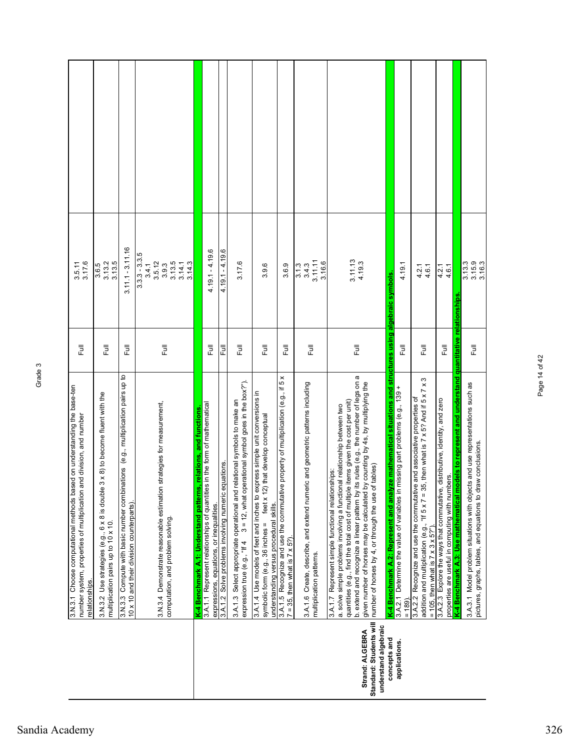|                                                                    | 3.N.3.1 Choose computational methods based on understanding the base-ten<br>number system, properties of multiplication and division, and number<br>relationships.                                                                                                                                                                                                                                                                                      | $\overline{\overline{z}}$ | 3.5.11<br>3.17.6                                                          |  |
|--------------------------------------------------------------------|---------------------------------------------------------------------------------------------------------------------------------------------------------------------------------------------------------------------------------------------------------------------------------------------------------------------------------------------------------------------------------------------------------------------------------------------------------|---------------------------|---------------------------------------------------------------------------|--|
|                                                                    | 3 x 8) to become fluent with the<br>$6 \times 8$ is double<br>multiplication pairs up to 10 x 10.<br>3.N.3.2 Use strategies (e.g.,                                                                                                                                                                                                                                                                                                                      | 巨                         | 3.13.2<br>3.13.5<br>3.6.5                                                 |  |
|                                                                    | 3.N.3.3 Compute with basic number combinations (e.g., multiplication pairs up to<br>10 x 10 and their division counterparts).                                                                                                                                                                                                                                                                                                                           | 昆                         | $3.11.1 - 3.11.16$                                                        |  |
|                                                                    | strategies for measurement,<br>3.N.3.4 Demonstrate reasonable estimation<br>computation, and problem solving                                                                                                                                                                                                                                                                                                                                            | $\overline{\overline{E}}$ | $3.3.3 - 3.3.5$<br>3.13.5<br>3.5.12<br>3.14.3<br>3.14.1<br>3.9.3<br>3.4.1 |  |
|                                                                    | relations, and functions<br>K-4 Benchmark A.1: Understand patterns                                                                                                                                                                                                                                                                                                                                                                                      |                           |                                                                           |  |
|                                                                    | in the form of mathematical<br>3.A.1.1 Represent relationships of quantities<br>expressions, equations, or inequalities.                                                                                                                                                                                                                                                                                                                                | Full                      | $4.19.1 - 4.19.6$                                                         |  |
|                                                                    | 3.A.1.2 Solve problems involving numeric equations.                                                                                                                                                                                                                                                                                                                                                                                                     | 큹                         | $4.19.1 - 4.19.6$                                                         |  |
|                                                                    | $3 = 12$ , what operational symbol goes in the box?").<br>3.A.1.3 Select appropriate operational and relational symbols to make an<br>expression true (e.g., "If 4                                                                                                                                                                                                                                                                                      | Full                      | 3.17.6                                                                    |  |
|                                                                    | 1.4.1.4 Use models of feet and inches to express simple unit conversions in<br>feet x 12) that develop conceptual<br>understanding versus procedural skills.<br>symbolic form (e.g., 36 inches =                                                                                                                                                                                                                                                        | Full                      | 3.9.6                                                                     |  |
|                                                                    | property of multiplication (e.g., if 5 x<br>3.A.1.5 Recognize and use the commutative<br>$7 = 35$ , then what is $7 \times 5$ ?).                                                                                                                                                                                                                                                                                                                       | 昆                         | 3.6.9                                                                     |  |
|                                                                    | 3.A.1.6 Create, describe, and extend numeric and geometric patterns including<br>multiplication patterns.                                                                                                                                                                                                                                                                                                                                               | $\overline{\Xi}$          | 3.11.11<br>3.16.6<br>3.1.3<br>3.4.3                                       |  |
| Standard: Students will<br>understand algebraic<br>Strand: ALGEBRA | b. extend and recognize a linear pattern by its rules (e.g., the number of legs on a<br>given number of horses may be calculated by counting by 4s, by multiplying the<br>quantities (e.g., find the total cost of multiple items given the cost per unit)<br>a. solve simple problems involving a functional relationship between two<br>tables)<br>3.A.1.7 Represent simple functional relationships:<br>number of horses by 4, or through the use of | 昆                         | 3.11.13<br>4.19.3                                                         |  |
| concepts and                                                       | K-4 Benchmark A.2: Represent and analyze mathematical situations and structures using algebraic symbols.                                                                                                                                                                                                                                                                                                                                                |                           |                                                                           |  |
| applications.                                                      | 3.A.2.1 Determine the value of variables in missing part problems (e.g., 139 +<br>$= 189.$                                                                                                                                                                                                                                                                                                                                                              | ラ<br>Lull                 | 4.19.1                                                                    |  |
|                                                                    | addition and multiplication (e.g., "If $5 \times 7 = 35$ , then what is $7 \times 5$ ? And if $5 \times 7 \times 3$<br>3.A.2.2 Recognize and use the commutative and associative properties of<br>= 105, then what is $7 \times 3 \times 5$ ?").                                                                                                                                                                                                        | 巨                         | $4.2.1$<br>$4.6.1$                                                        |  |
|                                                                    | K-4 Benchmark A.3: Use mathematical models to represent and understand quantitative relationships<br>distributive, identity, and zero<br>properties are useful in computing with numbers.<br>3.A.2.3 Explore the ways that commutative,                                                                                                                                                                                                                 | う<br>こ                    | $4.2.1$<br>$4.6.1$                                                        |  |
|                                                                    |                                                                                                                                                                                                                                                                                                                                                                                                                                                         |                           |                                                                           |  |
|                                                                    | 3.A.3.1 Model problem situations with objects and use representations such as<br>pictures, graphs, tables, and equations to draw conclusions.                                                                                                                                                                                                                                                                                                           | こ<br>こ                    | $3.13.3$<br>$3.15.9$<br>$3.16.3$                                          |  |

Page 14 of 42

Page 14 of 42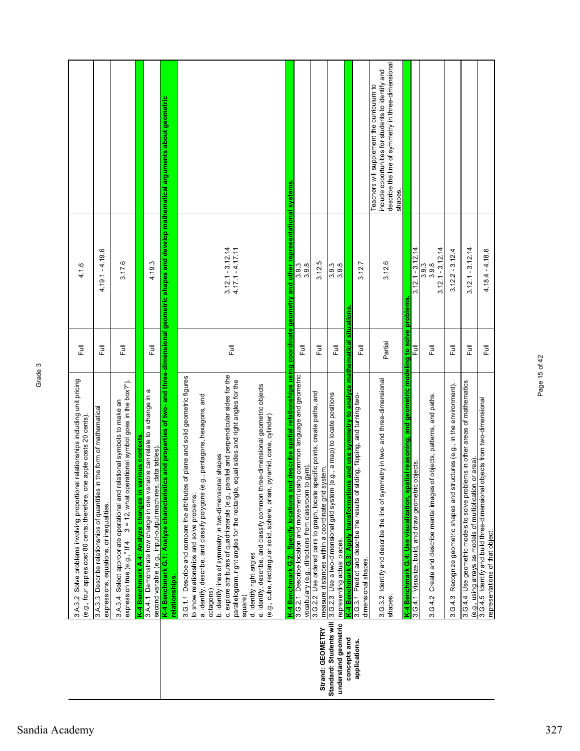|                                                 | 3.A.3.2 Solve problems involving proportional relationships including unit pricing<br>(e.g., four apples cost 80 cents; therefore, one apple costs 20 cents)                                                                                                                                                                                                                                                                                                                                                                                                                                                                                                                      | 卮       | 4.1.6                                    |                                                                                                                                                                   |
|-------------------------------------------------|-----------------------------------------------------------------------------------------------------------------------------------------------------------------------------------------------------------------------------------------------------------------------------------------------------------------------------------------------------------------------------------------------------------------------------------------------------------------------------------------------------------------------------------------------------------------------------------------------------------------------------------------------------------------------------------|---------|------------------------------------------|-------------------------------------------------------------------------------------------------------------------------------------------------------------------|
|                                                 | in the form of mathematical<br>3.A.3.3 Describe relationships of quantities<br>expressions, equations, or inequalities.                                                                                                                                                                                                                                                                                                                                                                                                                                                                                                                                                           | 昆       | $4.19.1 - 4.19.6$                        |                                                                                                                                                                   |
|                                                 | $3 = 12$ , what operational symbol goes in the box?").<br>3.A.3.4 Select appropriate operational and relational symbols to make an<br>expression true (e.g.," If 4                                                                                                                                                                                                                                                                                                                                                                                                                                                                                                                | Full    | 3.17.6                                   |                                                                                                                                                                   |
|                                                 | 3.A.4.1 Demonstrate how change in one variable can relate to a change in a<br>rarious contexts<br>K-4 Benchmark A.4: Analyze changes in <sub>'</sub>                                                                                                                                                                                                                                                                                                                                                                                                                                                                                                                              |         |                                          |                                                                                                                                                                   |
|                                                 | data tables).<br>second variable (e.g., input-output machines                                                                                                                                                                                                                                                                                                                                                                                                                                                                                                                                                                                                                     | 巨       | 4.19.3                                   |                                                                                                                                                                   |
|                                                 | K-4 Benchmark G.1: Analyze characteristi<br>relationships.                                                                                                                                                                                                                                                                                                                                                                                                                                                                                                                                                                                                                        |         |                                          | ics and properties of two- and three-dimensional geometric shapes and develop mathematical arguments about geometric                                              |
|                                                 | c. explore attributes of quadrilaterals (e.g., parallel and perpendicular sides for the<br>3.G.1.1 Describe and compare the attributes of plane and solid geometric figures<br>parallelogram, right angles for the rectangle, equal sides and right angles for the<br>e. identify, describe, and classify common three-dimensional geometric objects<br>g., pentagons, hexagons, and<br>pyramid, cone, cylinder)<br>b. identify lines of symmetry in two-dimensional shapes<br>a. identify, describe, and classify polygons (e<br>(e.g., cube, rectangular solid, sphere, prism,<br>to show relationships and solve problems:<br>d. identify right angles<br>octagons)<br>square) | 昆       | $3.12.1 - 3.12.14$<br>$4.17.1 - 4.17.11$ |                                                                                                                                                                   |
|                                                 | K-4 Benchmark G.2:  Specify locations and describe spatial relationships using coordinate geometry and other representational systems<br>3.G.2.1 Describe location and movement using common language and geometric                                                                                                                                                                                                                                                                                                                                                                                                                                                               | 昆       | 3.9.3                                    |                                                                                                                                                                   |
|                                                 | vocabulary (e.g., directions from classroom to gym)                                                                                                                                                                                                                                                                                                                                                                                                                                                                                                                                                                                                                               |         | 3.9.8                                    |                                                                                                                                                                   |
| Strand: GEOMETRY                                | 3.G.2.2 Use ordered pairs to graph, locate specific points, create paths, and<br>measure distances within a coordinate grid system.                                                                                                                                                                                                                                                                                                                                                                                                                                                                                                                                               | 昆       | 3.12.5                                   |                                                                                                                                                                   |
| Standard: Students will<br>understand geometric | (e.g., a map) to locate positions<br>3.G.2.3 Use a two-dimensional grid system<br>representing actual places.                                                                                                                                                                                                                                                                                                                                                                                                                                                                                                                                                                     | 昆       | 3.9.8<br>3.9.3                           |                                                                                                                                                                   |
| concepts and<br>applications.                   | K-4 Benchmark G.3: Apply transformations and use symmetry to analyze mathematical<br>3.G.3.1 Predict and describe the results of sliding, flipping, and turning two-                                                                                                                                                                                                                                                                                                                                                                                                                                                                                                              |         | situations                               |                                                                                                                                                                   |
|                                                 | dimensional shapes.                                                                                                                                                                                                                                                                                                                                                                                                                                                                                                                                                                                                                                                               | 昆       | 3.12.7                                   |                                                                                                                                                                   |
|                                                 | Identify and describe the line of symmetry in two- and three-dimensional<br>3.G.3.2<br>shapes.                                                                                                                                                                                                                                                                                                                                                                                                                                                                                                                                                                                    | Partial | 3.12.6                                   | describe the line of symmetry in three-dimensional<br>include opportunities for students to identify and<br>Teachers will supplement the curriculum to<br>shapes. |
|                                                 | K-4 Benchmark G.4: Use visualization, spatial reasoning, and geometric modeling to solve problems                                                                                                                                                                                                                                                                                                                                                                                                                                                                                                                                                                                 |         |                                          |                                                                                                                                                                   |
|                                                 | 3.G.4.1 Visualize, build, and draw geometric objects.                                                                                                                                                                                                                                                                                                                                                                                                                                                                                                                                                                                                                             | 큹       | $3.12.1 - 3.12.14$                       |                                                                                                                                                                   |
|                                                 | of objects, patterns, and paths.<br>Create and describe mental images<br>3.6.4.2                                                                                                                                                                                                                                                                                                                                                                                                                                                                                                                                                                                                  | 昆       | $3.12.1 - 3.12.14$<br>3.9.8<br>3.3       |                                                                                                                                                                   |
|                                                 | Recognize geometric shapes and structures (e.g., in the environment).<br>3.6.4.3                                                                                                                                                                                                                                                                                                                                                                                                                                                                                                                                                                                                  | Full    | $3.12.2 - 3.12.4$                        |                                                                                                                                                                   |
|                                                 | 3.G.4.4 Use geometric models to solve problems in other areas of mathematics<br>(e.g., using arrays as models of multiplication or area).                                                                                                                                                                                                                                                                                                                                                                                                                                                                                                                                         | 卮       | $3.12.1 - 3.12.14$                       |                                                                                                                                                                   |
|                                                 | 3.G.4.5 Identify and build three-dimensional objects from two-dimensional<br>representations of that object.                                                                                                                                                                                                                                                                                                                                                                                                                                                                                                                                                                      | Full    | $4.18.4 - 4.18.6$                        |                                                                                                                                                                   |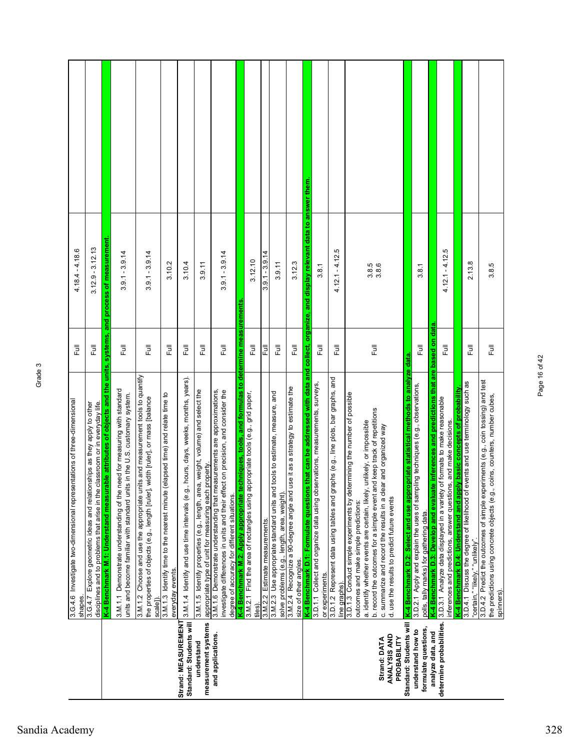|                                             | 3.G.4.6 Investigate two-dimensional representations of three-dimensional<br>disciplines and to problems that arise in the classroom or in everyday life.<br>3.G.4.7 Explore geometric ideas and relationships as they apply to other<br>shapes. | ラ<br>こ<br>巨               | $3.12.9 - 3.12.13$<br>$4.18.4 - 4.18.6$                                                          |  |
|---------------------------------------------|-------------------------------------------------------------------------------------------------------------------------------------------------------------------------------------------------------------------------------------------------|---------------------------|--------------------------------------------------------------------------------------------------|--|
|                                             | K-4 Benchmark M.1: Understand measurable attributes of objects and the units, systems, and process of measurement                                                                                                                               |                           |                                                                                                  |  |
|                                             | 3.M.1.1 Demonstrate understanding of the need for measuring with standard<br>units and become familiar with standard units in the U.S. customary system.                                                                                        | $\overline{\overline{z}}$ | $3.9.1 - 3.9.14$                                                                                 |  |
|                                             | 3.M.1.2 Choose and use the appropriate units and measurement tools to quantify<br>the properties of objects (e.g., length [ruler], width [ruler], or mass [balance<br>scale <sup>1</sup>                                                        | Full                      | $3.9.1 - 3.9.14$                                                                                 |  |
|                                             | 3.M.1.3 Identify time to the nearest minute (elapsed time) and relate time to<br>everyday events.                                                                                                                                               | 昆                         | 3.10.2                                                                                           |  |
| Strand: MEASUREMENT                         | hours, days, weeks, months, years).<br>Standard: Students will   3.M.1.4 Identify and use time intervals (e.g.,                                                                                                                                 | 卮                         | 3.10.4                                                                                           |  |
| measurement systems<br>understand           | , weight, volume) and select the<br>appropriate type of unit for measuring each property<br>3.M.1.5 Identify properties (e.g., length, area                                                                                                     | <b>Full</b>               | 3.9.11                                                                                           |  |
| and applications.                           | 3.M.1.6 Demonstrate understanding that measurements are approximations,<br>investigate differences in units and their effect on precision, and consider the<br>degree of accuracy for different situations.                                     | ラ<br>Lu                   | $3.9.1 - 3.9.14$                                                                                 |  |
|                                             | K-4 Benchmark M.2: Apply appropriate techniques, tools, and formulas to<br>3.M.2.1 Find the area of rectangles using appropriate tools (e.g., grid paper,                                                                                       | determine measurements    |                                                                                                  |  |
|                                             | tiles).                                                                                                                                                                                                                                         | う<br>こ                    | 3.12.10                                                                                          |  |
|                                             | 3.M.2.2 Estimate measurements.                                                                                                                                                                                                                  | 틶                         | $-3.9.14$<br>$\overline{9}$<br>ო                                                                 |  |
|                                             | tools to estimate, measure, and<br>3.M.2.3 Use appropriate standard units and<br>solve problems (e.g., length, area, weight)                                                                                                                    | Full                      | 3.9.11                                                                                           |  |
|                                             | 3.M.2.4 Recognize a 90-degree angle and use it as a strategy to estimate the<br>size of other angles.                                                                                                                                           | <b>Full</b>               | 3.12.3                                                                                           |  |
|                                             | K-4 Benchmark D.1: Formulate questions                                                                                                                                                                                                          |                           | that can be addressed with data and collect, organize, and display relevant data to answer them. |  |
|                                             | 3.D.1.1 Collect and organize data using observations, measurements, surveys,<br>or experiments.                                                                                                                                                 | Full                      | 3.8.1                                                                                            |  |
|                                             | 3.D.1.2 Represent data using tables and graphs (e.g., line plots, bar graphs, and<br>line graphs).                                                                                                                                              | 昆                         | $4.12.1 - 4.12.5$                                                                                |  |
|                                             | 3.D.1.3 Conduct simple experiments by determining the number of possible<br>a. identify whether events are certain, likely, unlikely, or impossible<br>outcomes and make simple predictions:                                                    |                           |                                                                                                  |  |
| ANALYSIS AND<br>PROBABILITY<br>Strand: DATA | b. record the outcomes for a simple event and keep track of repetitions<br>c. summarize and record the results in a clear and organized way<br>d. use the results to predict future events                                                      | Full                      | $3.\overline{8}.\overline{6}$<br>$3.\overline{8}.\overline{6}$                                   |  |
|                                             | Standard: Students will K-4 Benchmark D.2: Select and use appropriate statistical methods to analyze data                                                                                                                                       |                           |                                                                                                  |  |
| formulate questions,<br>understand how to   | 3.D.2.1 Apply and explain the uses of sampling techniques (e.g., observations,<br>polls, tally marks) for gathering data.                                                                                                                       | ー<br>こ                    | 3.8.1                                                                                            |  |
| analyze data, and                           | are<br>K-4 Benchmark D.3: Develop and evaluate inferences and predictions that                                                                                                                                                                  | data.<br>based on         |                                                                                                  |  |
| determine probabilities.                    | 3.D.3.1 Analyze data displayed in a variety of formats to make reasonable<br>inferences and predictions, answer questions, and make decisions.                                                                                                  | Full                      | rö.<br>$4.12.1 - 4.12$                                                                           |  |
|                                             | K-4 Benchmark D.4: Understand and apply basic concepts of probability                                                                                                                                                                           |                           |                                                                                                  |  |
|                                             | 3.D.4.1 Discuss the degree of likelihood of events and use terminology such as<br>"certain," "likely," "unlikely".                                                                                                                              | う<br>こ                    | 2.13.8                                                                                           |  |
|                                             | 3.D.4.2 Predict the outcomes of simple experiments (e.g., coin tossing) and test<br>the predictions using concrete objects (e.g., coins, counters, number cubes,<br>spinners)                                                                   | Ē                         | 3.8.5                                                                                            |  |

Page 16 of 42

Page 16 of 42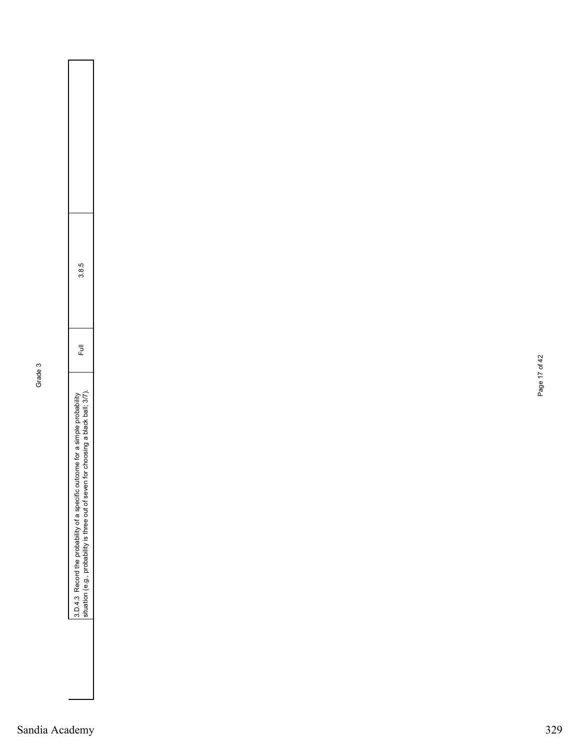| ņ<br>г |  |
|--------|--|
| r<br>¢ |  |
|        |  |
|        |  |
|        |  |
|        |  |

| Ì<br>ļ<br>֕<br>ł | I<br>j<br>Ó<br>١<br>ì<br>ì<br>ı<br>Í<br>l<br>١<br>١<br>١<br>١<br>Ï<br>i<br>١<br>ļ | Í<br>ı | j<br>X<br>١<br>¢ |  |
|------------------|-----------------------------------------------------------------------------------|--------|------------------|--|
|                  |                                                                                   |        |                  |  |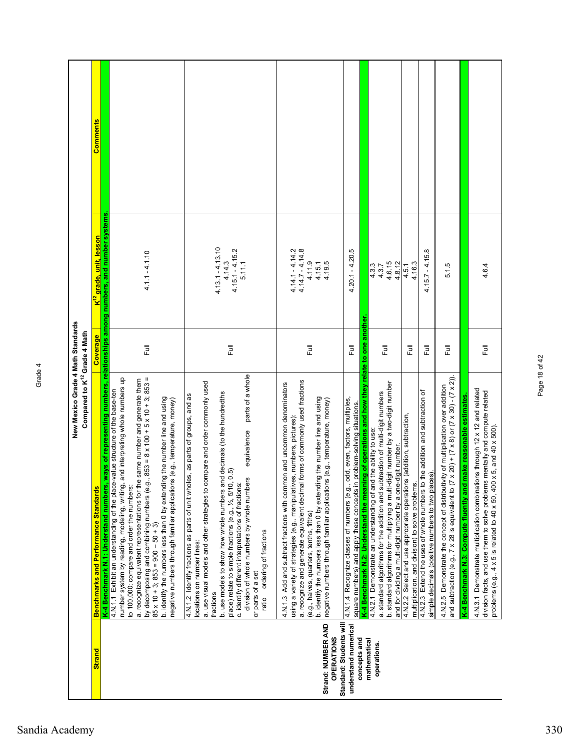|                                                                    | New Mexico Grade 4 Math Standards<br>Compared to K <sup>12</sup> Grade 4 Math                                                                                                                                                                                                                                                                                                                                                                                                                                                                                                                                                      |           |                                                                                                     |          |
|--------------------------------------------------------------------|------------------------------------------------------------------------------------------------------------------------------------------------------------------------------------------------------------------------------------------------------------------------------------------------------------------------------------------------------------------------------------------------------------------------------------------------------------------------------------------------------------------------------------------------------------------------------------------------------------------------------------|-----------|-----------------------------------------------------------------------------------------------------|----------|
| <b>Strand</b>                                                      | <b>Benchmarks and Performance Standards</b>                                                                                                                                                                                                                                                                                                                                                                                                                                                                                                                                                                                        | Coverage  | <mark>K<sup>12</sup> grad<u>e, unit, lesson</u></mark>                                              | Comments |
|                                                                    | by decomposing and combining numbers (e.g., 853 = 8 x 100 + 5 x 10 + 3; 853 =<br>number system by reading, modeling, writing, and interpreting whole numbers up<br>a. recognize equivalent representations for the same number and generate them<br>4.N.1.1 Exhibit an understanding of the place-value structure of the base-ten<br>b. identify the numbers less than 0 by extending the number line and using<br>negative numbers through familiar applications (e.g., temperature, money)<br>K-4 Benchmark N.1: Understand numbers<br>to 100,000; compare and order the numbers:<br>$85 \times 10 + 3$ ; $853 = 900 - 50 + 3$ ) | 昆         | , ways of representing numbers, relationships among numbers, and number systems<br>$4.1.1 - 4.1.10$ |          |
|                                                                    | parts of a whole<br>compare and order commonly used<br>b. use models to show how whole numbers and decimals (to the hundredths<br>place) relate to simple fractions (e.g., ½, 5/10, 0.5)<br>4.N.1.2 Identify fractions as parts of unit wholes, as parts of groups, and as<br>equivalence<br>division of whole numbers by whole numbers<br>c. identify different interpretations of fractions:<br>a. use visual models and other strategies to<br>ordering of fractions<br>locations on number lines:<br>or parts of a set<br>fractions<br>ratio                                                                                   | Ē         | $4.13.1 - 4.13.10$<br>$4.15.1 - 4.15.2$<br>4.14.3<br>5.11.1                                         |          |
| Standard: Students will<br>Strand: NUMBER AND<br><b>OPERATIONS</b> | a. recognize and generate equivalent decimal forms of commonly used fractions<br>4.N.1.3 Add and subtract fractions with common and uncommon denominators<br>b. identify the numbers less than 0 by extending the number line and using<br>negative numbers through familiar applications (e.g., temperature, money)<br>using a variety of strategies (e.g., manipulatives, numbers, pictures):<br>(e.g., halves, quarters, tenths, fifths)                                                                                                                                                                                        | $\bar{p}$ | $4.14.1 - 4.14.2$<br>$4.14.7 - 4.14.8$<br>4.11.9<br>4.19.5<br>4.15.1                                |          |
| understand numerical<br>concepts and                               | K-4 Benchmark N.2: Understand the meaning of operations and how they relate to one another.<br>4.N.1.4 Recognize classes of numbers (e.g., odd, even, factors, multiples,<br>in problem-solving situations.<br>square numbers) and apply these concepts                                                                                                                                                                                                                                                                                                                                                                            | 巨         | $4.20.1 - 4.20.5$                                                                                   |          |
| mathematical<br>operations.                                        | b. standard algorithms for multiplying a multi-digit number by a two-digit number<br>a. standard algorithms for the addition and subtraction of multi-digit numbers<br>4.N.2.1 Demonstrate an understanding of and the ability to use:<br>and for dividing a multi-digit number by a one-digit number.                                                                                                                                                                                                                                                                                                                             | こ<br>こ    | 4.6.15<br>4.8.12<br>4.3.3<br>4.3.7                                                                  |          |
|                                                                    | 4.N.2.2 Select and use appropriate operations (addition, subtraction,<br>multiplication, and division) to solve problems.                                                                                                                                                                                                                                                                                                                                                                                                                                                                                                          | 巨         | 4.16.3<br>4.5.1                                                                                     |          |
|                                                                    | 4.N.2.3 Extend the uses of whole numbers to the addition and subtraction of<br>simple decimals (positive numbers to two places).                                                                                                                                                                                                                                                                                                                                                                                                                                                                                                   | 巨         | $4.15.7 - 4.15.8$                                                                                   |          |
|                                                                    | $(7 \times 20) + (7 \times 8)$ or $(7 \times 30) - (7 \times 2)$ ).<br>4.N.2.5 Demonstrate the concept of distributivity of multiplication over addition<br>and subtraction (e.g., 7 x 28 is equivalent to                                                                                                                                                                                                                                                                                                                                                                                                                         | 큹         | 5.1.5                                                                                               |          |
|                                                                    | 4.N.3.1 Demonstrate multiplication combinations through 12 x 12 and related<br>division facts, and use them to solve problems mentally and compute related<br>d make reasonable estimates<br>problems (e.g., $4 \times 5$ is related to $40 \times 50$ , $400 \times 5$ , and $40 \times 500$ ).<br>K-4 Benchmark N.3: Compute fluently and                                                                                                                                                                                                                                                                                        | Full      | 4.6.4                                                                                               |          |
|                                                                    |                                                                                                                                                                                                                                                                                                                                                                                                                                                                                                                                                                                                                                    |           |                                                                                                     |          |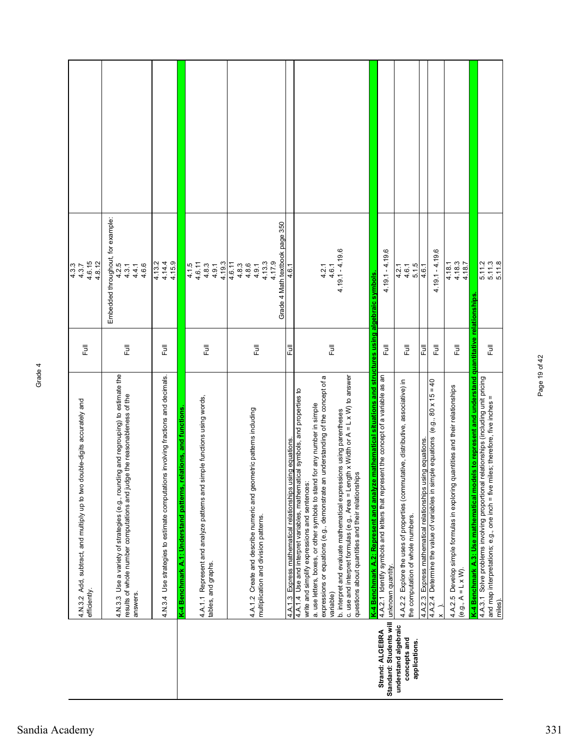|                                                       | double-digits accurately and<br>4.N.3.2 Add, subtract, and multiply up to two<br>efficiently.                                                                                                                                                                                                                                                                                                                                                                                                                                          | $\overline{\Xi}$           | 4.6.15<br>4.8.12<br>$4.3.7$<br>$4.3.7$                                |  |
|-------------------------------------------------------|----------------------------------------------------------------------------------------------------------------------------------------------------------------------------------------------------------------------------------------------------------------------------------------------------------------------------------------------------------------------------------------------------------------------------------------------------------------------------------------------------------------------------------------|----------------------------|-----------------------------------------------------------------------|--|
|                                                       | 4.N.3.3 Use a variety of strategies (e.g., rounding and regrouping) to estimate the<br>results of whole number computations and judge the reasonableness of the<br>answers.                                                                                                                                                                                                                                                                                                                                                            | 昆                          | Embedded throughout, for example:<br>4.2.5<br>4.4.1<br>4.6.6<br>4.3.1 |  |
|                                                       | 4.N.3.4 Use strategies to estimate computations involving fractions and decimals.                                                                                                                                                                                                                                                                                                                                                                                                                                                      | 昆                          | 4.15.9<br>4.14.4<br>4.13.2                                            |  |
|                                                       | relations, and functions<br>K-4 Benchmark A.1: Understand patterns                                                                                                                                                                                                                                                                                                                                                                                                                                                                     |                            |                                                                       |  |
|                                                       | simple functions using words,<br>4.A.1.1 Represent and analyze patterns and<br>tables, and graphs.                                                                                                                                                                                                                                                                                                                                                                                                                                     | Full                       | 4.19.3<br>4.6.11<br>4.1.5<br>4.8.3<br>4.9.1                           |  |
|                                                       | 4.A.1.2 Create and describe numeric and geometric patterns including<br>multiplication and division patterns.                                                                                                                                                                                                                                                                                                                                                                                                                          | 昆                          | 4.6.11<br>4.8.6<br>4.8.3<br>4.9.1                                     |  |
|                                                       |                                                                                                                                                                                                                                                                                                                                                                                                                                                                                                                                        |                            | Grade 4 Math textbook page 350<br>4.13.3<br>4.17.9                    |  |
|                                                       | using equations<br>4.A.1.3 Express mathematical relationships                                                                                                                                                                                                                                                                                                                                                                                                                                                                          | 쿤                          | 4.6.1                                                                 |  |
|                                                       | c. use and interpret formulas (e.g., Area = Length x Width or $A = L \times W$ ) to answer<br>expressions or equations (e.g., demonstrate an understanding of the concept of a<br>4.A.1.4 Use and interpret variables, mathematical symbols, and properties to<br>a. use letters, boxes, or other symbols to stand for any number in simple<br>b. interpret and evaluate mathematical expressions using parentheses<br>questions about quantities and their relationships<br>write and simplify expressions and sentences<br>variable) | <b>Full</b>                | $4.19.1 - 4.19.6$<br>4.6.1<br>4.2.1                                   |  |
| Strand: ALGEBRA                                       | K-4 Benchmark A.2: Represent and analyze mathematical situations and structures using algebraic symbols<br>4.A.2.1 Identify symbols and letters that represent the concept of a variable as an                                                                                                                                                                                                                                                                                                                                         |                            |                                                                       |  |
| Standard: Students will                               | unknown quantity.                                                                                                                                                                                                                                                                                                                                                                                                                                                                                                                      | 巨                          | <u>ဖ</u><br>$4.19.1 - 4.19.$                                          |  |
| understand algebraic<br>concepts and<br>applications. | 4.A.2.2 Explore the uses of properties (commutative, distributive, associative) in<br>the computation of whole numbers.                                                                                                                                                                                                                                                                                                                                                                                                                | 巨                          | 5.1.5<br>4.6.1<br>4.2.1                                               |  |
|                                                       | using equations.<br>4.A.2.3 Express mathematical relationships                                                                                                                                                                                                                                                                                                                                                                                                                                                                         | Full                       | 4.6.1                                                                 |  |
|                                                       | 4.A.2.4 Determine the value of variables in simple equations (e.g., $80 \times 15 = 40$                                                                                                                                                                                                                                                                                                                                                                                                                                                | 큹                          | ۵<br>$4.19.1 - 4.19$                                                  |  |
|                                                       | 4.A.2.5 Develop simple formulas in exploring quantities and their relationships                                                                                                                                                                                                                                                                                                                                                                                                                                                        | 昆                          | 4.18.1                                                                |  |
|                                                       | (e.g., $A = L \times W$ ).                                                                                                                                                                                                                                                                                                                                                                                                                                                                                                             |                            | $4.18.3$<br>$4.18.7$                                                  |  |
|                                                       | K-4 Benchmark A.3: Use mathematical models to represent and understand                                                                                                                                                                                                                                                                                                                                                                                                                                                                 | quantitative relationships |                                                                       |  |
|                                                       | 4.A.3.1 Solve problems involving proportional relationships (including unit pricing<br>miles; therefore, five inches =<br>and map interpretations; e.g., one inch = five<br>miles).                                                                                                                                                                                                                                                                                                                                                    | Full                       | $5.11.3$<br>$5.11.8$<br>5.11.2                                        |  |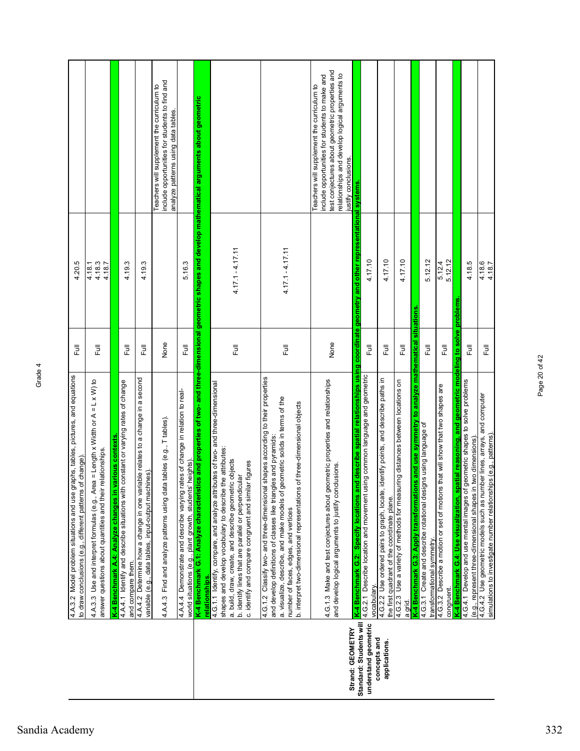|                                             | 4.A.3.2 Model problem situations and use graphs, tables, pictures, and equations<br>f change)<br>to draw conclusions (e.g., different patterns of                                                                                                                                                                                                          | 昆                         | 4.20.5                         |                                                                                                                                                                                                                           |
|---------------------------------------------|------------------------------------------------------------------------------------------------------------------------------------------------------------------------------------------------------------------------------------------------------------------------------------------------------------------------------------------------------------|---------------------------|--------------------------------|---------------------------------------------------------------------------------------------------------------------------------------------------------------------------------------------------------------------------|
|                                             | 4.A.3.3 Use and interpret formulas (e.g., Area = Length x Width or A = L x W) to<br>answer questions about quantities and their relationships.                                                                                                                                                                                                             | 巨                         | $4.18.3$<br>$4.18.7$<br>4.18.1 |                                                                                                                                                                                                                           |
|                                             | K-4 Benchmark A.4: Analyze changes in various contexts                                                                                                                                                                                                                                                                                                     |                           |                                |                                                                                                                                                                                                                           |
|                                             | 4.A.4.1 Identify and describe situations with constant or varying rates of change<br>and compare them.                                                                                                                                                                                                                                                     | 昆                         | 4.19.3                         |                                                                                                                                                                                                                           |
|                                             | 4.A.4.2 Determine how a change in one variable relates to a change in a second<br>variable (e.g., data tables, input-output machines).                                                                                                                                                                                                                     | 昆                         | 4.19.3                         |                                                                                                                                                                                                                           |
|                                             | tables (e.g., T tables).<br>Find and analyze patterns using data<br>4.A.4.3                                                                                                                                                                                                                                                                                | None                      |                                | include opportunities for students to find and<br>Teachers will supplement the curriculum to<br>analyze patterns using data tables.                                                                                       |
|                                             | 4.A.4.4 Demonstrate and describe varying rates of change in relation to real-<br>heights).<br>world situations (e.g., plant growth, students'                                                                                                                                                                                                              | $\overline{\overline{z}}$ | 5.16.3                         |                                                                                                                                                                                                                           |
|                                             | K-4 Benchmark G.1: Analyze characteristics and properties of two- and three-dimensional geometric shapes and develop mathematical arguments about geometric<br>relationships.                                                                                                                                                                              |                           |                                |                                                                                                                                                                                                                           |
|                                             | 4.G.1.1 Identify, compare, and analyze attributes of two- and three-dimensional<br>shapes and develop vocabulary to describe the attributes:<br>a. build, draw, create, and describe geometric objects<br>c. identify and compare congruent and similar figures<br>$\frac{1}{\overline{a}}$<br>b. identify lines that are parallel or perpendicu           | こう<br>エ                   | $4.17.1 - 4.17.11$             |                                                                                                                                                                                                                           |
|                                             | shapes according to their properties<br>a. visualize, describe, and make models of geometric solids in terms of the<br>b. interpret two-dimensional representations of three-dimensional objects<br>and develop definitions of classes like triangles and pyramids:<br>4.G.1.2 Classify two- and three-dimensional<br>number of faces, edges, and vertices | 昆                         | $4.17.1 - 4.17.11$             |                                                                                                                                                                                                                           |
|                                             | 4.G.1.3 Make and test conjectures about geometric properties and relationships<br>and develop logical arguments to justify conclusions.                                                                                                                                                                                                                    | None                      |                                | test conjectures about geometric properties and<br>relationships and develop logical arguments to<br>include opportunities for students to make and<br>Teachers will supplement the curriculum to<br>justify conclusions. |
| Standard: Students will<br>Strand: GEOMETRY | K-4 Benchmark G.2:  Specify locations and describe spatial relationships using coordinate geometry and other representational systems                                                                                                                                                                                                                      |                           |                                |                                                                                                                                                                                                                           |
| understand geometric<br>concepts and        | ng common language and geometric<br>4.G.2.1 Describe location and movement usi<br>vocabulary.                                                                                                                                                                                                                                                              | $\overline{\Xi}$          | 4.17.10                        |                                                                                                                                                                                                                           |
| applications.                               | lentify points, and describe paths in<br>4.G.2.2 Use ordered pairs to graph, locate, id<br>the first quadrant of the coordinate plane.                                                                                                                                                                                                                     | 豆                         | 4.17.10                        |                                                                                                                                                                                                                           |
|                                             | ng distances between locations on<br>4.G.2.3 Use a variety of methods for measuri<br>a grid.                                                                                                                                                                                                                                                               | 豆                         | 4.17.10                        |                                                                                                                                                                                                                           |
|                                             | K-4 Benchmark G.3: Apply transformations and use symmetry to analyze mathematical situations<br>4.G.3.1 Create and describe rotational designs using language of                                                                                                                                                                                           |                           |                                |                                                                                                                                                                                                                           |
|                                             | transformational symmetry.                                                                                                                                                                                                                                                                                                                                 | 巨                         | 5.12.12                        |                                                                                                                                                                                                                           |
|                                             | that will show that two shapes are<br>4.G.3.2 Describe a motion or set of motions<br>congruent.                                                                                                                                                                                                                                                            | $\overline{\overline{z}}$ | 5.12.12<br>5.12.4              |                                                                                                                                                                                                                           |
|                                             | atial reasoning, and geometric modeling to solve problems<br>4.G.4.1 Develop and use mental images of geometric shapes to solve problems<br>K-4 Benchmark G.4: Use visualization, spa                                                                                                                                                                      |                           |                                |                                                                                                                                                                                                                           |
|                                             | two dimensions).<br>(e.g., represent three-dimensional shapes in                                                                                                                                                                                                                                                                                           | Full                      | 4.18.5                         |                                                                                                                                                                                                                           |
|                                             | 4.G.4.2 Use geometric models such as number lines, arrays, and computer<br>simulations to investigate number relationships (e.g., patterns)                                                                                                                                                                                                                | Ē                         | 4.18.6<br>4.18.7               |                                                                                                                                                                                                                           |

Page 20 of 42

Page 20 of 42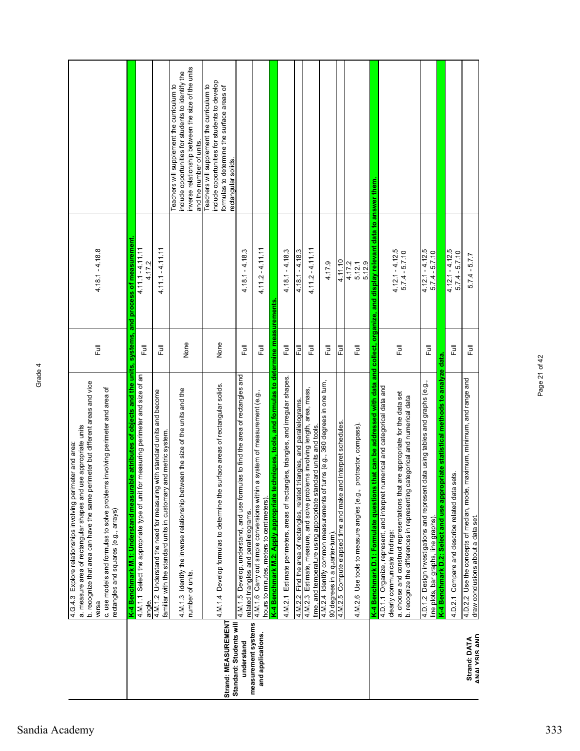|                                                | b. recognize that area can have the same perimeter but different areas and vice<br>c. use models and formulas to solve problems involving perimeter and area of<br>a. measure area of rectangular shapes and use appropriate units<br>4.G.4.3 Explore relationships involving perimeter and area:<br>rectangles and squares (e.g., arrays)<br>versa | $\overline{\overline{E}}$ | $4.18.1 - 4.18.8$                     |                                                                                                                                                                                    |
|------------------------------------------------|-----------------------------------------------------------------------------------------------------------------------------------------------------------------------------------------------------------------------------------------------------------------------------------------------------------------------------------------------------|---------------------------|---------------------------------------|------------------------------------------------------------------------------------------------------------------------------------------------------------------------------------|
|                                                | K-4 Benchmark M.1: Understand measurable attributes of objects and the units, systems, and process of measurement.<br>4.M.11 Select the appropriate type of unit for measuring perimeter and size of an<br>angle.                                                                                                                                   | Full                      | $4.11.1 - 4.11.11$<br>4.17.2          |                                                                                                                                                                                    |
|                                                | 4.M.1.2 Understand the need for measuring with standard units and become<br>and metric system.<br>familiar with the standard units in customary                                                                                                                                                                                                     | Full                      | $4.11.1 - 4.11.11$                    |                                                                                                                                                                                    |
|                                                | 4.M.1.3 Identify the inverse relationship between the size of the units and the<br>number of units.                                                                                                                                                                                                                                                 | None                      |                                       | inverse relationship between the size of the units<br>include opportunities for students to identify the<br>Teachers will supplement the curriculum to<br>and the number of units. |
| Strand: MEASUREMENT<br>Standard: Students will | 4.M.1.4 Develop formulas to determine the surface areas of rectangular solids.                                                                                                                                                                                                                                                                      | None                      |                                       | include opportunities for students to develop<br>Teachers will supplement the curriculum to<br>formulas to determine the surface areas of<br>rectangular solids.                   |
| measurement systems<br>understand              | ulas to find the area of rectangles and<br>4.M.1.5 Develop, understand, and use form<br>related triangles and parallelograms.                                                                                                                                                                                                                       | $\bar{p}$                 | $4.18.1 - 4.18.3$                     |                                                                                                                                                                                    |
| and applications.                              | a system of measurement (e.g.,<br>4.M.1.6 Carry out simple conversions within<br>hours to minutes, meters to centimeters).                                                                                                                                                                                                                          | Full                      | $4.112 - 4.11.11$                     |                                                                                                                                                                                    |
|                                                | K-4 Benchmark M.2: Apply appropriate techniques, tools, and formulas to determine measurements                                                                                                                                                                                                                                                      |                           |                                       |                                                                                                                                                                                    |
|                                                | 4.M.2.1 Estimate perimeters, areas of rectangles, triangles, and irregular shapes.                                                                                                                                                                                                                                                                  | 巨                         | $4.18.1 - 4.18.3$                     |                                                                                                                                                                                    |
|                                                | triangles, and parallelograms.<br>4.M.2.2 Find the area of rectangles, related                                                                                                                                                                                                                                                                      | Ē                         | $4.18.1 - 4.18.3$                     |                                                                                                                                                                                    |
|                                                | 4.M.2.3 Estimate, measure, and solve problems involving length, area, mass,<br>time, and temperature using appropriate standard units and tools.                                                                                                                                                                                                    | 巨                         | $4.11.2 - 4.11.11$                    |                                                                                                                                                                                    |
|                                                | turns (e.g., 360 degrees in one turn,<br>4.M.2.4 Identify common measurements of<br>90 degrees in a quarter-turn).                                                                                                                                                                                                                                  | 昆                         | 4.17.9                                |                                                                                                                                                                                    |
|                                                | nd interpret schedules<br>4.M.2.5 Compute elapsed time and make are                                                                                                                                                                                                                                                                                 | 卮                         | 4.11.10                               |                                                                                                                                                                                    |
|                                                | protractor, compass).<br>4.M.2.6 Use tools to measure angles (e.g.,                                                                                                                                                                                                                                                                                 | $\bar{\Xi}$               | 5.12.9<br>4.17.2<br>5.12.1            |                                                                                                                                                                                    |
|                                                | that can be addressed with data and collect, organize, and display relevant data to answer them.<br>4.D.1.1 Organize, represent, and interpret numerical and categorical data and<br>K-4 Benchmark D.1: Formulate questions                                                                                                                         |                           |                                       |                                                                                                                                                                                    |
|                                                | a. choose and construct representations that are appropriate for the data set<br>b. recognize the differences in representing categorical and numerical data<br>clearly communicate findings:                                                                                                                                                       | 昆                         | $4.12.1 - 4.12.5$<br>$5.7.4 - 5.7.10$ |                                                                                                                                                                                    |
|                                                | data using tables and graphs (e.g.,<br>4.D.1.2 Design investigations and represent<br>line plots, bar graphs, line graphs)                                                                                                                                                                                                                          | 巨                         | $4.12.1 - 4.12.5$<br>$5.7.4 - 5.7.10$ |                                                                                                                                                                                    |
|                                                | K-4 Benchmark D.2: Select and use appropriate statistical methods to analyze data.                                                                                                                                                                                                                                                                  |                           |                                       |                                                                                                                                                                                    |
|                                                | sets.<br>4.D.2.1 Compare and describe related data                                                                                                                                                                                                                                                                                                  | Ē                         | $4.12.1 - 4.12.5$<br>$5.7.4 - 5.7.10$ |                                                                                                                                                                                    |
| <b>ANAI YSIS AND</b><br>Strand: DATA           | maximum, minimum, and range and<br>4.D.2.2 Use the concepts of median, mode<br>draw conclusions about a data set.                                                                                                                                                                                                                                   | ラ<br>Lu                   | $5.7.4 - 5.7.7$                       |                                                                                                                                                                                    |

Page 21 of 42

Page 21 of 42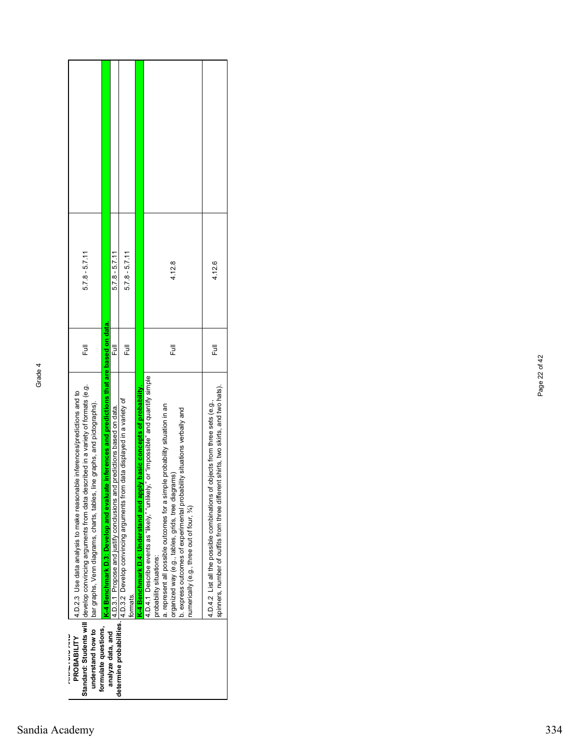| $5.7.8 - 5.7.11$                                                                                                                                                                                                                                                                          |                                                                                                 | $5.7.8 - 5.7.11$                                                            | $5.7.8 - 5.7.11$                                                                                               |                                                                       | 4.12.8                                                                                                                                                                                                                                                                                                                                                                            | 4.12.6                                                                                                                                                              |
|-------------------------------------------------------------------------------------------------------------------------------------------------------------------------------------------------------------------------------------------------------------------------------------------|-------------------------------------------------------------------------------------------------|-----------------------------------------------------------------------------|----------------------------------------------------------------------------------------------------------------|-----------------------------------------------------------------------|-----------------------------------------------------------------------------------------------------------------------------------------------------------------------------------------------------------------------------------------------------------------------------------------------------------------------------------------------------------------------------------|---------------------------------------------------------------------------------------------------------------------------------------------------------------------|
| Ē                                                                                                                                                                                                                                                                                         |                                                                                                 | Ē                                                                           | 卮                                                                                                              |                                                                       | 卮                                                                                                                                                                                                                                                                                                                                                                                 | 卮                                                                                                                                                                   |
| Standard: Students will  develop convincing arguments from data described in a variety of formats (e.g.<br>4.D.2.3 Use data analysis to make reasonable inferences/predictions and to<br>line graphs, and pictographs).<br>understand how to   bar graphs, Venn diagrams, charts, tables, | te inferences and predictions that are based on data.<br>K-4 Benchmark D.3: Develop and evaluat | d predictions based on data.<br>4.D.3.1 Propose and justify conclusions and | determine probabilities. [4.D.3.2 Develop convincing arguments from data displayed in a variety of<br>formats. | K-4 Benchmark D.4: Understand and apply basic concepts of probability | or "impossible" and quantify simple<br>a. represent all possible outcomes for a simple probability situation in an<br>bility situations verbally and<br>organized way (e.g., tables, grids, tree diagrams)<br>4.D.4.1 Describe events as "likely," "unlikely<br>b. express outcomes of experimental probal<br>numerically (e.g., three out of four, %)<br>probability situations: | spinners, number of outfits from three different shirts, two skirts, and two hats).<br>4.D.4.2 List all the possible combinations of objects from three sets (e.g., |
| ファイン・ファイン アイ・ファイン<br>PROBABILITY                                                                                                                                                                                                                                                          | formulate questions,<br>analyze data, and                                                       |                                                                             |                                                                                                                |                                                                       |                                                                                                                                                                                                                                                                                                                                                                                   |                                                                                                                                                                     |

Page 22 of 42

Page 22 of 42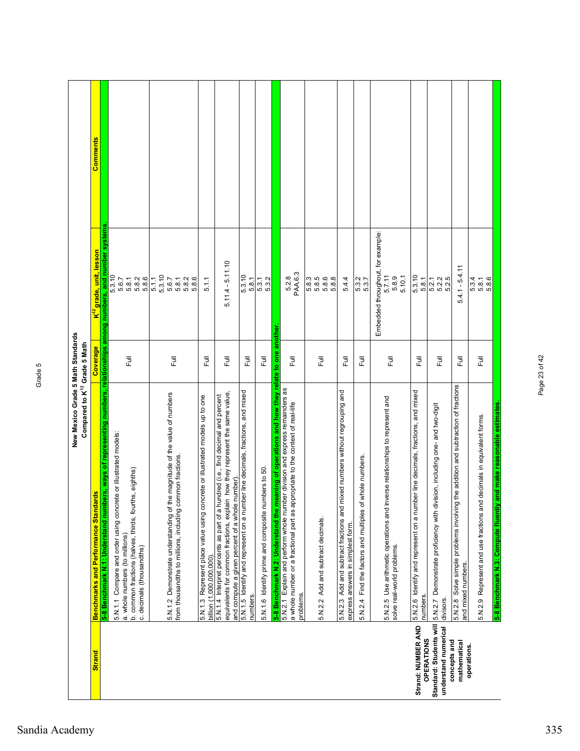|                                                 | New Mexico Grade 5 Math Standards<br>Compared to K <sup>12</sup> Grade 5 Math                                                                                                                                                                                    |          |                                                                |          |
|-------------------------------------------------|------------------------------------------------------------------------------------------------------------------------------------------------------------------------------------------------------------------------------------------------------------------|----------|----------------------------------------------------------------|----------|
| <b>Strand</b>                                   | <b>Benchmarks and Performance Standards</b>                                                                                                                                                                                                                      | Coverage | K <sup>12</sup> grade, unit, l <u>esson</u>                    | Comments |
|                                                 | 5-8 Benchmark N.1: Understand numbers, ways of representing numbers, relationships among numbers, and number systems                                                                                                                                             |          |                                                                |          |
|                                                 | 5.N.11 Compare and order using concrete or illustrated models:<br>b. common fractions (halves, thirds, fourths, eighths)<br>a. whole numbers (to millions)<br>c. decimals (thousandths)                                                                          | Full     | 5.3.10<br>5.8.1<br>5.8.2<br>5.8.6<br>5.6.7                     |          |
|                                                 | 5.N.1.2 Demonstrate understanding of the magnitude of the value of numbers<br>from thousandths to millions, including common fractions                                                                                                                           | ラ<br>L   | 5.3.10<br>5.1.1<br>5.6.7<br>5.8.1<br>5.8.2<br>5.8.6            |          |
|                                                 | 5.N.1.3 Represent place value using concrete or illustrated models up to one<br>billion (1.000.000.000)                                                                                                                                                          | Full     | 5.1.1                                                          |          |
|                                                 | equivalents for common fractions, explain how they represent the same value,<br>5.N.1.4 Interpret percents as part of a hundred (i.e., find decimal and percent<br>and compute a given percent of a whole number)                                                | Full     | $5.11.4 - 5.11.10$                                             |          |
|                                                 | 5.N.1.5 Identify and represent on a number line decimals, fractions, and mixed<br>numbers.                                                                                                                                                                       | こ<br>こ   | 5.3.10<br>5.8.1                                                |          |
|                                                 | 5.N.1.6 Identify prime and composite numbers to 50.                                                                                                                                                                                                              | Ē        | 5.3.1<br>5.3.2                                                 |          |
|                                                 | 5-8 Benchmark N.2: Understand the meaning of operations and how they relate to one<br>5.N.2.1 Explain and perform whole number division and express remainders as<br>a whole number or a fractional part as appropriate to the context of real-life<br>problems. | 巨        | PAA.6.3<br>5.2.8<br>another                                    |          |
|                                                 | 5.N.2.2 Add and subtract decimals.                                                                                                                                                                                                                               | Ē        | 5.8.3<br>5.8.5<br>5.8.7<br>5.8.8                               |          |
|                                                 | 5.N.2.3 Add and subtract fractions and mixed numbers without regrouping and<br>express answers in simplest form.                                                                                                                                                 | Full     | 5.4.4                                                          |          |
|                                                 | whole numbers.<br>Find the factors and multiples of<br>5.N.2.4                                                                                                                                                                                                   | 卮        | 5.3.2<br>5.3.7                                                 |          |
|                                                 | 5.N.2.5 Use arithmetic operations and inverse relationships to represent and<br>solve real-world problems.                                                                                                                                                       | Full     | Embedded throughout, for example:<br>5.7.11<br>5.10.1<br>5.8.9 |          |
| Strand: NUMBER AND<br><b>OPERATIONS</b>         | 5.N.2.6 Identify and represent on a number line decimals, fractions, and mixed<br>numbers.                                                                                                                                                                       | Ē        | 5.3.10<br>5.8.1                                                |          |
| Standard: Students will<br>understand numerical | ision, including one- and two-digit<br>5.N.2.7 Demonstrate proficiency with div<br>divisors.                                                                                                                                                                     | ラ<br>L   | 5.2.1<br>5.2.2<br>5.2.5                                        |          |
| concepts and<br>mathematical<br>operations.     | the addition and subtraction of fractions<br>5.N.2.8 Solve simple problems involving<br>and mixed numbers.                                                                                                                                                       | Full     | Ë<br>$5.4.1 - 5.4$                                             |          |
|                                                 | and make reasonable estimates.<br>decimals in equivalent forms.<br>5.N.2.9 Represent and use fractions and<br>5-8 Benchmark N.3: Compute fluently                                                                                                                | Full     | 5.8.6<br>5.3.4<br>5.8.1                                        |          |

Page 23 of 42

Page 23 of 42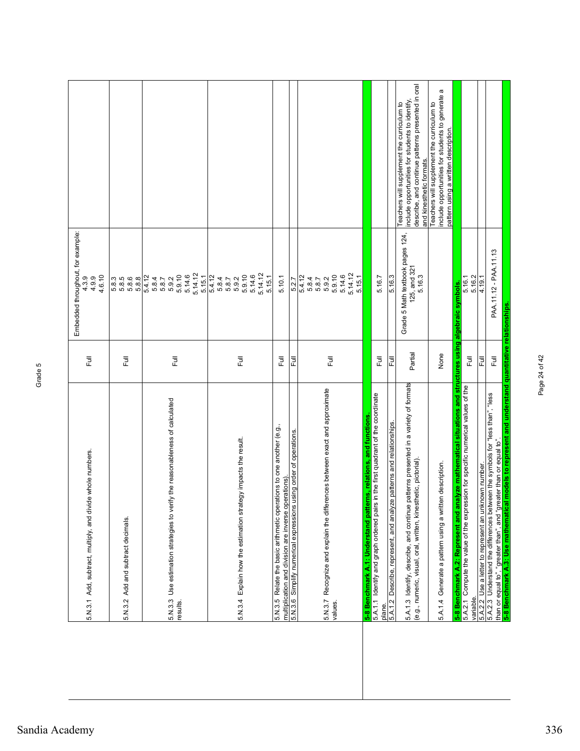| 5.N.3.1 Add, subtract, multiply, and divide whole numbers.                                                                                                |                  | Embedded throughout, for example:<br>4.6.10<br>4.3.9<br>4.9.9              |                                                                                                                                                                               |
|-----------------------------------------------------------------------------------------------------------------------------------------------------------|------------------|----------------------------------------------------------------------------|-------------------------------------------------------------------------------------------------------------------------------------------------------------------------------|
| 5.N.3.2 Add and subtract decimals.                                                                                                                        | 虛                | 5.8.5<br>5.8.5<br>5.8.6<br>5.8.8                                           |                                                                                                                                                                               |
| 5.N.3.3 Use estimation strategies to verify the reasonableness of calculated<br>results.                                                                  | Ē                | 5.14.12<br>5.9.10<br>5.14.6<br>5.15.1<br>5.4.12<br>5.8.7<br>5.8.7<br>5.9.2 |                                                                                                                                                                               |
| 5.N.3.4 Explain how the estimation strategy impacts the result.                                                                                           | Ē                | 5.14.12<br>5.9.10<br>5.4.12<br>5.14.6<br>5.15.1<br>5.8.7<br>5.8.7<br>5.9.2 |                                                                                                                                                                               |
| 5.N.3.5 Relate the basic arithmetic operations to one another (e.g.<br>multiplication and division are inverse operations)                                | 卮                | 5.10.1                                                                     |                                                                                                                                                                               |
| 5.N.3.6 Simplify numerical expressions using order of operations                                                                                          | 쿤                | 5.27                                                                       |                                                                                                                                                                               |
| 5.N.3.7 Recognize and explain the differences between exact and approximate<br>values                                                                     | Ē                | 5.14.12<br>5.9.10<br>5.14.6<br>5.15.1<br>5.4.12<br>5.9.2<br>5.8.4<br>5.8.7 |                                                                                                                                                                               |
| functions<br>rns, relations, and<br>.1: Understand patte<br>∢<br>5-8 Benchmark                                                                            |                  |                                                                            |                                                                                                                                                                               |
| 5.A.1.1 I dentify and graph ordered pairs in the first quadrant of the coordinate<br>plane                                                                | ラ<br>L           | 5.16.7                                                                     |                                                                                                                                                                               |
| 5.A.1.2 Describe, represent, and analyze patterns and relationships.                                                                                      | 危                | 5.16.3                                                                     |                                                                                                                                                                               |
| patterns presented in a variety of formats<br>(e.g., numeric, visual, oral, written, kinesthetic, pictorial).<br>5.A.1.3 Identify, describe, and continue | Partial          | Grade 5 Math textbook pages 124,<br>125, and 321<br>5.16.3                 | describe, and continue patterns presented in oral<br>include opportunities for students to identify<br>Teachers will supplement the curriculum to<br>and kinesthetic formats. |
| 5.A.1.4 Generate a pattern using a written description.                                                                                                   | None             |                                                                            | a<br>include opportunities for students to generate<br>Teachers will supplement the curriculum to<br>pattern using a written description.                                     |
| 5-8 Benchmark A.2: Represent and analyze mathematical situations and structures using algebraic symbols.                                                  |                  |                                                                            |                                                                                                                                                                               |
| 5.A.2.1 Compute the value of the expression for specific numerical values of the<br>variable                                                              | Ē                | 5.16.1<br>5.16.2                                                           |                                                                                                                                                                               |
| 5.A.2.2 Use a letter to represent an unknown number.                                                                                                      | Full             | 4.19.1                                                                     |                                                                                                                                                                               |
| 5.A.2.3 Understand the differences between the symbols for "less than", "less<br>than or equal to", "greater than", and "greater than or equal to".       | $\overline{\Xi}$ | PAA.11.12 - PAA.11.13                                                      |                                                                                                                                                                               |
| 5-8 Benchmark A.3: Use mathematical models to represent and understand quantitative relationships                                                         |                  |                                                                            |                                                                                                                                                                               |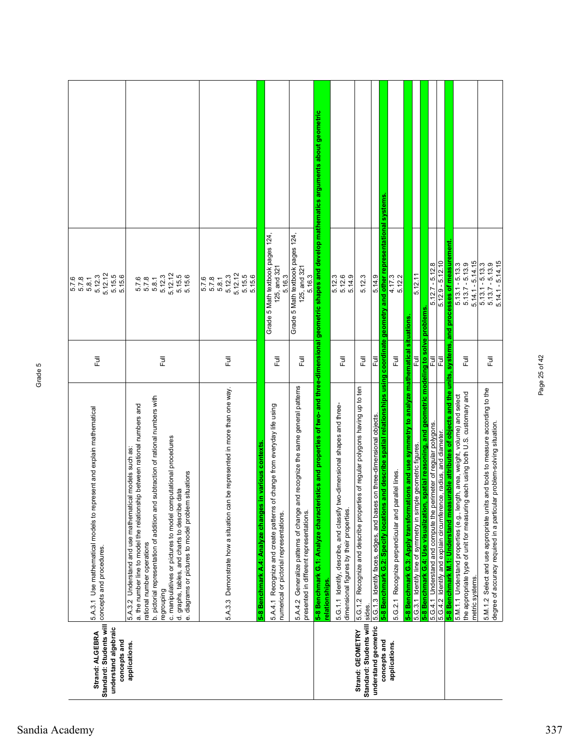| Standard: Students will<br>understand algebraic<br>Strand: ALGEBRA<br>concepts and | 5.A.3.1 Use mathematical models to represent and explain mathematical<br>concepts and procedures.                                                                                                                                                                                                                                                                                                                                                                | $\overline{\Xi}$ | 5.12.12<br>5.15.5<br>5.15.6<br>5.12.3<br>6.8<br>5.7.8.1<br>6.1.9.1                       |  |
|------------------------------------------------------------------------------------|------------------------------------------------------------------------------------------------------------------------------------------------------------------------------------------------------------------------------------------------------------------------------------------------------------------------------------------------------------------------------------------------------------------------------------------------------------------|------------------|------------------------------------------------------------------------------------------|--|
| applications.                                                                      | subtraction of rational numbers with<br>a. the number line to model the relationship between rational numbers and<br>c. manipulatives or pictures to model computational procedures<br>5.A.3.2 Understand and use mathematical models such as<br><b>n</b> situations<br>data<br>b. pictorial representation of addition and<br>d. graphs, tables, and charts to describe<br>e. diagrams or pictures to model problem<br>rational number operations<br>regrouping | $\overline{\Xi}$ | 5.12.3<br>5.12.12<br>5.15.5<br>5.15.6<br>5.7.8<br>5.7.8<br>5.8.1                         |  |
|                                                                                    | n be represented in more than one way.<br>5.A.3.3 Demonstrate how a situation car                                                                                                                                                                                                                                                                                                                                                                                | Full             | 5.12.12<br>5.15.5<br>5.15.6<br>5.12.3<br>5.7.8<br>5.7.8<br>5.8.1                         |  |
|                                                                                    | 5.A.4.1 Recognize and create patterns of change from everyday life using<br>in various contexts<br>5-8 Benchmark A.4: Analyze changes<br>numerical or pictorial representations.                                                                                                                                                                                                                                                                                 | 巨                | Grade 5 Math textbook pages 124,<br>125, and 321<br>5.16.3                               |  |
|                                                                                    | 5.A.4.2 Generalize patterns of change and recognize the same general patterns<br>presented in different representations.                                                                                                                                                                                                                                                                                                                                         | 巨                | Grade 5 Math textbook pages 124,<br>125, and 321<br>5.16.3                               |  |
|                                                                                    | ristics and properties of two- and three-dimensional geometric shapes and develop mathematics arguments about geometric<br>5-8 Benchmark G.1: Analyze character<br>relationships.                                                                                                                                                                                                                                                                                |                  |                                                                                          |  |
|                                                                                    | 5.G.1.1 Identify, describe, and classify two-dimensional shapes and three-<br>dimensional figures by their properties.                                                                                                                                                                                                                                                                                                                                           | Full             | 5.12.6<br>5.14.9<br>5.12.3                                                               |  |
| Standard: Students will<br>Strand: GEOMETRY                                        | ies of regular polygons having up to ten<br>5.G.1.2 Recognize and describe propert<br>sides.                                                                                                                                                                                                                                                                                                                                                                     | $\overline{a}$   | 5.12.3                                                                                   |  |
| understand geometric<br>concepts and                                               | and describe spatial relationships using coordinate geometry<br>5.G.1.3 Identify faces, edges, and bases on three-dimensional objects.<br>5-8 Benchmark G.2: Specify locations                                                                                                                                                                                                                                                                                   | Full             | and other representational systems<br>5.14.9                                             |  |
| applications.                                                                      | 5.G.2.1 Recognize perpendicular and parallel lines.                                                                                                                                                                                                                                                                                                                                                                                                              | Full             | 4.17.3<br>5.12.2                                                                         |  |
|                                                                                    | 5-8 Benchmark G.3: Apply transformations and use symmetry to analyze mathematical situations<br>5.G.3.1 Identify line of symmetry in simple geometric figures.                                                                                                                                                                                                                                                                                                   | 쿤                | 5.12.11                                                                                  |  |
|                                                                                    | 5-8 Benchmark G.4: Use visualization, spatial reasoning, and geometric modeling to solve problems                                                                                                                                                                                                                                                                                                                                                                |                  |                                                                                          |  |
|                                                                                    | 5.G.4.1 Understand and compute the perimeter of regular polygons.                                                                                                                                                                                                                                                                                                                                                                                                | 쿤                | $5.12.7 - 5.12.8$                                                                        |  |
|                                                                                    | 5.G.4.2 Identify and explain circumference, radius, and diameter                                                                                                                                                                                                                                                                                                                                                                                                 | Ē                | $5.12.9 - 5.12.10$                                                                       |  |
|                                                                                    | 5-8 Benchmark M.1: Understand measurable attributes of objects and the units, systems, and<br>the appropriate type of unit for measuring each using both U.S. customary and<br>5.M.1.1 Understand properties (e.g., length, area, weight, volume) and select<br>metric systems.                                                                                                                                                                                  | Full             | processes of measurement<br>$5.14.1 - 5.14.15$<br>$5.13.1 - 5.13.3$<br>$5.13.7 - 5.13.9$ |  |
|                                                                                    | 5.M.1.2 Select and use appropriate units and tools to measure according to the<br>degree of accuracy required in a particular problem-solving situation.                                                                                                                                                                                                                                                                                                         | Full             | $5.14.1 - 5.14.15$<br>$5.13.1 - 5.13.3$<br>$5.13.7 - 5.13.9$                             |  |

Page 25 of 42

Page 25 of 42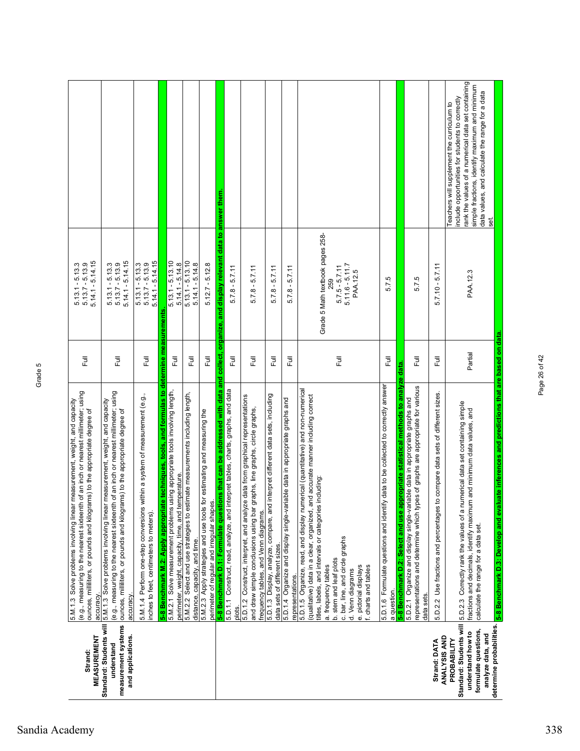| <b>MEASUREMENT</b><br>Strand:                                                                                                        | (e.g., measuring to the nearest sixteenth of an inch or nearest millimeter; using<br>5.M.1.3 Solve problems involving linear measurement, weight, and capacity<br>ounces, milliliters, or pounds and kilograms) to the appropriate degree of<br>accuracy                                      | 巨       | $5.14.1 - 5.14.15$<br>$5.13.7 - 5.13.9$<br>$5.13.1 - 5.13.3$ |                                                                                                                                                                                                                                                                  |
|--------------------------------------------------------------------------------------------------------------------------------------|-----------------------------------------------------------------------------------------------------------------------------------------------------------------------------------------------------------------------------------------------------------------------------------------------|---------|--------------------------------------------------------------|------------------------------------------------------------------------------------------------------------------------------------------------------------------------------------------------------------------------------------------------------------------|
| Standard: Students will<br>measurement systems<br>and applications.<br>understand                                                    | of an inch or nearest millimeter; using<br>measurement, weight, and capacity<br>ounces, milliliters, or pounds and kilograms) to the appropriate degree of<br>5.M.1.3 Solve problems involving linear<br>(e.g., measuring to the nearest sixteenth<br>accuracy.                               | 巨       | $5.14.1 - 5.14.15$<br>$5.13.1 - 5.13.3$<br>$5.13.7 - 5.13.9$ |                                                                                                                                                                                                                                                                  |
|                                                                                                                                      | 5.M.1.4 Perform one-step conversions within a system of measurement (e.g.,<br>inches to feet, centimeters to meters).                                                                                                                                                                         | ラ<br>L  | $5.14.1 - 5.14.15$<br>$5.13.1 - 5.13.3$<br>$5.13.7 - 5.13.9$ |                                                                                                                                                                                                                                                                  |
|                                                                                                                                      | 5-8 Benchmark M.2: Apply appropriate techniques, tools, and formulas to determine measurements<br>5.M.2.1 Solve measurement problems using appropriate tools involving length,                                                                                                                | Ē       | $5.13.1 - 5.13.10$                                           |                                                                                                                                                                                                                                                                  |
|                                                                                                                                      | timate measurements including length,<br>perimeter, weight, capacity, time, and temperature.<br>5.M.2.2 Select and use strategies to est<br>distance, capacity, and time.                                                                                                                     | Ē       | $5.13.1 - 5.13.10$<br>$5.14.1 - 5.14.8$<br>$5.14.1 - 5.14.8$ |                                                                                                                                                                                                                                                                  |
|                                                                                                                                      | 5.M.2.3 Apply strategies and use tools for estimating and measuring the<br>perimeter of regular and irregular shapes                                                                                                                                                                          | 卮       | $5.12.7 - 5.12.8$                                            |                                                                                                                                                                                                                                                                  |
|                                                                                                                                      | ons that can be addressed with data and collect, organize, and display relevant data to answer them<br>5.D.1.1 Construct, read, analyze, and interpret tables, charts, graphs, and data<br>5-8 Benchmark D.1: Formulate questi                                                                |         |                                                              |                                                                                                                                                                                                                                                                  |
|                                                                                                                                      | plots.                                                                                                                                                                                                                                                                                        | 豆       | $5.7.8 - 5.7.11$                                             |                                                                                                                                                                                                                                                                  |
|                                                                                                                                      | 5.D.1.2 Construct, interpret, and analyze data from graphical representations<br>and draw simple conclusions using bar graphs, line graphs, circle graphs,<br>frequency tables, and Venn diagrams.                                                                                            | こ<br>こ  | $5.7.8 - 5.7.11$                                             |                                                                                                                                                                                                                                                                  |
|                                                                                                                                      | interpret different data sets, including<br>5.D.1.3 Display, analyze, compare, and<br>data sets of different sizes.                                                                                                                                                                           | 巨       | $-5.7.11$<br>5.7.8                                           |                                                                                                                                                                                                                                                                  |
|                                                                                                                                      | 5.D.1.4 Organize and display single-variable data in appropriate graphs and<br>representations.                                                                                                                                                                                               | 卮       | $5.7.8 - 5.7.11$                                             |                                                                                                                                                                                                                                                                  |
|                                                                                                                                      | 5.D.1.5 Organize, read, and display numerical (quantitative) and non-numerical<br>(qualitative) data in a clear, organized, and accurate manner including correct<br>including:<br>titles, labels, and intervals or categories<br>a. frequency tables                                         |         | Grade 5 Math textbook pages 258-<br>259                      |                                                                                                                                                                                                                                                                  |
|                                                                                                                                      | c. bar, line, and circle graphs<br>b. stem and leaf plots<br>f. charts and tables<br>e. pictorial displays<br>d. Venn diagrams                                                                                                                                                                | Ē       | $5.11.6 - 5.11.7$<br>$5.7.5 - 5.7.11$<br>PAA.12.5            |                                                                                                                                                                                                                                                                  |
|                                                                                                                                      | opropriate statistical methods to analyze data.<br>5.D.1.6 Formulate questions and identify data to be collected to correctly answer<br>5-8 Benchmark D.2: Select and use ap<br>a question.                                                                                                   | Full    | 5.7.5                                                        |                                                                                                                                                                                                                                                                  |
|                                                                                                                                      | representations and determine which types of graphs are appropriate for various<br>5.D.2.1 Organize and display single-variable data in appropriate graphs and<br>data sets                                                                                                                   | Ē       | 5.7.5                                                        |                                                                                                                                                                                                                                                                  |
| ANALYSIS AND<br>Strand: DATA                                                                                                         | to compare data sets of different sizes.<br>Use fractions and percentages t<br>5.D.2.2                                                                                                                                                                                                        | Full    | $5.7.10 - 5.7.11$                                            |                                                                                                                                                                                                                                                                  |
| determine probabilities.<br>Standard: Students will<br>formulate questions,<br>understand how to<br>analyze data, and<br>PROBABILITY | luate inferences and predictions that are based on data<br>5.D.2.3 Correctly rank the values of a numerical data set containing simple<br>fractions and decimals, identify maximum and minimum data values, and<br>5-8 Benchmark D.3: Develop and eval<br>calculate the range for a data set. | Partial | PAA.12.3                                                     | rank the values of a numerical data set containing<br>simple fractions, identify maximum and minimum<br>data values, and calculate the range for a data<br>include opportunities for students to correctly<br>Teachers will supplement the curriculum to<br>set. |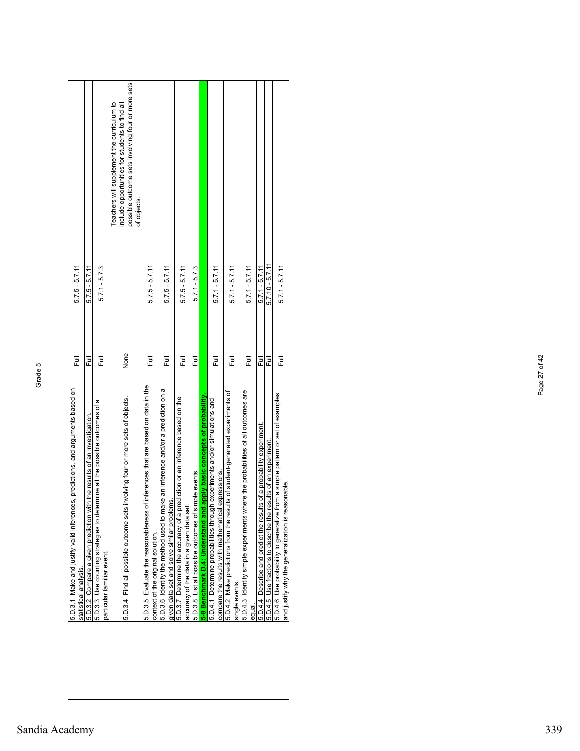| 5.D.3.1 Make and justify valid inferences, predictions, and arguments based on<br>statistical analysis.                                | 卮      | $5.7.5 - 5.7.11$  |                                                                                                                                                                |
|----------------------------------------------------------------------------------------------------------------------------------------|--------|-------------------|----------------------------------------------------------------------------------------------------------------------------------------------------------------|
|                                                                                                                                        |        |                   |                                                                                                                                                                |
| h the results of an investigation.<br>5.D.3.2 Compare a given prediction with                                                          | 쿤      | $5.7.5 - 5.7.11$  |                                                                                                                                                                |
| 5.D.3.3 Use counting strategies to determine all the possible outcomes of a<br>particular familiar event.                              | 쿤      | $5.7.1 - 5.7.3$   |                                                                                                                                                                |
| involving four or more sets of objects.<br>5.D.3.4 Find all possible outcome sets                                                      | None   |                   | possible outcome sets involving four or more sets<br>eachers will supplement the curriculum to<br>nclude opportunities for students to find all<br>of objects. |
| 5.D.3.5 Evaluate the reasonableness of inferences that are based on data in the<br>context of the original solution.                   | 卮      | $5.7.5 - 5.7.11$  |                                                                                                                                                                |
| 5.D.3.6 Identify the method used to make an inference and/or a prediction on a<br>given data set and solve similar problems.           | 豆      | $5.7.5 - 5.7.11$  |                                                                                                                                                                |
| ediction or an inference based on the<br>5.D.3.7 Determine the accuracy of a pr<br>accuracy of the data in a given data set            | ラ<br>L | $5.7.5 - 5.7.11$  |                                                                                                                                                                |
| mple events.<br>5.D.3.8 List all possible outcomes of si-                                                                              | 쿤      | $5.7.1 - 5.7.3$   |                                                                                                                                                                |
| apply basic concepts of probability<br>5-8 Benchmark D.4: Understand and                                                               |        |                   |                                                                                                                                                                |
| experiments and/or simulations and<br>expressions.<br>5.D.4.1 Determine probabilities through<br>compare the results with mathematical | 쿤      | $5.7.1 - 5.7.11$  |                                                                                                                                                                |
| Its of student-generated experiments of<br>5.D.4.2 Make predictions from the resu<br>single events.                                    | Ē      | $5.7.1 - 5.7.11$  |                                                                                                                                                                |
| 5.D.4.3 Identify simple experiments where the probabilities of all outcomes are<br>eaua                                                | Ē      | $5.7.1 - 5.7.11$  |                                                                                                                                                                |
| 5.D.4.4 Describe and predict the results of a probability experiment.                                                                  | 쿤      | $5.7.1 - 5.7.11$  |                                                                                                                                                                |
| 5.D.4.5 Use fractions to describe the results of an experiment                                                                         | 큲      | $5.7.10 - 5.7.11$ |                                                                                                                                                                |
| 5.D.4.6 Use probability to generalize from a simple pattern or set of examples<br>and justify why the generalization is reasonable.    | 큔      | $5.7.1 - 5.7.11$  |                                                                                                                                                                |

Page 27 of 42

Page 27 of 42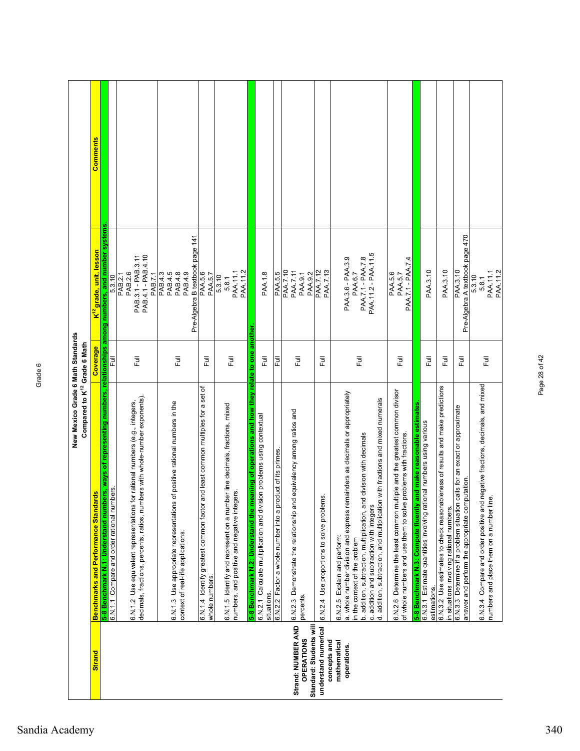|                                                                    | New Mexico Grade 6 Math Standards<br>Compared to K <sup>12</sup> Grade 6 Math                                                                                                                                                                                                                                                                                         |          |                                                                             |                 |
|--------------------------------------------------------------------|-----------------------------------------------------------------------------------------------------------------------------------------------------------------------------------------------------------------------------------------------------------------------------------------------------------------------------------------------------------------------|----------|-----------------------------------------------------------------------------|-----------------|
| <b>Strand</b>                                                      | <b>Benchmarks and Performance Standards</b>                                                                                                                                                                                                                                                                                                                           | Coverage | K <sup>''∠</sup> grade, unit, lesson                                        | <b>Comments</b> |
|                                                                    | 5-8 Benchmark N.1: Understand numbers, ways of representing numbers, relationships among numbers, and number systems                                                                                                                                                                                                                                                  |          |                                                                             |                 |
|                                                                    | 6.N.1.1 Compare and order rational numbers.                                                                                                                                                                                                                                                                                                                           | 쿤        | 5.3.10                                                                      |                 |
|                                                                    | decimals, fractions, percents, ratios, numbers with whole-number exponents).<br>6.N.1.2 Use equivalent representations for rational numbers (e.g., integers,                                                                                                                                                                                                          | Ē        | PAB.4.1 - PAB.4.10<br>PAB.3.1 - PAB.3.11<br>PAB.7.1<br>PAB.2.6<br>PAB.2.1   |                 |
|                                                                    | 6.N.1.3 Use appropriate representations of positive rational numbers in the<br>context of real-life applications.                                                                                                                                                                                                                                                     | 昆        | Pre-Algebra B textbook page 141<br>PAB.4.5<br>PAB.4.3<br>PAB.4.8<br>PAB.4.9 |                 |
|                                                                    | and least common multiples for a set of<br>6.N.1.4 Identify greatest common factor<br>whole numbers.                                                                                                                                                                                                                                                                  | 巨        | PAA.5.6<br>PAA.5.7                                                          |                 |
|                                                                    | 6.N.1.5 Identify and represent on a number line decimals, fractions, mixed<br>numbers, and positive and negative integers.                                                                                                                                                                                                                                            | 巨        | PAA.11.2<br>PAA.11.1<br>5.3.10<br>5.8.1                                     |                 |
|                                                                    | 5-8 Benchmark N.2: Understand the meaning of operations and how they relate to one another                                                                                                                                                                                                                                                                            |          |                                                                             |                 |
|                                                                    | 6.N.2.1 Calculate multiplication and division problems using contextual<br>situations.                                                                                                                                                                                                                                                                                | 巨        | <b>PAA.1.8</b>                                                              |                 |
|                                                                    | 6.N.2.2 Factor a whole number into a product of its primes.                                                                                                                                                                                                                                                                                                           | Ē        | PAA.5.5                                                                     |                 |
| Strand: NUMBER AND<br>Standard: Students will<br><b>OPERATIONS</b> | 6.N.2.3 Demonstrate the relationship and equivalency among ratios and<br>percents.                                                                                                                                                                                                                                                                                    | Full     | PAA.7.10<br>PAA.7.11<br>PAA.9.1<br>PAA.9.2                                  |                 |
| understand numerical<br>concepts and                               | 6.N.2.4 Use proportions to solve problems.                                                                                                                                                                                                                                                                                                                            | 卮        | PAA.7.12<br><b>PAA.7.13</b>                                                 |                 |
| mathematical<br>operations.                                        | a. whole number division and express remainders as decimals or appropriately<br>addition, subtraction, and multiplication with fractions and mixed numerals<br>b. addition, subtraction, multiplication, and division with decimals<br>addition and subtraction with integers<br>6.N.2.5 Explain and perform:<br>in the context of the problem<br>$\ddot{\circ}$<br>ಕ | 巨        | PAA.11.2 - PAA.11.5<br>PAA.7.1 - PAA.7.8<br>PAA.3.6 - PAA.3.9<br>PAA.6.7    |                 |
|                                                                    | 6.N.2.6 Determine the least common multiple and the greatest common divisor<br>of whole numbers and use them to solve problems with fractions.                                                                                                                                                                                                                        | 巨        | PAA.7.1 - PAA.7.4<br><b>PAA.5.6</b><br>PAA.5.7                              |                 |
|                                                                    | <mark>5-8 Benchmark N.3: Compute fluently and make reasonable estimates</mark><br>6.N.3.1 Estimate quantities involving rational numbers using various                                                                                                                                                                                                                |          |                                                                             |                 |
|                                                                    | estimations.                                                                                                                                                                                                                                                                                                                                                          | Full     | PAA.3.10                                                                    |                 |
|                                                                    | 6.N.3.2 Use estimates to check reasonableness of results and make predictions<br>in situations involving rational numbers.                                                                                                                                                                                                                                            | 昆        | PAA.3.10                                                                    |                 |
|                                                                    | calls for an exact or approximate<br>answer and perform the appropriate computation.<br>6.N.3.3 Determine if a problem situation                                                                                                                                                                                                                                      | 巨        | Pre-Algebra A textbook page 470<br>PAA.3.10                                 |                 |
|                                                                    | 6.N.3.4 Compare and order positive and negative fractions, decimals, and mixed<br>numbers and place them on a number line.                                                                                                                                                                                                                                            | Ē        | PAA.11.1<br>PAA.11.2<br>5.3.10<br>5.8.1                                     |                 |

Page 28 of 42

Page 28 of 42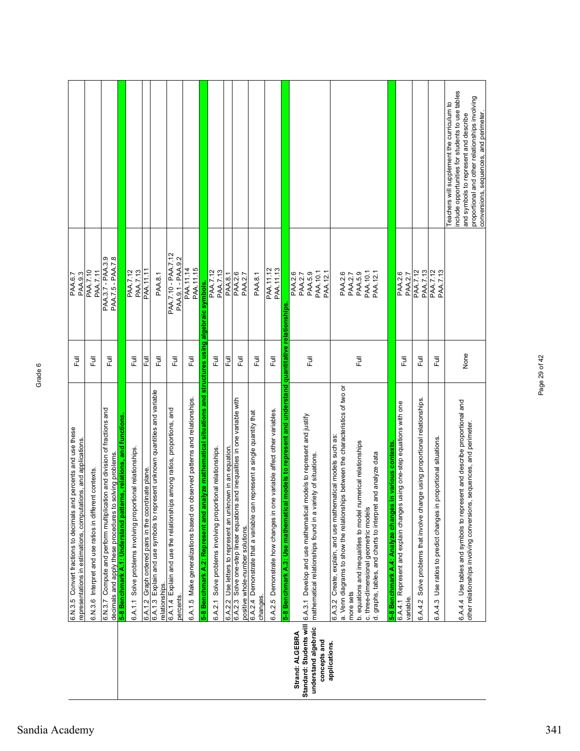|                                                                                                                                    |                                                         |                                                                                                                                      |                                                                  |                                                             |                                                      |                                                                                                |                                                                                       |                                                                               |                                                                                                               |                                                             |                                                            |                                                                                                                      |                                                                                         |                                                                         |                                                                                                       |                                                                                                                                         |                                                                                                                                                            |           |                                                                |                                       |                                                                |                                                           |                                                                                         |                                                                                 |                                                                         | Teachers will supplement the curriculum to | nclude opportunities for students to use tables                           | and symbols to represent and describe                                | proportional and other relationships involving<br>conversions, sequences, and perimeter. |
|------------------------------------------------------------------------------------------------------------------------------------|---------------------------------------------------------|--------------------------------------------------------------------------------------------------------------------------------------|------------------------------------------------------------------|-------------------------------------------------------------|------------------------------------------------------|------------------------------------------------------------------------------------------------|---------------------------------------------------------------------------------------|-------------------------------------------------------------------------------|---------------------------------------------------------------------------------------------------------------|-------------------------------------------------------------|------------------------------------------------------------|----------------------------------------------------------------------------------------------------------------------|-----------------------------------------------------------------------------------------|-------------------------------------------------------------------------|-------------------------------------------------------------------------------------------------------|-----------------------------------------------------------------------------------------------------------------------------------------|------------------------------------------------------------------------------------------------------------------------------------------------------------|-----------|----------------------------------------------------------------|---------------------------------------|----------------------------------------------------------------|-----------------------------------------------------------|-----------------------------------------------------------------------------------------|---------------------------------------------------------------------------------|-------------------------------------------------------------------------|--------------------------------------------|---------------------------------------------------------------------------|----------------------------------------------------------------------|------------------------------------------------------------------------------------------|
| PAA.6.7<br>PAA.9.3                                                                                                                 | PAA.7.10<br><b>PAA.7.11</b>                             | PAA.7.5 - PAA.7.8<br>PAA.3.7 - PAA.3.9                                                                                               |                                                                  | <b>PAA.7.13</b><br>PAA.7.12                                 | PAA.11.11                                            | PAA.8.1                                                                                        | PAA.7.10 - PAA.7.12<br>PAA.9.1 - PAA.9.2                                              | PAA.11.14<br>PAA.11.15                                                        |                                                                                                               | <b>PAA.7.12</b><br><b>PAA.7.13</b>                          | PAA.8.1                                                    | PAA.2.6<br>PAA.2.7                                                                                                   | PAA.8.1                                                                                 | PAA.11.12<br>PAA.11.13                                                  |                                                                                                       | PAA.10.1<br>PAA.5.9<br>PAA.12.1<br>PAA.2.6<br><b>PAA.2.7</b>                                                                            | PAA.2.6                                                                                                                                                    | PAA.2.7   | PAA.5.9                                                        | PAA.10.1                              | PAA.12.1                                                       |                                                           | PAA.2.6<br><b>PAA.2.7</b>                                                               | PAA.7.12<br><b>PAA.7.13</b>                                                     | PAA.7.12<br>PAA.7.13                                                    |                                            |                                                                           |                                                                      |                                                                                          |
| 巨                                                                                                                                  | 巨                                                       | 巨                                                                                                                                    |                                                                  | Full                                                        | 쿤                                                    | Full                                                                                           | Ē                                                                                     | Ē                                                                             |                                                                                                               | 巨                                                           | Ē                                                          | こ<br>こ                                                                                                               | Full                                                                                    | 昆                                                                       |                                                                                                       | Full                                                                                                                                    |                                                                                                                                                            |           | Full                                                           |                                       |                                                                |                                                           | こ<br>こ                                                                                  | Full                                                                            | 昆                                                                       |                                            |                                                                           | None                                                                 |                                                                                          |
| 6.N.3.5 Convert fractions to decimals and percents and use these<br>representations in estimations, computations, and applications | 6.N.3.6 Interpret and use ratios in different contexts. | 6.N.3.7 Compute and perform multiplication and division of fractions and<br>decimals and apply these procedures to solving problems. | 5-8 Benchmark A.1: Understand patterns, relations, and functions | 6.A.1.1 Solve problems involving proportional relationships | 6.A.1.2 Graph ordered pairs in the coordinate plane. | 6.A.1.3 Explain and use symbols to represent unknown quantities and variable<br>relationships. | 6.A.1.4 Explain and use the relationships among ratios, proportions, and<br>percents. | observed patterns and relationships.<br>6.A.1.5 Make generalizations based on | nalyze mathematical situations and structures using algebraic symbols.<br>5-8 Benchmark A.2: Represent and ar | 6.A.2.1 Solve problems involving proportional relationships | 6.A.2.2 Use letters to represent an unknown in an equation | and inequalities in one variable with<br>6.A.2.3 Solve one-step linear equations<br>positive whole-number solutions. | represent a single quantity that<br>6.A.2.4 Demonstrate that a variable can<br>changes. | 6.A.2.5 Demonstrate how changes in one variable affect other variables. | I models to represent and understand quantitative relationships<br>5-8 Benchmark A.3: Use mathematica | models to represent and justify<br>mathematical relationships found in a variety of situations.<br>6.A.3.1 Develop and use mathematical | ips between the characteristics of two or<br>matical models such as:<br>a. Venn diagrams to show the relationsh<br>6.A.3.2 Create, explain, and use mather | more sets | b. equations and inequalities to model numerical relationships | c. three-dimensional geometric models | and analyze data<br>d. graphs, tables, and charts to interpret | in various contexts<br>5-8 Benchmark A.4: Analyze changes | using one-step equations with one<br>6.A.4.1 Represent and explain changes<br>variable. | Solve problems that involve change using proportional relationships.<br>6.A.4.2 | proportional situations.<br>Use ratios to predict changes in<br>6.A.4.3 |                                            | 6.A.4.4 Use tables and symbols to represent and describe proportional and | other relationships involving conversions, sequences, and perimeter. |                                                                                          |
|                                                                                                                                    |                                                         |                                                                                                                                      |                                                                  |                                                             |                                                      |                                                                                                |                                                                                       |                                                                               |                                                                                                               |                                                             |                                                            |                                                                                                                      |                                                                                         |                                                                         |                                                                                                       | Standard: Students will<br>understand algebraic<br>Strand: ALGEBRA<br>concepts and                                                      | applications.                                                                                                                                              |           |                                                                |                                       |                                                                |                                                           |                                                                                         |                                                                                 |                                                                         |                                            |                                                                           |                                                                      |                                                                                          |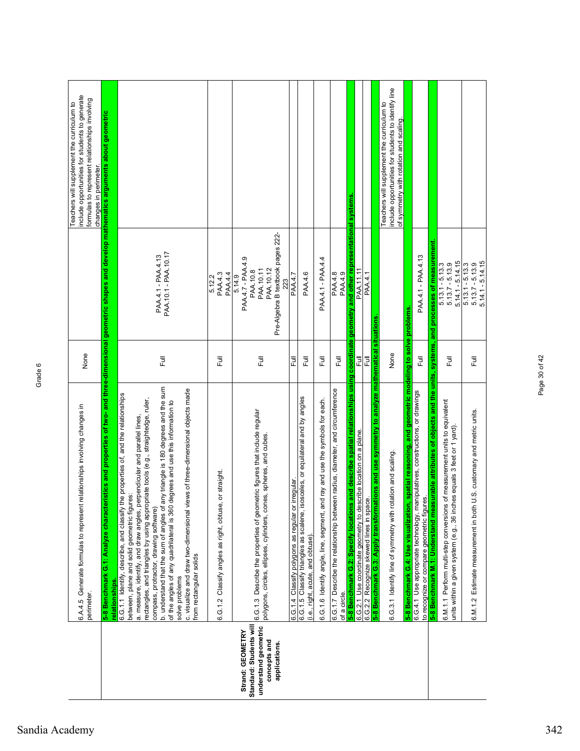|                                                                                                      | relationships involving changes in<br>6.A.4.5 Generate formulas to represen<br>perimeter.                                                                                                                                                                                                                                                                                                                                                                                                                                                                                                                                                                         | None       |                                                                                                               | include opportunities for students to generate<br>formulas to represent relationships involving<br>Teachers will supplement the curriculum to<br>changes in perimeter |
|------------------------------------------------------------------------------------------------------|-------------------------------------------------------------------------------------------------------------------------------------------------------------------------------------------------------------------------------------------------------------------------------------------------------------------------------------------------------------------------------------------------------------------------------------------------------------------------------------------------------------------------------------------------------------------------------------------------------------------------------------------------------------------|------------|---------------------------------------------------------------------------------------------------------------|-----------------------------------------------------------------------------------------------------------------------------------------------------------------------|
|                                                                                                      | 5-8 Benchmark G.1: Analyze characteristics and properties of two- and three-dimensional geometric shapes and develop mathematics arguments about geometric<br>relationships.                                                                                                                                                                                                                                                                                                                                                                                                                                                                                      |            |                                                                                                               |                                                                                                                                                                       |
|                                                                                                      | any triangle is 180 degrees and the sum<br>c. visualize and draw two-dimensional views of three-dimensional objects made<br>the properties of, and the relationships<br>rectangles, and triangles by using appropriate tools (e.g., straightedge, ruler,<br>degrees and use this information to<br>a. measure, identify, and draw angles, perpendicular and parallel lines,<br><b>ures:</b><br>between, plane and solid geometric figu<br>b. understand that the sum of angles of<br>of the angles of any quadrilateral is 360<br>compass, protractor, drawing software)<br>6.G.1.1 Identify, describe, and classify<br>from rectangular solids<br>solve problems | Ē          | PAA.10.1 - PAA.10.17<br>PAA.4.1 - PAA.4.13                                                                    |                                                                                                                                                                       |
|                                                                                                      | Classify angles as right, obtuse, or straight.<br>6.G.1.2                                                                                                                                                                                                                                                                                                                                                                                                                                                                                                                                                                                                         | 巨          | PAA.4.3<br><b>PAA.4.4</b><br>5.12.2                                                                           |                                                                                                                                                                       |
| Standard: Students will<br>understand geometric<br>Strand: GEOMETRY<br>concepts and<br>applications. | 6.G.1.3 Describe the properties of geometric figures that include regular<br>polygons, circles, ellipses, cylinders, cones, spheres, and cubes.                                                                                                                                                                                                                                                                                                                                                                                                                                                                                                                   | Ē          | Pre-Algebra B textbook pages 222-<br>PAA.4.7 - PAA.4.9<br>PAA.10.12<br>PAA.10.11<br>PAA.10.8<br>5.14.9<br>223 |                                                                                                                                                                       |
|                                                                                                      | irregular<br>6.G.1.4 Classify polygons as regular or                                                                                                                                                                                                                                                                                                                                                                                                                                                                                                                                                                                                              | 쿦          | <b>PAA.4.7</b>                                                                                                |                                                                                                                                                                       |
|                                                                                                      | 6.G.1.5 Classify triangles as scalene, isosceles, or equilateral and by angles<br>(i.e., right, acute, and obtuse).                                                                                                                                                                                                                                                                                                                                                                                                                                                                                                                                               | 卮          | PAA.4.6                                                                                                       |                                                                                                                                                                       |
|                                                                                                      | 6.G.1.6 Identify angle, line, segment, and ray and use the symbols for each.                                                                                                                                                                                                                                                                                                                                                                                                                                                                                                                                                                                      | 卮          | PAA.4.1 - PAA.4.4                                                                                             |                                                                                                                                                                       |
|                                                                                                      | 6.G.1.7 Describe the relationship between radius, diameter, and circumference<br>of a circle.                                                                                                                                                                                                                                                                                                                                                                                                                                                                                                                                                                     | 巨          | PAA.4.9<br><b>PAA.4.8</b>                                                                                     |                                                                                                                                                                       |
|                                                                                                      | 5-8 Benchmark G.2: Specify locations and describe spatial relationships using                                                                                                                                                                                                                                                                                                                                                                                                                                                                                                                                                                                     | coordinate | and other representational systems<br>geometry                                                                |                                                                                                                                                                       |
|                                                                                                      | 6.G.2.1 Use coordinate geometry to describe location on a plane.<br>6.G.2.2 Recognize skewed lines in space.                                                                                                                                                                                                                                                                                                                                                                                                                                                                                                                                                      | 쿤<br>Ē     | PAA.11.11<br><b>PAA.4.1</b>                                                                                   |                                                                                                                                                                       |
|                                                                                                      | 5-8 Benchmark G.3: Apply transformations and use symmetry to analyze mathematical situations                                                                                                                                                                                                                                                                                                                                                                                                                                                                                                                                                                      |            |                                                                                                               |                                                                                                                                                                       |
|                                                                                                      | 6.G.3.1 Identify line of symmetry with rotation and scaling                                                                                                                                                                                                                                                                                                                                                                                                                                                                                                                                                                                                       | None       |                                                                                                               | include opportunities for students to identify line<br>Teachers will supplement the curriculum to<br>of symmetry with rotation and scaling.                           |
|                                                                                                      | 5-8 Benchmark G.4: Use visualization, spatial reasoning, and geometric modeling to solve problems                                                                                                                                                                                                                                                                                                                                                                                                                                                                                                                                                                 |            |                                                                                                               |                                                                                                                                                                       |
|                                                                                                      | 6.G.4.1 Use appropriate technology, manipulatives, constructions, or drawings<br>to recognize or compare geometric figures.                                                                                                                                                                                                                                                                                                                                                                                                                                                                                                                                       | 巨          | PAA.4.1 - PAA.4.13                                                                                            |                                                                                                                                                                       |
|                                                                                                      | 5-8 Benchmark M.1: Understand measurable attributes of objects and the units, systems, and processes of measurement.                                                                                                                                                                                                                                                                                                                                                                                                                                                                                                                                              |            |                                                                                                               |                                                                                                                                                                       |
|                                                                                                      | of measurement units to equivalent<br>units within a given system (e.g., 36 inches equals 3 feet or 1 yard).<br>6.M.1.1 Perform multi-step conversions                                                                                                                                                                                                                                                                                                                                                                                                                                                                                                            | 巨山         | $5.14.1 - 5.14.15$<br>$5.13.7 - 5.13.9$<br>$5.13.1 - 5.13.3$                                                  |                                                                                                                                                                       |
|                                                                                                      | U.S. customary and metric units<br>Estimate measurement in both<br>6.M.1.2                                                                                                                                                                                                                                                                                                                                                                                                                                                                                                                                                                                        | Ē          | $5.14.1 - 5.14.15$<br>$5.13.7 - 5.13.9$<br>$5.13.1 - 5.13.3$                                                  |                                                                                                                                                                       |

Page 30 of 42

Page 30 of 42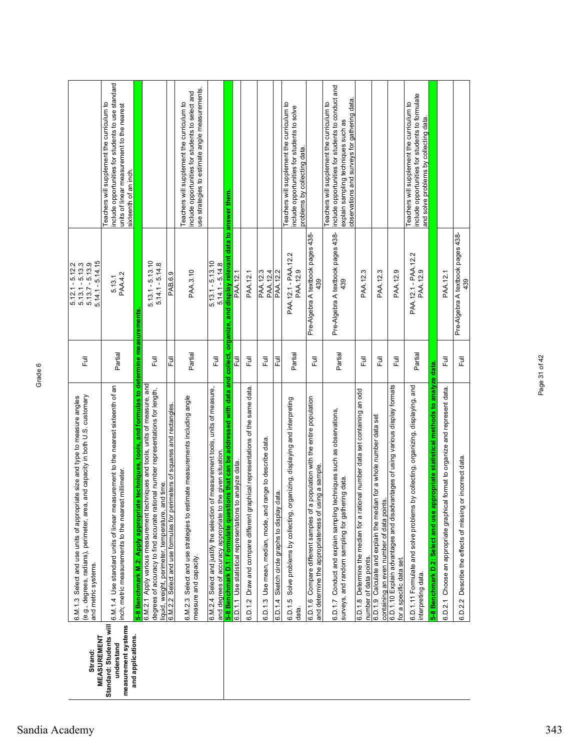| <b>MEASUREMENT</b><br>Strand:                                                     | (e.g., degrees, radians), perimeter, area, and capacity in both U.S. customary<br>6.M.1.3 Select and use units of appropriate size and type to measure angles<br>and metric systems.                                 | $\overline{\overline{z}}$ | $5.14.1 - 5.14.15$<br>$5.12.1 - 5.12.2$<br>$5.13.1 - 5.13.3$<br>$5.13.7 - 5.13.9$ |                                                                                                                                                                                       |
|-----------------------------------------------------------------------------------|----------------------------------------------------------------------------------------------------------------------------------------------------------------------------------------------------------------------|---------------------------|-----------------------------------------------------------------------------------|---------------------------------------------------------------------------------------------------------------------------------------------------------------------------------------|
| measurement systems<br>Standard: Students will<br>and applications.<br>understand | 6.M.1.4 Use standard units of linear measurement to the nearest sixteenth of an<br>st millimeter.<br>nch; metric measurements to the neare                                                                           | Partial                   | PAA.4.2<br>5.13.1                                                                 | include opportunities for students to use standard<br>Teachers will supplement the curriculum to<br>units of linear measurement to the nearest<br>sixteenth of an inch.               |
|                                                                                   | te techniques, tools, and formulas to determine measurements<br>5-8 Benchmark M.2: Apply appropriat                                                                                                                  |                           |                                                                                   |                                                                                                                                                                                       |
|                                                                                   | 6.M.2.1 Apply various measurement techniques and tools, units of measure, and<br>degrees of accuracy to find accurate rational number representations for length,<br>iquid, weight, perimeter, temperature, and time | Full                      | $5.13.1 - 5.13.10$<br>$5.14.1 - 5.14.8$                                           |                                                                                                                                                                                       |
|                                                                                   | 6.M.2.2 Select and use formulas for perimeters of squares and rectangles.                                                                                                                                            | 危                         | PAB.6.9                                                                           |                                                                                                                                                                                       |
|                                                                                   | 6.M.2.3 Select and use strategies to estimate measurements including angle<br>measure and capacity.                                                                                                                  | Partial                   | PAA.3.10                                                                          | use strategies to estimate angle measurements.<br>include opportunities for students to select and<br>Teachers will supplement the curriculum to                                      |
|                                                                                   | of measurement tools, units of measure,<br>the given situation<br>6.M.2.4 Select and justify the selection<br>and degrees of accuracy appropriate to                                                                 | 目                         | $5.13.1 - 5.13.10$<br>$5.14.1 - 5.14.8$                                           |                                                                                                                                                                                       |
|                                                                                   | 5-8 Benchmark D.1: Formulate questions that can be addressed with data and collect, organize, and display relevant data to answer them.                                                                              |                           |                                                                                   |                                                                                                                                                                                       |
|                                                                                   | to analyze data<br>6.D.1.1 Use statistical representations                                                                                                                                                           | 危                         | PAA. 12.1                                                                         |                                                                                                                                                                                       |
|                                                                                   | aphical representations of the same data.<br>Draw and compare different gra<br>6.D.1.2                                                                                                                               | ラ<br>L                    | PAA.12.1                                                                          |                                                                                                                                                                                       |
|                                                                                   | range to describe data.<br>Use mean, median, mode, and<br>6.D.1.3                                                                                                                                                    | Full                      | PAA.12.3<br>PAA.12.4                                                              |                                                                                                                                                                                       |
|                                                                                   | data.<br>Sketch circle graphs to display<br>6.D.1.4                                                                                                                                                                  | 危                         | PAA.12.2                                                                          |                                                                                                                                                                                       |
|                                                                                   | Solve problems by collecting, organizing, displaying and interpreting<br>6.D.1.5<br>data.                                                                                                                            | Partial                   | PAA.12.1 - PAA.12.2<br>PAA.12.9                                                   | Teachers will supplement the curriculum to<br>include opportunities for students to solve<br>problems by collecting data.                                                             |
|                                                                                   | 6.D.1.6 Compare different samples of a population with the entire population<br>and determine the appropriateness of using a sample.                                                                                 | Full                      | Pre-Algebra A textbook pages 438-<br>439                                          |                                                                                                                                                                                       |
|                                                                                   | techniques such as observations,<br>ering data.<br>surveys, and random sampling for gathe<br>6.D.1.7 Conduct and explain sampling                                                                                    | Partial                   | Pre-Algebra A textbook pages 438-<br>439                                          | include opportunities for students to conduct and<br>observations and surveys for gathering data<br>Teachers will supplement the curriculum to<br>explain sampling techniques such as |
|                                                                                   | ional number data set containing an odd<br>6.D.1.8 Determine the median for a rat<br>number of data points.                                                                                                          | 巨                         | PAA.12.3                                                                          |                                                                                                                                                                                       |
|                                                                                   | 6.D.1.9 Calculate and explain the median for a whole number data set<br>containing an even number of data points.                                                                                                    | Full                      | PAA.12.3                                                                          |                                                                                                                                                                                       |
|                                                                                   | 6.D.1.10 Explain advantages and disadvantages of using various display formats<br>for a specific data set.                                                                                                           | Full                      | PAA.12.9                                                                          |                                                                                                                                                                                       |
|                                                                                   | by collecting, organizing, displaying, and<br>6.D.1.11 Formulate and solve problems<br>nterpreting data.                                                                                                             | Partial                   | PAA.12.1 - PAA.12.2<br>PAA.12.9                                                   | include opportunities for students to formulate<br>Teachers will supplement the curriculum to<br>and solve problems by collecting data.                                               |
|                                                                                   | 5-8 Benchmark D.2: Select and use appropriate statistical methods to analyze data.                                                                                                                                   |                           |                                                                                   |                                                                                                                                                                                       |
|                                                                                   | 6.D.2.1 Choose an appropriate graphical format to organize and represent data.                                                                                                                                       | 卮                         | PAA.12.1                                                                          |                                                                                                                                                                                       |
|                                                                                   | or incorrect data.<br>6.D.2.2 Describe the effects of missing                                                                                                                                                        | Full                      | Pre-Algebra A textbook pages 438-<br>439                                          |                                                                                                                                                                                       |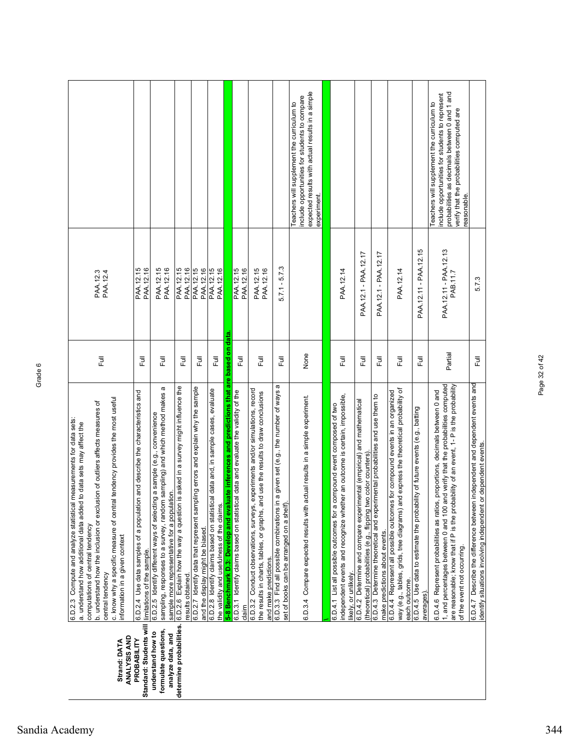|                                                                                                                                                                                                                                                                                                                                                                                                        |                                                                                                             |                                                                                                                                                                                                           |                                                                                                        |                                                                                                                        |                                                                                                                                |                                                                                           |                                                                                                  |                                                                                                                                                                                                |                                                                                                                                  | expected results with actual results in a simple<br>include opportunities for students to compare<br>Teachers will supplement the curriculum to<br>experiment. |                                                                            |                                                                                                         |                                                                                                                                            |                                                                                                                |                                                                                                                                                                                     |                                                                                            | probabilities as decimals between 0 and 1 and<br>include opportunities for students to represent<br>Teachers will supplement the curriculum to<br>verify that the probabilities computed are<br>reasonable.                                                                               |                                                                                                                                                |
|--------------------------------------------------------------------------------------------------------------------------------------------------------------------------------------------------------------------------------------------------------------------------------------------------------------------------------------------------------------------------------------------------------|-------------------------------------------------------------------------------------------------------------|-----------------------------------------------------------------------------------------------------------------------------------------------------------------------------------------------------------|--------------------------------------------------------------------------------------------------------|------------------------------------------------------------------------------------------------------------------------|--------------------------------------------------------------------------------------------------------------------------------|-------------------------------------------------------------------------------------------|--------------------------------------------------------------------------------------------------|------------------------------------------------------------------------------------------------------------------------------------------------------------------------------------------------|----------------------------------------------------------------------------------------------------------------------------------|----------------------------------------------------------------------------------------------------------------------------------------------------------------|----------------------------------------------------------------------------|---------------------------------------------------------------------------------------------------------|--------------------------------------------------------------------------------------------------------------------------------------------|----------------------------------------------------------------------------------------------------------------|-------------------------------------------------------------------------------------------------------------------------------------------------------------------------------------|--------------------------------------------------------------------------------------------|-------------------------------------------------------------------------------------------------------------------------------------------------------------------------------------------------------------------------------------------------------------------------------------------|------------------------------------------------------------------------------------------------------------------------------------------------|
| PAA.12.4<br>PAA.12.3                                                                                                                                                                                                                                                                                                                                                                                   | PAA.12.15<br>PAA.12.16                                                                                      | PAA.12.15<br>PAA.12.16                                                                                                                                                                                    | PAA.12.15<br>PAA.12.16                                                                                 | PAA.12.15<br>PAA.12.16                                                                                                 | PAA.12.15<br>PAA.12.16                                                                                                         |                                                                                           | PAA.12.15<br>PAA.12.16                                                                           | PAA.12.15<br>PAA.12.16                                                                                                                                                                         | $5.7.1 - 5.7.3$                                                                                                                  |                                                                                                                                                                |                                                                            | PAA.12.14                                                                                               | PAA.12.1 - PAA.12.17                                                                                                                       | PAA.12.1 - PAA.12.17                                                                                           | PAA.12.14                                                                                                                                                                           | PAA.12.11 - PAA.12.15                                                                      | PAA.12.11 - PAA.12.13<br>PAB.11.7                                                                                                                                                                                                                                                         | 5.7.3                                                                                                                                          |
| Ē                                                                                                                                                                                                                                                                                                                                                                                                      | 巨                                                                                                           | Full                                                                                                                                                                                                      | 巨                                                                                                      | 巨                                                                                                                      | こう<br>エ                                                                                                                        |                                                                                           | Full                                                                                             | Full                                                                                                                                                                                           | ラ<br>L                                                                                                                           | None                                                                                                                                                           |                                                                            | Full                                                                                                    | Full                                                                                                                                       | 昆                                                                                                              | Ē                                                                                                                                                                                   | 昆                                                                                          | Partial                                                                                                                                                                                                                                                                                   | ラ<br>Lu                                                                                                                                        |
| c. know why a specific measure of central tendency provides the most useful<br>b. understand how the inclusion or exclusion of outliers affects measures of<br>measurements for data sets:<br>a. understand how additional data added to data sets may affect the<br>6.D.2.3 Compute and analyze statistical<br>computations of central tendency<br>information in a given context<br>central tendency | 6.D.2.4 Use data samples of a population and describe the characteristics and<br>limitations of the sample. | ω<br>sampling, responses to a survey, random sampling) and which method makes<br>6.D.2.5 Identify different ways of selecting a sample (e.g., convenience<br>sample more representative for a population. | is asked in a survey might influence the<br>6.D.2.6 Explain how the way a question<br>results obtained | pling errors and explain why the sample<br>6.D.2.7 Identify data that represent sam<br>and the display might be biased | 6.D.2.8 Identify claims based on statistical data and, in sample cases, evaluate<br>the validity and usefulness of the claims. | 5-8 Benchmark D.3: Develop and evaluate inferences and predictions that are based on data | cal data and evaluate the validity of the<br>6.D.3.1 Identify claims based on statisti<br>clainm | experiments and/or simulations, record<br>the results in charts, tables, or graphs, and use the results to draw conclusions<br>6.D.3.2 Conduct observations, surveys,<br>and make predictions. | n a given set (e.g., the number of ways a<br>set of books can be arranged on a shelf<br>6.D.3.3 Find all possible combinations i | actual results in a simple experiment.<br>6.D.3.4 Compare expected results with                                                                                | compound event composed of two<br>6.D.4.1 List all possible outcomes for a | ner an outcome is certain, impossible,<br>independent events and recognize whet<br>iikely, or unlikely. | 6.D.4.2 Determine and compare experimental (empirical) and mathematical<br>(theoretical) probabilities (e.g., flipping two color counters) | 6.D.4.3 Determine theoretical and experimental probabilities and use them to<br>make predictions about events. | way (e.g., tables, grids, tree diagrams) and express the theoretical probability of<br>6.D.4.4 Represent all possible outcomes for compound events in an organized<br>each outcome. | 6.D.4.5 Use data to estimate the probability of future events (e.g., batting<br>averages). | 6.D.4.6 Represent probabilities as ratios, proportions, decimals between 0 and<br>1, and percentages between 0 and 100 and verify that the probabilities computed<br>are reasonable; know that if P is the probability of an event, 1-P is the probability<br>of the event not occurring. | 6.D.4.7 Describe the difference between independent and dependent events and<br>identify situations involving independent or dependent events. |
| ANALYSIS AND<br>Strand: DATA                                                                                                                                                                                                                                                                                                                                                                           | Standard: Students will<br>PROBABILITY                                                                      | formulate questions,<br>understand how to<br>analyze data, and                                                                                                                                            | determine probabilities.                                                                               |                                                                                                                        |                                                                                                                                |                                                                                           |                                                                                                  |                                                                                                                                                                                                |                                                                                                                                  |                                                                                                                                                                |                                                                            |                                                                                                         |                                                                                                                                            |                                                                                                                |                                                                                                                                                                                     |                                                                                            |                                                                                                                                                                                                                                                                                           |                                                                                                                                                |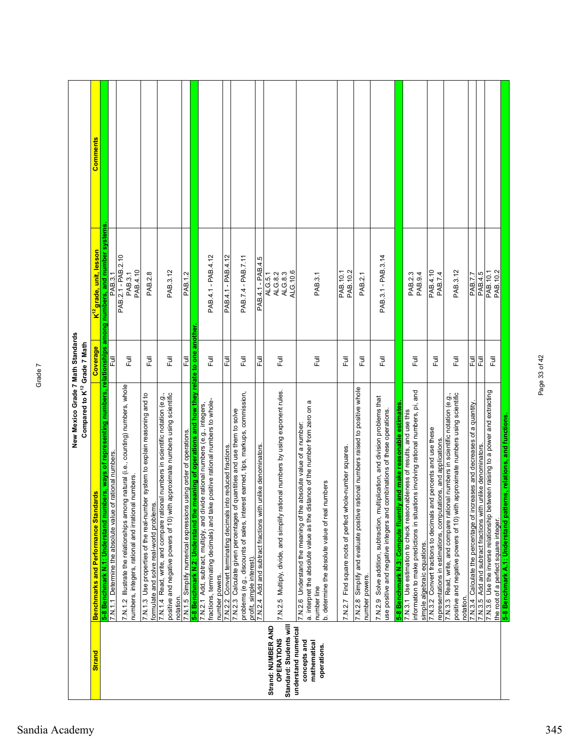|                                                                                            | New Mexico Grade 7 Math Standards<br>Compared to K12 Grade 7 Math                                                                                                                                                                                                                 |             |                                                             |  |
|--------------------------------------------------------------------------------------------|-----------------------------------------------------------------------------------------------------------------------------------------------------------------------------------------------------------------------------------------------------------------------------------|-------------|-------------------------------------------------------------|--|
| <b>Strand</b>                                                                              | <b>Benchmarks and Performance Standards</b>                                                                                                                                                                                                                                       | Coverage    | Comments<br><mark>K<sup>12</sup> grade, unit, lesson</mark> |  |
|                                                                                            | 5-8 Benchmark N.1: Understand numbers, ways of representing numbers, relationships among numbers, and number systems<br>7.N.1.1 Determine the absolute value of rational numbers                                                                                                  | 己           | PAB.3.1                                                     |  |
|                                                                                            | 7.N.1.2 Illustrate the relationships among natural (i.e., counting) numbers, whole<br>numbers, integers, rational and irrational numbers.                                                                                                                                         | Full        | PAB.2.1 - PAB.2.10<br>PAB.4.10<br>PAB.3.1                   |  |
|                                                                                            | 7.N.1.3 Use properties of the real-number system to explain reasoning and to<br>formulate and solve real-world problems.                                                                                                                                                          | ラ<br>L      | PAB.2.8                                                     |  |
|                                                                                            | approximate numbers using scientific<br>7.N.1.4 Read, write, and compare rational numbers in scientific notation (e.g.,<br>positive and negative powers of 10) with<br>notation.                                                                                                  | Full        | PAB.3.12                                                    |  |
|                                                                                            | 7.N.1.5 Simplify numerical expressions using order of operations.                                                                                                                                                                                                                 | 쿤           | PAB.1.2                                                     |  |
|                                                                                            | 5-8 Benchmark N.2: Understand the meaning of operations and how they relate to one another<br>positive rational numbers to whole-<br>7.N.2.1 Add, subtract, multiply, and divide rational numbers (e.g., integers,<br>fractions, terminating decimals) and take<br>number powers. | Full        | PAB.4.1 - PAB.4.12                                          |  |
|                                                                                            | 7.N.2.2 Convert terminating decimals into reduced fractions.                                                                                                                                                                                                                      | Ē           | PAB.4.1 - PAB.4.12                                          |  |
|                                                                                            | problems (e.g., discounts of sales, interest earned, tips, markups, commission,<br>7.N.2.3 Calculate given percentages of quantities and use them to solve<br>profit, simple interest).                                                                                           | 巨           | PAB.7.4 - PAB.7.11                                          |  |
|                                                                                            | 7.N.2.4 Add and subtract fractions with unlike denominators.                                                                                                                                                                                                                      | ー<br>ト<br>山 | PAB.4.1 - PAB.4.5                                           |  |
| Standard: Students will<br>Strand: NUMBER AND<br>understand numerical<br><b>OPERATIONS</b> | 7.N.2.5 Multiply, divide, and simplify rational numbers by using exponent rules.                                                                                                                                                                                                  | Ē           | ALG.10.6<br>ALG.8.3<br>ALG.8.2<br>ALG.5.1                   |  |
| concepts and<br>mathematical<br>operations.                                                | a. interpret the absolute value as the distance of the number from zero on a<br>7.N.2.6 Understand the meaning of the absolute value of a number:<br>b. determine the absolute value of real numbers<br>number line                                                               | Ē           | PAB.3.1                                                     |  |
|                                                                                            | le-number squares<br>Find square roots of perfect who<br>7.N.2.7                                                                                                                                                                                                                  | Full        | PAB. 10.1<br>PAB. 10.2                                      |  |
|                                                                                            | 7.N.2.8 Simplify and evaluate positive rational numbers raised to positive whole<br>number powers.                                                                                                                                                                                | Full        | PAB.2.1                                                     |  |
|                                                                                            | 7.N.2.9 Solve addition, subtraction, multiplication, and division problems that<br>use positive and negative integers and combinations of these operations.                                                                                                                       | ラ<br>L      | PAB.3.1 - PAB.3.14                                          |  |
|                                                                                            | and make reasonable estimates<br>5-8 Benchmark N.3: Compute fluently                                                                                                                                                                                                              |             |                                                             |  |
|                                                                                            | information to make predictions in situations involving rational numbers, pi, and<br>7.N.3.1 Use estimation to check reasonableness of results, and use this                                                                                                                      | 巨           | PAB.2.3<br>PAB.9.4                                          |  |
|                                                                                            | simple algebraic equations.<br>7.N.3.2 Convert fractions to decimals and percents and use these<br>representations in estimations, computations, and applications.                                                                                                                | Full        | PAB.4.10<br>PAB.7.4                                         |  |
|                                                                                            | approximate numbers using scientific<br>7.N.3.3 Read, write, and compare rational numbers in scientific notation (e.g.,<br>positive and negative powers of 10) with<br>notation                                                                                                   | ラ<br>L      | PAB.3.12                                                    |  |
|                                                                                            | 7.N.3.4 Calculate the percentage of increases and decreases of a quantity                                                                                                                                                                                                         | 쿤           | PAB.7.7                                                     |  |
|                                                                                            | 7.N.3.5 Add and subtract fractions with unlike denominators.                                                                                                                                                                                                                      | 쿤           | PAB.4.5                                                     |  |
|                                                                                            | 7.N.3.6 Use the inverse relationship between raising to a power and extracting<br>the root of a perfect square integer.                                                                                                                                                           | ラ<br>L      | PAB.10.1<br>PAB.10.2                                        |  |
|                                                                                            | ms, relations, and functions.<br>5-8 Benchmark A.1: Understand patter                                                                                                                                                                                                             |             |                                                             |  |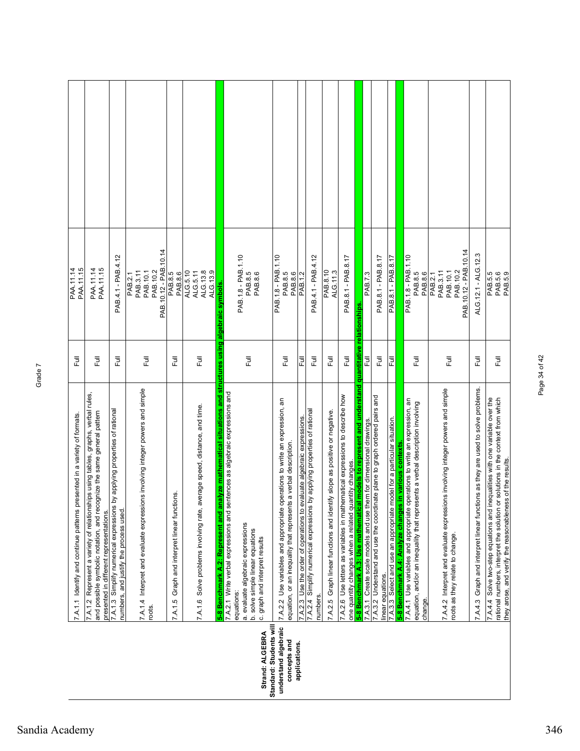| <b>PAA.11.14</b><br>PAA.11.15                                            | PAA.11.14<br>PAA.11.15                                                                                                                                                                                | PAB.4.1 - PAB.4.12                                                                                                     | PAB. 10.12 - PAB. 10.14<br>PAB.10.2<br>PAB.10.1<br>PAB.3.11<br>PAB.2.1                   | PAB.8.5<br>PAB.8.6                               | ALG.5.10<br>ALG.13.9<br>ALG.13.8<br>ALG.5.11                              |                                                                                                          | PAB.1.8 - PAB.1.10<br>PAB.8.5<br>PAB.8.6                                                                                                                                                             | PAB.1.8 - PAB.1.10<br>PAB.8.5<br>PAB.8.6                                                                                                        | PAB.1.2                                                                | PAB.4.1 - PAB.4.12                                                                    | PAB.8.10<br>ALG.11.3                                                       | PAB.8.1 - PAB.8.17                                                                                                                    |                                                                        | PAB.7.3                                                            | PAB.8.1 - PAB.8.17                                                                             | PAB.8.1 - PAB.8.17                                                      | PAB.1.8 - PAB.1.10                                                                                                                        | PAB.8.5<br>PAB.8.6                                                                           | PAB. 10.12 - PAB. 10.14<br>PAB.3.11<br>PAB.10.2<br>PAB. 10.1<br>PAB.2.1                                           | ALG.12.1 - ALG.12.3                                                              | PAB.5.5<br>PAB.5.6<br>PAB.5.9                                                                                                                                                                                                |
|--------------------------------------------------------------------------|-------------------------------------------------------------------------------------------------------------------------------------------------------------------------------------------------------|------------------------------------------------------------------------------------------------------------------------|------------------------------------------------------------------------------------------|--------------------------------------------------|---------------------------------------------------------------------------|----------------------------------------------------------------------------------------------------------|------------------------------------------------------------------------------------------------------------------------------------------------------------------------------------------------------|-------------------------------------------------------------------------------------------------------------------------------------------------|------------------------------------------------------------------------|---------------------------------------------------------------------------------------|----------------------------------------------------------------------------|---------------------------------------------------------------------------------------------------------------------------------------|------------------------------------------------------------------------|--------------------------------------------------------------------|------------------------------------------------------------------------------------------------|-------------------------------------------------------------------------|-------------------------------------------------------------------------------------------------------------------------------------------|----------------------------------------------------------------------------------------------|-------------------------------------------------------------------------------------------------------------------|----------------------------------------------------------------------------------|------------------------------------------------------------------------------------------------------------------------------------------------------------------------------------------------------------------------------|
| Ē                                                                        | Full                                                                                                                                                                                                  | 巨                                                                                                                      | こ<br>L                                                                                   | Full                                             | Ē                                                                         |                                                                                                          | 豆                                                                                                                                                                                                    | 卮                                                                                                                                               | 危                                                                      | 쿦                                                                                     | 巨                                                                          | 巨                                                                                                                                     | relationships<br>quantitative                                          | 쿤                                                                  | $\overline{\Xi}$                                                                               | 큹                                                                       |                                                                                                                                           | Ē                                                                                            | 豆                                                                                                                 | 卮                                                                                | Ē                                                                                                                                                                                                                            |
| 7.A.1.1 Identify and continue patterns presented in a variety of formats | 7.A.1.2 Represent a variety of relationships using tables, graphs, verbal rules,<br>and possible symbolic notation, and recognize the same general pattern<br>presented in different representations. | by applying properties of rational<br>7.A.1.3 Simplify numerical expressions<br>numbers, and justify the process used. | 7.A.1.4 Interpret and evaluate expressions involving integer powers and simple<br>roots. | Graph and interpret linear functions.<br>7.A.1.5 | 7.A.1.6 Solve problems involving rate, average speed, distance, and time. | 5-8 Benchmark A.2: Represent and analyze mathematical situations and structures using algebraic symbols. | 7.A.2.1 Write verbal expressions and sentences as algebraic expressions and<br>a. evaluate algebraic expressions<br>b. solve simple linear equations<br>c. graph and interpret results<br>equations: | 7.A.2.2 Use variables and appropriate operations to write an expression, an<br>equation, or an inequality that represents a verbal description. | 7.A.2.3 Use the order of operations to evaluate algebraic expressions. | 7.A.2.4 Simplify numerical expressions by applying properties of rational<br>numbers. | 7.A.2.5 Graph linear functions and identify slope as positive or negative. | 7.A.2.6 Use letters as variables in mathematical expressions to describe how<br>one quantity changes when a related quantity changes. | 5-8 Benchmark A.3: Use mathematical models to represent and understand | 7.A.3.1 Create scale models and use them for dimensional drawings. | 7.A.3.2 Understand and use the coordinate plane to graph ordered pairs and<br>linear equations | 7.A.3.3 Select and use an appropriate model for a particular situation. | 7.A.4.1 Use variables and appropriate operations to write an expression, an<br>in various contexts.<br>5-8 Benchmark A.4: Analyze changes | sents a verbal description involving<br>equation, and/or an inequality that repre<br>change. | 7.A.4.2 Interpret and evaluate expressions involving integer powers and simple<br>roots as they relate to change. | 7.A.4.3 Graph and interpret linear functions as they are used to solve problems. | rational numbers, interpret the solution or solutions in the context from which<br>7.A.4.4 Solve two-step equations and inequalities with one variable over the<br>they arose, and verify the reasonableness of the results. |
|                                                                          |                                                                                                                                                                                                       |                                                                                                                        |                                                                                          |                                                  |                                                                           |                                                                                                          | Standard: Students will<br>Strand: ALGEBRA                                                                                                                                                           | understand algebraic<br>concepts and                                                                                                            | applications.                                                          |                                                                                       |                                                                            |                                                                                                                                       |                                                                        |                                                                    |                                                                                                |                                                                         |                                                                                                                                           |                                                                                              |                                                                                                                   |                                                                                  |                                                                                                                                                                                                                              |

Page 34 of 42

Page 34 of 42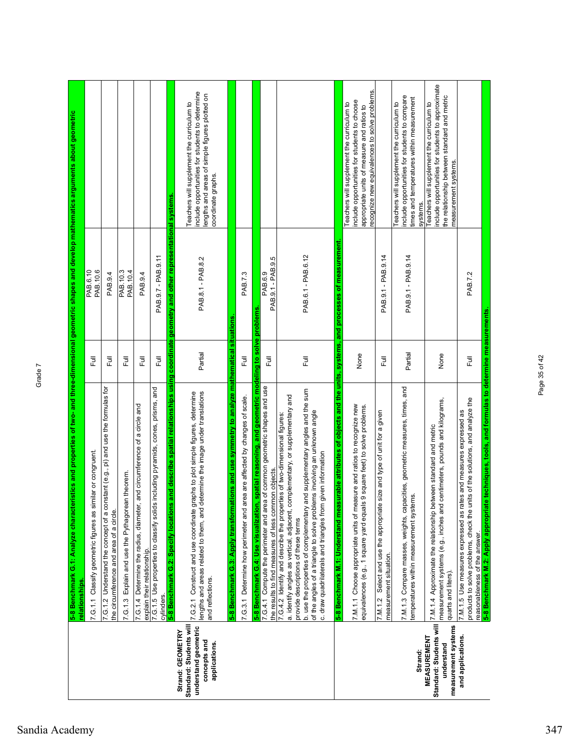|                                                                                                      | 5-8 Benchmark G.1: Analyze characteristics and properties of two- and three-dimensional geometric shapes and develop mathematics arguments about geometric<br>relationships.                                                                                                                                                                                                                                               |         |                              |                                                                                                                                                                                           |
|------------------------------------------------------------------------------------------------------|----------------------------------------------------------------------------------------------------------------------------------------------------------------------------------------------------------------------------------------------------------------------------------------------------------------------------------------------------------------------------------------------------------------------------|---------|------------------------------|-------------------------------------------------------------------------------------------------------------------------------------------------------------------------------------------|
|                                                                                                      | 7.G.1.1 Classify geometric figures as similar or congruent                                                                                                                                                                                                                                                                                                                                                                 | 豆       | PAB.6.10<br>PAB.10.6         |                                                                                                                                                                                           |
|                                                                                                      | nstant (e.g., pi) and use the formulas for<br>7.G.1.2 Understand the concept of a cor<br>the circumference and area of a circle.                                                                                                                                                                                                                                                                                           | Full    | PAB.9.4                      |                                                                                                                                                                                           |
|                                                                                                      | in theorem<br>7.G.1.3 Explain and use the Pythagorea                                                                                                                                                                                                                                                                                                                                                                       | Full    | PAB. 10.3<br>PAB.10.4        |                                                                                                                                                                                           |
|                                                                                                      | and circumference of a circle and<br>7.G.1.4 Determine the radius, diameter,<br>explain their relationship.                                                                                                                                                                                                                                                                                                                | 巨       | PAB.9.4                      |                                                                                                                                                                                           |
|                                                                                                      | including pyramids, cones, prisms, and<br>7.G.1.5 Use properties to classify solids<br>cylinders.                                                                                                                                                                                                                                                                                                                          | Full    | PAB.9.7 - PAB.9.11           |                                                                                                                                                                                           |
|                                                                                                      | and describe spatial relationships using coordinate geometry and other representational systems.<br>5-8 Benchmark G.2: Specify locations                                                                                                                                                                                                                                                                                   |         |                              |                                                                                                                                                                                           |
| Standard: Students will<br>understand geometric<br>Strand: GEOMETRY<br>concepts and<br>applications. | lengths and areas related to them, and determine the image under translations<br>7.G.2.1 Construct and use coordinate graphs to plot simple figures, determine<br>and reflections.                                                                                                                                                                                                                                         | Partial | PAB.8.1 - PAB.8.2            | include opportunities for students to determine<br>lengths and areas of simple figures plotted on<br>Teachers will supplement the curriculum to<br>coordinate graphs.                     |
|                                                                                                      | tions and use symmetry to analyze mathematical situations<br>5-8 Benchmark G.3: Apply transforma                                                                                                                                                                                                                                                                                                                           |         |                              |                                                                                                                                                                                           |
|                                                                                                      | 7.G.3.1 Determine how perimeter and area are affected by changes of scale.                                                                                                                                                                                                                                                                                                                                                 | Ē       | PAB.7.3                      |                                                                                                                                                                                           |
|                                                                                                      | <u>5-8 Benchmark G.4: Use visualization, spatial reasoning, and geometric modeling to solve problems</u>                                                                                                                                                                                                                                                                                                                   |         |                              |                                                                                                                                                                                           |
|                                                                                                      | 7.G.4.1 Compute the perimeter and area of common geometric shapes and use<br>the results to find measures of less common objects                                                                                                                                                                                                                                                                                           | 卮       | PAB.9.1 - PAB.9.5<br>PAB.6.9 |                                                                                                                                                                                           |
|                                                                                                      | b. use the properties of complementary and supplementary angles and the sum<br>a. identify angles as vertical, adjacent, complementary, or supplementary and<br>of the angles of a triangle to solve problems involving an unknown angle<br>7.G.4.2 Identify and describe the properties of two-dimensional figures:<br>c. draw quadrilaterals and triangles from given information<br>provide descriptions of these terms | Ē       | PAB.6.1 - PAB.6.12           |                                                                                                                                                                                           |
|                                                                                                      | 5-8 Benchmark M.1: Understand measurable attributes of objects and the units, systems, and processes of measurement                                                                                                                                                                                                                                                                                                        |         |                              |                                                                                                                                                                                           |
|                                                                                                      | 7.M.1.1 Choose appropriate units of measure and ratios to recognize new<br>9 square feet) to solve problems.<br>equivalences (e.g., 1 square yard equals                                                                                                                                                                                                                                                                   | None    |                              | recognize new equivalences to solve problems.<br>include opportunities for students to choose<br>Teachers will supplement the curriculum to<br>appropriate units of measure and ratios to |
|                                                                                                      | size and type of unit for a given<br>Select and use the appropriate<br>measurement situation.<br>7. M.1.2                                                                                                                                                                                                                                                                                                                  | 目       | PAB.9.1 - PAB.9.14           |                                                                                                                                                                                           |
| Strand:                                                                                              | 7.M.1.3 Compare masses, weights, capacities, geometric measures, times, and<br>iemperatures within measurement systems.                                                                                                                                                                                                                                                                                                    | Partial | PAB.9.1 - PAB.9.14           | include opportunities for students to compare<br>times and temperatures within measurement<br>Teachers will supplement the curriculum to<br>systems.                                      |
| Standard: Students will<br>measurement systems<br><b>MEASUREMENT</b><br>understand                   | centimeters, pounds and kilograms,<br>7.M.1.4 Approximate the relationship between standard and metric<br>measurement systems (e.g., inches and<br>quarts and liters).                                                                                                                                                                                                                                                     | None    |                              | include opportunities for students to approximate<br>the relationship between standard and metric<br>Teachers will supplement the curriculum to<br>measurement systems.                   |
| and applications.                                                                                    | 5-8 Benchmark M.2: Apply appropriate techniques, tools, and formulas to determine measurements.<br>products to solve problems, check the units of the solutions, and analyze the<br>tes and measures expressed as<br>7.M.1.5 Use measures expressed as rat<br>reasonableness of the answer.                                                                                                                                | Ē       | PAB.7.2                      |                                                                                                                                                                                           |

Page 35 of 42

Page 35 of 42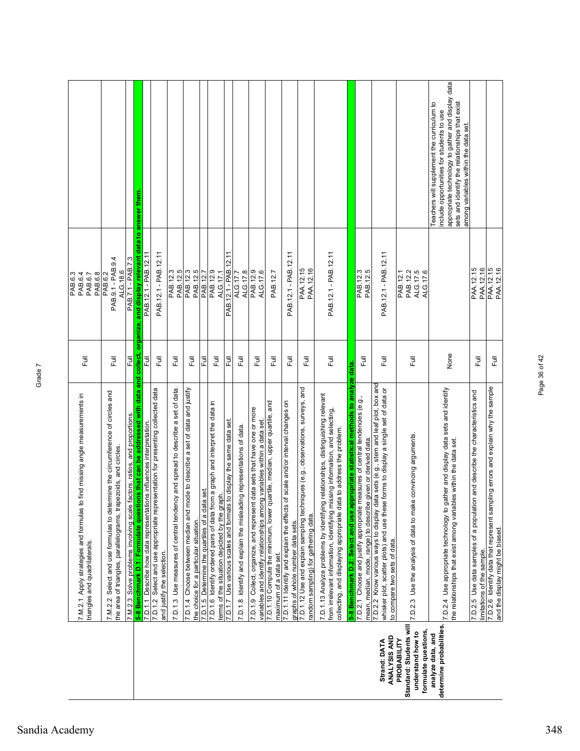Page 36 of 42

Page 36 of 42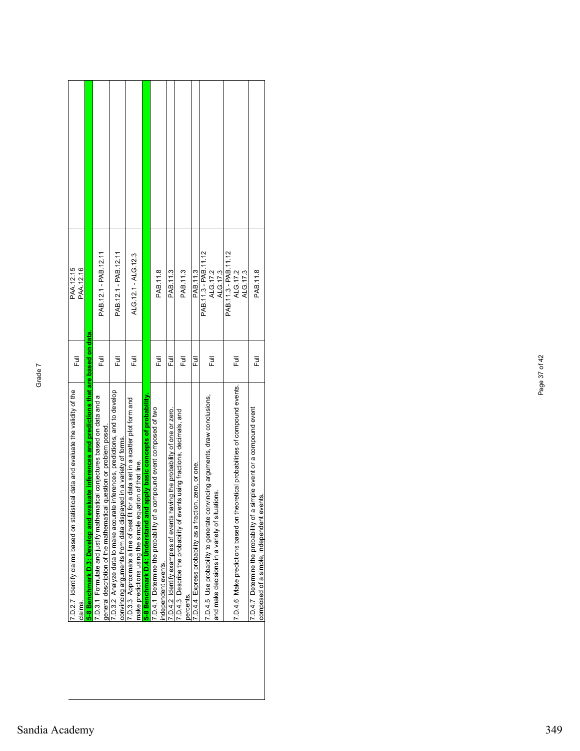| PAA.12.16<br>PAA.12.15                                                                        |                                                                                               | PAB.12.1 - PAB.12.11                                                                                                                             | PAB.12.1 - PAB.12.11                                                                                                                             | ALG.12.1 - ALG.12.3                                                                                                                          |                                                                          | PAB.11.8                                                                                       | PAB.11.3                                                                   | PAB.11.3                                                                               | PAB.11.3                                                 | PAB.11.3 - PAB.11.12<br>ALG.17.2<br>ALG.17.3                                                                                  | PAB.11.3 - PAB.11.12<br>ALG.17.2<br>ALG.17.3                                    | PAB.11.8                                                                                                                    |
|-----------------------------------------------------------------------------------------------|-----------------------------------------------------------------------------------------------|--------------------------------------------------------------------------------------------------------------------------------------------------|--------------------------------------------------------------------------------------------------------------------------------------------------|----------------------------------------------------------------------------------------------------------------------------------------------|--------------------------------------------------------------------------|------------------------------------------------------------------------------------------------|----------------------------------------------------------------------------|----------------------------------------------------------------------------------------|----------------------------------------------------------|-------------------------------------------------------------------------------------------------------------------------------|---------------------------------------------------------------------------------|-----------------------------------------------------------------------------------------------------------------------------|
| Ē                                                                                             |                                                                                               | Ē                                                                                                                                                | 卮                                                                                                                                                | Ē                                                                                                                                            |                                                                          | Ē                                                                                              | 쿤                                                                          | こ<br>こ                                                                                 | 卮                                                        | 卮                                                                                                                             | Ē                                                                               | 卮                                                                                                                           |
| 7.D.2.7 Identify claims based on statistical data and evaluate the validity of the<br>claims. | aluate inferences and predictions that are based on data<br>5-8 Benchmark D.3: Develop and ev | 7.D.3.1 Formulate and justify mathematical conjectures based on data and a<br>general description of the mathematical question or problem posed. | 7.D.3.2 Analyze data to make accurate inferences, predictions, and to develop<br>convincing arguments from data displayed in a variety of forms. | 7.D.3.3 Approximate a line of best fit for a data set in a scatter plot form and<br>make predictions using the simple equation of that line. | apply basic concepts of probability<br>5-8 Benchmark D.4: Understand and | compound event composed of two<br>7.D.4.1 Determine the probability of a<br>ndependent events. | 7.D.4.2 Identify examples of events having the probability of one or zero. | 7.D.4.3 Describe the probability of events using fractions, decimals, and<br>percents. | 7.D.4.4 Express probability as a fraction, zero, or one. | 7.D.4.5 Use probability to generate convincing arguments, draw conclusions,<br>and make decisions in a variety of situations. | 7.D.4.6 Make predictions based on theoretical probabilities of compound events. | simple event or a compound event<br>ents.<br>7.D.4.7 Determine the probability of a<br>composed of a simple, independent ev |

Page 37 of 42

Page 37 of 42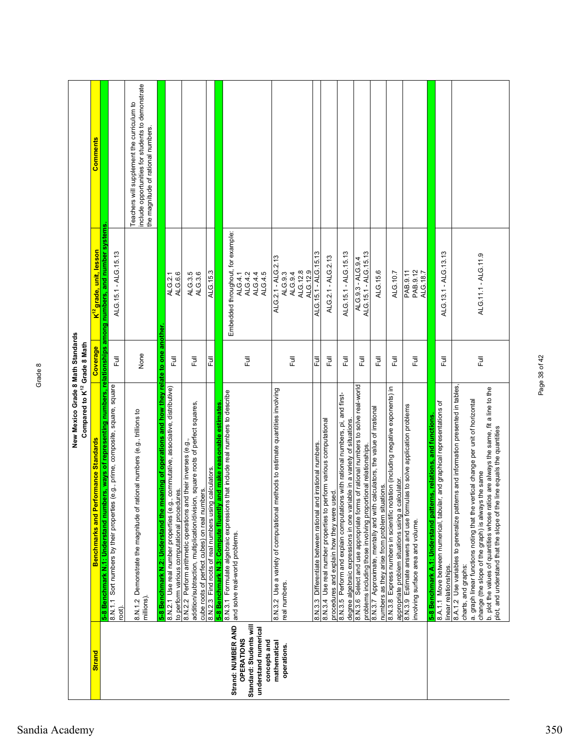|                                                                                                            | New Mexico Grade 8 Math Standards<br>Compared to K <sup>12</sup> Grade 8 Math                                                                                                                                                                                                                                                                                                                                                                   |              |                                                                               |                                                                                                                                       |
|------------------------------------------------------------------------------------------------------------|-------------------------------------------------------------------------------------------------------------------------------------------------------------------------------------------------------------------------------------------------------------------------------------------------------------------------------------------------------------------------------------------------------------------------------------------------|--------------|-------------------------------------------------------------------------------|---------------------------------------------------------------------------------------------------------------------------------------|
| <b>Strand</b>                                                                                              | <b>Benchmarks and Performance Standards</b>                                                                                                                                                                                                                                                                                                                                                                                                     | Coverage     | K <sup>12</sup> grade, unit, lesson                                           | <b>Comments</b>                                                                                                                       |
|                                                                                                            | 5-8 Benchmark N.1: Understand numbers, ways of representing numbers, relationships among numbers, and number systems<br>(e.g., prime, composite, square, square<br>8.N.1.1 Sort numbers by their properties<br>root).                                                                                                                                                                                                                           | Ē            | ALG.15.1 - ALG.15.13                                                          |                                                                                                                                       |
|                                                                                                            | 8.N.1.2 Demonstrate the magnitude of rational numbers (e.g., trillions to<br>millions).                                                                                                                                                                                                                                                                                                                                                         | None         |                                                                               | include opportunities for students to demonstrate<br>Teachers will supplement the curriculum to<br>the magnitude of rational numbers. |
|                                                                                                            | eaning of operations and how they relate to one<br>., commutative, associative, distributive)<br>to perform various computational procedures.<br>8.N.2.1 Use real number properties (e.g.<br>5-8 Benchmark N.2: Understand the m                                                                                                                                                                                                                | another<br>昆 | ALG.6.6<br>ALG.2.1                                                            |                                                                                                                                       |
|                                                                                                            | addition/subtraction, multiplication/division, square roots of perfect squares,<br>8.N.2.2 Perform arithmetic operations and their inverses (e.g.<br>cube roots of perfect cubes) on real numbers.                                                                                                                                                                                                                                              | Full         | ALG.3.5<br>ALG.3.6                                                            |                                                                                                                                       |
|                                                                                                            | and make reasonable estimates.<br>calculators.<br>8.N.2.3 Find roots of real numbers using<br>5-8 Benchmark N.3: Compute fluently                                                                                                                                                                                                                                                                                                               | Full         | ALG.15.3                                                                      |                                                                                                                                       |
| Standard: Students will<br>Strand: NUMBER AND<br>understand numerical<br><b>OPERATIONS</b><br>concepts and | 8.N.3.1 Formulate algebraic expressions that include real numbers to describe<br>and solve real-world problems.                                                                                                                                                                                                                                                                                                                                 | Ē            | Embedded throughout, for example:<br>ALG.4.5<br>ALG.4.2<br>ALG.4.4<br>ALG.4.1 |                                                                                                                                       |
| mathematical<br>operations.                                                                                | 8.N.3.2 Use a variety of computational methods to estimate quantities involving<br>real numbers.                                                                                                                                                                                                                                                                                                                                                | Full         | ALG.2.1 - ALG.2.13<br>ALG.12.8<br>ALG.12.9<br>ALG.9.3<br>ALG.9.4              |                                                                                                                                       |
|                                                                                                            | 8.N.3.3 Differentiate between rational and irrational numbers                                                                                                                                                                                                                                                                                                                                                                                   | 쿤            | ALG.15.1 - ALG.15.13                                                          |                                                                                                                                       |
|                                                                                                            | 8.N.3.4 Use real number properties to perform various computational<br>procedures and explain how they were used.                                                                                                                                                                                                                                                                                                                               | ラ<br>L       | ALG.2.1 - ALG.2.13                                                            |                                                                                                                                       |
|                                                                                                            | 8.N.3.5 Perform and explain computations with rational numbers, pi, and first-<br>degree algebraic expressions in one variable in a variety of situations.                                                                                                                                                                                                                                                                                      | ラ<br>L       | ALG.15.1 - ALG.15.13                                                          |                                                                                                                                       |
|                                                                                                            | 8.N.3.6 Select and use appropriate forms of rational numbers to solve real-world<br>problems including those involving proportional relationships.                                                                                                                                                                                                                                                                                              | Full         | ALG.15.1 - ALG.15.13<br>ALG.9.3 - ALG.9.4                                     |                                                                                                                                       |
|                                                                                                            | 8.N.3.7 Approximate, mentally and with calculators, the value of irrational<br>numbers as they arise from problem situations.                                                                                                                                                                                                                                                                                                                   | Full         | ALG.15.6                                                                      |                                                                                                                                       |
|                                                                                                            | 8.N.3.8 Express numbers in scientific notation (including negative exponents) in<br>appropriate problem situations using a calculator.                                                                                                                                                                                                                                                                                                          | Full         | ALG.10.7                                                                      |                                                                                                                                       |
|                                                                                                            | 8.N.3.9 Estimate answers and use formulas to solve application problems<br>involving surface area and volume.                                                                                                                                                                                                                                                                                                                                   | Full         | PAB.9.11<br>PAB.9.12<br>ALG.18.7                                              |                                                                                                                                       |
|                                                                                                            | 8.A.1.1 Move between numerical, tabular, and graphical representations of<br>ris, relations, and functions<br>5-8 Benchmark A.1: Understand patter                                                                                                                                                                                                                                                                                              | Full         | ALG.13.1 - ALG.13.13                                                          |                                                                                                                                       |
|                                                                                                            | 8.A.1.2 Use variables to generalize patterns and information presented in tables,<br>b. plot the values of quantities whose ratios are always the same, fit a line to the<br>a. graph linear functions noting that the vertical change per unit of horizontal<br>line equals the quantities<br>change (the slope of the graph) is always the same<br>plot, and understand that the slope of the<br>charts, and graphs:<br>linear relationships. | Ē            | ALG.11.1 - ALG.11.9                                                           |                                                                                                                                       |

Page 38 of 42

Page 38 of 42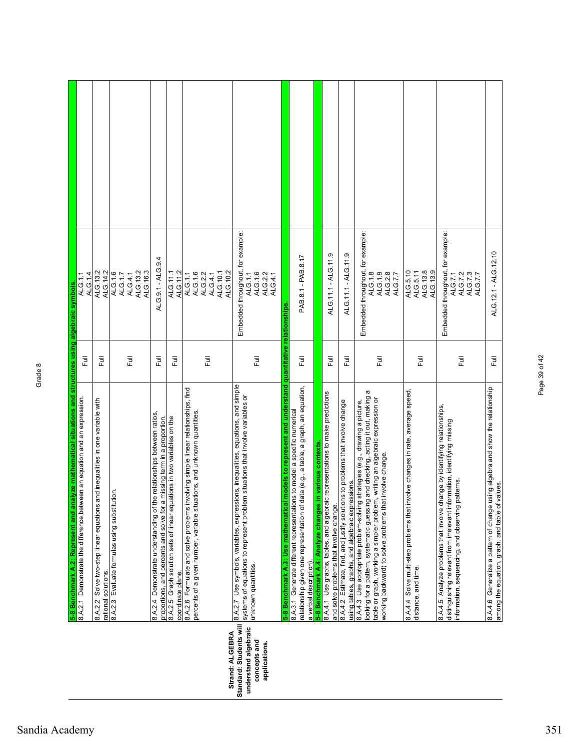|                                                 | 5-8 Benchmark A.2: Represent and analyze mathematical situations and structures using algebraic symbols.<br>8.A.2.1 Demonstrate the difference between an equation and an expression. |               | ALG.1.1                                      |  |
|-------------------------------------------------|---------------------------------------------------------------------------------------------------------------------------------------------------------------------------------------|---------------|----------------------------------------------|--|
|                                                 |                                                                                                                                                                                       | 巨             | ALG.1.4                                      |  |
|                                                 | and inequalities in one variable with<br>8.A.2.2 Solve two-step linear equations<br>rational solutions.                                                                               | 巨             | ALG.14.2<br>ALG.13.2                         |  |
|                                                 | 8.A.2.3 Evaluate formulas using substitution.                                                                                                                                         |               | ALG.1.6<br>ALG.1.7                           |  |
|                                                 |                                                                                                                                                                                       | Full          | ALG.13.2<br>ALG.4.1                          |  |
|                                                 |                                                                                                                                                                                       |               | ALG.16.3                                     |  |
|                                                 | 8.A.2.4 Demonstrate understanding of the relationships between ratios,<br>a missing term in a proportion.<br>proportions, and percents and solve for                                  | こ<br>こ        | ALG.9.1 - ALG.9.4                            |  |
|                                                 | uations in two variables on the<br>8.A.2.5 Graph solution sets of linear equ<br>coordinate plane.                                                                                     | こ<br>こ        | ALG.11.2<br>ALG.11.1                         |  |
|                                                 | nvolving simple linear relationships, find<br>percents of a given number, variable situations, and unknown quantities.<br>8.A.2.6 Formulate and solve problems i                      |               | ALG.1.1<br>ALG.1.6                           |  |
|                                                 |                                                                                                                                                                                       | 卮             | ALG.2.2<br>ALG.4.1                           |  |
| Strand: ALGEBRA                                 |                                                                                                                                                                                       |               | ALG.10.1<br>ALG.10.2                         |  |
| Standard: Students will<br>understand algebraic | 8.A.2.7 Use symbols, variables, expressions, inequalities, equations, and simple<br>systems of equations to represent problem situations that involve variables or                    |               | Embedded throughout, for example:<br>ALG.1.1 |  |
| concepts and                                    | unknown quantities.                                                                                                                                                                   | 卮             | ALG.1.6                                      |  |
| applications.                                   |                                                                                                                                                                                       |               | ALG.2.2<br>ALG.4.1                           |  |
|                                                 | I models to represent and understand quantitative relationships<br>8.A.3.1 Generate different representations to model a specific numerical<br>5-8 Benchmark A.3: Use mathematica     |               |                                              |  |
|                                                 | data (e.g., a table, a graph, an equation,<br>relationship given one representation of<br>a verbal description).                                                                      | Ē             | PAB.8.1 - PAB.8.17                           |  |
|                                                 | in various contexts.<br>5-8 Benchmark A.4: Analyze changes                                                                                                                            |               |                                              |  |
|                                                 | 8.A.4.1 Use graphs, tables, and algebraic representations to make predictions<br>and solve problems that involve change.                                                              | $\frac{1}{2}$ | ALG.11.1 - ALG.11.9                          |  |
|                                                 | 8.A.4.2 Estimate, find, and justify solutions to problems that involve change<br>using tables, graphs, and algebraic expressions.                                                     | 昆             | ALG.11.1 - ALG.11.9                          |  |
|                                                 | looking for a pattern, systematic guessing and checking, acting it out, making a<br>8.A.4.3 Use appropriate problem-solving strategies (e.g., drawing a picture,                      |               | Embedded throughout, for example:            |  |
|                                                 | table or graph, working a simpler problem, writing an algebraic expression or<br>working backward) to solve problems that involve change.                                             | Full          | ALG.1.8<br>ALG.1.9                           |  |
|                                                 |                                                                                                                                                                                       |               | ALG.2.8<br>ALG.7.7                           |  |
|                                                 | involve changes in rate, average speed<br>8.A.4.4 Solve multi-step problems that<br>distance, and time                                                                                | Ē             | ALG.5.10<br>ALG.5.11                         |  |
|                                                 |                                                                                                                                                                                       |               | ALG.13.8<br>ALG.13.9                         |  |
|                                                 | 8.A.4.5 Analyze problems that involve change by identifying relationships,<br>distinguishing relevant from irrelevant information, identifying missing                                |               | Embedded throughout, for example:<br>ALG.7.1 |  |
|                                                 | patterns.<br>information, sequencing, and observing                                                                                                                                   | 昆             | ALG.7.3<br>ALG.7.2<br>ALG.7.7                |  |
|                                                 | using algebra and show the relationship<br>values<br>among the equation, graph, and table of<br>8.A.4.6 Generalize a pattern of change                                                | Ē             | ALG.12.1 - ALG.12.10                         |  |

Page 39 of 42

Page 39 of 42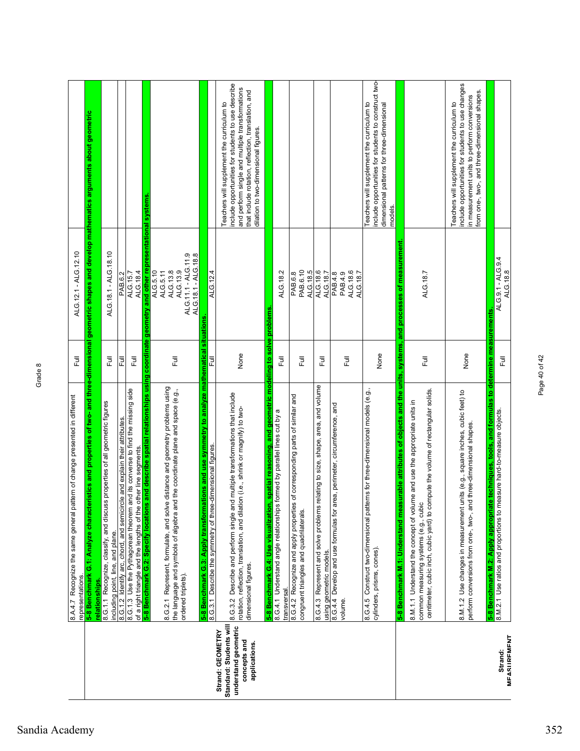|                                                                                                      | 8.A.4 7. Recognize the same general pattern of change presented in different                                                                                                                           |                     |                                                                                              |                                                                                                                                                                                                                                                    |
|------------------------------------------------------------------------------------------------------|--------------------------------------------------------------------------------------------------------------------------------------------------------------------------------------------------------|---------------------|----------------------------------------------------------------------------------------------|----------------------------------------------------------------------------------------------------------------------------------------------------------------------------------------------------------------------------------------------------|
|                                                                                                      | representations                                                                                                                                                                                        | 巨                   | ALG.12.1 - ALG.12.10                                                                         |                                                                                                                                                                                                                                                    |
|                                                                                                      | ristics and properties of<br>G.1: Analyze characte<br>5-8 Benchmark<br>relationships                                                                                                                   |                     |                                                                                              | two- and three-dimensional geometric shapes and develop mathematics arguments about geometric                                                                                                                                                      |
|                                                                                                      | 8.G.1.1 Recognize, classify, and discuss properties of all geometric figures<br>including point, line, and plane.                                                                                      | 卮                   | ALG.18.1 - ALG.18.10                                                                         |                                                                                                                                                                                                                                                    |
|                                                                                                      | 8.G.1.2 Identify arc, chord, and semicircle and explain their attributes                                                                                                                               | 쿤                   | PAB.6.2                                                                                      |                                                                                                                                                                                                                                                    |
|                                                                                                      | 8.G.1.3 Use the Pythagorean theorem and its converse to find the missing side<br>of a right triangle and the lengths of the other line segments.                                                       | Ē                   | ALG.18.4<br>ALG.15.7                                                                         |                                                                                                                                                                                                                                                    |
|                                                                                                      | s and describe spatial relationships using<br>5-8 Benchmark G.2: Specify locations                                                                                                                     | coordinate geometry | and other representational systems                                                           |                                                                                                                                                                                                                                                    |
|                                                                                                      | 8.G.2.1 Represent, formulate, and solve distance and geometry problems using<br>the language and symbols of algebra and the coordinate plane and space (e.g.,<br>ordered triplets).                    | 卮                   | ALG.11.1 - ALG.11.9<br>ALG. 18.1 - ALG. 18.8<br>ALG.13.9<br>ALG.5.10<br>ALG.13.8<br>ALG.5.11 |                                                                                                                                                                                                                                                    |
|                                                                                                      |                                                                                                                                                                                                        |                     |                                                                                              |                                                                                                                                                                                                                                                    |
|                                                                                                      | <mark>5-8 Benchmark G.3: Apply transformations and use symmetry to analyze mathematical situations</mark><br>8.G.3.1 Describe the symmetry of three-dimensional figures.                               |                     | ALG.12.4                                                                                     |                                                                                                                                                                                                                                                    |
| Standard: Students will<br>understand geometric<br>Strand: GEOMETRY<br>concepts and<br>applications. | 8.G.3.2 Describe and perform single and multiple transformations that include<br>rotation, reflection, translation, and dilation (i.e., shrink or magnify) to two-<br>dimensional figures.             | None                |                                                                                              | include opportunities for students to use describe<br>and perform single and multiple transformations<br>that include rotation, reflection, translation, and<br>Teachers will supplement the curriculum to<br>dilation to two-dimensional figures. |
|                                                                                                      | , spatial reasoning, and geometric modeling to solve problems<br>5-8 Benchmark G.4: Use visualization                                                                                                  |                     |                                                                                              |                                                                                                                                                                                                                                                    |
|                                                                                                      | formed by parallel lines cut by a<br>8.G.4.1 Understand angle relationships<br>transversal.                                                                                                            | Ē                   | ALG.18.2                                                                                     |                                                                                                                                                                                                                                                    |
|                                                                                                      | 8.G.4.2 Recognize and apply properties of corresponding parts of similar and<br>congruent triangles and quadrilaterals.                                                                                | 쿤                   | ALG.18.5<br>PAB.6.10<br>PAB.6.8                                                              |                                                                                                                                                                                                                                                    |
|                                                                                                      | relating to size, shape, area, and volume<br>8.G.4.3 Represent and solve problems<br>using geometric models                                                                                            | 큹                   | ALG.18.6<br>ALG.18.7                                                                         |                                                                                                                                                                                                                                                    |
|                                                                                                      | rea, perimeter, circumference, and<br>8.G.4.4 Develop and use formulas for a<br>volume                                                                                                                 | 쿦                   | ALG.18.6<br>PAB.4.8<br>PAB.4.9<br>ALG.18.7                                                   |                                                                                                                                                                                                                                                    |
|                                                                                                      | erns for three-dimensional models (e.g.<br>8.G.4.5 Construct two-dimensional patt<br>cylinders, prisms, cones).                                                                                        | None                |                                                                                              | include opportunities for students to construct two-<br>Teachers will supplement the curriculum to<br>dimensional patterns for three-dimensional<br>models                                                                                         |
|                                                                                                      | 5-8 Benchmark M.1: Understand measurable attributes of objects and the units, systems,                                                                                                                 |                     | and processes of measurement.                                                                |                                                                                                                                                                                                                                                    |
|                                                                                                      | centimeter, cubic inch, cubic yard) to compute the volume of rectangular solids.<br>8.M.1.1 Understand the concept of volume and use the appropriate units in<br>common measuring systems (e.g., cubio | 卮                   | ALG.18.7                                                                                     |                                                                                                                                                                                                                                                    |
|                                                                                                      | 8.M.1.2 Use changes in measurement units (e.g., square inches, cubic feet) to<br>id three-dimensional shapes<br>perform conversions from one-, two-, an                                                | None                |                                                                                              | include opportunities for students to use changes<br>from one-, two-, and three-dimensional shapes.<br>in measurement units to perform conversions<br>Teachers will supplement the curriculum to                                                   |
|                                                                                                      | 5-8 Benchmark M.2: Apply appropriate techniques, tools, and formulas to determine measurements                                                                                                         |                     |                                                                                              |                                                                                                                                                                                                                                                    |
| <b>MFASURFMFNT</b><br>Strand:                                                                        | 8.M.2.1 Use ratios and proportions to measure hard-to-measure objects.                                                                                                                                 | Ē                   | ALG.9.1 - ALG.9.4<br>ALG.18.8                                                                |                                                                                                                                                                                                                                                    |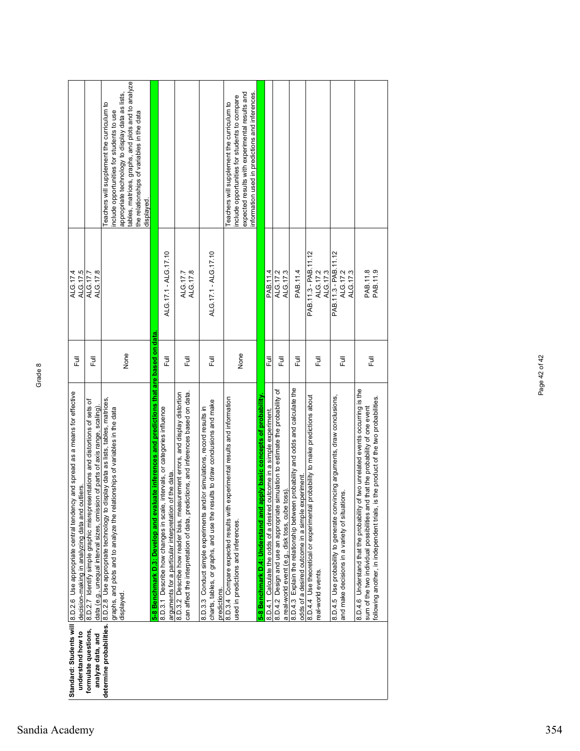| understand how to                         | Standard: Students will 8.D.2.6 Use appropriate central tendency and spread as a means for effective<br>decision-making in analyzing data and outliers.                                                                                                           | 巨      | ALG.17.5<br>ALG.17.4                         |                                                                                                                                                                                                                                                 |
|-------------------------------------------|-------------------------------------------------------------------------------------------------------------------------------------------------------------------------------------------------------------------------------------------------------------------|--------|----------------------------------------------|-------------------------------------------------------------------------------------------------------------------------------------------------------------------------------------------------------------------------------------------------|
| formulate questions,<br>analyze data, and | 8.0 stes host disclopers and interester termin oriderly similarly 1.2.0.8<br>data (e.g., unequal interval sizes, omission of parts of axis range, scaling).                                                                                                       | 큔      | ALG.17.8<br>ALG.17.7                         |                                                                                                                                                                                                                                                 |
|                                           | determine probabilities. 8.D.2.8 Use appropriate technology to display data as lists, tables, matrices,<br>graphs, and plots and to analyze the relationships of variables in the data<br>displayed.                                                              | None   |                                              | tables, matrices, graphs, and plots and to analyze<br>appropriate technology to display data as lists,<br>Teachers will supplement the curriculum to<br>include opportunities for students to use<br>the relationships of variables in the data |
|                                           | luate inferences and predictions that are based on data<br>5-8 Benchmark D.3: Develop and eval                                                                                                                                                                    |        |                                              | displayed.                                                                                                                                                                                                                                      |
|                                           | intervals, or categories influence<br>of the data<br>8.D.3.1 Describe how changes in scale,<br>arguments for a particular interpretation                                                                                                                          | 巨      | ALG.17.1 - ALG.17.10                         |                                                                                                                                                                                                                                                 |
|                                           | 8.D.3.2 Describe how reader bias, measurement errors, and display distortion<br>can affect the interpretation of data, predictions, and inferences based on data.                                                                                                 | 巨      | ALG.17.8<br>ALG.17.7                         |                                                                                                                                                                                                                                                 |
|                                           | charts, tables, or graphs, and use the results to draw conclusions and make<br>8.D.3.3 Conduct simple experiments and/or simulations, record results in<br>predictions.                                                                                           | 巨      | ALG.17.1 - ALG.17.10                         |                                                                                                                                                                                                                                                 |
|                                           | experimental results and information<br>8.D.3.4 Compare expected results with<br>used in predictions and inferences                                                                                                                                               | None   |                                              | information used in predictions and inferences.<br>expected results with experimental results and<br>include opportunities for students to compare<br>Teachers will supplement the curriculum to                                                |
|                                           | apply basic concepts of probability<br>5-8 Benchmark D.4: Understand and                                                                                                                                                                                          |        |                                              |                                                                                                                                                                                                                                                 |
|                                           | outcome in a simple experiment<br>8.D.4.1 Calculate the odds of a desired                                                                                                                                                                                         | Ē      | PAB.11.4                                     |                                                                                                                                                                                                                                                 |
|                                           | simulation to estimate the probability of<br>toss).<br>8.D.4.2 Design and use an appropriate<br>a real-world event (e.g., disk toss, cube                                                                                                                         | 큔      | ALG.17.2<br>ALG.17.3                         |                                                                                                                                                                                                                                                 |
|                                           | 8.D.4.3 Explain the relationship between probability and odds and calculate the<br>odds of a desired outcome in a simple experiment.                                                                                                                              | 巨      | PAB.11.4                                     |                                                                                                                                                                                                                                                 |
|                                           | probability to make predictions about<br>8.D.4.4 Use theoretical or experimental<br>real-world events.                                                                                                                                                            | 巨      | PAB.11.3 - PAB.11.12<br>ALG.17.2<br>ALG.17.3 |                                                                                                                                                                                                                                                 |
|                                           | vincing arguments, draw conclusions,<br>and make decisions in a variety of situations.<br>8.D.4.5 Use probability to generate con                                                                                                                                 | ラ<br>L | PAB.11.3 - PAB.11.12<br>ALG.17.2<br>ALG.17.3 |                                                                                                                                                                                                                                                 |
|                                           | of two unrelated events occurring is the<br>is the product of the two probabilities.<br>d that the probability of one event<br>sum of the two individual possibilities an<br>8.D.4.6 Understand that the probability<br>following another, in independent trials, | 巨      | PAB.11.8<br>PAB.11.9                         |                                                                                                                                                                                                                                                 |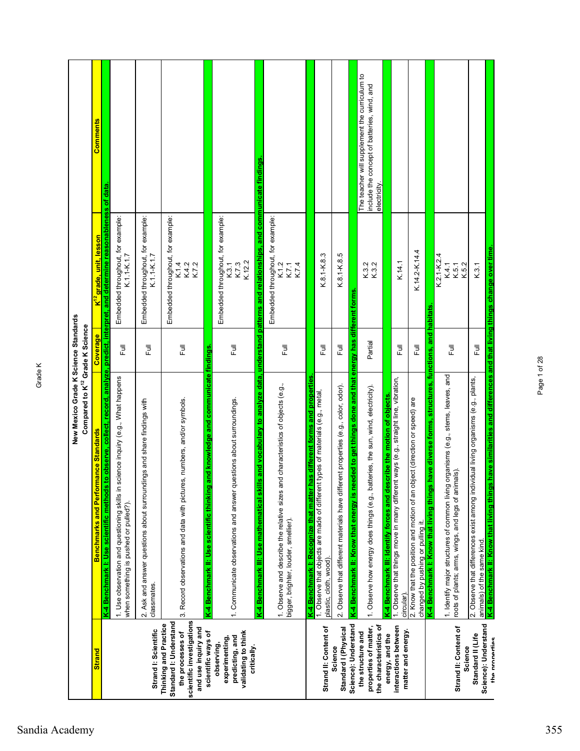|                                                                                                                         | New Mexico Grade K Science Standards<br>Compared to K <sup>12</sup> Grade K Science                                                                                                                                                                                              |                  |                                                               |                                                                                                              |
|-------------------------------------------------------------------------------------------------------------------------|----------------------------------------------------------------------------------------------------------------------------------------------------------------------------------------------------------------------------------------------------------------------------------|------------------|---------------------------------------------------------------|--------------------------------------------------------------------------------------------------------------|
| <b>Strand</b>                                                                                                           | mance Standards<br>Benchmarks and Perfor                                                                                                                                                                                                                                         | Coverage         | <mark>K<sup>12</sup> grade, unit, lesson</mark>               | <b>Comments</b>                                                                                              |
|                                                                                                                         | to observe, collect, record, analyze, predict, interpret, and determine reasonableness of data<br>K-4 Benchmark I: Use scientific methods                                                                                                                                        |                  |                                                               |                                                                                                              |
|                                                                                                                         | science inquiry (e.g., What happens<br>1. Use observation and questioning skills in<br>when something is pushed or pulled?).                                                                                                                                                     | Full             | Embedded throughout, for example:<br>K.1.1-K.1.7              |                                                                                                              |
| Strand I: Scientific                                                                                                    | 2. Ask and answer questions about surroundings and share findings with<br>classmates                                                                                                                                                                                             | 下<br>L           | Embedded throughout, for example:<br>K.1.1-K.1.7              |                                                                                                              |
| scientific investigations<br>Standard I: Understand<br>Thinking and Practice<br>and use inquiry and<br>the processes of | 3. Record observations and data with pictures, numbers, and/or symbols.                                                                                                                                                                                                          | $\overline{\Xi}$ | Embedded throughout, for example:<br>K.7.2<br>K.1.4<br>K.4.2  |                                                                                                              |
| scientific ways of                                                                                                      | and knowledge and communicate findings.<br>K-4 Benchmark II: Use scientific thinking                                                                                                                                                                                             |                  |                                                               |                                                                                                              |
| validating to think<br>predicting, and<br>experimenting,<br>observing,<br>critically.                                   | 1. Communicate observations and answer questions about surroundings.                                                                                                                                                                                                             | 言                | Embedded throughout, for example:<br>K.12.2<br>K.7.3<br>K.3.1 |                                                                                                              |
|                                                                                                                         | lls and vocabulary to analyze data, understand patterns and relationships, and communicate findings.<br>ind characteristics of objects (e.g.,<br>1. Observe and describe the relative sizes a<br>K-4 Benchmark III: Use mathematical ski<br>bigger, brighter, louder, smellier). | 目                | Embedded throughout, for example:<br>K.7.4<br>K.1.2<br>K.7.1  |                                                                                                              |
|                                                                                                                         | has different forms and properties<br>K-4 Benchmark I: Recognize that matter                                                                                                                                                                                                     |                  |                                                               |                                                                                                              |
| Strand II: Content of                                                                                                   | 1. Observe that objects are made of different types of materials (e.g., metal,<br>plastic, cloth, wood).                                                                                                                                                                         | Ē                | K.8.1-K.8.3                                                   |                                                                                                              |
| Standard I (Physical<br>Science                                                                                         | 2. Observe that different materials have different properties (e.g., color, odor).                                                                                                                                                                                               | 言                | K.8.1-K.8.5                                                   |                                                                                                              |
| Science): Understand                                                                                                    | K-4 Benchmark II: Know that energy is needed to get things done and that energy has different forms                                                                                                                                                                              |                  |                                                               |                                                                                                              |
| the characteristics of<br>properties of matter,<br>the structure and                                                    | 1. Observe how energy does things (e.g., batteries, the sun, wind, electricity).                                                                                                                                                                                                 | Partial          | K.3.2<br>K.3.2                                                | The teacher will supplement the curriculum to<br>include the concept of batteries, wind, and<br>electricity. |
| interactions between<br>energy, and the                                                                                 | 1. Observe that things move in many different ways (e.g., straight line, vibration,<br>K-4 Benchmark III: Identify forces and describe the motion of objects<br>circular).                                                                                                       | 言                | K.14.1                                                        |                                                                                                              |
| matter and energy.                                                                                                      | 2. Know that the position and motion of an object (direction or speed) are<br>changed by pushing or pulling it.                                                                                                                                                                  | $\bar{1}$        | K.14.2-K.14.4                                                 |                                                                                                              |
|                                                                                                                         | K-4 Benchmark I: Know that living things have diverse forms, structures, functions, and habitats                                                                                                                                                                                 |                  |                                                               |                                                                                                              |
| Strand II: Content of<br>Science                                                                                        | 1. Identify major structures of common living organisms (e.g., stems, leaves, and<br>roots of plants; arms, wings, and legs of animals).                                                                                                                                         | Full             | $K.2.1 - K.2.4$<br>K.4.1<br>K.5.2<br>K.5.1                    |                                                                                                              |
| Science): Understand<br>Standard II (Life                                                                               | 2. Observe that differences exist among individual living organisms (e.g., plants,<br>animals) of the same kind.                                                                                                                                                                 | 言                | K.3.1                                                         |                                                                                                              |
| the properties                                                                                                          | K-4 Benchmark II: Know that living things have similarities and differences and that living things change over time                                                                                                                                                              |                  |                                                               |                                                                                                              |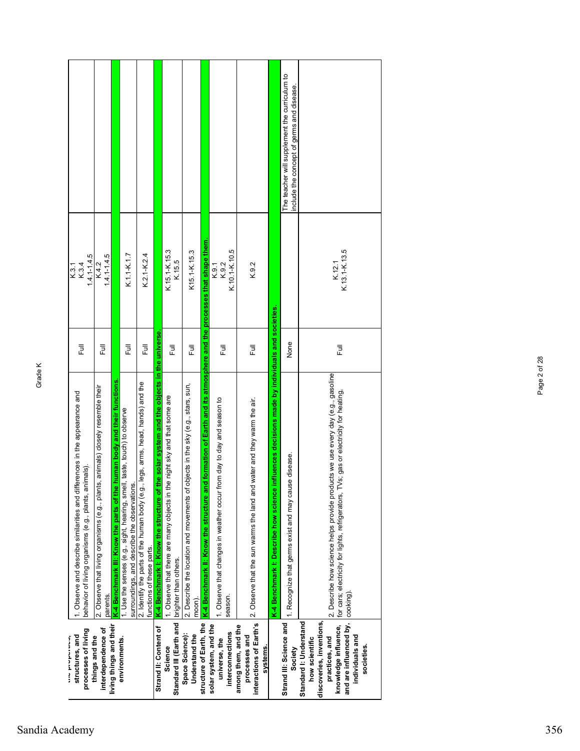|                                                                                                                                    |                                                                                             |                                                                            |                                                                                                                         |                                                                                                                 |                                                                                            |                                                                                                    |                                                                                          |                                                                                                                  |                                                                                   |                                                                             |                                                                                                | The teacher will supplement the curriculum to<br>include the concept of germs and disease. |                                                                                                                                                                                            |
|------------------------------------------------------------------------------------------------------------------------------------|---------------------------------------------------------------------------------------------|----------------------------------------------------------------------------|-------------------------------------------------------------------------------------------------------------------------|-----------------------------------------------------------------------------------------------------------------|--------------------------------------------------------------------------------------------|----------------------------------------------------------------------------------------------------|------------------------------------------------------------------------------------------|------------------------------------------------------------------------------------------------------------------|-----------------------------------------------------------------------------------|-----------------------------------------------------------------------------|------------------------------------------------------------------------------------------------|--------------------------------------------------------------------------------------------|--------------------------------------------------------------------------------------------------------------------------------------------------------------------------------------------|
| $1.4.1 - 1.4.5$<br>K.3.1<br>K.3.4                                                                                                  | $1.4.1 - 1.4.5$<br>K.4.2                                                                    |                                                                            | K.1.1-K.1.7                                                                                                             | K.2.1-K.2.4                                                                                                     |                                                                                            | K.15.1-K.15.3<br>K.15.5                                                                            | K15.1-K.15.3                                                                             |                                                                                                                  | $K.10.1 - K.10.5$<br>K.9.2<br>K.9.1                                               | K.9.2                                                                       |                                                                                                |                                                                                            | K.12.1<br>K.13.1-K.13.5                                                                                                                                                                    |
| 昆                                                                                                                                  | Ē                                                                                           |                                                                            | Ē                                                                                                                       | Ē                                                                                                               |                                                                                            | $\overline{a}$                                                                                     | Ē                                                                                        |                                                                                                                  | 目                                                                                 | 豆                                                                           |                                                                                                | None                                                                                       | 言                                                                                                                                                                                          |
| 1. Observe and describe similarities and differences in the appearance and<br>behavior of living organisms (e.g., plants, animals) | 2. Observe that living organisms (e.g., plants, animals) closely resemble their<br>parents. | human body and their functions<br>K-4 Benchmark III: Know the parts of the | 1. Use the senses (e.g., sight, hearing, smell, taste, touch) to observe<br>surroundings, and describe the observations | legs, arms, head, hands) and the<br>2. Identify the parts of the human body (e.g.,<br>functions of these parts. | he solar system and the objects in the universe.<br>K-4 Benchmark I: Know the structure of | 1. Observe that there are many objects in the night sky and that some are<br>brighter than others. | 2. Describe the location and movements of objects in the sky (e.g., stars, sun,<br>moon) | K-4 Benchmark II: Know the structure and formation of Earth and its atmosphere and the processes that shape them | 1. Observe that changes in weather occur from day to day and season to<br>season. | 2. Observe that the sun warms the land and water and they warm the air.     | nfluences decisions made by individuals and societies<br>K-4 Benchmark I: Describe how science | 1. Recognize that germs exist and may cause disease.                                       | 2. Describe how science helps provide products we use every day (e.g., gasoline<br>/s; gas or electricity for heating,<br>for cars; electricity for lights, refrigerators, TV<br>cooking). |
| processes of living<br>structures, and<br>ここ こうこう                                                                                  | interdependence of<br>things and the                                                        | living things and their                                                    | environments.                                                                                                           |                                                                                                                 | Strand II: Content of                                                                      | Standard III (Earth and<br>Science                                                                 | Space Science):<br>Understand the                                                        | structure of Earth, the                                                                                          | solar system, and the<br>interconnections<br>universe, the                        | interactions of Earth's<br>among them, and the<br>processes and<br>systems. |                                                                                                | Strand III: Science and<br>Society                                                         | and are influenced by,<br>Standard I: Understand<br>discoveries, inventions,<br>knowledge influence,<br>individuals and<br>how scientific<br>practices, and<br>societies.                  |

## Sandia Academy 356

Page 2 of 28

Page 2 of 28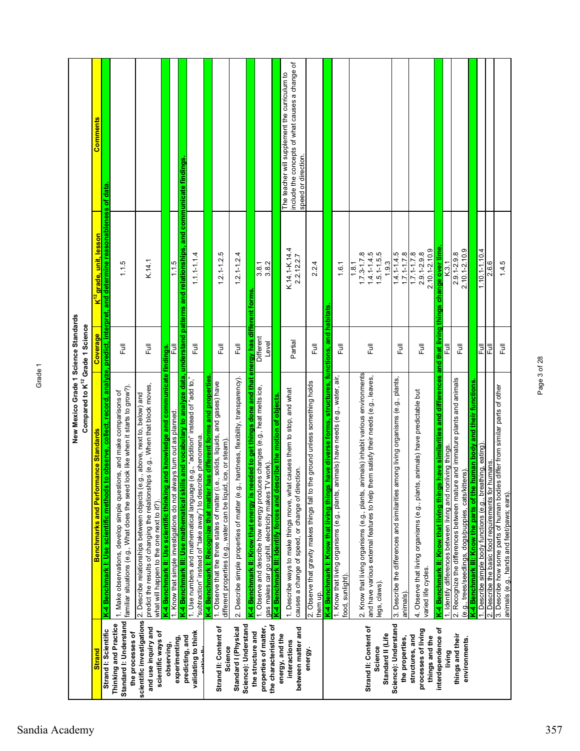|                                                                        | New Mexico Grade 1 Science Standards<br>Compared to K <sup>12</sup> Grade 1 Science                                                                                                                                                                                                              |                                   |                                                                                                |                                                                                                                         |
|------------------------------------------------------------------------|--------------------------------------------------------------------------------------------------------------------------------------------------------------------------------------------------------------------------------------------------------------------------------------------------|-----------------------------------|------------------------------------------------------------------------------------------------|-------------------------------------------------------------------------------------------------------------------------|
| <b>Strand</b>                                                          | <b>Benchmarks and Performance Standards</b>                                                                                                                                                                                                                                                      | Coverage                          | <mark>K<sup>12</sup>grade, unit, lesson</mark>                                                 | <b>Comments</b>                                                                                                         |
| Strand I: Scientific                                                   | K-4 Benchmark I: Use scientific methods 1                                                                                                                                                                                                                                                        |                                   | to observe, collect, record, analyze, predict, interpret, and determine reasonableness of data |                                                                                                                         |
| Standard I: Understand<br>Thinking and Practice<br>the processes of    | familiar situations (e.g., What does the seed look like when it starts to grow?).<br>1. Make observations, develop simple questions, and make comparisons of                                                                                                                                     | Full                              | 1.1.5                                                                                          |                                                                                                                         |
| scientific investigations<br>and use inquiry and<br>scientific ways of | predict the results of changing the relationships (e.g., When that block moves,<br>2. Describe relationships between objects (e.g., above, next to, below) and<br>what will happen to the one next to it?).                                                                                      | Full                              | K.14.1                                                                                         |                                                                                                                         |
| observing,                                                             | and knowledge and communicate<br>K-4 Benchmark II: Use scientific thinking                                                                                                                                                                                                                       | findings                          |                                                                                                |                                                                                                                         |
| experimenting,                                                         | 1. Know that simple investigations do not always turn out as planned.                                                                                                                                                                                                                            | Ī                                 | 1.1.5                                                                                          |                                                                                                                         |
| validating to think<br>predicting, and                                 | K-4 Benchmark III: Use mathematical skills and vocabulary to analyze data, understand patterns and relationships, and communicate findings.<br>1. Use numbers and mathematical language (e.g., "addition" instead of "add to,"  <br>"subtraction" instead of "take away") to describe phenomena. | 巨                                 | $1.1 - 1.1 - 1.4$                                                                              |                                                                                                                         |
| Strand II: Content of                                                  | K-4 Benchmark I: Recognize that matter has different forms and properties<br>1. Observe that the three states of matter (i.e., solids, liquids, and gases) have                                                                                                                                  | ラ<br>L                            | $1.2.1 - 1.2.5$                                                                                |                                                                                                                         |
| Science                                                                | different properties (e.g., water can be liquid, ice, or steam)                                                                                                                                                                                                                                  |                                   |                                                                                                |                                                                                                                         |
| Science): Understand<br>Standard I (Physical                           | hardness, flexibility, transparency).<br>2. Describe simple properties of matter (e.g.,                                                                                                                                                                                                          | 巨                                 | $1.2.1 - 1.2.4$                                                                                |                                                                                                                         |
| the structure and                                                      | K-4 Benchmark II: Know that energy is needed to get things done and that<br>ss changes (e.g., heat melts ice,<br>1. Observe and describe how energy produce                                                                                                                                      | energy has different<br>Different | 3.8.1<br>forms                                                                                 |                                                                                                                         |
| the characteristics of<br>properties of matter,                        | K-4 Benchmark III: Identify forces and describe the motion of objects.<br>gas makes car go uphill, electricity makes TV work).                                                                                                                                                                   | Level                             | 3.8.2                                                                                          |                                                                                                                         |
| between matter and<br>energy, and the<br>interactions                  | 1. Describe ways to make things move, what causes them to stop, and what<br>causes a change of speed, or change of direction.                                                                                                                                                                    | Partial                           | K.14.1-K.14.4<br>2.2.12.2.7                                                                    | include the concepts of what causes a change of<br>The teacher will supplement the curriculum to<br>speed or direction. |
| energy.                                                                | 2. Observe that gravity makes things fall to the ground unless something holds<br>them up.                                                                                                                                                                                                       | 巨                                 | 2.2.4                                                                                          |                                                                                                                         |
|                                                                        | have diverse forms, structures, functions, and habitats<br>K-4 Benchmark I: Know that living things                                                                                                                                                                                              |                                   |                                                                                                |                                                                                                                         |
|                                                                        | 1. Know that living organisms (e.g., plants, animals) have needs (e.g., water, air,<br>food, sunlight).                                                                                                                                                                                          | Full                              | 1.6.1                                                                                          |                                                                                                                         |
| Strand II: Content of<br>Standard II (Life<br>Science                  | 2. Know that living organisms (e.g., plants, animals) inhabit various environments<br>and have various external features to help them satisfy their needs (e.g., leaves,<br>legs, claws).                                                                                                        | 巨                                 | $1.5.1 - 1.5.5$<br>$1.4.1 - 1.4.5$<br>$1.7.3 - 1.7.8$<br>1.9.3<br>1.8.1                        |                                                                                                                         |
| Science): Understand<br>the properties,                                | mong living organisms (e.g., plants,<br>3. Describe the differences and similarities ar<br>animals)                                                                                                                                                                                              | Full                              | $1.4.1 - 1.4.5$<br>$1.7.1 - 1.7.8$                                                             |                                                                                                                         |
| processes of living<br>structures, and<br>things and the               | animals) have predictable but<br>4. Observe that living organisms (e.g., plants,<br>varied life cycles.                                                                                                                                                                                          | Full                              | $2.10.1 - 2.10.9$<br>$1.7.1 - 1.7.8$<br>$2.9.1 - 2.9.8$                                        |                                                                                                                         |
| interdependence of<br>living                                           | have similarities and differences and that living<br>1. Identify differences between living and nonliving things.<br>K-4 Benchmark II: Know that living things                                                                                                                                   | 쿤                                 | things change over time<br>K.3.1                                                               |                                                                                                                         |
| things and their<br>environments.                                      | 2. Recognize the differences between mature and immature plants and animals<br>(e.g., trees/seedlings, dogs/puppies, cats/kittens).                                                                                                                                                              | Full                              | $2.10.1 - 2.10.9$<br>$2.9.1 - 2.9.8$                                                           |                                                                                                                         |
|                                                                        | K-4 Benchmark III: Know the parts of the human body and their functions                                                                                                                                                                                                                          |                                   |                                                                                                |                                                                                                                         |
|                                                                        | 1. Describe simple body functions (e.g., breathing, eating)<br>2. Describe the basic food requirements for humans                                                                                                                                                                                | 巨<br>ĒJ                           | $1.10.1 - 1.10.4$<br>2.6.6                                                                     |                                                                                                                         |
|                                                                        | 3. Describe how some parts of human bodies differ from similar parts of other<br>animals (e.g., hands and feet/paws; ears).                                                                                                                                                                      | $\overline{\mathsf{F}}$ ull       | 1.4.5                                                                                          |                                                                                                                         |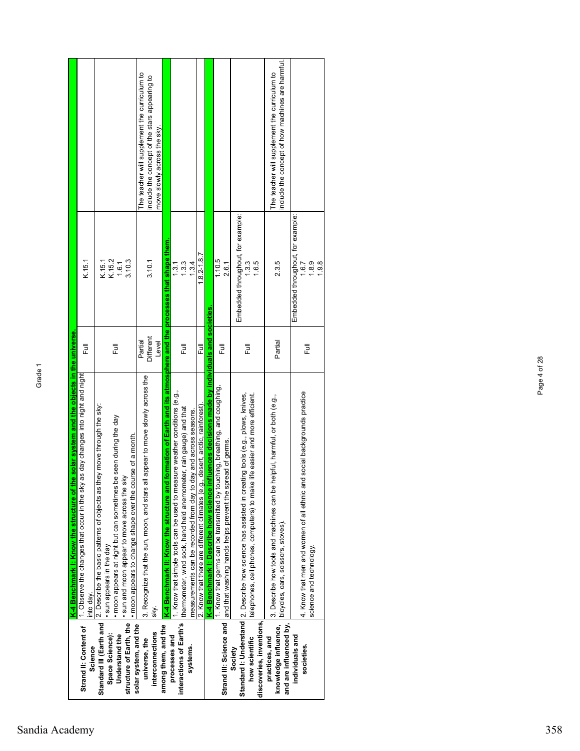| 豆<br>Ē<br>as day changes into night and night<br>Standard III (Earth and   2. Describe the basic patterns of objects as they move through the sky:<br>. moon appears at night but can sometimes be seen during the day<br>I. Observe the changes that occur in the sky<br>sun appears in the day<br>into day.<br>Strand II: Content of<br>Space Science):<br>Understand the<br>Science |  |                                                              |                                                                                                                               |
|----------------------------------------------------------------------------------------------------------------------------------------------------------------------------------------------------------------------------------------------------------------------------------------------------------------------------------------------------------------------------------------|--|--------------------------------------------------------------|-------------------------------------------------------------------------------------------------------------------------------|
|                                                                                                                                                                                                                                                                                                                                                                                        |  | K.15.1                                                       |                                                                                                                               |
| · moon appears to change shape over the course of a month.<br>. sun and moon appear to move across the sky<br>structure of Earth, the                                                                                                                                                                                                                                                  |  | K.15.1<br>K.15.2<br>1.6.1<br>3.10.3                          |                                                                                                                               |
| <b>Different</b><br>Partial<br>Level<br>3. Recognize that the sun, moon, and stars all appear to move slowly across the<br>sky.<br>solar system, and the<br>interconnections<br>universe, the                                                                                                                                                                                          |  | 3.10.1                                                       | The teacher will supplement the curriculum to<br>include the concept of the stars appearing to<br>move slowly across the sky. |
| formation of Earth and its atmosphere and the processes that shape them.<br>K-4 Benchmark II: Know the structure and<br>among them, and the                                                                                                                                                                                                                                            |  |                                                              |                                                                                                                               |
| ラ<br>L<br>1. Know that simple tools can be used to measure weather conditions (e.g.,<br>thermometer, wind sock, hand held anemometer, rain gauge) and that<br>measurements can be recorded from day to day and across seasons.<br>interactions of Earth's<br>processes and<br>systems.                                                                                                 |  | 1.3.3<br>1.3.4<br>1.3.1                                      |                                                                                                                               |
| 昆<br>2. Know that there are different climates (e.g., desert, arctic, rainforest)                                                                                                                                                                                                                                                                                                      |  | $1.8.2 - 1.8.7$                                              |                                                                                                                               |
| K-4 Benchmark I: Describe how science influences decisions made by individuals and societies                                                                                                                                                                                                                                                                                           |  |                                                              |                                                                                                                               |
| 巨<br>uching, breathing, and coughing,<br>Strand III: Science and  and that washing hands helps prevent the spread of germs.<br>1. Know that germs can be transmitted by tou                                                                                                                                                                                                            |  | 1.10.5<br>2.6.1                                              |                                                                                                                               |
| 쿤<br>Standard I: Understand 2. Describe how science has assisted in creating tools (e.g., plows, knives,<br>telephones, cell phones, computers) to make life easier and more efficient.<br>discoveries, inventions,<br>how scientific<br>Society                                                                                                                                       |  | Embedded throughout, for example:<br>1.6.5<br>$\frac{33}{5}$ |                                                                                                                               |
| Partial<br>helpful, harmful, or both (e.g.,<br>3. Describe how tools and machines can be<br>bicycles, cars, scissors, stoves).<br>knowledge influence,<br>and are influenced by,<br>practices, and                                                                                                                                                                                     |  | 2.3.5                                                        | include the concept of how machines are harmful<br>The teacher will supplement the curriculum to                              |
| Full<br>4. Know that men and women of all ethnic and social backgrounds practice<br>science and technology.<br>individuals and<br>societies.                                                                                                                                                                                                                                           |  | Embedded throughout, for example:<br>1.8.9<br>1.9.8<br>1.6.7 |                                                                                                                               |

Page 4 of 28

Page 4 of 28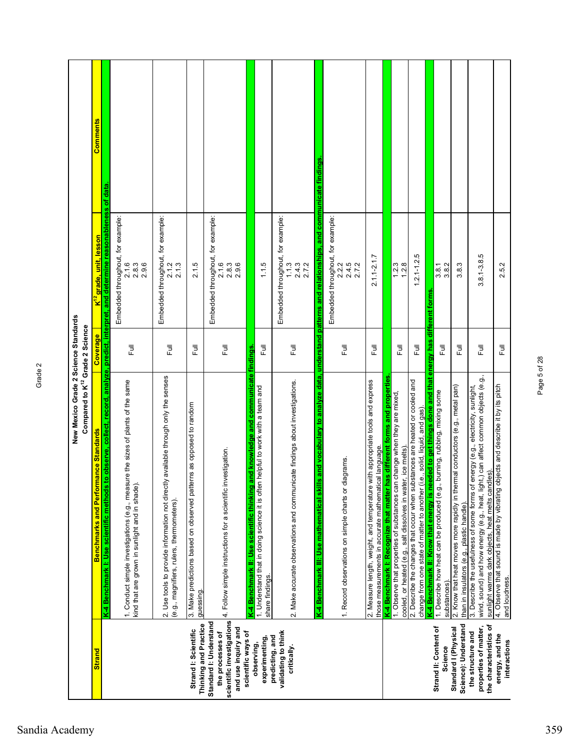|                                                                                                                      | New Mexico Grade 2 Science Standards<br>Compared to K <sup>12</sup> Grade 2 Science                                                                                                                                        |                  |                                                                                                    |          |
|----------------------------------------------------------------------------------------------------------------------|----------------------------------------------------------------------------------------------------------------------------------------------------------------------------------------------------------------------------|------------------|----------------------------------------------------------------------------------------------------|----------|
| <b>Strand</b>                                                                                                        | mance Standards<br>Benchmarks and Perfor                                                                                                                                                                                   | Coverage         | <mark>K<sup>12</sup> grade, unit, lesson</mark>                                                    | Comments |
|                                                                                                                      | to observe, collect,<br>K-4 Benchmark I: Use scientific methods                                                                                                                                                            |                  | record, analyze, predict, interpret, and determine reasonableness of data                          |          |
|                                                                                                                      | 1. Conduct simple investigations (e.g., measure the sizes of plants of the same<br>kind that are grown in sunlight and in shade)                                                                                           | Full             | Embedded throughout, for example:<br>2.1.6<br>2.9.6<br>2.8.3                                       |          |
|                                                                                                                      | 2. Use tools to provide information not directly available through only the senses<br>(e.g., magnifiers, rulers, thermometers).                                                                                            | Full             | Embedded throughout, for example:<br>2.1.3<br>2.1.2                                                |          |
| Thinking and Practice<br>Strand I: Scientific                                                                        | 3. Make predictions based on observed patterns as opposed to random<br>guessing.                                                                                                                                           | 同<br>L           | 2.1.5                                                                                              |          |
| scientific investigations<br>Standard I: Understand<br>and use inquiry and<br>scientific ways of<br>the processes of | 4. Follow simple instructions for a scientific investigation.                                                                                                                                                              | 巨                | Embedded throughout, for example:<br>2.1.6<br>2.9.6<br>2.8.3                                       |          |
| experimenting,<br>observing,                                                                                         | and knowledge and communicate findings<br>1. Understand that in doing science it is often helpful to work with a team and<br>K-4 Benchmark II: Use scientific thinking<br>share findings.                                  | 巨                | 1.1.5                                                                                              |          |
| validating to think<br>predicting, and<br>critically.                                                                | 2. Make accurate observations and communicate findings about investigations                                                                                                                                                | ラ<br>L           | Embedded throughout, for example:<br>1.1.3<br>2.4.3<br>2.7.2                                       |          |
|                                                                                                                      | K-4 Benchmark III: Use mathematical ski                                                                                                                                                                                    |                  | Is and vocabulary to analyze data, understand patterns and relationships, and communicate findings |          |
|                                                                                                                      | diagrams.<br>1. Record observations on simple charts or                                                                                                                                                                    | 巨                | Embedded throughout, for example:<br>2.4.5<br>2.7.2<br>2.2.2                                       |          |
|                                                                                                                      | has different forms and properties<br>2. Measure length, weight, and temperature with appropriate tools and express<br>those measurements in accurate mathematical language.<br>K-4 Benchmark I: Recognize that matter I   | 下<br>L           | $2.1.1 - 2.1.7$                                                                                    |          |
|                                                                                                                      | 1. Observe that properties of substances can change when they are mixed<br>cooled, or heated (e.g., salt dissolves in water, ice melts)                                                                                    | Full             | 1.2.3<br>1.2.8                                                                                     |          |
|                                                                                                                      | 2. Describe the changes that occur when substances are heated or cooled and<br>change from one state of matter to another (i.e., solid, liquid, and gas).                                                                  | $\overline{\Xi}$ | Ю<br>$1.2.1 - 1.2$                                                                                 |          |
| Strand II: Content of<br>Science                                                                                     | K-4 Benchmark II: Know that energy is needed to get things done and that energy has<br>1. Describe how heat can be produced (e.g., burning, rubbing, mixing some<br>substances).                                           | Full             | 3.8.1<br>3.8.2<br>different forms                                                                  |          |
| Science): Understand<br>Standard I (Physical                                                                         | 2. Know that heat moves more rapidly in thermal conductors (e.g., metal pan)<br>than in insulators (e.g., plastic handle).                                                                                                 | 言                | 3.8.3                                                                                              |          |
| the characteristics of<br>properties of matter,<br>the structure and                                                 | wind, sound) and how energy (e.g., heat, light,) can affect common objects (e.g.,<br>3. Describe the usefulness of some forms of energy (e.g., electricity, sunlight,<br>sunlight warms dark objects, heat melts candles). | 言                | $3.8, 1 - 3.8, 5$                                                                                  |          |
| energy, and the<br>interactions                                                                                      | 4. Observe that sound is made by vibrating objects and describe it by its pitch<br>and loudness.                                                                                                                           | Full             | 2.5.2                                                                                              |          |

Page 5 of 28

Page 5 of 28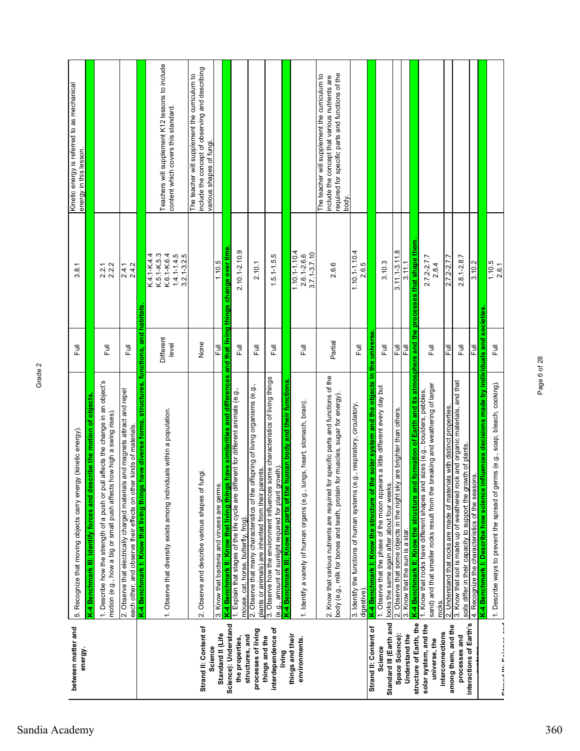| between matter and<br>energy.                    | 5. Recognize that moving objects carry energy (kinetic energy)                                                                                                          | Ē                  | 3.8.1                                                                           | Kinetic energy is referred to as mechanical<br>energy in this lesson.                                                                                       |
|--------------------------------------------------|-------------------------------------------------------------------------------------------------------------------------------------------------------------------------|--------------------|---------------------------------------------------------------------------------|-------------------------------------------------------------------------------------------------------------------------------------------------------------|
|                                                  | K-4 Benchmark III: Identify forces and describe the motion of objects                                                                                                   |                    |                                                                                 |                                                                                                                                                             |
|                                                  | 1. Describe how the strength of a push or pull affects the change in an object's<br>motion (e.g., how a big or small push affects how high a swing rises).              | 큔                  | 2.2.2<br>2.2.1                                                                  |                                                                                                                                                             |
|                                                  | 2. Observe that electrically charged materials and magnets attract and repel<br>each other, and observe their effects on other kinds of materials.                      | 巨                  | 2.4.2<br>2.4.1                                                                  |                                                                                                                                                             |
|                                                  | K-4 Benchmark I: Know that living things have diverse forms, structures, functions, and habitats                                                                        |                    |                                                                                 |                                                                                                                                                             |
|                                                  | 1. Observe that diversity exists among individuals within a population.                                                                                                 | Different<br>level | $1.4.1 - 1.4.5$<br>K.4.1-K.4.4<br>K.5.1-K.5.3<br>K.6.1-K.6.4<br>$3.2.1 - 3.2.5$ | Teachers will supplement K12 lessons to include<br>content which covers this standard                                                                       |
| Strand II: Content of<br>Science                 | 2. Observe and describe various shapes of fungi.                                                                                                                        | None               |                                                                                 | include the concept of observing and describing<br>The teacher will supplement the curriculum to<br>various shapes of fungi.                                |
| Standard II (Life                                | 3. Know that bacteria and viruses are germs.                                                                                                                            | 쿤                  | 1.10.5                                                                          |                                                                                                                                                             |
| Science): Understand                             | have similarities and differences<br>K-4 Benchmark II: Know that living things                                                                                          |                    | and that living things change over time                                         |                                                                                                                                                             |
| structures, and<br>the properties,               | ferent for different animals (e.g.,<br>1. Explain that stages of the life cycle are diff<br>mouse, cat, horse, butterfly, frog)                                         | Full               | 2.10.1-2.10.9                                                                   |                                                                                                                                                             |
| processes of living                              | 2. Observe that many characteristics of the offspring of living organisms (e.g.,<br>plants or animals) are inherited from their parents.                                | 巨                  | 2.10.1                                                                          |                                                                                                                                                             |
| interdependence of<br>things and the             | 3. Observe how the environment influences some characteristics of living things<br>(e.g., amount of sunlight required for plant growth)                                 | 巨                  | $1.5.1 - 1.5.5$                                                                 |                                                                                                                                                             |
| living                                           | human body and their functions<br>K-4 Benchmark III: Know the parts of the                                                                                              |                    |                                                                                 |                                                                                                                                                             |
| things and their<br>environments                 | 1. Identify a variety of human organs (e.g., lungs, heart, stomach, brain).                                                                                             | 巨                  | $1.10.1 - 1.10.4$<br>$3.7.1 - 3.7.10$<br>$2.6.1 - 2.6.6$                        |                                                                                                                                                             |
|                                                  | 2. Know that various nutrients are required for specific parts and functions of the<br>for muscles, sugar for energy).<br>body (e.g., milk for bones and teeth, protein | Partial            | 2.6.6                                                                           | required for specific parts and functions of the<br>The teacher will supplement the curriculum to<br>include the concept that various nutrients are<br>body |
|                                                  | 3. Identify the functions of human systems (e.g., respiratory, circulatory,<br>digestive)                                                                               | 卮                  | $1.10.1 - 1.10.4$<br>2.6.5                                                      |                                                                                                                                                             |
| Strand II: Content of                            | in the<br>he solar system and the objects<br>K-4 Benchmark I: Know the structure of the                                                                                 | universe           |                                                                                 |                                                                                                                                                             |
| Standard III (Earth and<br>Science               | 1. Observe that the phase of the moon appears a little different every day but<br>looks the same again after about four weeks                                           | ラ<br>L             | 3.10.3                                                                          |                                                                                                                                                             |
| Space Science):                                  | 2. Observe that some objects in the night sky are brighter than others.                                                                                                 | 쿤                  | $3.11.1 - 3.11.8$                                                               |                                                                                                                                                             |
| Understand the                                   | 3. Know that the sun is a star.                                                                                                                                         | Ē                  | 3.11.1                                                                          |                                                                                                                                                             |
| structure of Earth, the<br>solar system, and the | K-4 Benchmark II: Know the structure and formation of Earth and its atmosphere and the<br>1. Know that rocks have different shapes and sizes (e.g., boulders, pebbles,  |                    | processes that shape them                                                       |                                                                                                                                                             |
| interconnections<br>universe, the                | breaking and weathering of larger<br>sand) and that smaller rocks result from the<br>rocks.                                                                             | 昆                  | $2.7.2 - 2.7.7$<br>2.8.4                                                        |                                                                                                                                                             |
| among them, and the                              | 2. Understand that rocks are made of materials with distinct properties.                                                                                                | Ēul                | $2.7.2 - 2.7.7$                                                                 |                                                                                                                                                             |
| interactions of Earth's<br>processes and         | 3. Know that soil is made up of weathered rock and organic materials, and that<br>ot plants.<br>soils differ in their capacity to support the gro                       | 巨                  | $2.8.1 - 2.8.7$                                                                 |                                                                                                                                                             |
|                                                  | 4. Recognize the characteristics of the seasons.                                                                                                                        | Ē                  | 3.10.2                                                                          |                                                                                                                                                             |
|                                                  | nfluences decisions made by individuals and<br>K-4 Benchmark I: Describe how science i                                                                                  |                    | societies                                                                       |                                                                                                                                                             |
| Dammad III, Dalaman ama                          | 1. Describe ways to prevent the spread of germs (e.g., soap, bleach, cooking).                                                                                          | 下<br>L             | 1.10.5<br>2.6.1                                                                 |                                                                                                                                                             |
|                                                  |                                                                                                                                                                         |                    |                                                                                 |                                                                                                                                                             |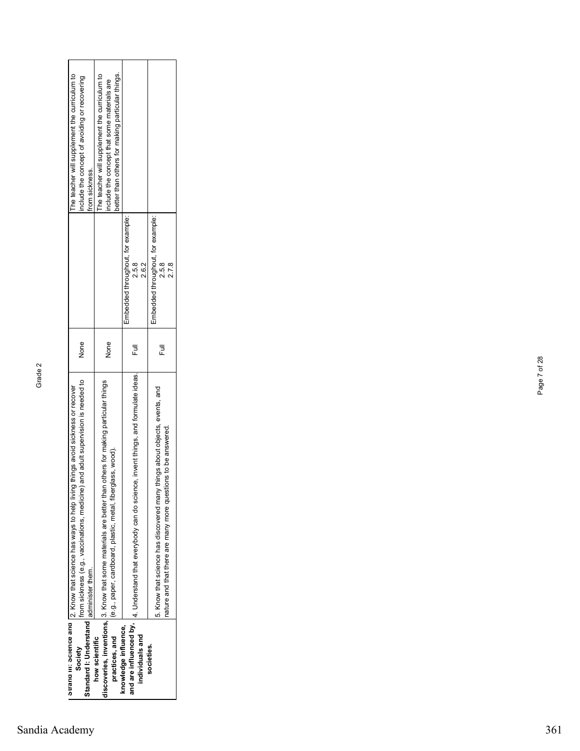| The teacher will supplement the curriculum to                                                                                                                                               | better than others for making particular things.                                                                                                                        | Embedded throughout, for example:                                                                        | Embedded throughout, for example:                                                                                                                   |
|---------------------------------------------------------------------------------------------------------------------------------------------------------------------------------------------|-------------------------------------------------------------------------------------------------------------------------------------------------------------------------|----------------------------------------------------------------------------------------------------------|-----------------------------------------------------------------------------------------------------------------------------------------------------|
| include the concept of avoiding or recovering                                                                                                                                               | The teacher will supplement the curriculum to                                                                                                                           | 2.5.8                                                                                                    | 2.5.8                                                                                                                                               |
| from sickness.                                                                                                                                                                              | include the concept that some materials are                                                                                                                             | 2.6.2                                                                                                    | 2.7.8                                                                                                                                               |
| None                                                                                                                                                                                        | None                                                                                                                                                                    | Ē                                                                                                        | Ē                                                                                                                                                   |
| and adult supervision is needed to<br>ouranu in: ocheance and [2. Know that science has ways to help living things avoid sickness or recover<br>from sickness (e.g., vaccinations, medicine | discoveries, inventions, 3. Know that some materials are better than others for making particular things<br>(e.g., paper, cardboard, plastic, metal, fiberglass, wood). | and are influenced by,  4. Understand that everybody can do science, invent things, and formulate ideas. | things about objects, events, and<br>tions to be answered.<br>5. Know that science has discovered many<br>nature and that there are many more quest |
| Standard I: Understand administer them.                                                                                                                                                     | practices, and                                                                                                                                                          | knowledge influence,                                                                                     | societies.                                                                                                                                          |
| Society                                                                                                                                                                                     | how scientific                                                                                                                                                          | individuals and                                                                                          |                                                                                                                                                     |

Page 7 of 28

Page 7 of 28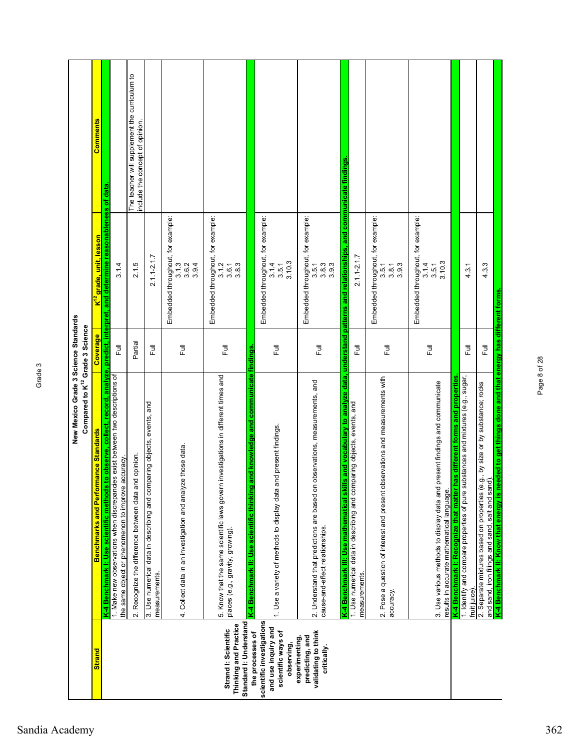|                                                                                                          | New Mexico Grade 3 Science Standards<br>Compared to K <sup>12</sup> Grade 3 Science                                                                                        |              |                                                               |                                               |
|----------------------------------------------------------------------------------------------------------|----------------------------------------------------------------------------------------------------------------------------------------------------------------------------|--------------|---------------------------------------------------------------|-----------------------------------------------|
| <b>Strand</b>                                                                                            | Benchmarks and Performance Standards                                                                                                                                       | Coverage     | K <sup>12</sup> grade, unit, lesson                           | Comments                                      |
|                                                                                                          | to observe, collect, record, analyze, predict,<br>1. Make new observations when discrepancies exist between two descriptions of<br>K-4 Benchmark I: Use scientific methods |              | interpret, and determine reasonableness                       | of data                                       |
|                                                                                                          | 2. Recognize the difference between data and opinion.<br>accuracy<br>the same object or phenomenon to improve                                                              | Partial<br>卮 | 3.1.4<br>2.1.5                                                | The teacher will supplement the curriculum to |
|                                                                                                          |                                                                                                                                                                            |              |                                                               | include the concept of opinion.               |
|                                                                                                          | paring objects, events, and<br>3. Use numerical data in describing and com<br>measurements.                                                                                | ラ<br>L       | $2.1.1 - 2.1.7$                                               |                                               |
|                                                                                                          | 4. Collect data in an investigation and analyze those data.                                                                                                                | ラ<br>L       | Embedded throughout, for example:<br>3.1.3<br>3.9.4<br>3.6.2  |                                               |
| Standard I: Understand<br>Thinking and Practice<br>Strand I: Scientific                                  | 5. Know that the same scientific laws govern investigations in different times and<br>places (e.g., gravity, growing).                                                     | Ē            | Embedded throughout, for example:<br>3.1.2<br>3.8.3<br>3.6.1  |                                               |
| scientific investigations<br>and use inquiry and<br>scientific ways of<br>the processes of<br>observing, | and knowledge and communicate findings<br>and present findings.<br>K-4 Benchmark II: Use scientific thinking<br>1. Use a variety of methods to display data                | Full         | Embedded throughout, for example:<br>3.10.3<br>3.1.4<br>3.5.1 |                                               |
| validating to think<br>predicting, and<br>experimenting,<br>critically.                                  | observations, measurements, and<br>2. Understand that predictions are based on<br>cause-and-effect relationships.                                                          | ラ<br>L       | Embedded throughout, for example:<br>3.8.3<br>3.9.3<br>3.5.1  |                                               |
|                                                                                                          | is and vocabulary to analyze data, understand<br>K-4 Benchmark III: Use mathematical ski                                                                                   |              | patterns and relationships, and                               | communicate findings                          |
|                                                                                                          | 1. Use numerical data in describing and comparing objects, events, and<br>measurements.                                                                                    | Ē            | $2.1.1 - 2.1.7$                                               |                                               |
|                                                                                                          | 2. Pose a question of interest and present observations and measurements with<br>accuracy.                                                                                 | Full         | Embedded throughout, for example:<br>3.9.3<br>3.5.1<br>3.8.1  |                                               |
|                                                                                                          | present findings and communicate<br>3. Use various methods to display data and<br>results in accurate mathematical language.                                               | Full         | Embedded throughout, for example:<br>3.10.3<br>3.1.4<br>3.5.1 |                                               |
|                                                                                                          | has different forms and properties<br>K-4 Benchmark I: Recognize that matter                                                                                               |              |                                                               |                                               |
|                                                                                                          | 1. Identify and compare properties of pure substances and mixtures (e.g., sugar,<br>fruit juice)                                                                           | 言            | 4.3.1                                                         |                                               |
|                                                                                                          | 2. Separate mixtures based on properties (e.g., by size or by substance; rocks<br>and sand, iron filings and sand, salt and sand).                                         | 巨            | 4.3.3                                                         |                                               |
|                                                                                                          | K-4 Benchmark II: Know that energy is needed to get things done and that energy has different forms.                                                                       |              |                                                               |                                               |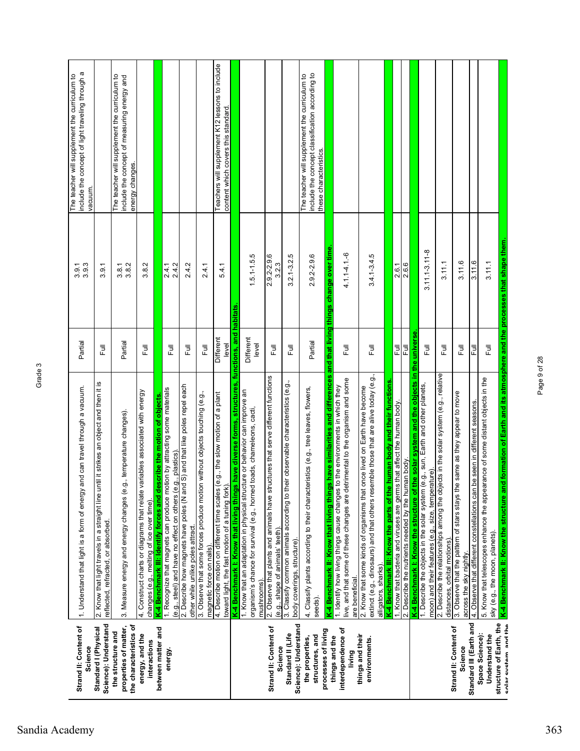| include the concept of light traveling through a<br>The teacher will supplement the curriculum to<br>vacuum. |                                                                                                                                             | The teacher will supplement the curriculum to<br>include the concept of measuring energy and<br>energy changes. |                                                                                                                           |                                                                                                                                                                                                                    |                                                                                                                     |                                                                                                            | Teachers will supplement K12 lessons to include<br>content which covers this standard.                                           |                                                                             |                                                                                                                                                                         |                                                                                                                      |                                                                                                               | include the concept classification according to<br>The teacher will supplement the curriculum to<br>these characteristics. |                                                                             |                                                                                                                                                                                   |                                                                                                                                                                                          |                                                                            |                                                                                                                               |                                                                               |                                                                                                                                         |                                                                                                                    |                                                                                                          |                                                                           |                                                                                                                                                                                                                                                 |
|--------------------------------------------------------------------------------------------------------------|---------------------------------------------------------------------------------------------------------------------------------------------|-----------------------------------------------------------------------------------------------------------------|---------------------------------------------------------------------------------------------------------------------------|--------------------------------------------------------------------------------------------------------------------------------------------------------------------------------------------------------------------|---------------------------------------------------------------------------------------------------------------------|------------------------------------------------------------------------------------------------------------|----------------------------------------------------------------------------------------------------------------------------------|-----------------------------------------------------------------------------|-------------------------------------------------------------------------------------------------------------------------------------------------------------------------|----------------------------------------------------------------------------------------------------------------------|---------------------------------------------------------------------------------------------------------------|----------------------------------------------------------------------------------------------------------------------------|-----------------------------------------------------------------------------|-----------------------------------------------------------------------------------------------------------------------------------------------------------------------------------|------------------------------------------------------------------------------------------------------------------------------------------------------------------------------------------|----------------------------------------------------------------------------|-------------------------------------------------------------------------------------------------------------------------------|-------------------------------------------------------------------------------|-----------------------------------------------------------------------------------------------------------------------------------------|--------------------------------------------------------------------------------------------------------------------|----------------------------------------------------------------------------------------------------------|---------------------------------------------------------------------------|-------------------------------------------------------------------------------------------------------------------------------------------------------------------------------------------------------------------------------------------------|
| $3.\overline{9}.\overline{3}.\overline{3}$                                                                   | 3.9.1                                                                                                                                       | $3.\overline{8}.7$<br>$3.\overline{8}.2$                                                                        | 3.8.2                                                                                                                     | 2.4.1<br>2.4.2                                                                                                                                                                                                     | 2.4.2                                                                                                               | 2.4.1                                                                                                      | 5.4.1                                                                                                                            | habitats                                                                    | $1.5.1 - 1.5.5$                                                                                                                                                         | 2.9.2-2.9.6<br>3.2.3                                                                                                 | Ю<br>$3.2.1 - 3.2$                                                                                            | 2.9.2-2.9.6                                                                                                                | and that living things change over time.                                    | $4.1.1 - 4.1 - 6$                                                                                                                                                                 | $3.4.1 - 3.4.5$                                                                                                                                                                          |                                                                            | 2.6.1<br>2.6.6                                                                                                                |                                                                               | 3.11.1-3.11-8                                                                                                                           | 3.11.1                                                                                                             | 3.11.6                                                                                                   | 3.11.6                                                                    | 3.11.1                                                                                                                                                                                                                                          |
| Partial                                                                                                      | Ē                                                                                                                                           | Partial                                                                                                         | 下<br>L                                                                                                                    | 巨                                                                                                                                                                                                                  | Full                                                                                                                | 巨                                                                                                          | Different<br>level                                                                                                               | functions, and                                                              | Different<br>level                                                                                                                                                      | 豆                                                                                                                    | 巨                                                                                                             | Partial                                                                                                                    |                                                                             | Ē                                                                                                                                                                                 | Ē                                                                                                                                                                                        |                                                                            | 쿤<br>쿤                                                                                                                        | universe<br>the                                                               | 巨                                                                                                                                       | 큔                                                                                                                  | Ē                                                                                                        | Ē                                                                         | Ē                                                                                                                                                                                                                                               |
| 1. Understand that light is a form of energy and can travel through a vacuum.                                | <u>ຜ</u><br>and then it<br>an object<br>2. Know that light travels in a straight line until it strikes<br>reflected, refracted, or absorbed | 3. Measure energy and energy changes (e.g., temperature changes)                                                | 4. Construct charts or diagrams that relate variables associated with energy<br>changes (e.g., melting of ice over time). | 1. Recognize that magnets can produce motion by attracting some materials<br>K-4 Benchmark III: Identify forces and describe the motion of objects.<br>(e.g., steel) and have no effect on others (e.g., plastics) | S) and that like poles repel each<br>2. Describe how magnets have poles (N and<br>other while unlike poles attract. | without objects touching (e.g.,<br>3. Observe that some forces produce motion<br>magnetic force on nails). | 4. Describe motion on different time scales (e.g., the slow motion of a plant<br>toward light, the fast motion of a tuning fork) | have diverse forms, structures,<br>K-4 Benchmark I: Know that living things | 1. Know that an adaptation in physical structure or behavior can improve an<br>toads, chameleons, cacti,<br>organism's chance for survival (e.g., horned<br>mushrooms). | 2. Observe that plants and animals have structures that serve different functions<br>(e.g., shape of animals' teeth) | 3. Classify common animals according to their observable characteristics (e.g.,<br>body coverings, structure) | 4. Classify plants according to their characteristics (e.g., tree leaves, flowers,<br>seeds).                              | K-4 Benchmark II: Know that living things have similarities and differences | live, and that some of these changes are detrimental to the organism and some<br>1. Identify how living things cause changes to the environments in which they<br>are beneficial. | extinct (e.g., dinosaurs) and that others resemble those that are alive today (e.g.,<br>2. Know that some kinds of organisms that once lived on Earth have become<br>alligators, sharks) | human body and their functions<br>K-4 Benchmark III: Know the parts of the | 1. Know that bacteria and viruses are germs that affect the human body.<br>2. Describe the nutrients needed by the human body | g,<br>K-4 Benchmark I: Know the structure of the solar system and the objects | 1. Describe the objects in the solar system (e.g., sun, Earth and other planets,<br>moon) and their features (e.g., size, temperature). | 2. Describe the relationships among the objects in the solar system (e.g., relative<br>distances, orbital motions) | same as they appear to move<br>3. Observe that the pattern of stars stays the<br>across the sky nightly. | 4. Observe that different constellations can be seen in different seasons | <u>K-4 Benchmark II: Know the structure and formation of Earth and its atmosphere and the processes that shape them</u><br>rance of some distant objects in the<br>5. Know that telescopes enhance the appear<br>sky (e.g., the moon, planets). |
| Strand II: Content of<br>Science                                                                             | Science): Understand<br>Standard I (Physical                                                                                                | the characteristics of<br>properties of matter,<br>the structure and                                            | energy, and the<br>interactions                                                                                           | between matter and<br>energy.                                                                                                                                                                                      |                                                                                                                     |                                                                                                            |                                                                                                                                  |                                                                             |                                                                                                                                                                         | Strand II: Content of<br>Science                                                                                     | Science): Understand<br>Standard II (Life                                                                     | processes of living<br>structures, and<br>the properties,                                                                  | things and the                                                              | interdependence of<br>living                                                                                                                                                      | things and their<br>environments.                                                                                                                                                        |                                                                            |                                                                                                                               |                                                                               |                                                                                                                                         |                                                                                                                    | Strand II: Content of<br>Science                                                                         | Standard III (Earth and                                                   | structure of Earth, the<br>Space Science):<br>Understand the                                                                                                                                                                                    |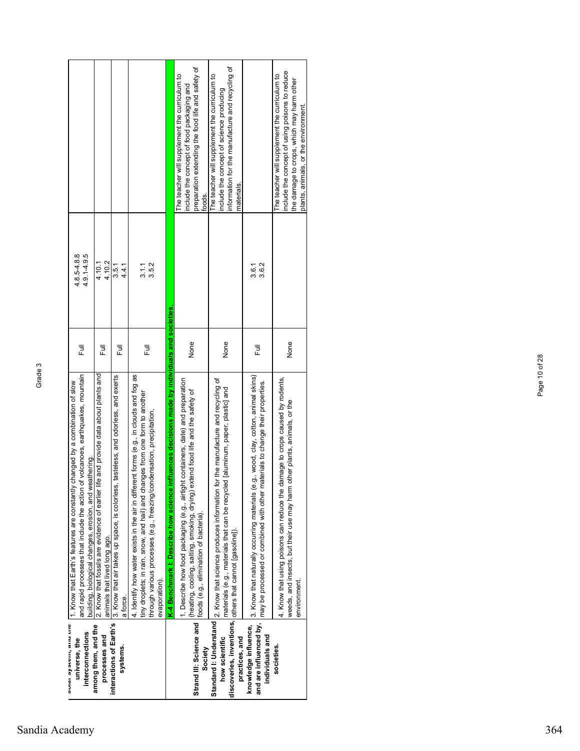|                                                                                                                                                                                                                                                    |                                                                                                                     |                                                                                                                         |                                                                                                                                                                                                                                                                        |                                                                                              | oreparation extending the food life and safety of<br>The teacher will supplement the curriculum to<br>nclude the concept of food packaging and<br>ioods.                                                                                         | nformation for the manufacture and recycling of<br>The teacher will supplement the curriculum to<br>nclude the concept of science producing<br>materials.                                                                                            |                                                                                                                                                                                                                          | nclude the concept of using poisons to reduce<br>The teacher will supplement the curriculum to<br>the damage to crops, which may harm other<br>plants, animals, or the environment. |
|----------------------------------------------------------------------------------------------------------------------------------------------------------------------------------------------------------------------------------------------------|---------------------------------------------------------------------------------------------------------------------|-------------------------------------------------------------------------------------------------------------------------|------------------------------------------------------------------------------------------------------------------------------------------------------------------------------------------------------------------------------------------------------------------------|----------------------------------------------------------------------------------------------|--------------------------------------------------------------------------------------------------------------------------------------------------------------------------------------------------------------------------------------------------|------------------------------------------------------------------------------------------------------------------------------------------------------------------------------------------------------------------------------------------------------|--------------------------------------------------------------------------------------------------------------------------------------------------------------------------------------------------------------------------|-------------------------------------------------------------------------------------------------------------------------------------------------------------------------------------|
| $4.9.1 - 4.9.5$<br>$4.8.5 - 4.8.8$                                                                                                                                                                                                                 | 4.10.2<br>4.10.1                                                                                                    | 3.5.1<br>4.4.1                                                                                                          | 3.5.2<br>3.1.1                                                                                                                                                                                                                                                         |                                                                                              |                                                                                                                                                                                                                                                  |                                                                                                                                                                                                                                                      | 3.6.2<br>3.6.1                                                                                                                                                                                                           |                                                                                                                                                                                     |
| 豆                                                                                                                                                                                                                                                  | 巨                                                                                                                   | 言                                                                                                                       | 言                                                                                                                                                                                                                                                                      |                                                                                              | None                                                                                                                                                                                                                                             | None                                                                                                                                                                                                                                                 | 言                                                                                                                                                                                                                        | None                                                                                                                                                                                |
| and rapid processes that include the action of volcanoes, earthquakes, mountain<br>avies are the linear of slow that Earth's features are constantly changed by a combination of slow<br>weathering.<br>building, biological changes, erosion, and | 2. Know that fossils are evidence of earlier life and provide data about plants and<br>animals that lived long ago. | interactions of Earth's  3. Know that air takes up space, is colorless, tasteless, and odorless, and exerts<br>a force. | ferent forms (e.g., in clouds and fog as<br>tiny droplets; in rain, snow, and hail) and changes from one form to another<br>through various processes (e.g., freezing/condensation, precipitation,<br>4. Identify how water exists in the air in diff<br>evaporation). | K-4 Benchmark I: Describe how science influences decisions made by individuals and societies | 1. Describe how food packaging (e.g., airtight containers, date) and preparation<br>extend food life and the safety of<br>(heating, cooling, salting, smoking, drying)<br>Strand III: Science and <i>coods (e.g., elimination of bacteria)</i> . | Standard I: Understand  2. Know that science produces information for the manufacture and recycling of<br>materials (e.g., materials that can be recycled [aluminum, paper, plastic] and<br>discoveries, inventions, others that cannot [gasoline]). | knowledge influence, 13. Know that naturally occurring materials (e.g., wood, clay, cotton, animal skins)<br>materials to change their properties.<br>and are influenced by, $ $ may be processed or combined with other | 4. Know that using poisons can reduce the damage to crops caused by rodents,<br>weeds, and insects, but their use may harm other plants, animals, or the<br>environment.            |
| interconnections<br>universe, the                                                                                                                                                                                                                  | among them, and the<br>processes and                                                                                | systems.                                                                                                                |                                                                                                                                                                                                                                                                        |                                                                                              | Society                                                                                                                                                                                                                                          | how scientific<br>practices, and                                                                                                                                                                                                                     | individuals and                                                                                                                                                                                                          | societies.                                                                                                                                                                          |

Page 10 of 28

Page 10 of 28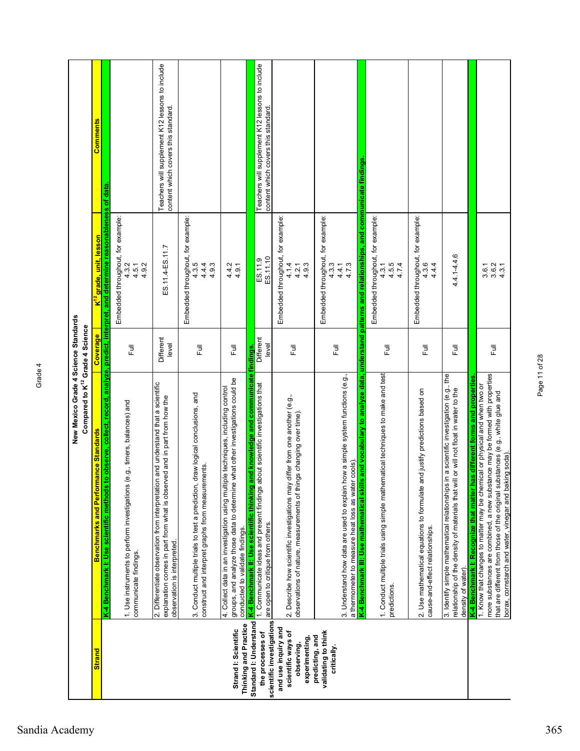| <b>Strand</b>                                                             | New Mexico Grade 4 Science Standards<br>Compared to K <sup>12</sup> Grade 4 Science<br>nance Standards<br>Benchmarks and Perforn                                                                                                                                                                                                                                                  | Coverage           |                                                                                                                                | Comments                                                                               |
|---------------------------------------------------------------------------|-----------------------------------------------------------------------------------------------------------------------------------------------------------------------------------------------------------------------------------------------------------------------------------------------------------------------------------------------------------------------------------|--------------------|--------------------------------------------------------------------------------------------------------------------------------|----------------------------------------------------------------------------------------|
|                                                                           | to observe, collect,<br>K-4 Benchmark I: Use scientific methods t                                                                                                                                                                                                                                                                                                                 |                    | record, analyze, predict, interpret, and determine reasonableness of data<br>K <sup>12</sup> grade <mark>, unit, lesson</mark> |                                                                                        |
|                                                                           | (e.g., timers, balances) and<br>1. Use instruments to perform investigations<br>communicate findings.                                                                                                                                                                                                                                                                             | Ē                  | Embedded throughout, for example:<br>4.9.2<br>4.3.2<br>4.5.1                                                                   |                                                                                        |
|                                                                           | 2. Differentiate observation from interpretation and understand that a scientific<br>explanation comes in part from what is observed and in part from how the<br>observation is interpreted.                                                                                                                                                                                      | Different<br>level | ES.11.4-ES.11.7                                                                                                                | Teachers will supplement K12 lessons to include<br>content which covers this standard. |
|                                                                           | draw logical conclusions, and<br>construct and interpret graphs from measurements<br>3. Conduct multiple trials to test a prediction,                                                                                                                                                                                                                                             | 巨                  | Embedded throughout, for example:<br>4.3.5<br>$4.\overline{9}.\overline{3}$<br>$4.\overline{9}.\overline{3}$                   |                                                                                        |
| Thinking and Practice<br>Strand I: Scientific                             | what other investigations could be<br>4. Collect data in an investigation using multiple techniques, including control<br>groups, and analyze those data to determine<br>conducted to validate findings.                                                                                                                                                                          | ラ<br>Lull          | 4.4.2<br>4.9.1                                                                                                                 |                                                                                        |
| Standard I: Understand<br>the processes of                                | and knowledge and communicate findings.<br>1. Communicate ideas and present findings about scientific investigations that<br>K-4 Benchmark II: Use scientific thinking<br>scientific investigations are open to critique from others.                                                                                                                                             | Different<br>level | ES.11.10<br>ES.11.9                                                                                                            | Teachers will supplement K12 lessons to include<br>content which covers this standard  |
| and use inquiry and<br>scientific ways of<br>experimenting,<br>observing, | 2. Describe how scientific investigations may differ from one another (e.g.,<br>igs changing over time).<br>observations of nature, measurements of thir                                                                                                                                                                                                                          | ラ<br>L             | Embedded throughout, for example:<br>4.1.4<br>4.9.3<br>4.2.1                                                                   |                                                                                        |
| validating to think<br>predicting, and<br>critically.                     | how a simple system functions (e.g.,<br>a thermometer to measure heat loss as water cools)<br>3. Understand how data are used to explain                                                                                                                                                                                                                                          | ラ<br>L             | Embedded throughout, for example:<br>4.3.3<br>4.7.3<br>4.4.1                                                                   |                                                                                        |
|                                                                           | 1. Conduct multiple trials using simple mathematical techniques to make and test<br>to analyze data,<br>s and vocabulary<br>K-4 Benchmark III: Use mathematical skill<br>predictions.                                                                                                                                                                                             | Full               | Embedded throughout, for example:<br>understand patterns and relationships, and<br>4.5.5<br>4.7.4<br>4.3.1                     | communicate findings                                                                   |
|                                                                           | 2. Use mathematical equations to formulate and justify predictions based on<br>cause-and-effect relationships.                                                                                                                                                                                                                                                                    | Ē                  | Embedded throughout, for example:<br>4.3.6<br>4.4.4                                                                            |                                                                                        |
|                                                                           | 3. Identify simple mathematical relationships in a scientific investigation (e.g., the<br>relationship of the density of materials that will or will not float in water to the<br>density of water)                                                                                                                                                                               | Full               | 4.4.1-4.4.6                                                                                                                    |                                                                                        |
|                                                                           | more substances are combined, a new substance may be formed with properties<br>K-4 Benchmark I: Recognize that matter has different forms and properties<br>1. Know that changes to matter may be chemical or physical and when two or<br>that are different from those of the original substances (e.g., white glue and<br>borax, comstarch and water, vinegar and baking soda). | 豆                  | 3.6.1<br>3.6.2<br>4.3.1                                                                                                        |                                                                                        |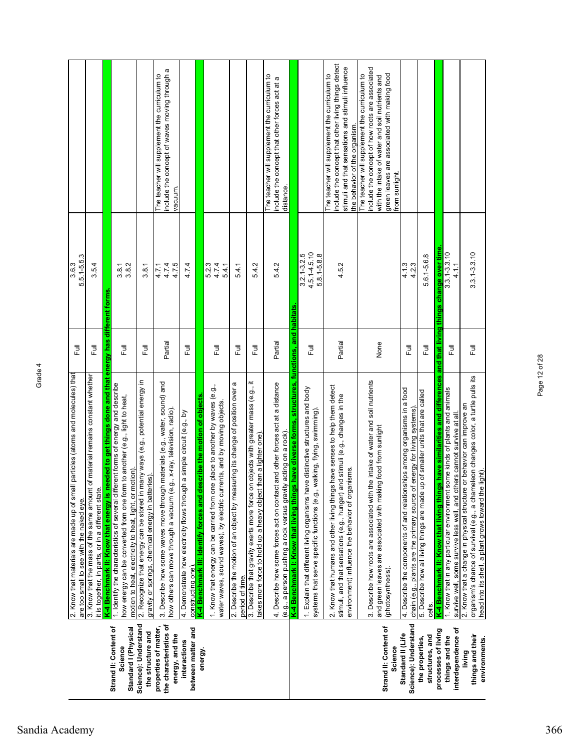|                                                                    | particles (atoms and molecules) that<br>2. Know that materials are made up of small<br>are too small to see with the naked eye.                                                                                           | Full                      | 5.5.1-5.5.3<br>3.6.3                               |                                                                                                                                                                                                                     |
|--------------------------------------------------------------------|---------------------------------------------------------------------------------------------------------------------------------------------------------------------------------------------------------------------------|---------------------------|----------------------------------------------------|---------------------------------------------------------------------------------------------------------------------------------------------------------------------------------------------------------------------|
|                                                                    | of material remains constant whether<br>3. Know that the mass of the same amount<br>it is together, in parts, or in a different state.                                                                                    | Full                      | 3.5.4                                              |                                                                                                                                                                                                                     |
|                                                                    | K-4 Benchmark II: Know that energy is needed to get things done and that energy has different forms                                                                                                                       |                           |                                                    |                                                                                                                                                                                                                     |
| Strand II: Content of<br>Standard I (Physical<br>Science           | 1. Identify the characteristics of several different forms of energy and describe<br>how energy can be converted from one form to another (e.g., light to heat,<br>motion to heat, electricity to heat, light, or motion) | $\overline{\overline{z}}$ | 3.8.2<br>3.8.1                                     |                                                                                                                                                                                                                     |
| Science): Understand<br>the structure and                          | 2. Recognize that energy can be stored in many ways (e.g., potential energy in<br>gravity or springs, chemical energy in batteries)                                                                                       | Full                      | 3.8.1                                              |                                                                                                                                                                                                                     |
| the characteristics of<br>properties of matter,<br>energy, and the | 3. Describe how some waves move through materials (e.g., water, sound) and<br>how others can move through a vacuum (e.g., x-ray, television, radio).                                                                      | Partial                   | 4.7.4<br>4.7.5<br>4.7.1                            | nclude the concept of waves moving through a<br>The teacher will supplement the curriculum to<br>vacuum.                                                                                                            |
| between matter and<br>interactions                                 | <u>constructing one).</u><br><mark>K-4 Benchmark III: Identify forces and describe the motion of objects</mark><br>4. Demonstrate how electricity flows through a simple circuit (e.g., by                                | 言                         | 4.7.4                                              |                                                                                                                                                                                                                     |
| energy                                                             |                                                                                                                                                                                                                           |                           |                                                    |                                                                                                                                                                                                                     |
|                                                                    | 1. Know that energy can be carried from one place to another by waves (e.g.,<br>water waves, sound waves), by electric currents, and by moving objects.                                                                   | 巨                         | 5.2.3<br>4.7.4<br>5.4.1                            |                                                                                                                                                                                                                     |
|                                                                    | 2. Describe the motion of an object by measuring its change of position over a<br>period of time.                                                                                                                         | 目                         | 5.4.1                                              |                                                                                                                                                                                                                     |
|                                                                    | 3. Describe that gravity exerts more force on objects with greater mass (e.g., it<br>takes more force to hold up a heavy object than a lighter one)                                                                       | 目                         | 5.4.2                                              |                                                                                                                                                                                                                     |
|                                                                    | and other forces act at a distance<br>(e.g., a person pushing a rock versus gravity acting on a rock)<br>4. Describe how some forces act on contact                                                                       | Partial                   | 5.4.2                                              | The teacher will supplement the curriculum to<br>nclude the concept that other forces act at a<br>distance.                                                                                                         |
|                                                                    | K-4 Benchmark I: Know that living things have diverse forms, structures, functions, and habitats                                                                                                                          |                           |                                                    |                                                                                                                                                                                                                     |
|                                                                    | e distinctive structures and body<br>valking, flying, swimming)<br>1. Explain that different living organisms hav<br>systems that serve specific functions (e.g., v                                                       | 目                         | $4.5.1 - 4.5.10$<br>$3.2.1 - 3.2.5$<br>5.8.1-5.8.8 |                                                                                                                                                                                                                     |
|                                                                    | have senses to help them detect<br>stimuli, and that sensations (e.g., hunger) and stimuli (e.g., changes in the<br>environment) influence the behavior of organisms.<br>2. Know that humans and other living things      | Partial                   | 4.5.2                                              | nclude the concept that other living things detect<br>stimuli and that sensations and stimuli influence<br>The teacher will supplement the curriculum to<br>the behavior of the organism.                           |
| Strand II: Content of<br>Science                                   | 3. Describe how roots are associated with the intake of water and soil nutrients<br>and green leaves are associated with making food from sunlight<br>(photosynthesis).                                                   | None                      |                                                    | nclude the concept of how roots are associated<br>green leaves are associated with making food<br>The teacher will supplement the curriculum to<br>with the intake of water and soil nutrients and<br>from sunlight |
| Science): Understand<br>Standard II (Life                          | 4. Describe the components of and relationships among organisms in a food                                                                                                                                                 | 同<br>Lu                   | 4.13                                               |                                                                                                                                                                                                                     |
|                                                                    | chain (e.g., plants are the primary source of energy for living systems)                                                                                                                                                  |                           | 4.2.3                                              |                                                                                                                                                                                                                     |
| structures, and<br>the properties,                                 | 5. Describe how all living things are made up of smaller units that are called<br>cells.                                                                                                                                  | 巨                         | 5.6.1-5.6.8                                        |                                                                                                                                                                                                                     |
| processes of living                                                | s have similarities and differences<br>K-4 Benchmark II: Know that living thing                                                                                                                                           | and                       | that living things change over time                |                                                                                                                                                                                                                     |
| interdependence of<br>things and the                               | 1. Know that in any particular environment some kinds of plants and animals<br>survive well, some survive less well, and others cannot survive at all                                                                     | 昆                         | $3.3.1 - 3.3.10$<br>4.1.1                          |                                                                                                                                                                                                                     |
| things and their<br>environments.<br>living                        | organism's chance of survival (e.g., a chameleon changes color, a turtle pulls its<br>head into its shell, a plant grows toward the light).<br>2. Know that a change in physical structure or behavior can improve an     | 巨                         | $3.3.1 - 3.3.10$                                   |                                                                                                                                                                                                                     |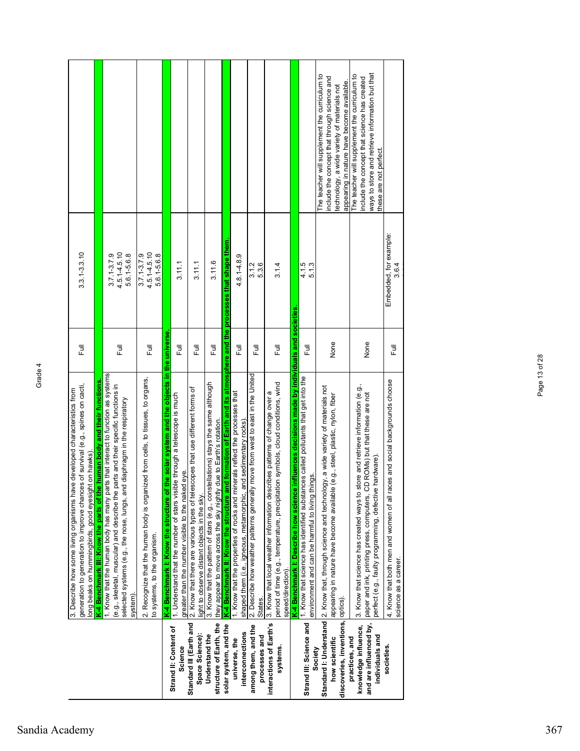|                                                                                     | generation to generation to improve chances of survival (e.g., spines on cacti,<br>3. Describe how some living organisms have developed characteristics from<br>long beaks on hummingbirds, good eyesight on hawks)                                             | $\overline{\Xi}$ | $3.3.1 - 3.3.10$                                   |                                                                                                                                                                                            |
|-------------------------------------------------------------------------------------|-----------------------------------------------------------------------------------------------------------------------------------------------------------------------------------------------------------------------------------------------------------------|------------------|----------------------------------------------------|--------------------------------------------------------------------------------------------------------------------------------------------------------------------------------------------|
|                                                                                     | K-4 Benchmark III: Know the parts of the human body and their functions.                                                                                                                                                                                        |                  |                                                    |                                                                                                                                                                                            |
|                                                                                     | 1. Know that the human body has many parts that interact to function as systems<br>(e.g., skeletal, muscular) and describe the parts and their specific functions in<br>diaphragm in the respiratory<br>selected systems (e.g., the nose, lungs, and<br>system) | 目                | $4.5.1 - 4.5.10$<br>5.6.1-5.6.8<br>$3.7.1 - 3.7.9$ |                                                                                                                                                                                            |
|                                                                                     | 2. Recognize that the human body is organized from cells, to tissues, to organs,<br>to systems, to the organism.                                                                                                                                                | 言                | $4.5.1 - 4.5.10$<br>5.6.1-5.6.8<br>$3.7.1 - 3.7.9$ |                                                                                                                                                                                            |
|                                                                                     | the solar system and the objects in the universe<br>K-4 Benchmark I: Know the structure of                                                                                                                                                                      |                  |                                                    |                                                                                                                                                                                            |
| Strand II: Content of<br>Science                                                    | le through a telescope is much<br>greater than the number visible to the naked eye.<br>1. Understand that the number of stars visib                                                                                                                             | 巨                | 3.11.1                                             |                                                                                                                                                                                            |
| Standard III (Earth and<br>Space Science):                                          | 2. Know that there are various types of telescopes that use different forms of<br>light to observe distant objects in the sky.                                                                                                                                  | Ē                | 3.11.1                                             |                                                                                                                                                                                            |
| structure of Earth, the<br>Understand the                                           | 3. Know that the pattern of stars (e.g., constellations) stays the same although<br>due to Earth's rotation.<br>they appear to move across the sky nightly                                                                                                      | Ē                | 3.11.6                                             |                                                                                                                                                                                            |
| solar system, and the                                                               | K-4 Benchmark II: Know the structure and formation of Earth and its atmosphere and the processes that shape them                                                                                                                                                |                  |                                                    |                                                                                                                                                                                            |
| interconnections<br>universe, the                                                   | 1. Know that the properties of rocks and minerals reflect the processes that<br>shaped them (i.e., igneous, metamorphic, and sedimentary rocks)                                                                                                                 | 目                | $4.8.1 - 4.8.9$                                    |                                                                                                                                                                                            |
| among them, and the<br>processes and                                                | move from west to east in the United<br>2. Describe how weather patterns generally<br>States.                                                                                                                                                                   | 目                | $3.1.2$<br>$5.3.6$                                 |                                                                                                                                                                                            |
| interactions of Earth's<br>systems                                                  | period of time (e.g., temperature, precipitation symbols, cloud conditions, wind<br>3. Know that local weather information describes patterns of change over a<br>speed/direction)                                                                              | 言                | 3.1.4                                              |                                                                                                                                                                                            |
|                                                                                     | influences decisions made by individuals and societies<br>K-4 Benchmark I: Describe how science                                                                                                                                                                 |                  |                                                    |                                                                                                                                                                                            |
| Strand III: Science and<br>Society                                                  | 1. Know that science has identified substances called pollutants that get into the<br>ings.<br>environment and can be harmful to living thi                                                                                                                     | 巨                | 4.1.5<br>5.1.3                                     |                                                                                                                                                                                            |
| discoveries, inventions,<br>how scientific                                          | Standard I: Understand 2. Know that, through science and technology, a wide variety of materials not<br>(e.g., steel, plastic, nylon, fiber<br>appearing in nature have become available<br>optics).                                                            | None             |                                                    | The teacher will supplement the curriculum to<br>include the concept that through science and<br>appearing in nature have become available.<br>technology, a wide variety of materials not |
| and are influenced by,<br>knowledge influence,<br>individuals and<br>practices, and | 3. Know that science has created ways to store and retrieve information (e.g.,<br>paper and ink, printing press, computers, CD ROMs) but that these are not<br>hardware)<br>perfect (e.g., faulty programming, defective                                        | None             |                                                    | ways to store and retrieve information but that<br>The teacher will supplement the curriculum to<br>include the concept that science has created<br>these are not perfect.                 |
| societies.                                                                          | 4. Know that both men and women of all races and social backgrounds choose<br>science as a career.                                                                                                                                                              | 昆                | Embedded, for example:<br>3.6.4                    |                                                                                                                                                                                            |

Page 13 of 28

Page 13 of 28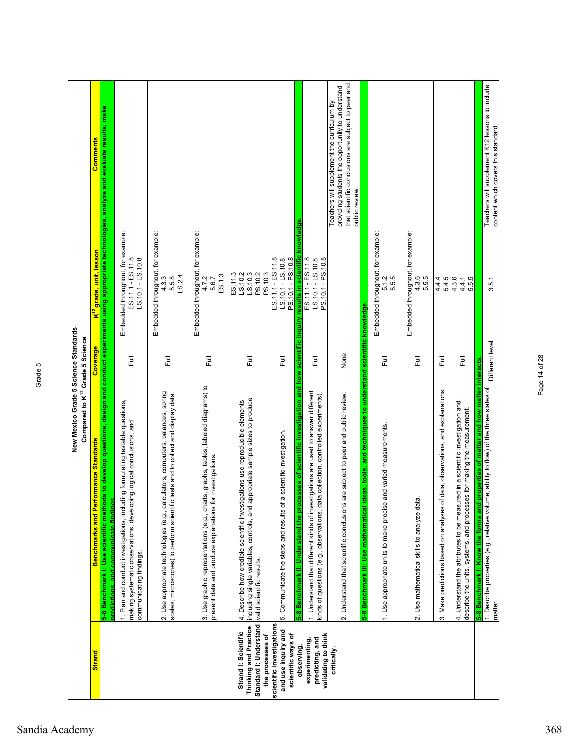|                                                                                             | New Mexico Grade 5 Science Standards<br>Compared to K <sup>12</sup> Grade 5 Science                                                                                                                                                                  |                                |                                                                                                   |                                                                                                                                                                         |
|---------------------------------------------------------------------------------------------|------------------------------------------------------------------------------------------------------------------------------------------------------------------------------------------------------------------------------------------------------|--------------------------------|---------------------------------------------------------------------------------------------------|-------------------------------------------------------------------------------------------------------------------------------------------------------------------------|
| <b>Strand</b>                                                                               | <b>Benchmarks and Performance Standards</b>                                                                                                                                                                                                          | Coverage                       | <mark>K<sup>12</sup> grade, unit, lesson</mark>                                                   | Comments                                                                                                                                                                |
|                                                                                             | 5-8 Benchmark I: Use scientific methods to develop questions, design and<br>predictions, and communicate findings                                                                                                                                    |                                |                                                                                                   | conduct experiments using appropriate technologies, analyze and evaluate results, make                                                                                  |
|                                                                                             | 1. Plan and conduct investigations, including formulating testable questions,<br>making systematic observations, developing logical conclusions, and<br>communicating findings.                                                                      | Full                           | Embedded throughout, for example:<br>ES.11.1 - ES.11.8<br>$LS.10.1 - LS.10.8$                     |                                                                                                                                                                         |
|                                                                                             | 2. Use appropriate technologies (e.g., calculators, computers, balances, spring<br>tests and to collect and display data.<br>scales, microscopes) to perform scientific                                                                              | ラ<br>L                         | Embedded throughout, for example:<br>LS.2.4<br>5.5.8<br>4.3.3                                     |                                                                                                                                                                         |
|                                                                                             | 3. Use graphic representations (e.g., charts, graphs, tables, labeled diagrams) to<br>present data and produce explanations for investigations.                                                                                                      | Full                           | Embedded throughout, for example:<br>ES.1.3<br>4.7.2<br>5.6.7                                     |                                                                                                                                                                         |
| Standard I: Understand<br>Thinking and Practice<br>Strand I: Scientific<br>the processes of | including single variables, controls, and appropriate sample sizes to produce<br>4. Describe how credible scientific investigations use reproducible elements<br>valid scientific results.                                                           | ラ<br>L                         | LS.10.3<br>PS.10.2<br>ES.11.3<br>PS.10.3<br>LS.10.2                                               |                                                                                                                                                                         |
| scientific investigations<br>and use inquiry and<br>scientific ways of                      | a scientific investigation.<br>5. Communicate the steps and results of                                                                                                                                                                               | ラ<br>L                         | PS.10.1 - PS.10.8<br>ES.11.1 - ES.11.8<br>$LS.10.1 - LS.10.8$                                     |                                                                                                                                                                         |
| validating to think<br>predicting, and<br>experimenting,<br>observing,                      | 5-8 Benchmark II: Understand the processes of scientific investigation and<br>1. Understand that different kinds of investigations are used to answer different<br>kinds of questions (e.g., observations, data collection, controlled experiments). | how scientific inquiry<br>Full | results in scientific knowledge.<br>ES.11.1 - ES.11.8<br>PS.10.1 - PS.10.8<br>$LS.10.1 - LS.10.8$ |                                                                                                                                                                         |
| critically.                                                                                 | are subject to peer and public review.<br>2. Understand that scientific conclusions                                                                                                                                                                  | None                           |                                                                                                   | that scientific conclusions are subject to peer and<br>providing students the opportunity to understand<br>Teachers will supplement the curriculum by<br>public review. |
|                                                                                             | deas, tools, and techniques to understand scientific knowledge<br>and varied measurements.<br>1. Use appropriate units to make precise<br>5-8 Benchmark III: Use mathematical                                                                        | Full                           | Embedded throughout, for example:<br>5.1.5<br>5.5.5                                               |                                                                                                                                                                         |
|                                                                                             | 2. Use mathematical skills to analyze data.                                                                                                                                                                                                          | ラ<br>L                         | Embedded throughout, for example:<br>$4.3.6$<br>5.5.5                                             |                                                                                                                                                                         |
|                                                                                             | 3. Make predictions based on analyses of data, observations, and explanations.                                                                                                                                                                       | 目                              | 5.4.5<br>4.4.4                                                                                    |                                                                                                                                                                         |
|                                                                                             | 4. Understand the attributes to be measured in a scientific investigation and<br>describe the units, systems, and processes for making the measurement.                                                                                              | ラ<br>L                         | 4.3.6<br>5.5.5<br>4.4.1                                                                           |                                                                                                                                                                         |
|                                                                                             | 5-8 Benchmark I: Know the forms and properties of matter and how matter interacts<br>1. Describe properties (e.g., relative volume, ability to flow) of the three states of<br>matter.                                                               | Different level                | 3.5.1                                                                                             | Teachers will supplement K12 lessons to include<br>content which covers this standard.                                                                                  |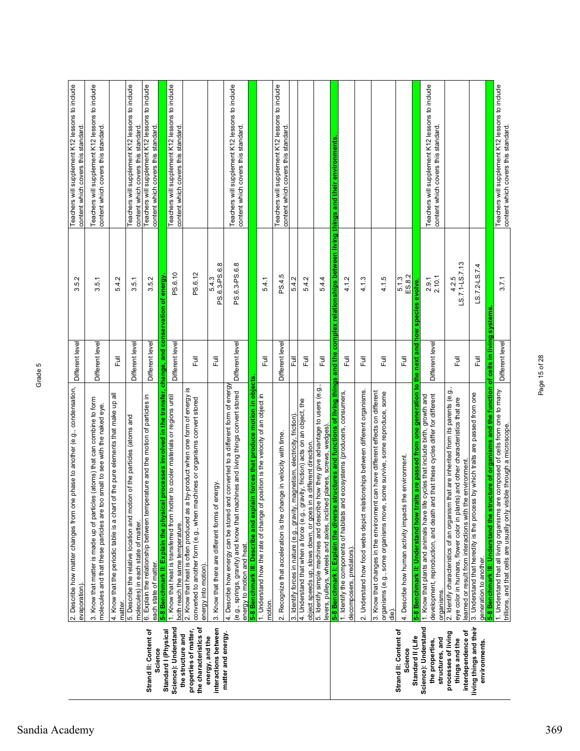|                                                                      | 2. Describe how matter changes from one phase to another (e.g., condensation,<br>evaporation)                                                                                                                                           | Different leve                                | N<br>ΓÒ,<br>ω.                                                     | Teachers will supplement K12 lessons to include<br>content which covers this standard  |
|----------------------------------------------------------------------|-----------------------------------------------------------------------------------------------------------------------------------------------------------------------------------------------------------------------------------------|-----------------------------------------------|--------------------------------------------------------------------|----------------------------------------------------------------------------------------|
|                                                                      | 3. Know that matter is made up of particles (atoms) that can combine to form<br>molecules and that these particles are too small to see with the naked eye.                                                                             | Different level                               | 3.5.1                                                              | Teachers will supplement K12 lessons to include<br>content which covers this standard  |
|                                                                      | 4. Know that the periodic table is a chart of the pure elements that make up all<br>matter.                                                                                                                                             | $\overline{a}$                                | 5.4.2                                                              |                                                                                        |
|                                                                      | 5. Describe the relative location and motion of the particles (atoms and<br>molecules) in each state of matter.                                                                                                                         | Different level                               | 3.5.1                                                              | Teachers will supplement K12 lessons to include<br>content which covers this standard. |
| Strand II: Content of<br>Science                                     | 6. Explain the relationship between temperature and the motion of particles in<br>each state of matter                                                                                                                                  | Different level                               | 3.5.2                                                              | Teachers will supplement K12 lessons to include<br>content which covers this standard. |
| Standard I (Physical                                                 | I processes involved in the transfer,<br>5-8 Benchmark II: Explain the physica                                                                                                                                                          | 8<br>change, and                              | energy<br>ō<br>nservation                                          |                                                                                        |
| Science): Understand                                                 | 1. Know that heat is transferred from hotter to cooler materials or regions until<br>both reach the same temperature.                                                                                                                   | Different level                               | PS.6.10                                                            | Teachers will supplement K12 lessons to include<br>content which covers this standard. |
| the characteristics of<br>properties of matter,<br>the structure and | ⊻<br>by-product when one form of energy<br>converted to another form (e.g., when machines or organisms convert stored<br>2. Know that heat is often produced as a<br>energy into motion)                                                | ラ<br>L                                        | PS.6.12                                                            |                                                                                        |
| interactions between<br>energy, and the                              | energy<br>3. Know that there are different forms of                                                                                                                                                                                     | Ē                                             | PS.6.3-PS.6.8<br>5.4.3                                             |                                                                                        |
| matter and energy.                                                   | 4. Describe how energy can be stored and converted to a different form of energy<br>(e.g., springs, gravity) and know that machines and living things convert stored<br>energy to motion and heat.                                      | Different level                               | PS.6.3-PS.6.8                                                      | Teachers will supplement K12 lessons to include<br>content which covers this standard. |
|                                                                      | in forces that produce motion in objects<br>position is the velocity of an object in<br>5-8 Benchmark III: Describe and expla<br>1. Understand how the rate of change of                                                                |                                               |                                                                    |                                                                                        |
|                                                                      | motion                                                                                                                                                                                                                                  | 卮                                             | 5.4.1                                                              |                                                                                        |
|                                                                      | 2. Recognize that acceleration is the change in velocity with time.                                                                                                                                                                     | Different level                               | PS.4.5                                                             | Teachers will supplement K12 lessons to include<br>content which covers this standard. |
|                                                                      | magnetism, electricity, friction)<br>3. Identify forces in nature (e.g., gravity,                                                                                                                                                       | 쿤                                             | 5.4.2                                                              |                                                                                        |
|                                                                      | 4. Understand that when a force (e.g., gravity, friction) acts on an object, the<br>object speeds up, slows down, or goes in a different direction                                                                                      | Full                                          | 5.4.2                                                              |                                                                                        |
|                                                                      | how they give advantage to users (e.g.,<br>levers, pulleys, wheels and axles, inclined planes, screws, wedges)<br>5. Identify simple machines and describe                                                                              | Ē                                             | 5.4.4                                                              |                                                                                        |
|                                                                      | 5-8 Benchmark I: Explain the diverse structures and functions of living things<br>1. Identify the components of habitats and ecosystems (producers, consumers,                                                                          | and the                                       | complex relationships between living things and their environments |                                                                                        |
|                                                                      | decomposers, predators).                                                                                                                                                                                                                | $\overline{E}$                                | 4.1.2                                                              |                                                                                        |
|                                                                      | 2. Understand how food webs depict relationships between different organisms.                                                                                                                                                           | ラ<br>L                                        | 4.1.3                                                              |                                                                                        |
|                                                                      | 3. Know that changes in the environment can have different effects on different<br>some survive, some reproduce, some<br>organisms (e.g., some organisms move,<br>die).                                                                 | Full                                          | 4.1.5                                                              |                                                                                        |
| Strand II: Content of<br>Science                                     | the environment.<br>4. Describe how human activity impacts                                                                                                                                                                              | ラ<br>L                                        | ES.8.2<br>5.1.3                                                    |                                                                                        |
| Science): Understand<br>Standard II (Life                            | its are passed from one generation to the next and how species evolve.<br>1. Know that plants and animals have life cycles that include birth, growth and<br>5-8 Benchmark II: Understand how tra                                       |                                               |                                                                    |                                                                                        |
| structures, and<br>the properties,                                   | development, reproduction, and death and that these cycles differ for different<br>organisms.                                                                                                                                           | Different leve                                | 2.10.1<br>2.9.1                                                    | Teachers will supplement K12 lessons to include<br>content which covers this standard. |
| interdependence of<br>processes of living<br>things and the          | 2. Identify characteristics of an organism that are inherited from its parents (e.g.<br>eye color in humans, flower color in plants) and other characteristics that are<br>learned or result from interactions with the environment     | Ē                                             | LS.7.1-LS.7.13<br>4.2.5                                            |                                                                                        |
| living things and their<br>environments                              | 3. Understand that heredity is the process by which traits are passed from one<br>generation to another.                                                                                                                                | ラ<br>L                                        | LS.7.2-LS.7.4                                                      |                                                                                        |
|                                                                      | 5-8 Benchmark III: Understand the structure of organisms and the function<br>1. Understand that all living organisms are composed of cells from one to many<br>trillions, and that cells are usually only visible through a microscope. | of cells in living systems<br>Different level | 3.7.1                                                              | Teachers will supplement K12 lessons to include<br>content which covers this standard. |

Page 15 of 28

Page 15 of 28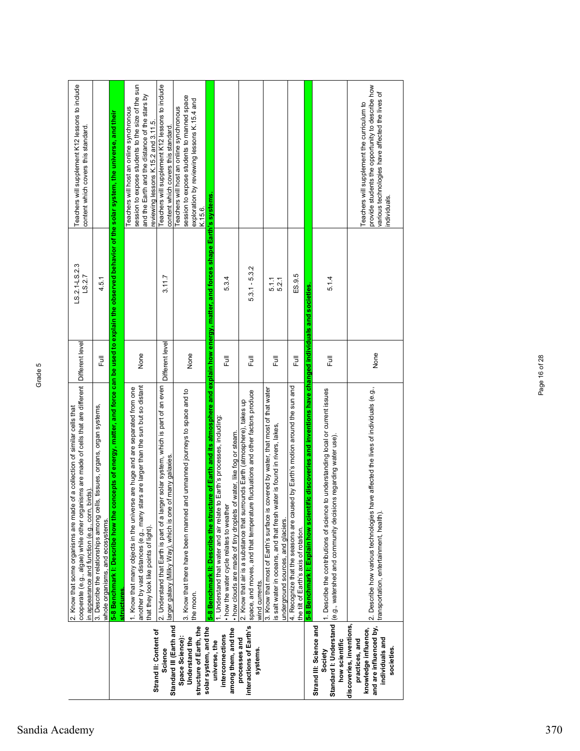|                                                                                                                                                 | 5-8 Benchmark I: Describe how the concepts of energy, matter, and force can be used to explain the observed behavior of the solar system, the universe, and their<br>cooperate (e.g., algae) while other organisms are made of cells that are different  Different level<br>1. Know that many objects in the universe are huge and are separated from one<br>ls, tissues, organs, organ systems,<br>of a collection of similar cells that<br>birds)<br>2. Know that some organisms are made<br>3. Describe the relationships among cel<br>in appearance and function (e.g., corn,<br>whole organisms, and ecosystems.<br><b>structures</b> | ラ<br>Lull               | LS.2.1-LS.2.3<br>LS.2.7<br>4.5.1  | Teachers will supplement K12 lessons to include<br>session to expose students to the size of the sun<br>Teachers will host an online synchronous<br>content which covers this standard.                                                                                   |
|-------------------------------------------------------------------------------------------------------------------------------------------------|--------------------------------------------------------------------------------------------------------------------------------------------------------------------------------------------------------------------------------------------------------------------------------------------------------------------------------------------------------------------------------------------------------------------------------------------------------------------------------------------------------------------------------------------------------------------------------------------------------------------------------------------|-------------------------|-----------------------------------|---------------------------------------------------------------------------------------------------------------------------------------------------------------------------------------------------------------------------------------------------------------------------|
| Standard III (Earth and<br>Strand II: Content of<br>Space Science):<br>Science                                                                  | 2. Understand that Earth is part of a larger solar system, which is part of an even<br>another by vast distances (e.g., many stars are larger than the sun but so distant<br>3. Know that there have been manned and unmanned journeys to space and to<br>larger galaxy (Milky Way), which is one of many galaxies.<br>that they look like points of light).                                                                                                                                                                                                                                                                               | Different level<br>None | 3.11.7                            | Teachers will supplement K12 lessons to include<br>and the Earth and the distance of the stars by<br>session to expose students to manned space<br>Teachers will host an online synchronous<br>reviewing lessons K.15.2 and 3.11.5.<br>content which covers this standard |
| structure of Earth, the<br>solar system, and the<br>among them, and the<br>interconnections<br>Understand the<br>processes and<br>universe, the | ture of Earth and its atmosphere and explain how energy, matter, and forces shape Earth's systems.<br>. Understand that water and air relate to Earth's processes, including:<br>. how clouds are made of tiny droplets of water, like fog or steam.<br>. how the water cycle relates to weather<br>5-8 Benchmark II: Describe the struct<br>the moon.                                                                                                                                                                                                                                                                                     | None<br>同<br>Eul        | 5.3.4                             | exploration by reviewing lessons K.15.4 and<br>K.15.6.                                                                                                                                                                                                                    |
| interactions of Earth's<br>systems                                                                                                              | covered by water, that most of that water<br>space, and moves, and that temperature fluctuations and other factors produce<br>2. Know that air is a substance that surrounds Earth (atmosphere), takes up<br>is salt water in oceans, and that fresh water is found in rivers, lakes,<br>3. Know that most of Earth's surface is<br>underground sources, and glaciers.<br>wind currents.                                                                                                                                                                                                                                                   | 昆<br>昆                  | $5.3.1 - 5.3.2$<br>5.1.1<br>5.2.1 |                                                                                                                                                                                                                                                                           |
|                                                                                                                                                 | ific discoveries and inventions have changed individuals and societies<br>ed by Earth's motion around the sun and<br>4. Recognize that the seasons are caus<br>5-8 Benchmark I: Explain how scient<br>the tilt of Earth's axis of rotation.                                                                                                                                                                                                                                                                                                                                                                                                | Ē                       | ES.9.5                            |                                                                                                                                                                                                                                                                           |
| Standard I: Understand<br>Strand III: Science and<br>how scientific<br>Society                                                                  | to understanding local or current issues<br>(e.g., watershed and community decisions regarding water use).<br>I. Describe the contributions of science                                                                                                                                                                                                                                                                                                                                                                                                                                                                                     | 昆                       | 5.1.4                             |                                                                                                                                                                                                                                                                           |
| discoveries, inventions,<br>and are influenced by,<br>knowledge influence,<br>individuals and<br>practices, and<br>societies.                   | 2. Describe how various technologies have affected the lives of individuals (e.g.,<br>transportation, entertainment, health).                                                                                                                                                                                                                                                                                                                                                                                                                                                                                                              | None                    |                                   | provide students the opportunity to describe how<br>various technologies have affected the lives of<br>Teachers will supplement the curriculum to<br>individuals.                                                                                                         |

Page 16 of 28

Page 16 of 28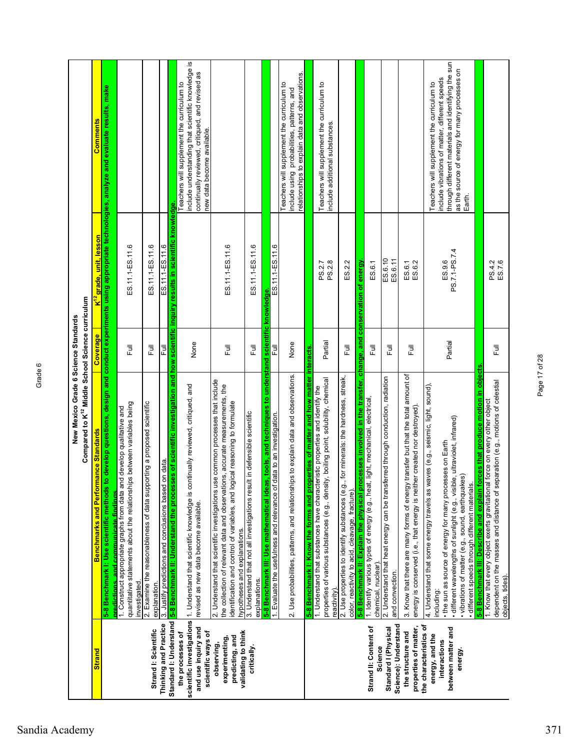|                                                                                            | Compared to K <sup>12</sup> Middle School Science curriculum<br>New Mexico Grade 6 Science Standards                                                                                                                                                                                                                                         |           |                                     |                                                                                                                                                                                                                |
|--------------------------------------------------------------------------------------------|----------------------------------------------------------------------------------------------------------------------------------------------------------------------------------------------------------------------------------------------------------------------------------------------------------------------------------------------|-----------|-------------------------------------|----------------------------------------------------------------------------------------------------------------------------------------------------------------------------------------------------------------|
| <b>Strand</b>                                                                              | mance Standards<br>Benchmarks and Perfor                                                                                                                                                                                                                                                                                                     | Coverage  | K <sup>12</sup> grade, unit, lesson | <b>Comments</b>                                                                                                                                                                                                |
|                                                                                            | 5-8 Benchmark I: Use scientific methods to develop questions, design and conduct experiments using appropriate technologies, analyze and evaluate results, make<br><u>predictions, and communicate findings</u>                                                                                                                              |           |                                     |                                                                                                                                                                                                                |
|                                                                                            | ps between variables being<br>1. Construct appropriate graphs from data and develop qualitative and<br>quantitative statements about the relationshi<br>investigated.                                                                                                                                                                        | こ<br>こ    | ES.11.1-ES.11.6                     |                                                                                                                                                                                                                |
| Strand I: Scientific                                                                       | 2. Examine the reasonableness of data supporting a proposed scientific<br>explanation.                                                                                                                                                                                                                                                       | 目         | ES.11.1-ES.11.6                     |                                                                                                                                                                                                                |
| Standard I: Understand<br>Thinking and Practice                                            | on data.<br>3. Justify predictions and conclusions based                                                                                                                                                                                                                                                                                     | 쿤         | ES.11.1-ES.11.6                     |                                                                                                                                                                                                                |
| and use inquiry and<br>scientific ways of<br>the processes of                              | 5-8 Benchmark II: Understand the processes of scientific investigation and how scientific inquiry results in scientific knowledge.<br>scientific investigations  1. Understand that scientific knowledge is continually reviewed, critiqued, and<br>revised as new data become available.                                                    | None      |                                     | include understanding that scientific knowledge is<br>continually reviewed, critiqued, and revised as<br>Teachers will supplement the curriculum to<br>new data become available.                              |
| validating to think<br>predicting, and<br>experimenting,<br>observing,                     | 2. Understand that scientific investigations use common processes that include<br>the collection of relevant data and observations, accurate measurements, the<br>identification and control of variables, and logical reasoning to formulate<br>hypotheses and explanations.                                                                | 巨         | ES.11.1-ES.11.6                     |                                                                                                                                                                                                                |
| critically.                                                                                | 3. Understand that not all investigations result in defensible scientific<br>explanations.                                                                                                                                                                                                                                                   | 卮         | ES.11.1-ES.11.6                     |                                                                                                                                                                                                                |
|                                                                                            | data to an investigation.<br>1. Evaluate the usefulness and relevance of<br>5-8 Benchmark III: Use mathematical idea                                                                                                                                                                                                                         |           |                                     |                                                                                                                                                                                                                |
|                                                                                            | ips to explain data and observations.<br>2. Use probabilities, patterns, and relationshi                                                                                                                                                                                                                                                     | None      |                                     | relationships to explain data and observations.<br>Teachers will supplement the curriculum to<br>include using probabilities, patterns, and                                                                    |
|                                                                                            | 5-8 Benchmark I: Know the forms and properties of matter and how matter interacts                                                                                                                                                                                                                                                            |           |                                     |                                                                                                                                                                                                                |
|                                                                                            | properties of various substances (e.g., density, boiling point, solubility, chemical<br>1. Understand that substances have characteristic properties and identify the<br>reactivity).                                                                                                                                                        | Partial   | PS.2.8<br>PS.2.7                    | Teachers will supplement the curriculum to<br>include additional substances.                                                                                                                                   |
|                                                                                            | 2. Use properties to identify substances (e.g., for minerals: the hardness, streak,<br>color, reactivity to acid, cleavage, fracture).                                                                                                                                                                                                       | 昆         | ES.2.2                              |                                                                                                                                                                                                                |
| Strand II: Content of                                                                      | 5-8 Benchmark II: Explain the physical processes involved in the transfer, change, and<br>1. Identify various types of energy (e.g., heat, light, mechanical, electrical,                                                                                                                                                                    |           | conservation of energy              |                                                                                                                                                                                                                |
| Science                                                                                    | chemical, nuclear)                                                                                                                                                                                                                                                                                                                           | 巨         | ES.6.1                              |                                                                                                                                                                                                                |
| Science): Understand<br>Standard I (Physical                                               | ferred through conduction, radiation<br>2. Understand that heat energy can be trans<br>and convection.                                                                                                                                                                                                                                       | $\bar{a}$ | ES.6.10<br>ES.6.11                  |                                                                                                                                                                                                                |
| properties of matter,<br>the structure and                                                 | 3. Know that there are many forms of energy transfer but that the total amount of<br>her created nor destroyed)<br>energy is conserved (i.e., that energy is neit                                                                                                                                                                            | 言         | ES.6.2<br>ES.6.1                    |                                                                                                                                                                                                                |
| the characteristics of<br>between matter and<br>energy, and the<br>interactions<br>energy. | 4. Understand that some energy travels as waves (e.g., seismic, light, sound),<br>· different wavelengths of sunlight (e.g., visible, ultraviolet, infrared)<br>. the sun as source of energy for many processes on Earth<br>vibrations of matter (e.g., sound, earthquakes)<br>· different speeds through different materials<br>including: | Partial   | PS.7.1-PS.7.4<br>ES.9.6             | through different materials and identifying the sun<br>as the source of energy for many processes on<br>include vibrations of matter, different speeds<br>Teachers will supplement the curriculum to<br>Earth. |
|                                                                                            | orces that produce motion in objects<br>5-8 Benchmark III: Describe and explain f                                                                                                                                                                                                                                                            |           |                                     |                                                                                                                                                                                                                |
|                                                                                            | dependent on the masses and distance of separation (e.g., motions of celestial<br>1. Know that every object exerts gravitational force on every other object<br>objects, tides).                                                                                                                                                             | 巨         | PS.4.2<br>ES.7.6                    |                                                                                                                                                                                                                |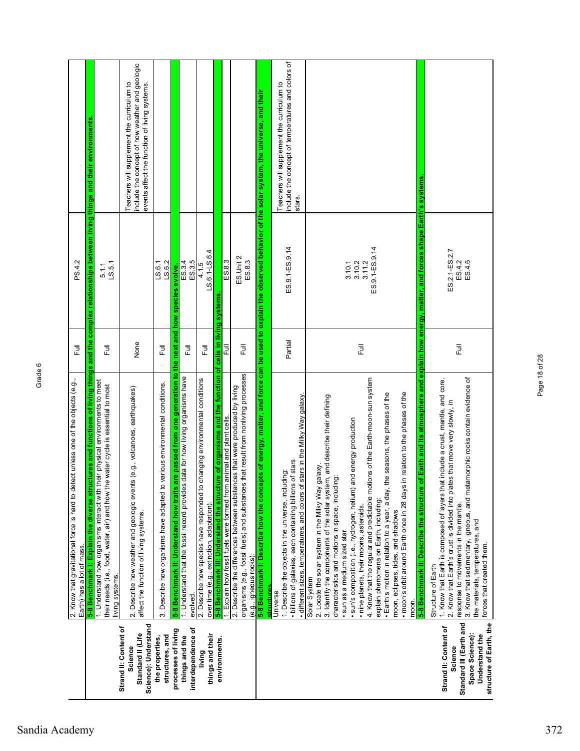|                                                                                                                             | 2. Know that gravitational force is hard to detect unless one of the objects (e.g.,<br>Earth) has a lot of mass.                                                                                                                                                                                                                                                                                                                                                                                                                                                                                                                                                                                | Ē                         | PS.4.2                                       |                                                                                                                                                |
|-----------------------------------------------------------------------------------------------------------------------------|-------------------------------------------------------------------------------------------------------------------------------------------------------------------------------------------------------------------------------------------------------------------------------------------------------------------------------------------------------------------------------------------------------------------------------------------------------------------------------------------------------------------------------------------------------------------------------------------------------------------------------------------------------------------------------------------------|---------------------------|----------------------------------------------|------------------------------------------------------------------------------------------------------------------------------------------------|
|                                                                                                                             | 5-8 Benchmark I: Explain the diverse structures and functions of living things and the complex relationships between living things and their environments                                                                                                                                                                                                                                                                                                                                                                                                                                                                                                                                       |                           |                                              |                                                                                                                                                |
|                                                                                                                             | 1. Understand how organisms interact with their physical environments to meet<br>their needs (i.e., food, water, air) and how the water cycle is essential to most<br>living systems.                                                                                                                                                                                                                                                                                                                                                                                                                                                                                                           | 巨                         | LS.5.1<br>5.1.1                              |                                                                                                                                                |
| Science): Understand<br>Strand II: Content of<br>Standard II (Life<br>Science                                               | is (e.g., volcanoes, earthquakes)<br>2. Describe how weather and geologic event<br>affect the function of living systems.                                                                                                                                                                                                                                                                                                                                                                                                                                                                                                                                                                       | None                      |                                              | include the concept of how weather and geologic<br>Teachers will supplement the curriculum to<br>events affect the function of living systems. |
| structures, and<br>the properties,                                                                                          | various environmental conditions.<br>3. Describe how organisms have adapted to                                                                                                                                                                                                                                                                                                                                                                                                                                                                                                                                                                                                                  | 言                         | LS.6.2<br>$L_S.6.1$                          |                                                                                                                                                |
| processes of living                                                                                                         | from one generation to the next and how species<br>are passed<br>5-8 Benchmark II: Understand how traits                                                                                                                                                                                                                                                                                                                                                                                                                                                                                                                                                                                        |                           | evolve.                                      |                                                                                                                                                |
| interdependence of<br>things and the                                                                                        | data for how living organisms have<br>1. Understand that the fossil record provides<br>evolved.                                                                                                                                                                                                                                                                                                                                                                                                                                                                                                                                                                                                 | Full                      | ES.3.4<br>ES.3.5                             |                                                                                                                                                |
| things and their<br>living                                                                                                  | changing environmental conditions<br>2. Describe how species have responded to<br>over time (e.g., extinction, adaptation).                                                                                                                                                                                                                                                                                                                                                                                                                                                                                                                                                                     | ラ<br>Lu                   | LS.6.1-LS.6.4<br>4.1.5                       |                                                                                                                                                |
| environments.                                                                                                               | ure of organisms and the function of cells in living systems<br>5-8 Benchmark III: Understand the structu                                                                                                                                                                                                                                                                                                                                                                                                                                                                                                                                                                                       |                           |                                              |                                                                                                                                                |
|                                                                                                                             | animal and plant cells.<br>1. Explain how fossil fuels were formed from                                                                                                                                                                                                                                                                                                                                                                                                                                                                                                                                                                                                                         | 昆                         | ES.8.3                                       |                                                                                                                                                |
|                                                                                                                             | organisms (e.g., fossil fuels) and substances that result from nonliving processes<br>2. Describe the differences between substances that were produced by living<br>(e.g., igneous rocks)                                                                                                                                                                                                                                                                                                                                                                                                                                                                                                      | Full                      | ES.Unit 2<br>ES.8.3                          |                                                                                                                                                |
|                                                                                                                             | 5-8 Benchmark I: Describe how the concepts of energy, matter, and force can be used to explain the observed behavior of the solar system, the universe, and their<br>structures                                                                                                                                                                                                                                                                                                                                                                                                                                                                                                                 |                           |                                              |                                                                                                                                                |
|                                                                                                                             | stars in the Milky Way galaxy<br>of stars<br>1. Describe the objects in the universe, including:<br>billions of galaxies, each containing billions<br>· different sizes, temperatures, and colors of<br>Universe                                                                                                                                                                                                                                                                                                                                                                                                                                                                                | Partial                   | ES.9.1-ES.9.14                               | include the concept of temperatures and colors of<br>Teachers will supplement the curriculum to<br>stars.                                      |
|                                                                                                                             | 4. Know that the regular and predictable motions of the Earth-moon-sun system<br>in relation to the phases of the<br>· Earth's motion in relation to a year, a day, the seasons, the phases of the<br>3. Identify the components of the solar system, and describe their defining<br>· sun's composition (i.e., hydrogen, helium) and energy production<br>galaxy.<br>characteristics and motions in space, including:<br>· moon's orbit around Earth once in 28 days<br>2. Locate the solar system in the Milky Way<br>explain phenomena on Earth, including:<br>· nine planets, their moons, asteroids.<br>moon, eclipses, tides, and shadows<br>· sun as a medium sized star<br>Solar System | $\overline{\overline{z}}$ | ES.9.1-ES.9.14<br>3.10.1<br>3.10.2<br>3.11.2 |                                                                                                                                                |
|                                                                                                                             | of Earth and its atmosphere and explain how energy, matter, and forces shape Earth's systems<br>5-8 Benchmark II: Describe the structure<br>moon.                                                                                                                                                                                                                                                                                                                                                                                                                                                                                                                                               |                           |                                              |                                                                                                                                                |
| Standard III (Earth and<br>structure of Earth, the<br>Strand II: Content of<br>Space Science):<br>Understand the<br>Science | 3. Know that sedimentary, igneous, and metamorphic rocks contain evidence of<br>1. Know that Earth is composed of layers that include a crust, mantle, and core.<br>2. Know that Earth's crust is divided into plates that move very slowly, in<br>response to movements in the mantle.<br>the materials, temperatures, and<br>forces that created them.<br>Structure of Earth                                                                                                                                                                                                                                                                                                                  | 昆                         | ES.2.1-ES.2.7<br>ES.4.6<br>ES.4.2            |                                                                                                                                                |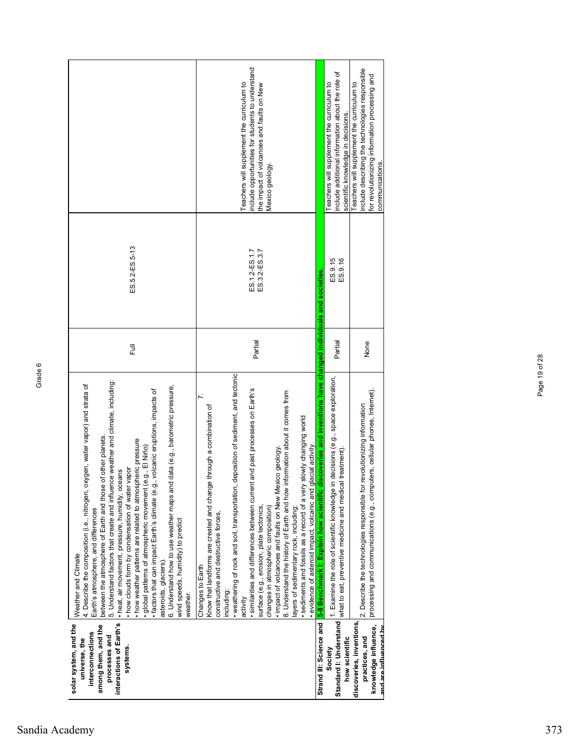| solar system, and the<br>interactions of Earth's<br>among them, and the<br>interconnections<br>processes and<br>universe, the<br>systems. | 5. Understand factors that create and influence weather and climate, including:<br>4. Describe the composition (i.e., nitrogen, oxygen, water vapor) and strata of<br>6. Understand how to use weather maps and data (e.g., barometric pressure,<br>1., volcanic eruptions, impacts of<br>of other planets.<br>· how weather patterns are related to atmospheric pressure<br>(e.g., EINiño)<br>· how clouds form by condensation of water vapor<br>· heat, air movement, pressure, humidity, oceans<br>between the atmosphere of Earth and those<br>· factors that can impact Earth's climate (e.g<br>global patterns of atmospheric movement<br>Earth's atmosphere, and differences<br>wind speeds, humidity) to predict<br>Weather and Climate<br>asteroids, glaciers)<br>weather. | 卮       | ES.5.2-ES.5-13                 |                                                                                                                                                                    |
|-------------------------------------------------------------------------------------------------------------------------------------------|--------------------------------------------------------------------------------------------------------------------------------------------------------------------------------------------------------------------------------------------------------------------------------------------------------------------------------------------------------------------------------------------------------------------------------------------------------------------------------------------------------------------------------------------------------------------------------------------------------------------------------------------------------------------------------------------------------------------------------------------------------------------------------------|---------|--------------------------------|--------------------------------------------------------------------------------------------------------------------------------------------------------------------|
|                                                                                                                                           | deposition of sediment, and tectonic<br>· similarities and differences between current and past processes on Earth's<br>8. Understand the history of Earth and how information about it comes from<br>$\mathbf{r}$<br>Know that landforms are created and change through a combination of<br>· sediments and fossils as a record of a very slowly changing world<br>glacial activity<br>. impact of volcanoes and faults on New Mexico geology<br>weathering of rock and soil, transportation,<br>· evidence of asteroid impact, volcanic and<br>surface (e.g., erosion, plate tectonics,<br>changes in atmospheric composition)<br>layers of sedimentary rock, including:<br>constructive and destructive forces,<br>Changes to Earth<br>including<br>activity                      | Partial | ES.1.2-ES.1.7<br>ES.3.2-ES.3.7 | include opportunities for students to understand<br>eachers will supplement the curriculum to<br>the impact of volcanoes and faults on New<br>Mexico geology.      |
|                                                                                                                                           | Strand III: Science and <mark>I5-8 Benchmark I: Explain how scientific discoveries and inventions have changed individuals and societies</mark>                                                                                                                                                                                                                                                                                                                                                                                                                                                                                                                                                                                                                                      |         |                                |                                                                                                                                                                    |
| Standard I: Understand<br>how scientific<br>Society                                                                                       | in decisions (e.g., space exploration,<br>what to eat, preventive medicine and medical treatment).<br>1. Examine the role of scientific knowledge                                                                                                                                                                                                                                                                                                                                                                                                                                                                                                                                                                                                                                    | Partial | ES.9.16<br>ES.9.15             | include additional information about the role of<br>Teachers will supplement the curriculum to<br>scientific knowledge in decisions.                               |
| discoveries, inventions,<br>knowledge influence,<br>and are influenced hy<br>practices, and                                               | processing and communications (e.g., computers, cellular phones, Internet).<br>2. Describe the technologies responsible for revolutionizing information                                                                                                                                                                                                                                                                                                                                                                                                                                                                                                                                                                                                                              | None    |                                | include describing the technologies responsible<br>for revolutionizing information processing and<br>Teachers will supplement the curriculum to<br>communications. |

Page 19 of 28

Page 19 of 28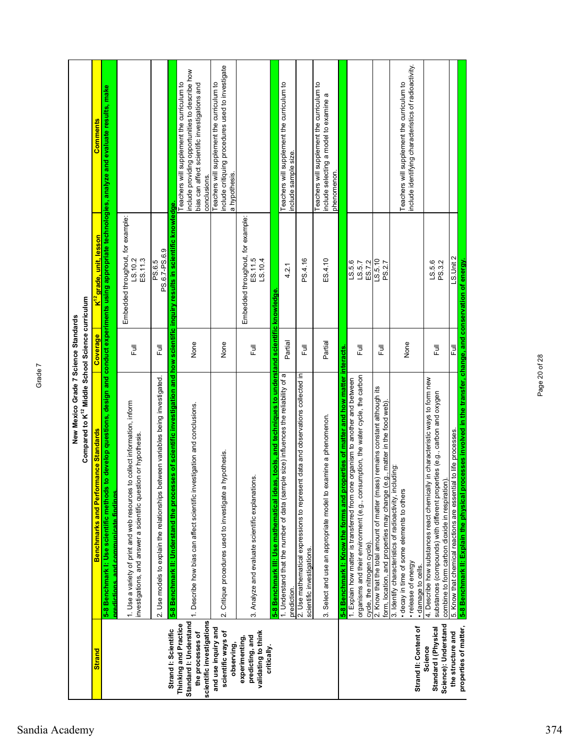|                                                                                                  | Compared to K <sup>12</sup> Middle School Science curriculum<br>New Mexico Grade 7 Science Standards                                                                                                               |          |                                                         |                                                                                                                                                               |
|--------------------------------------------------------------------------------------------------|--------------------------------------------------------------------------------------------------------------------------------------------------------------------------------------------------------------------|----------|---------------------------------------------------------|---------------------------------------------------------------------------------------------------------------------------------------------------------------|
| <b>Strand</b>                                                                                    | <b>Benchmarks and Performance Standards</b>                                                                                                                                                                        | Coverage | <mark>K<sup>'r</sup> grade, unit, lesson</mark>         | <b>Comments</b>                                                                                                                                               |
|                                                                                                  | 5-8 Benchmark I: Use scientific methods to develop questions, design and conduct experiments using appropriate technologies, analyze and evaluate results, make<br><u>predictions, and communicate findings</u>    |          |                                                         |                                                                                                                                                               |
|                                                                                                  | 1. Use a variety of print and web resources to collect information, inform<br>investigations, and answer a scientific question or hypothesis.                                                                      | Ē        | Embedded throughout, for example:<br>ES.11.3<br>LS.10.2 |                                                                                                                                                               |
|                                                                                                  | 2. Use models to explain the relationships between variables being investigated.                                                                                                                                   | 巨        | PS.6.7-PS.6.9<br>PS.6.5                                 |                                                                                                                                                               |
| Strand I: Scientific                                                                             | 5-8 Benchmark II: Understand the processes of scientific investigation and how scientific inquiry results in scientific knowledge.                                                                                 |          |                                                         |                                                                                                                                                               |
| scientific investigations<br>Standard I: Understand<br>Thinking and Practice<br>the processes of | 1. Describe how bias can affect scientific investigation and conclusions.                                                                                                                                          | None     |                                                         | nclude providing opportunities to describe how<br>Teachers will supplement the curriculum to<br>bias can affect scientific investigations and<br>conclusions. |
| and use inquiry and<br>scientific ways of<br>observing,                                          | hypothesis.<br>2. Critique procedures used to investigate a                                                                                                                                                        | None     |                                                         | include critiquing procedures used to investigate<br>Teachers will supplement the curriculum to<br>a hypothesis.                                              |
| validating to think<br>predicting, and<br>experimenting<br>critically.                           | 3. Analyze and evaluate scientific explanations.                                                                                                                                                                   | Ē        | Embedded throughout, for example:<br>ES.11.5<br>LS.10.4 |                                                                                                                                                               |
|                                                                                                  | 5-8 Benchmark III: Use mathematical ideas, tools, and techniques to understand scientific knowledge                                                                                                                |          |                                                         |                                                                                                                                                               |
|                                                                                                  | 1. Understand that the number of data (sample size) influences the reliability of a<br>prediction.                                                                                                                 | Partial  | 4.2.1                                                   | Teachers will supplement the curriculum to<br>nclude sample size                                                                                              |
|                                                                                                  | 2. Use mathematical expressions to represent data and observations collected in<br>scientific investigations.                                                                                                      | 危        | PS.4.16                                                 |                                                                                                                                                               |
|                                                                                                  | 3. Select and use an appropriate model to examine a phenomenon.                                                                                                                                                    | Partial  | ES.4.10                                                 | Teachers will supplement the curriculum to<br>include selecting a model to examine a<br>phenomenon.                                                           |
|                                                                                                  | 5-8 Benchmark I: Know the forms and properties of matter and how matter interacts                                                                                                                                  |          |                                                         |                                                                                                                                                               |
|                                                                                                  | organisms and their environment (e.g., consumption, the water cycle, the carbon<br>1. Explain how matter is transferred from one organism to another and between                                                   | 巨        | LS.5.6<br>LS.5.7                                        |                                                                                                                                                               |
|                                                                                                  | cycle, the nitrogen cycle).                                                                                                                                                                                        |          | ES.7.2                                                  |                                                                                                                                                               |
|                                                                                                  | 2. Know that the total amount of matter (mass) remains constant although its<br>.g., matter in the food web)<br>form, location, and properties may change (e                                                       | 巨        | L.S.5.0<br>PS.2.7                                       |                                                                                                                                                               |
|                                                                                                  | 3. Identify characteristics of radioactivity, including:<br>decay in time of some elements to others                                                                                                               |          |                                                         | Teachers will supplement the curriculum to                                                                                                                    |
| Strand II: Content of                                                                            | · release of energy<br>· damage to cells.                                                                                                                                                                          | None     |                                                         | nclude identifying characteristics of radioactivity.                                                                                                          |
| Science): Understand<br>Standard I (Physical<br>Science                                          | / in characteristic ways to form new<br>substances (compounds) with different properties (e.g., carbon and oxygen<br>combine to form carbon dioxide in respiration)<br>4. Describe how substances react chemically | 巨        | PS.3.2<br>LS.5.6                                        |                                                                                                                                                               |
| properties of matter,<br>the structure and                                                       | 5. Know that chemical reactions are essential to life processes.                                                                                                                                                   | 쿤        | LS.Unit 2                                               |                                                                                                                                                               |
|                                                                                                  | 5-8 Benchmark II: Explain the physical processes involved in the transfer, change, and conservation of energy.                                                                                                     |          |                                                         |                                                                                                                                                               |

Page 20 of 28

Page 20 of 28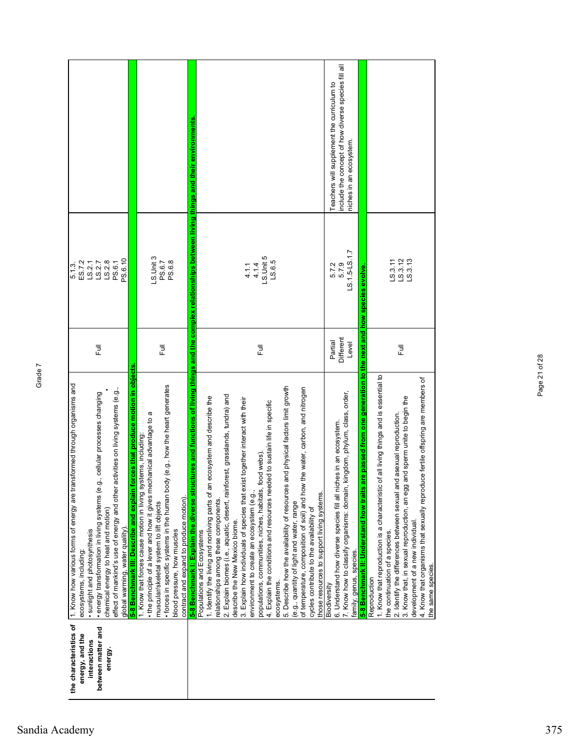| the characteristics of | 1. Know how various forms of energy are transformed through organisms and                                                                                                                   |              | 5.1.3                         |                                                     |
|------------------------|---------------------------------------------------------------------------------------------------------------------------------------------------------------------------------------------|--------------|-------------------------------|-----------------------------------------------------|
| energy, and the        | ecosystems, including:                                                                                                                                                                      |              | ES.7.2                        |                                                     |
| interactions           | sunlight and photosynthesis                                                                                                                                                                 |              | LS.2.1                        |                                                     |
| between matter and     | · energy transformation in living systems (e.g., cellular processes changing                                                                                                                | 言            | LS.2.7                        |                                                     |
| energy.                | chemical energy to heat and motion)                                                                                                                                                         |              | LS.2.8                        |                                                     |
|                        | activities on living systems (e.g.<br>effect of mankind's use of energy and other                                                                                                           |              | PS.6.1                        |                                                     |
|                        | 5-8 Benchmark III: Describe and explain<br>global warming, water quality).                                                                                                                  |              | PS.6.10                       |                                                     |
|                        | orces that produce motion in objects                                                                                                                                                        |              |                               |                                                     |
|                        | σ<br>• the principle of a lever and how it gives mechanical advantage to<br>1. Know that forces cause motion in living systems, including:                                                  |              |                               |                                                     |
|                        | muscular/skeletal system to lift objects                                                                                                                                                    | 言            | $-$ S.Unit 3<br>PS.6.7        |                                                     |
|                        | · forces in specific systems in the human body (e.g., how the heart generates                                                                                                               |              | PS.6.8                        |                                                     |
|                        | blood pressure, how muscles                                                                                                                                                                 |              |                               |                                                     |
|                        | contract and expand to produce motion).                                                                                                                                                     |              |                               |                                                     |
|                        | ctures and functions of living things and the complex relationships between living things and their environments<br>5-8 Benchmark I: Explain the diverse stru<br>Populations and Ecosystems |              |                               |                                                     |
|                        | 1. Identify the living and nonliving parts of an ecosystem and describe the                                                                                                                 |              |                               |                                                     |
|                        | relationships among these components                                                                                                                                                        |              |                               |                                                     |
|                        | 2. Explain biomes (i.e., aquatic, desert, rainforest, grasslands, tundra) and                                                                                                               |              |                               |                                                     |
|                        | describe the New Mexico biome.                                                                                                                                                              |              |                               |                                                     |
|                        | ist together interact with their<br>3. Explain how individuals of species that ex                                                                                                           |              |                               |                                                     |
|                        | environment to create an ecosystem (e.g.,                                                                                                                                                   |              | 4.1.4<br>4.1.1                |                                                     |
|                        | food webs)<br>populations, communities, niches, habitats,                                                                                                                                   | 言            | LS.Unit 5                     |                                                     |
|                        | 4. Explain the conditions and resources needed to sustain life in specific                                                                                                                  |              | LS.6.5                        |                                                     |
|                        | ecosystems.                                                                                                                                                                                 |              |                               |                                                     |
|                        | and physical factors limit growth<br>5. Describe how the availability of resources                                                                                                          |              |                               |                                                     |
|                        | (e.g., quantity of light and water, range                                                                                                                                                   |              |                               |                                                     |
|                        | of temperature, composition of soil) and how the water, carbon, and nitrogen                                                                                                                |              |                               |                                                     |
|                        | cycles contribute to the availability of                                                                                                                                                    |              |                               |                                                     |
|                        | those resources to support living systems.                                                                                                                                                  |              |                               |                                                     |
|                        | Biodiversity                                                                                                                                                                                | Partial      | 5.7.2                         | Teachers will supplement the curriculum to          |
|                        | 6. Understand how diverse species fill all niches in an ecosystem                                                                                                                           | Different    | 5.7.9                         | include the concept of how diverse species fill all |
|                        | kingdom, phylum, class, order,<br>7. Know how to classify organisms: domain,                                                                                                                | Level        | LS.1.5-LS.1.7                 | niches in an ecosystem.                             |
|                        | family, genus, species.                                                                                                                                                                     |              |                               |                                                     |
|                        | are passed from one generation to<br>5-8 Benchmark II: Understand how traits                                                                                                                | the next and | how species evolve.           |                                                     |
|                        | Reproduction                                                                                                                                                                                |              |                               |                                                     |
|                        | of all living things and is essential to<br>1. Know that reproduction is a characteristic                                                                                                   |              |                               |                                                     |
|                        | the continuation of a species.                                                                                                                                                              |              |                               |                                                     |
|                        | nd asexual reproduction.<br>2. Identify the differences between sexual ar                                                                                                                   | 司<br>上       |                               |                                                     |
|                        | and sperm unite to begin the<br>3. Know that, in sexual reproduction, an egg                                                                                                                |              | LS.3.11<br>LS.3.13<br>LS.3.13 |                                                     |
|                        | development of a new individual                                                                                                                                                             |              |                               |                                                     |
|                        | 4. Know that organisms that sexually reproduce fertile offspring are members of                                                                                                             |              |                               |                                                     |
|                        | the same species                                                                                                                                                                            |              |                               |                                                     |
|                        |                                                                                                                                                                                             |              |                               |                                                     |

Page 21 of 28

Page 21 of 28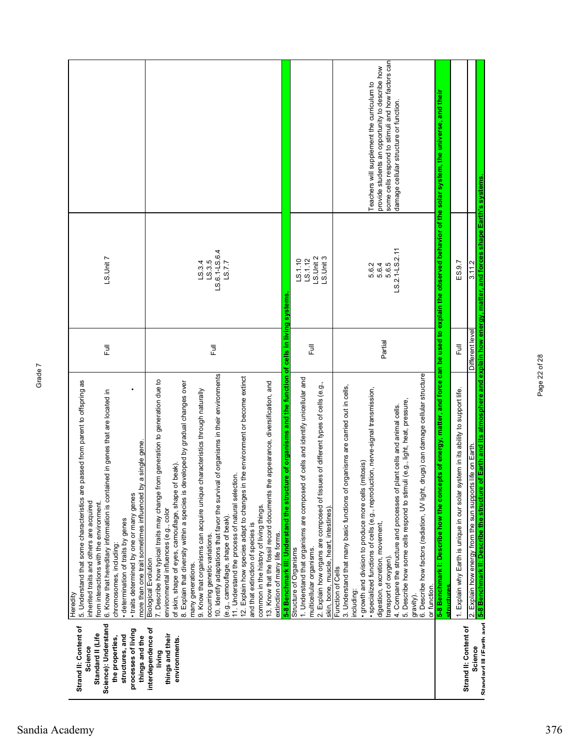| Science): Understand<br>Strand II: Content of<br>interdependence of<br>processes of living<br>Standard II (Life<br>things and their<br>structures, and<br>things and the<br>the properties,<br>environments.<br>Science<br>living | 10. Identify adaptations that favor the survival of organisms in their environments<br>12. Explain how species adapt to changes in the environment or become extinct<br>7. Describe how typical traits may change from generation to generation due to<br>passed from parent to offspring as<br>8. Explain that diversity within a species is developed by gradual changes over<br>characteristics through naturally<br>6. Know that hereditary information is contained in genes that are located in<br>a single gene.<br>of skin, shape of eyes, camouflage, shape of beak)<br>11. Understand the process of natural selection.<br>more than one trait sometimes influenced by<br>5. Understand that some characteristics are<br>9. Know that organisms can acquire unique<br>• traits determined by one or many genes<br>inherited traits and others are acquired<br>from interactions with the environment.<br>environmental influences (e.g., color<br>(e.g., camouflage, shape of beak).<br>· determination of traits by genes<br>and that extinction of species is<br>occurring genetic variations.<br>chromosomes, including:<br><b>Biological Evolution</b><br>many generations.<br>Heredity | 司<br>上<br>巨                        | LS.6.1-LS.6.4<br>LS.Unit7<br>LS.3.5<br>LS.3.4<br>LS.7.7 |                                                                                                                                                |
|-----------------------------------------------------------------------------------------------------------------------------------------------------------------------------------------------------------------------------------|-------------------------------------------------------------------------------------------------------------------------------------------------------------------------------------------------------------------------------------------------------------------------------------------------------------------------------------------------------------------------------------------------------------------------------------------------------------------------------------------------------------------------------------------------------------------------------------------------------------------------------------------------------------------------------------------------------------------------------------------------------------------------------------------------------------------------------------------------------------------------------------------------------------------------------------------------------------------------------------------------------------------------------------------------------------------------------------------------------------------------------------------------------------------------------------------------------|------------------------------------|---------------------------------------------------------|------------------------------------------------------------------------------------------------------------------------------------------------|
|                                                                                                                                                                                                                                   | are of organisms and the function of<br>1. Understand that organisms are composed of cells and identify unicellular and<br>e appearance, diversification, and<br>13. Know that the fossil record documents th<br>5-8 Benchmark III: Understand the struct<br>common in the history of living things.<br>extinction of many life forms.<br>multicellular organisms.<br>Structure of Organisms                                                                                                                                                                                                                                                                                                                                                                                                                                                                                                                                                                                                                                                                                                                                                                                                          | cells in living systems<br>同<br>Lu | LS.Unit 2<br>L.S.1.10<br>LS.1.12                        |                                                                                                                                                |
|                                                                                                                                                                                                                                   | 2. Explain how organs are composed of tissues of different types of cells (e.g.,<br>3. Understand that many basic functions of organisms are carried out in cells,<br>· specialized functions of cells (e.g., reproduction, nerve-signal transmission,<br>(mitosis)<br>growth and division to produce more cells<br>skin, bone, muscle, heart, intestines)<br>Function of Cells<br>including:                                                                                                                                                                                                                                                                                                                                                                                                                                                                                                                                                                                                                                                                                                                                                                                                         |                                    | $-5.$ Unit 3<br>5.6.2                                   | Teachers will supplement the curriculum to                                                                                                     |
|                                                                                                                                                                                                                                   | drugs) can damage cellular structure<br>5. Describe how some cells respond to stimuli (e.g., light, heat, pressure,<br>4. Compare the structure and processes of plant cells and animal cells.<br>6. Describe how factors (radiation, UV light,<br>digestion, excretion, movement,<br>transport of oxygen)<br>or function.<br>gravity).                                                                                                                                                                                                                                                                                                                                                                                                                                                                                                                                                                                                                                                                                                                                                                                                                                                               | Partial                            | LS.2.1-LS.2.11<br>5.6.4<br>5.6.5                        | some cells respond to stimuli and how factors can<br>provide students an opportunity to describe how<br>damage cellular structure or function. |
|                                                                                                                                                                                                                                   | 5-8 Benchmark I: Describe how the conce<br>structures                                                                                                                                                                                                                                                                                                                                                                                                                                                                                                                                                                                                                                                                                                                                                                                                                                                                                                                                                                                                                                                                                                                                                 |                                    |                                                         | epts of energy, matter, and force can be used to explain the observed behavior of the solar system, the universe, and their                    |
| Strand II: Content of                                                                                                                                                                                                             | 1. Explain why Earth is unique in our solar system in its ability to support life.                                                                                                                                                                                                                                                                                                                                                                                                                                                                                                                                                                                                                                                                                                                                                                                                                                                                                                                                                                                                                                                                                                                    | 巨                                  | ES.9.7                                                  |                                                                                                                                                |
| Standard III (Farth and<br>Science                                                                                                                                                                                                | 5-8 Benchmark II: Describe the structure of Earth and its atmosphere and explain how energy, matter, and forces shape Earth's systems.<br>2. Explain how energy from the sun supports life on Earth                                                                                                                                                                                                                                                                                                                                                                                                                                                                                                                                                                                                                                                                                                                                                                                                                                                                                                                                                                                                   | Different level                    | 3.11.2                                                  |                                                                                                                                                |

Page 22 of 28

Page 22 of 28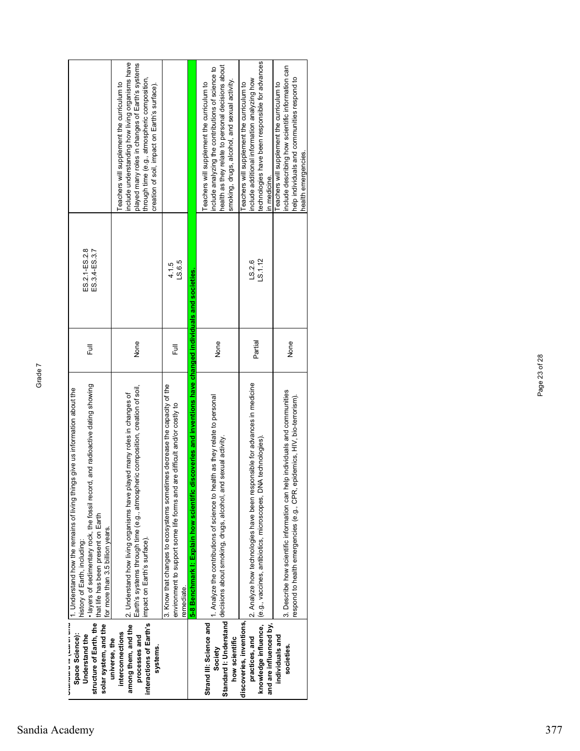| solar system, and the<br>structure of Earth, the<br><b>3.3.9.9.1.1.5.3.3.3.3.</b><br>Space Science):<br>Understand the | and radioactive dating showing<br>1. Understand how the remains of living things give us information about the<br>· layers of sedimentary rock, the fossil record,<br>that life has been present on Earth<br>for more than 3.5 billion years.<br>history of Earth, including: | 卮       | ES.2.1-ES.2.8<br>ES.3.4-ES.3.7 |                                                                                                                                                                                                                                                 |
|------------------------------------------------------------------------------------------------------------------------|-------------------------------------------------------------------------------------------------------------------------------------------------------------------------------------------------------------------------------------------------------------------------------|---------|--------------------------------|-------------------------------------------------------------------------------------------------------------------------------------------------------------------------------------------------------------------------------------------------|
| interactions of Earth's<br>among them, and the<br>interconnections<br>processes and<br>universe, the<br>systems.       | Earth's systems through time (e.g., atmospheric composition, creation of soil,<br>2. Understand how living organisms have played many roles in changes of<br>impact on Earth's surface).                                                                                      | None    |                                | nclude understanding how living organisms have<br>played many roles in changes of Earth's systems<br>through time (e.g., atmospheric composition,<br>eachers will supplement the curriculum to<br>creation of soil, impact on Earth's surface). |
|                                                                                                                        | 3. Know that changes to ecosystems sometimes decrease the capacity of the<br>environment to support some life forms and are difficult and/or costly to<br>remediate.                                                                                                          | 昆       | LS.6.5<br>4.1.5                |                                                                                                                                                                                                                                                 |
|                                                                                                                        | 5-8 Benchmark I: Explain how scientific discoveries and inventions have changed individuals and societies                                                                                                                                                                     |         |                                |                                                                                                                                                                                                                                                 |
| Strand III: Science and<br>how scientific<br>Society                                                                   | 1. Analyze the contributions of science to health as they relate to personal<br>sexual activity.<br>Standard I: Understand decisions about smoking, drugs, alcohol, and                                                                                                       | None    |                                | health as they relate to personal decisions about<br>nclude analyzing the contributions of science to<br>smoking, drugs, alcohol, and sexual activity.<br>Teachers will supplement the curriculum to                                            |
| discoveries, inventions,<br>knowledge influence,<br>and are influenced by,<br>practices, and                           | 2. Analyze how technologies have been responsible for advances in medicine<br>(e.g., vaccines, antibiotics, microscopes, DNA technologies)                                                                                                                                    | Partial | LS.1.12<br>LS.2.6              | echnologies have been responsible for advances<br>nclude additional information analyzing how<br>Teachers will supplement the curriculum to<br>n medicine.                                                                                      |
| individuals and<br>societies.                                                                                          | 3. Describe how scientific information can help individuals and communities<br>respond to health emergencies (e.g., CPR, epidemics, HIV, bio-terrorism).                                                                                                                      | None    |                                | nclude describing how scientific information can<br>help individuals and communities respond to<br>Teachers will supplement the curriculum to<br>nealth emergencies                                                                             |

Page 23 of 28

Page 23 of 28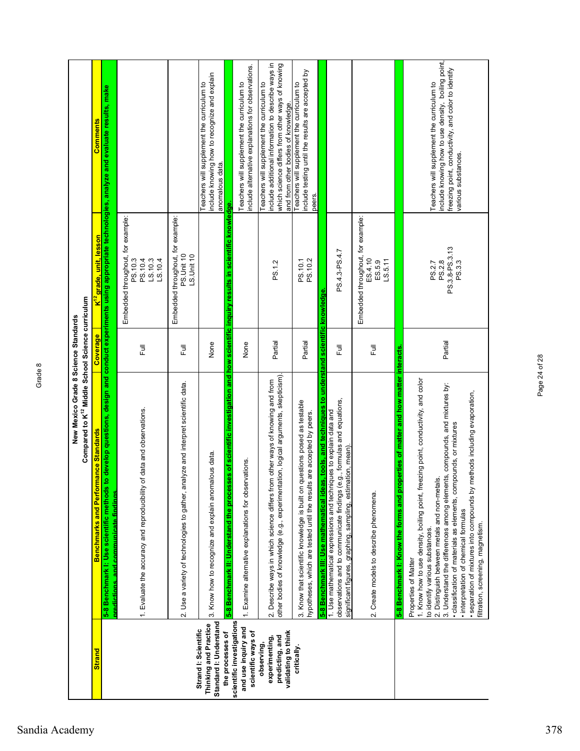|                                                                         | Compared to K <sup>12</sup> Middle School Science curriculum<br>New Mexico Grade 8 Science Standards                                                                                                                                                                                                                                                                                                                                                                                                           |                |                                                                                             |                                                                                                                                                                                             |
|-------------------------------------------------------------------------|----------------------------------------------------------------------------------------------------------------------------------------------------------------------------------------------------------------------------------------------------------------------------------------------------------------------------------------------------------------------------------------------------------------------------------------------------------------------------------------------------------------|----------------|---------------------------------------------------------------------------------------------|---------------------------------------------------------------------------------------------------------------------------------------------------------------------------------------------|
| <b>Strand</b>                                                           | mance Standards<br>Benchmarks and Perfor                                                                                                                                                                                                                                                                                                                                                                                                                                                                       | Coverage       | K <sup>12</sup> grade, unit, lesson                                                         | Comments                                                                                                                                                                                    |
|                                                                         | 5-8 Benchmark I: Use scientific methods<br>predictions, and communicate findings.                                                                                                                                                                                                                                                                                                                                                                                                                              |                |                                                                                             | to develop questions, design and conduct experiments using appropriate technologies, analyze and evaluate results, make                                                                     |
|                                                                         | of data and observations.<br>1. Evaluate the accuracy and reproducibility                                                                                                                                                                                                                                                                                                                                                                                                                                      | 言              | Embedded throughout, for example:<br>PS.10.3<br>PS.10.4<br>LS.10.3<br>LS.10.4               |                                                                                                                                                                                             |
|                                                                         | 2. Use a variety of technologies to gather, analyze and interpret scientific data.                                                                                                                                                                                                                                                                                                                                                                                                                             | 目              | Embedded throughout, for example:<br>PS.Unit 10<br>LS.Unit 10                               |                                                                                                                                                                                             |
| Standard I: Understand<br>Thinking and Practice<br>Strand I: Scientific | 3. Know how to recognize and explain anomalous data.                                                                                                                                                                                                                                                                                                                                                                                                                                                           | None           |                                                                                             | include knowing how to recognize and explain<br>Teachers will supplement the curriculum to<br>anomalous data                                                                                |
| scientific investigations<br>the processes of                           | 5-8 Benchmark II: Understand the proces                                                                                                                                                                                                                                                                                                                                                                                                                                                                        |                | ses of scientific investigation and how scientific inquiry results in scientific knowledge. |                                                                                                                                                                                             |
| and use inquiry and<br>scientific ways of                               | 1. Examine alternative explanations for observations                                                                                                                                                                                                                                                                                                                                                                                                                                                           | None           |                                                                                             | nclude alternative explanations for observations.<br>Teachers will supplement the curriculum to                                                                                             |
| validating to think<br>predicting, and<br>experimenting,<br>observing,  | other bodies of knowledge (e.g., experimentation, logical arguments, skepticism).<br>2. Describe ways in which science differs from other ways of knowing and from                                                                                                                                                                                                                                                                                                                                             | Partial        | PS.1.2                                                                                      | include additional information to describe ways in<br>which science differs from other ways of knowing<br>Teachers will supplement the curriculum to<br>and from other bodies of knowledge. |
| critically.                                                             | questions posed as testable<br>hypotheses, which are tested until the results are accepted by peers.<br>3. Know that scientific knowledge is built on                                                                                                                                                                                                                                                                                                                                                          | Partial        | PS.10.2<br>PS.10.1                                                                          | include testing until the results are accepted by<br>Teachers will supplement the curriculum to<br>peers.                                                                                   |
|                                                                         | 5-8 Benchmark III: Use mathematical ideas, tools, and techniques to understand scientific knowledge                                                                                                                                                                                                                                                                                                                                                                                                            |                |                                                                                             |                                                                                                                                                                                             |
|                                                                         | observations and to communicate findings (e.g., formulas and equations<br>1. Use mathematical expressions and techniques to explain data and<br>significant figures, graphing, sampling, estimation, mean)                                                                                                                                                                                                                                                                                                     | $\overline{a}$ | PS.4.3-PS.4.7                                                                               |                                                                                                                                                                                             |
|                                                                         | 2. Create models to describe phenomena.                                                                                                                                                                                                                                                                                                                                                                                                                                                                        | 同<br>Lu        | Embedded throughout, for example:<br>ES.4.10<br>LS.5.11<br>ES.5.9                           |                                                                                                                                                                                             |
|                                                                         | operties of matter and how matter interacts.<br>5-8 Benchmark I: Know the forms and pro                                                                                                                                                                                                                                                                                                                                                                                                                        |                |                                                                                             |                                                                                                                                                                                             |
|                                                                         | 1. Know how to use density, boiling point, freezing point, conductivity, and color<br>3. Understand the differences among elements, compounds, and mixtures by:<br>methods including evaporation,<br>· classification of materials as elements, compounds, or mixtures<br>2. Distinguish between metals and non-metals.<br>· separation of mixtures into compounds by<br>· interpretation of chemical formulas<br>filtration, screening, magnetism.<br>to identify various substances.<br>Properties of Matter | Partial        | PS.3.8-PS.3.13<br>PS.2.8<br>PS.3.3<br>PS.2.7                                                | include knowing how to use density, boiling point,<br>freezing point, conductivity, and color to identify<br>Teachers will supplement the curriculum to<br>various substances.              |

Page 24 of 28

Page 24 of 28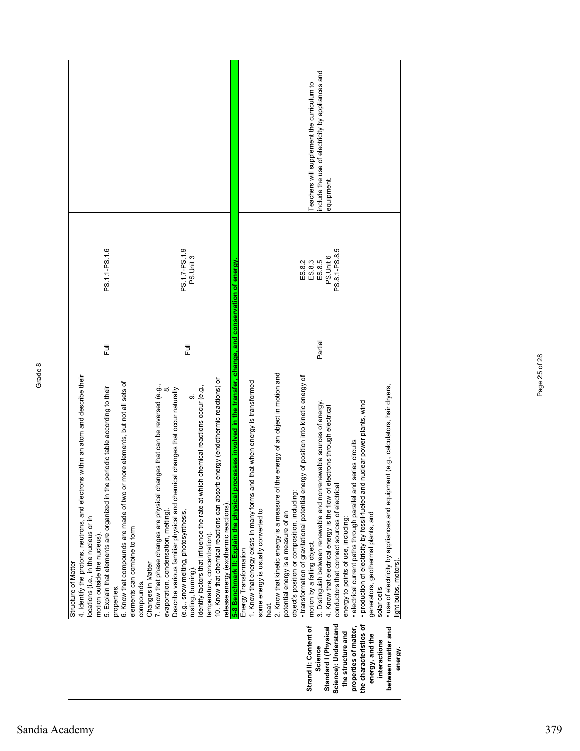|                                                                                                                                                                                                                                                                                                                                                                                                                          |                                                                                                                                                                                                                                                                                                                                                                                                                                                                                                                                               | nclude the use of electricity by appliances and<br>Teachers will supplement the curriculum to<br>equipment                                                                                                                                                                                                                                                                                                                                                                                                                                                                                                                                                                                                                                                                                                                                                                                                                                                                                                                                                                                                                                       |
|--------------------------------------------------------------------------------------------------------------------------------------------------------------------------------------------------------------------------------------------------------------------------------------------------------------------------------------------------------------------------------------------------------------------------|-----------------------------------------------------------------------------------------------------------------------------------------------------------------------------------------------------------------------------------------------------------------------------------------------------------------------------------------------------------------------------------------------------------------------------------------------------------------------------------------------------------------------------------------------|--------------------------------------------------------------------------------------------------------------------------------------------------------------------------------------------------------------------------------------------------------------------------------------------------------------------------------------------------------------------------------------------------------------------------------------------------------------------------------------------------------------------------------------------------------------------------------------------------------------------------------------------------------------------------------------------------------------------------------------------------------------------------------------------------------------------------------------------------------------------------------------------------------------------------------------------------------------------------------------------------------------------------------------------------------------------------------------------------------------------------------------------------|
| PS.1.1-PS.1.6                                                                                                                                                                                                                                                                                                                                                                                                            | PS.1.7-PS.1.9<br>PS.Unit 3                                                                                                                                                                                                                                                                                                                                                                                                                                                                                                                    | PS.8.1-PS.8.5<br>PS.Unit 6<br>ES.8.3<br>ES.8.5<br>ES.8.2                                                                                                                                                                                                                                                                                                                                                                                                                                                                                                                                                                                                                                                                                                                                                                                                                                                                                                                                                                                                                                                                                         |
| $\bar{a}$                                                                                                                                                                                                                                                                                                                                                                                                                | $\bar{a}$                                                                                                                                                                                                                                                                                                                                                                                                                                                                                                                                     | Partial                                                                                                                                                                                                                                                                                                                                                                                                                                                                                                                                                                                                                                                                                                                                                                                                                                                                                                                                                                                                                                                                                                                                          |
| 4. Identify the protons, neutrons, and electrons within an atom and describe their<br>6. Know that compounds are made of two or more elements, but not all sets of<br>5. Explain that elements are organized in the periodic table according to their<br>locations (i.e., in the nucleus or in<br>elements can combine to form<br>motion outside the nucleus)<br><b>Structure of Matter</b><br>compounds.<br>properties. | 10. Know that chemical reactions can absorb energy (endothermic reactions) or<br>7. Know that phase changes are physical changes that can be reversed (e.g.,<br>ich chemical reactions occur (e.g.,<br>Describe various familiar physical and chemical changes that occur naturally<br>တ<br>Identify factors that influence the rate at wh<br>release energy (exothermic reactions).<br>(e.g., snow melting, photosynthesis,<br>evaporation, condensation, melting)<br>temperature, concentration)<br>Changes in Matter<br>rusting, burning). | 5-8 Benchmark II: Explain the physical processes involved in the transfer, change, and conservation of energy<br>2. Know that kinetic energy is a measure of the energy of an object in motion and<br>• transformation of gravitational potential energy of position into kinetic energy of<br>1. Know that energy exists in many forms and that when energy is transformed<br>ment (e.g., calculators, hair dryers,<br>· production of electricity by fossil-fueled and nuclear power plants, wind<br>3. Distinguish between renewable and nonrenewable sources of energy<br>4. Know that electrical energy is the flow of electrons through electrical<br>· electrical current paths through parallel and series circuits<br>conductors that connect sources of electrical<br>· use of electricity by appliances and equipr<br>object's position or composition, including:<br>some energy is usually converted to<br>generators, geothermal plants, and<br>potential energy is a measure of an<br>energy to points of use, including:<br>motion by a falling object.<br>Energy Transformation<br>light bulbs, motors)<br>solar cells<br>heat. |
|                                                                                                                                                                                                                                                                                                                                                                                                                          |                                                                                                                                                                                                                                                                                                                                                                                                                                                                                                                                               | Science): Understand<br>the characteristics of<br>Strand II: Content of<br>properties of matter,<br>between matter and<br>Standard I (Physical<br>the structure and<br>energy, and the<br>interactions<br>Science<br>energy.                                                                                                                                                                                                                                                                                                                                                                                                                                                                                                                                                                                                                                                                                                                                                                                                                                                                                                                     |

Page 25 of 28

Page 25 of 28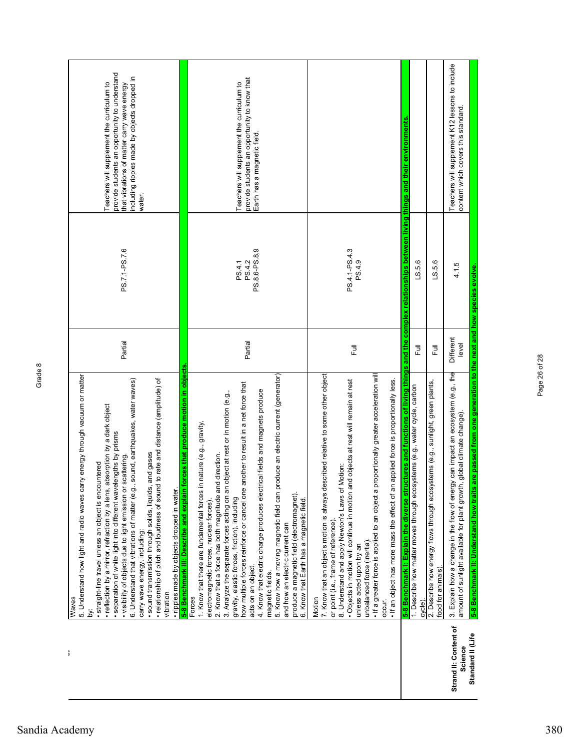| ì                                | 5. Understand how light and radio waves carry energy through vacuum or matter<br>· reflection by a mirror, refraction by a lens, absorption by a dark object<br>· separation of white light into different wavelengths by prisms<br>· visibility of objects due to light emission or scattering.<br>· straight-line travel unless an object is encountered<br>Waves<br>ä | Partial            | PS.7.1-PS.7.6           | provide students an opportunity to understand<br>Teachers will supplement the curriculum to<br>that vibrations of matter carry wave energy |
|----------------------------------|--------------------------------------------------------------------------------------------------------------------------------------------------------------------------------------------------------------------------------------------------------------------------------------------------------------------------------------------------------------------------|--------------------|-------------------------|--------------------------------------------------------------------------------------------------------------------------------------------|
|                                  | sound, earthquakes, water waves)<br>to rate and distance (amplitude) of<br>and gases<br>6. Understand that vibrations of matter (e.g.,<br>· sound transmission through solids, liquids,<br>· relationship of pitch and loudness of sound<br>carry wave energy, including:<br>vibration                                                                                   |                    |                         | including ripples made by objects dropped in<br>water.                                                                                     |
|                                  | forces that produce motion in objects<br>· ripples made by objects dropped in water.<br>5-8 Benchmark III: Describe and explain                                                                                                                                                                                                                                          |                    |                         |                                                                                                                                            |
|                                  | Forces                                                                                                                                                                                                                                                                                                                                                                   |                    |                         |                                                                                                                                            |
|                                  | 1. Know that there are fundamental forces in nature (e.g., gravity,<br>electromagnetic forces, nuclear forces).                                                                                                                                                                                                                                                          |                    |                         |                                                                                                                                            |
|                                  | object at rest or in motion (e.g.,<br>2. Know that a force has both magnitude and direction.<br>3. Analyze the separate forces acting on an                                                                                                                                                                                                                              |                    |                         |                                                                                                                                            |
|                                  | how multiple forces reinforce or cancel one another to result in a net force that<br>gravity, elastic forces, friction), including                                                                                                                                                                                                                                       |                    | PS.4.1                  | Teachers will supplement the curriculum to                                                                                                 |
|                                  | acts on an object.                                                                                                                                                                                                                                                                                                                                                       | Partial            | PS.8.6-PS.8.9<br>PS.4.2 | provide students an opportunity to know that<br>Earth has a magnetic field.                                                                |
|                                  | 4. Know that electric charge produces electrical fields and magnets produce<br>magnetic fields.                                                                                                                                                                                                                                                                          |                    |                         |                                                                                                                                            |
|                                  | 5. Know how a moving magnetic field can produce an electric current (generator)                                                                                                                                                                                                                                                                                          |                    |                         |                                                                                                                                            |
|                                  | and how an electric current can                                                                                                                                                                                                                                                                                                                                          |                    |                         |                                                                                                                                            |
|                                  | produce a magnetic field (electromagnet).<br>6. Know that Earth has a magnetic field                                                                                                                                                                                                                                                                                     |                    |                         |                                                                                                                                            |
|                                  | Motion                                                                                                                                                                                                                                                                                                                                                                   |                    |                         |                                                                                                                                            |
|                                  | scribed relative to some other object<br>7. Know that an object's motion is always de                                                                                                                                                                                                                                                                                    |                    |                         |                                                                                                                                            |
|                                  | Motion:<br>8. Understand and apply Newton's Laws of<br>or point (i.e., frame of reference).                                                                                                                                                                                                                                                                              |                    |                         |                                                                                                                                            |
|                                  | · Objects in motion will continue in motion and objects at rest will remain at rest                                                                                                                                                                                                                                                                                      |                    | PS.4.1-PS.4.3           |                                                                                                                                            |
|                                  | unless acted upon by an                                                                                                                                                                                                                                                                                                                                                  | 司<br>上             | PS.4.9                  |                                                                                                                                            |
|                                  | . If a greater force is applied to an object a proportionally greater acceleration will<br>unbalanced force (inertia).                                                                                                                                                                                                                                                   |                    |                         |                                                                                                                                            |
|                                  | applied force is proportionally less.<br>. If an object has more mass the effect of an<br>occur.                                                                                                                                                                                                                                                                         |                    |                         |                                                                                                                                            |
|                                  | 5-8 Benchmark I: Explain the diverse structures and functions of living things and the complex relationships between living things and their environments                                                                                                                                                                                                                |                    |                         |                                                                                                                                            |
|                                  | 1. Describe how matter moves through ecosystems (e.g., water cycle, carbon<br>cycle)                                                                                                                                                                                                                                                                                     | 巨                  | LS.5.6                  |                                                                                                                                            |
|                                  | stems (e.g., sunlight, green plants,<br>2. Describe how energy flows through ecosy<br>food for animals)                                                                                                                                                                                                                                                                  | 言                  | LS.5.6                  |                                                                                                                                            |
| Strand II: Content of<br>Science | 3. Explain how a change in the flow of energy can impact an ecosystem (e.g., the<br>amount of sunlight available for plant growth, global climate change).                                                                                                                                                                                                               | Different<br>level | 4.1.5                   | Teachers will supplement K12 lessons to include<br>content which covers this standard.                                                     |
| Standard II (Life                | are passed from one generation to the next and how species evolve.<br>5-8 Benchmark II: Understand how traits                                                                                                                                                                                                                                                            |                    |                         |                                                                                                                                            |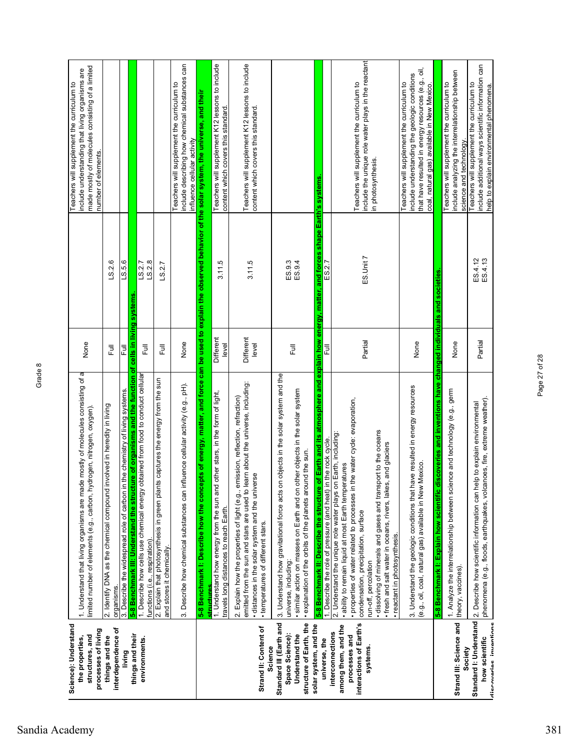| Science): Understand<br>structures, and<br>the properties,                                     | 1. Understand that living organisms are made mostly of molecules consisting of a<br>limited number of elements (e.g., carbon, hydrogen, nitrogen, oxygen).                                                                                                                                                                                                                                                                                  | None                    |                    | include understanding that living organisms are<br>Teachers will supplement the curriculum to                                                                                                    |
|------------------------------------------------------------------------------------------------|---------------------------------------------------------------------------------------------------------------------------------------------------------------------------------------------------------------------------------------------------------------------------------------------------------------------------------------------------------------------------------------------------------------------------------------------|-------------------------|--------------------|--------------------------------------------------------------------------------------------------------------------------------------------------------------------------------------------------|
| processes of living                                                                            |                                                                                                                                                                                                                                                                                                                                                                                                                                             |                         |                    | made mostly of molecules consisting of a limited<br>number of elements.                                                                                                                          |
| interdependence of<br>things and the                                                           | involved in heredity in living<br>2. Identify DNA as the chemical compound<br>organisms.                                                                                                                                                                                                                                                                                                                                                    | $\overline{a}$          | LS.2.6             |                                                                                                                                                                                                  |
| living                                                                                         | 3. Describe the widespread role of carbon in the chemistry of living systems.                                                                                                                                                                                                                                                                                                                                                               | 쿤                       | LS.5.6             |                                                                                                                                                                                                  |
| things and their<br>environments.                                                              | 5-8 Benchmark III: Understand the structure of organisms and the function of<br>1. Describe how cells use chemical energy obtained from food to conduct cellular                                                                                                                                                                                                                                                                            | cells in living systems | LS.2.7             |                                                                                                                                                                                                  |
|                                                                                                | functions (i.e., respiration)                                                                                                                                                                                                                                                                                                                                                                                                               | こ<br>こ                  | LS.2.8             |                                                                                                                                                                                                  |
|                                                                                                | 2. Explain that photosynthesis in green plants captures the energy from the sun<br>and stores it chemically                                                                                                                                                                                                                                                                                                                                 | 昆                       | LS.2.7             |                                                                                                                                                                                                  |
|                                                                                                | nfluence cellular activity (e.g., pH).<br>3. Describe how chemical substances can in                                                                                                                                                                                                                                                                                                                                                        | None                    |                    | include describing how chemical substances can<br>Teachers will supplement the curriculum to<br>influence cellular activity                                                                      |
|                                                                                                | 5-8 Benchmark I: Describe how the concepts of energy, matter, and force<br>structures                                                                                                                                                                                                                                                                                                                                                       |                         |                    | can be used to explain the observed behavior of the solar system, the universe, and their                                                                                                        |
|                                                                                                | 1. Understand how energy from the sun and other stars, in the form of light,<br>travels long distances to reach Earth.                                                                                                                                                                                                                                                                                                                      | Different<br>level      | 3.11.5             | Teachers will supplement K12 lessons to include<br>content which covers this standard                                                                                                            |
| Strand II: Content of<br>Science                                                               | eam about the universe, including:<br>2. Explain how the properties of light (e.g., emission, reflection, refraction)<br>· distances in the solar system and the universe<br>emitted from the sun and stars are used to<br>• temperatures of different stars.                                                                                                                                                                               | Different<br>level      | 3.11.5             | Teachers will supplement K12 lessons to include<br>content which covers this standard.                                                                                                           |
| Standard III (Earth and<br>structure of Earth, the<br>Space Science):<br>Understand the        | 3. Understand how gravitational force acts on objects in the solar system and the<br>other objects in the solar system<br>explanation of the orbits of the planets around the sun.<br>· similar action on masses on Earth and on<br>universe, including:                                                                                                                                                                                    | 큹                       | ES.9.3<br>ES.9.4   |                                                                                                                                                                                                  |
| solar system, and the<br>universe, the                                                         | of Earth and its atmosphere and explain how energy, matter, and forces shape Earth's systems.<br>n the rock cycle.<br>5-8 Benchmark II: Describe the structure<br>1. Describe the role of pressure (and heat) i                                                                                                                                                                                                                             | 쿤                       | ES.2.7             |                                                                                                                                                                                                  |
| interactions of Earth's<br>among them, and the<br>interconnections<br>processes and<br>systems | the water cycle: evaporation,<br>dissolving of minerals and gases and transport to the oceans<br>2. Understand the unique role water plays on Earth, including:<br>· fresh and salt water in oceans, rivers, lakes, and glaciers<br>· ability to remain liquid at most Earth temperatures<br>· properties of water related to processes in<br>condensation, precipitation, surface<br>· reactant in photosynthesis.<br>run-off, percolation | Partial                 | ES.Unit 7          | include the unique role water plays in the reactant<br>Teachers will supplement the curriculum to<br>in photosynthesis.                                                                          |
|                                                                                                | 3. Understand the geologic conditions that have resulted in energy resources<br>Mexico.<br>(e.g., oil, coal, natural gas) available in New                                                                                                                                                                                                                                                                                                  | None                    |                    | that have resulted in energy resources (e.g., oil,<br>include understanding the geologic conditions<br>Teachers will supplement the curriculum to<br>coal, natural gas) available in New Mexico. |
|                                                                                                | inventions have changed individuals and societies<br>discoveries and<br>5-8 Benchmark I: Explain how scientific                                                                                                                                                                                                                                                                                                                             |                         |                    |                                                                                                                                                                                                  |
| Strand III: Science and<br>Society                                                             | 1. Analyze the interrelationship between science and technology (e.g., germ<br>theory, vaccines).                                                                                                                                                                                                                                                                                                                                           | None                    |                    | include analyzing the interrelationship between<br>Teachers will supplement the curriculum to<br>science and technology.                                                                         |
| diecovariae invantione<br>how scientific                                                       | phenomena (e.g., floods, earthquakes, volcanoes, fire, extreme weather).<br>Standard I: Understand   2. Describe how scientific information can help to explain environmental                                                                                                                                                                                                                                                               | Partial                 | ES.4.12<br>ES.4.13 | include additional ways scientific information can<br>Teachers will supplement the curriculum to<br>help to explain environmental phenomena.                                                     |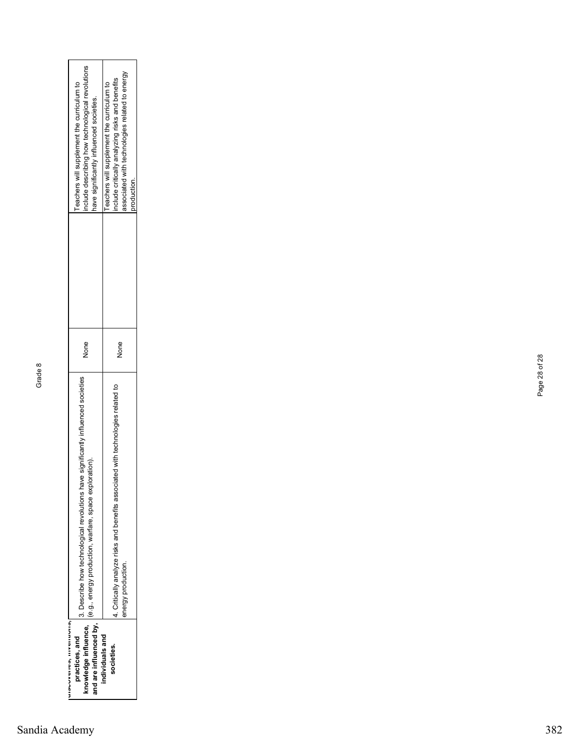| unovovenes, involutorial,<br>practices, and    | 3. Describe how technological revolutions have significantly influenced societies |      | eachers will supplement the curriculum to                                                  |
|------------------------------------------------|-----------------------------------------------------------------------------------|------|--------------------------------------------------------------------------------------------|
| and are influenced by,<br>knowledge influence, | (e.g., energy production, warfare, space exploration).                            | Nore | nclude describing how technological revolutions<br>ave significantly influenced societies. |
| ndividuals and                                 |                                                                                   |      | eachers will supplement the curriculum to                                                  |
| ocieties.                                      | 4. Critically analyze risks and benefits associated with technologies related to  | None | nclude critically analyzing risks and benefits                                             |
|                                                | energy production.                                                                |      | associated with technologies related to energy                                             |
|                                                |                                                                                   |      | production.                                                                                |

Page 28 of 28

Page 28 of 28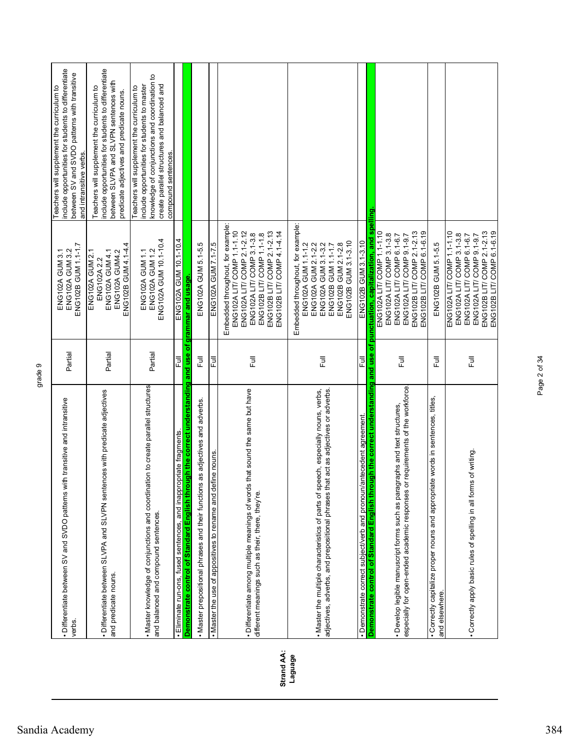|            | • Differentiate between SV and SVDO patterns with transitive and intransitive<br>verbs                                                                                  | Partial | ENG102B GUM 1.1-1.7<br><b>ENG102A GUM 3.2</b><br><b>ENG102A GUM 3.1</b>                                                                                                                                             | include opportunities for students to differentiate<br>between SV and SVDO patterns with transitive<br>Teachers will supplement the curriculum to<br>and intransitive verbs.                                      |
|------------|-------------------------------------------------------------------------------------------------------------------------------------------------------------------------|---------|---------------------------------------------------------------------------------------------------------------------------------------------------------------------------------------------------------------------|-------------------------------------------------------------------------------------------------------------------------------------------------------------------------------------------------------------------|
|            | • Differentiate between SLVPA and SLVPN sentences with predicate adjectives<br>and predicate nouns.                                                                     | Partial | ENG102B GUM 4.1-4.4<br>ENG102A GUM 4.1<br>ENG102A GUM4.2<br><b>ENG102A GUM 2.1</b><br>ENG102A2.2                                                                                                                    | include opportunities for students to differentiate<br>between SLVPA and SLVPN sentences with<br>Teachers will supplement the curriculum to<br>predicate adjectives and predicate nouns.                          |
|            | . Master knowledge of conjunctions and coordination to create parallel structures<br>and balanced and compound sentences.                                               | Partial | ENG102A GUM 10.1-10.4<br><b>ENG102A GUM1.2</b><br>ENG102A GUM 1.1                                                                                                                                                   | knowledge of conjunctions and coordination to<br>create parallel structures and balanced and<br>include opportunities for students to master<br>Teachers will supplement the curriculum to<br>compound sentences. |
|            | · Eliminate run-ons, fused sentences, and inappropriate fragments.                                                                                                      | 쿤       | ENG102A GUM 10.1-10.4                                                                                                                                                                                               |                                                                                                                                                                                                                   |
|            | <u>Demonstrate control of Standard English through the correct understanding and use of grammar and usage</u>                                                           |         |                                                                                                                                                                                                                     |                                                                                                                                                                                                                   |
|            | . Master prepositional phrases and their functions as adjectives and adverbs.                                                                                           | 豆<br>Lu | ENG102A GUM 5.1-5.5                                                                                                                                                                                                 |                                                                                                                                                                                                                   |
|            | . Master the use of appositives to rename and define nouns                                                                                                              | 쿦       | ENG102A GUM 7.1-7.5                                                                                                                                                                                                 |                                                                                                                                                                                                                   |
| Strand AA: | · Differentiate among multiple meanings of words that sound the same but have<br>different meanings such as their, there, they're.                                      | Ē       | Embedded throughout, for example:<br>ENG102A LIT/ COMP 1.1-1.10<br>ENG102A LIT/ COMP 2.1-2.12<br>ENG102B LIT/ COMP 2.1-2.13<br>ENG102B LIT/ COMP 4.1-4.14<br>ENG102A LIT/ COMP 3.1-3.8<br>ENG102B LIT/ COMP 1.1-1.8 |                                                                                                                                                                                                                   |
| Laguage    | adjectives, adverbs, and prepositional phrases that act as adjectives or adverbs.<br>. Master the multiple characteristics of parts of speech, especially nouns, verbs, | Ē       | Embedded throughout, for example:<br>ENG102B GUM 3.1-3.10<br>ENG102A GUM 1.1-1.2<br>ENG102A GUM 2.1-2.2<br>ENG102A GUM 3.1-3.2<br>ENG102B GUM 1.1-1.7<br>ENG102B GUM 2.1-2.8                                        |                                                                                                                                                                                                                   |
|            | · Demonstrate correct subject/verb and pronoun/antecedent agreement                                                                                                     | 쿤       | ENG102B GUM 3.1-3.10                                                                                                                                                                                                |                                                                                                                                                                                                                   |
|            | Demonstrate control of Standard English through the correct understanding and use of                                                                                    |         | punctuation, capitalization, and spel                                                                                                                                                                               | g                                                                                                                                                                                                                 |
|            | especially for open-ended academic responses or requirements of the workforce.<br>· Develop legible manuscript forms such as paragraphs and text structures,            | 巨       | ENG102A LIT/ COMP 1.1-1.10<br>ENG102B LIT/ COMP 2.1-2.13<br>ENG102B LIT/COMP 6.1-6.19<br>ENG102A LIT/ COMP 3.1-3.8<br>ENG102A LIT/ COMP 6.1-6.7<br>ENG102A LIT/ COMP 9.1-9.7                                        |                                                                                                                                                                                                                   |
|            | · Correctly capitalize proper nouns and appropriate words in sentences, titles,<br>and elsewhere.                                                                       | 言       | ENG102B GUM 5.1-5.5                                                                                                                                                                                                 |                                                                                                                                                                                                                   |
|            | · Correctly apply basic rules of spelling in all forms of writing.                                                                                                      | 巨       | ENG102B LIT/ COMP 2.1-2.13<br>ENG102B LIT/ COMP 6.1-6.19<br>ENG102A LIT/ COMP 1.1-1.10<br>ENG102A LIT/ COMP 3.1-3.8<br>ENG102A LIT/ COMP 9.1-9.7<br>ENG102A LIT/ COMP 6.1-6.7                                       |                                                                                                                                                                                                                   |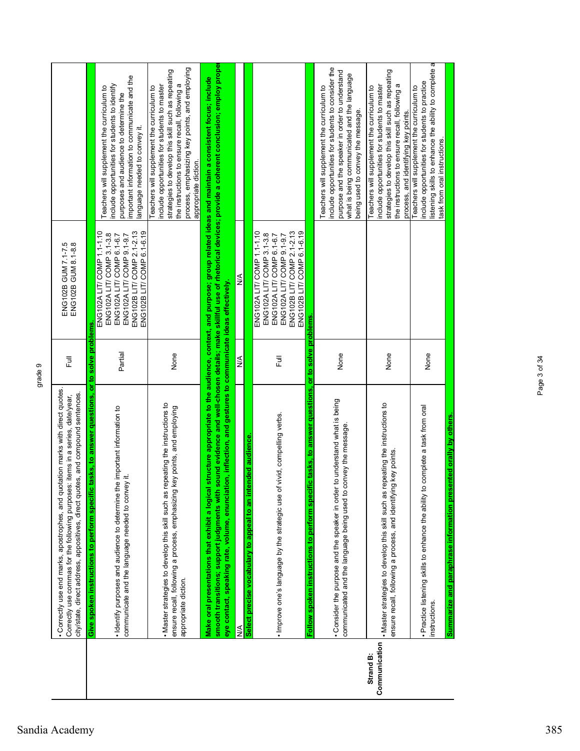|                            | · Correctly use end marks, apostrophes, and quotation marks with direct quotes.<br>city/state, direct address, appositives, direct quotes, and compound sentences.<br>items in a series, date/year,<br>Correctly use commas for the following purposes:                                | Ē       | ENG102B GUM 7.1-7.5<br>ENG102B GUM 8.1-8.8                                                                                                                                   |                                                                                                                                                                                                                                                                              |
|----------------------------|----------------------------------------------------------------------------------------------------------------------------------------------------------------------------------------------------------------------------------------------------------------------------------------|---------|------------------------------------------------------------------------------------------------------------------------------------------------------------------------------|------------------------------------------------------------------------------------------------------------------------------------------------------------------------------------------------------------------------------------------------------------------------------|
|                            | Give spoken instructions to perform specific tasks, to answer questions, or to solve problems                                                                                                                                                                                          |         |                                                                                                                                                                              |                                                                                                                                                                                                                                                                              |
|                            | · Identify purposes and audience to determine the important information to<br>نے.<br>communicate and the language needed to convey                                                                                                                                                     | Partial | ENG102B LIT/ COMP 6.1-6.19<br>ENG102A LIT/COMP 1.1-1.10<br>ENG102B LIT/ COMP 2.1-2.13<br>ENG102A LIT/ COMP 3.1-3.8<br>ENG102A LIT/ COMP 9.1-9.7<br>ENG102A LIT/ COMP 6.1-6.7 | important information to communicate and the<br>include opportunities for students to identify<br>Teachers will supplement the curriculum to<br>purposes and audience to determine the<br>language needed to convey it.                                                      |
|                            | . Master strategies to develop this skill such as repeating the instructions to<br>ensure recall, following a process, emphasizing key points, and employing<br>appropriate diction.                                                                                                   | None    |                                                                                                                                                                              | process, emphasizing key points, and employing<br>strategies to develop this skill such as repeating<br>the instructions to ensure recall, following a<br>include opportunities for students to master<br>Teachers will supplement the curriculum to<br>appropriate diction. |
|                            | Make oral presentations that exhibit a logical s                                                                                                                                                                                                                                       |         |                                                                                                                                                                              | tructure appropriate to the audience, context, and purpose; group related ideas and maintain a consistent focus; include                                                                                                                                                     |
|                            | smooth transitions; support judgments with sound evidence and well-chosen details; make skillful use of rhetorical devices; provide a coherent conclusion; employ prope<br>eye contact, speaking rate, volume, enunciation, inflection, and gestures to communicate ideas effectively. |         |                                                                                                                                                                              |                                                                                                                                                                                                                                                                              |
|                            | $\frac{4}{2}$                                                                                                                                                                                                                                                                          | ≸       | ≸                                                                                                                                                                            |                                                                                                                                                                                                                                                                              |
|                            | nded audience.<br>to an inter<br>Select precise vocabulary to appeal                                                                                                                                                                                                                   |         |                                                                                                                                                                              |                                                                                                                                                                                                                                                                              |
|                            | . Improve one's language by the strategic use of vivid, compelling verbs.                                                                                                                                                                                                              | 巨       | ENG102B LIT/ COMP 2.1-2.13<br>ENG102A LIT/COMP 1.1-1.10<br>ENG102B LIT/ COMP 6.1-6.19<br>ENG102A LIT/ COMP 3.1-3.8<br>ENG102A LIT/ COMP 6.1-6.7<br>ENG102A LIT/ COMP 9.1-9.7 |                                                                                                                                                                                                                                                                              |
|                            | tasks, to answer questions, or to solve problems<br>Follow spoken instructions to perform specific                                                                                                                                                                                     |         |                                                                                                                                                                              |                                                                                                                                                                                                                                                                              |
|                            | Consider the purpose and the speaker in order to understand what is being<br>communicated and the language being used to convey the message.                                                                                                                                           | None    |                                                                                                                                                                              | include opportunities for students to consider the<br>purpose and the speaker in order to understand<br>what is being communicated and the language<br>Teachers will supplement the curriculum to<br>being used to convey the message.                                       |
| Communication<br>Strand B: | . Master strategies to develop this skill such as repeating the instructions to<br>key points.<br>ensure recall, following a process, and identifying                                                                                                                                  | None    |                                                                                                                                                                              | strategies to develop this skill such as repeating<br>include opportunities for students to master<br>the instructions to ensure recall, following a<br>Teachers will supplement the curriculum to<br>process, and identifying key points.                                   |
|                            | · Practice listening skills to enhance the ability to complete a task from oral<br>nstructions.                                                                                                                                                                                        | None    |                                                                                                                                                                              | listening skills to enhance the ability to complete a<br>include opportunities for students to practice<br>Teachers will supplement the curriculum to<br>task from oral instructions.                                                                                        |
|                            | nted orally by others.<br>Summarize and paraphrase information preser                                                                                                                                                                                                                  |         |                                                                                                                                                                              |                                                                                                                                                                                                                                                                              |

Page 3 of 34

Page 3 of 34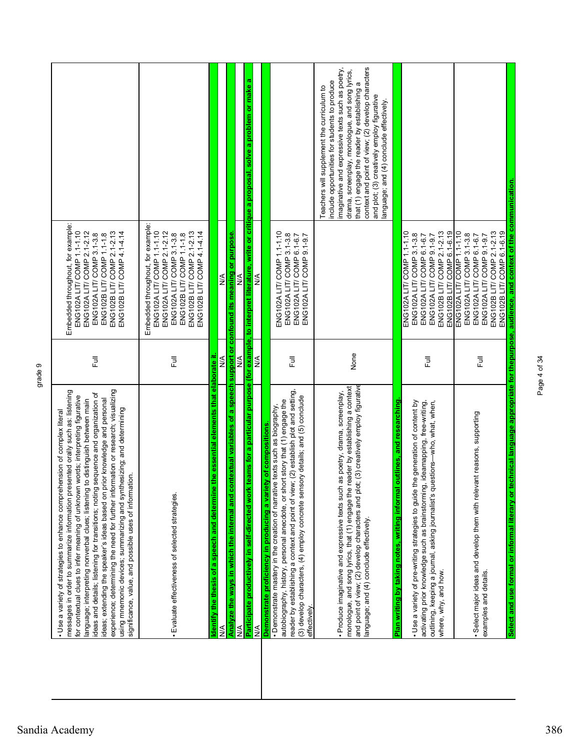| imaginative and expressive texts such as poetry,<br>context and point of view; (2) develop characters<br>drama, screenplay, monologue, and song lyrics,<br>ø<br>include opportunities for students to produce<br>that (1) engage the reader by establishing a<br>teams for a particular purpose (for example, to interpret literature, write or critique a proposal, solve a problem or make<br>Teachers will supplement the curriculum to<br>and plot; (3) creatively employ figurative<br>language; and (4) conclude effectively.<br>Embedded throughout, for example:<br>ENG102A LIT/ COMP 1.1-1.10<br>ENG102B LIT/ COMP 2.1-2.13<br>ENG102B LIT/ COMP 6.1-6.19<br>ENG102A LIT/ COMP 2.1-2.12<br>ENG102B LIT/ COMP 2.1-2.13<br>ENG102B LIT/ COMP 4.1-4.14<br>ENG102A LIT/ COMP 1.1-1.10<br>ENG102A LIT/ COMP 1.1-1.10<br>ENG102B LIT/ COMP 2.1-2.13<br>ENG102B LIT/ COMP 6.1-6.19<br>ENG102A LIT/ COMP 1.1-1.10<br>Analyze the ways in which the internal and contextual variables of a speech support or confound its meaning or purpose.<br>ENG102A LIT/ COMP 3.1-3.8<br>ENG102B LIT/ COMP 1.1-1.8<br>ENG102A LIT/ COMP 3.1-3.8<br>ENG102A LIT/ COMP 3.1-3.8<br>ENG102A LIT/ COMP 9.1-9.7<br>ENG102A LIT/ COMP 3.1-3.8<br>ENG102A LIT/ COMP 9.1-9.7<br>ENG102A LIT/ COMP 6.1-6.7<br>ENG102A LIT/ COMP 9.1-9.7<br>ENG102A LIT/ COMP 6.1-6.7<br>ENG102A LIT/ COMP 6.1-6.7<br>$\frac{4}{5}$<br>$\frac{4}{2}$<br>≸<br>None<br>the essential elements that elaborate it<br>⋚<br>⋚<br>$\frac{1}{2}$<br>昆<br>卮<br>卮<br>卮<br>and point of view; (2) develop characters and plot; (3) creatively employ figurative<br>monologue, and song lyrics, that (1) engage the reader by establishing a context<br>reader by establishing a context and point of view; (2) establish plot and setting,<br>· Produce imaginative and expressive texts such as poetry, drama, screenplay,<br>(3) develop characters, (4) employ concrete sensory details; and (5) conclude<br>autobiography, history, personal anecdote, or short story that (1) engage the<br>outlines, and researching<br>activating prior knowledge such as brainstorming, ideamapping, free-writing,<br>the generation of content by<br>outlining, keeping a journal, asking journalist's questions-who, what, when,<br>• Demonstrate mastery in the creation of narrative texts such as biography,<br>· Select major ideas and develop them with relevant reasons, supporting<br>Demonstrate proficiency in producing a variety of compositions<br>ldentify the thesis of a speech and determine<br>Participate productively in self-directed work<br>Plan writing by taking notes, writing informal<br>· Use a variety of pre-writing strategies to guide<br>· Evaluate effectiveness of selected strategies.<br>language; and (4) conclude effectively.<br>where, why, and how.<br>examples and details.<br>effectively<br>$\overline{\mathsf{N}}$<br>⋚<br>≸ | experience; determining the need for further information or research; visualizing<br>messages in order to summarize information presented orally such as: listening<br>sequence and organization of<br>words; interpreting figurative<br>ideas; extending the speaker's ideas based on prior knowledge and personal<br>to distinguish between main<br>using mnemonic devices; summarizing and synthesizing; and determining<br>· Use a variety of strategies to enhance comprehension of complex literal<br>significance, value, and possible uses of information.<br>for contextual clues to infer meaning of unknown<br>language; interpreting nonverbal clues; listening<br>ideas and details; listening for transitions; noting | Full | Embedded throughout, for example:<br>ENG102A LIT/ COMP 1.1-1.10<br>ENG102A LIT/ COMP 2.1-2.12<br>ENG102B LIT/ COMP 2.1-2.13<br>ENG102B LIT/ COMP 4.1-4.14<br>ENG102A LIT/ COMP 3.1-3.8<br>ENG102B LIT/ COMP 1.1-1.8 |  |
|----------------------------------------------------------------------------------------------------------------------------------------------------------------------------------------------------------------------------------------------------------------------------------------------------------------------------------------------------------------------------------------------------------------------------------------------------------------------------------------------------------------------------------------------------------------------------------------------------------------------------------------------------------------------------------------------------------------------------------------------------------------------------------------------------------------------------------------------------------------------------------------------------------------------------------------------------------------------------------------------------------------------------------------------------------------------------------------------------------------------------------------------------------------------------------------------------------------------------------------------------------------------------------------------------------------------------------------------------------------------------------------------------------------------------------------------------------------------------------------------------------------------------------------------------------------------------------------------------------------------------------------------------------------------------------------------------------------------------------------------------------------------------------------------------------------------------------------------------------------------------------------------------------------------------------------------------------------------------------------------------------------------------------------------------------------------------------------------------------------------------------------------------------------------------------------------------------------------------------------------------------------------------------------------------------------------------------------------------------------------------------------------------------------------------------------------------------------------------------------------------------------------------------------------------------------------------------------------------------------------------------------------------------------------------------------------------------------------------------------------------------------------------------------------------------------------------------------------------------------------------------------------------------------------|-------------------------------------------------------------------------------------------------------------------------------------------------------------------------------------------------------------------------------------------------------------------------------------------------------------------------------------------------------------------------------------------------------------------------------------------------------------------------------------------------------------------------------------------------------------------------------------------------------------------------------------------------------------------------------------------------------------------------------------|------|---------------------------------------------------------------------------------------------------------------------------------------------------------------------------------------------------------------------|--|
|                                                                                                                                                                                                                                                                                                                                                                                                                                                                                                                                                                                                                                                                                                                                                                                                                                                                                                                                                                                                                                                                                                                                                                                                                                                                                                                                                                                                                                                                                                                                                                                                                                                                                                                                                                                                                                                                                                                                                                                                                                                                                                                                                                                                                                                                                                                                                                                                                                                                                                                                                                                                                                                                                                                                                                                                                                                                                                                      |                                                                                                                                                                                                                                                                                                                                                                                                                                                                                                                                                                                                                                                                                                                                     |      |                                                                                                                                                                                                                     |  |
|                                                                                                                                                                                                                                                                                                                                                                                                                                                                                                                                                                                                                                                                                                                                                                                                                                                                                                                                                                                                                                                                                                                                                                                                                                                                                                                                                                                                                                                                                                                                                                                                                                                                                                                                                                                                                                                                                                                                                                                                                                                                                                                                                                                                                                                                                                                                                                                                                                                                                                                                                                                                                                                                                                                                                                                                                                                                                                                      |                                                                                                                                                                                                                                                                                                                                                                                                                                                                                                                                                                                                                                                                                                                                     |      |                                                                                                                                                                                                                     |  |
|                                                                                                                                                                                                                                                                                                                                                                                                                                                                                                                                                                                                                                                                                                                                                                                                                                                                                                                                                                                                                                                                                                                                                                                                                                                                                                                                                                                                                                                                                                                                                                                                                                                                                                                                                                                                                                                                                                                                                                                                                                                                                                                                                                                                                                                                                                                                                                                                                                                                                                                                                                                                                                                                                                                                                                                                                                                                                                                      |                                                                                                                                                                                                                                                                                                                                                                                                                                                                                                                                                                                                                                                                                                                                     |      |                                                                                                                                                                                                                     |  |
|                                                                                                                                                                                                                                                                                                                                                                                                                                                                                                                                                                                                                                                                                                                                                                                                                                                                                                                                                                                                                                                                                                                                                                                                                                                                                                                                                                                                                                                                                                                                                                                                                                                                                                                                                                                                                                                                                                                                                                                                                                                                                                                                                                                                                                                                                                                                                                                                                                                                                                                                                                                                                                                                                                                                                                                                                                                                                                                      |                                                                                                                                                                                                                                                                                                                                                                                                                                                                                                                                                                                                                                                                                                                                     |      |                                                                                                                                                                                                                     |  |
|                                                                                                                                                                                                                                                                                                                                                                                                                                                                                                                                                                                                                                                                                                                                                                                                                                                                                                                                                                                                                                                                                                                                                                                                                                                                                                                                                                                                                                                                                                                                                                                                                                                                                                                                                                                                                                                                                                                                                                                                                                                                                                                                                                                                                                                                                                                                                                                                                                                                                                                                                                                                                                                                                                                                                                                                                                                                                                                      |                                                                                                                                                                                                                                                                                                                                                                                                                                                                                                                                                                                                                                                                                                                                     |      |                                                                                                                                                                                                                     |  |
|                                                                                                                                                                                                                                                                                                                                                                                                                                                                                                                                                                                                                                                                                                                                                                                                                                                                                                                                                                                                                                                                                                                                                                                                                                                                                                                                                                                                                                                                                                                                                                                                                                                                                                                                                                                                                                                                                                                                                                                                                                                                                                                                                                                                                                                                                                                                                                                                                                                                                                                                                                                                                                                                                                                                                                                                                                                                                                                      |                                                                                                                                                                                                                                                                                                                                                                                                                                                                                                                                                                                                                                                                                                                                     |      |                                                                                                                                                                                                                     |  |
|                                                                                                                                                                                                                                                                                                                                                                                                                                                                                                                                                                                                                                                                                                                                                                                                                                                                                                                                                                                                                                                                                                                                                                                                                                                                                                                                                                                                                                                                                                                                                                                                                                                                                                                                                                                                                                                                                                                                                                                                                                                                                                                                                                                                                                                                                                                                                                                                                                                                                                                                                                                                                                                                                                                                                                                                                                                                                                                      |                                                                                                                                                                                                                                                                                                                                                                                                                                                                                                                                                                                                                                                                                                                                     |      |                                                                                                                                                                                                                     |  |
|                                                                                                                                                                                                                                                                                                                                                                                                                                                                                                                                                                                                                                                                                                                                                                                                                                                                                                                                                                                                                                                                                                                                                                                                                                                                                                                                                                                                                                                                                                                                                                                                                                                                                                                                                                                                                                                                                                                                                                                                                                                                                                                                                                                                                                                                                                                                                                                                                                                                                                                                                                                                                                                                                                                                                                                                                                                                                                                      |                                                                                                                                                                                                                                                                                                                                                                                                                                                                                                                                                                                                                                                                                                                                     |      |                                                                                                                                                                                                                     |  |
|                                                                                                                                                                                                                                                                                                                                                                                                                                                                                                                                                                                                                                                                                                                                                                                                                                                                                                                                                                                                                                                                                                                                                                                                                                                                                                                                                                                                                                                                                                                                                                                                                                                                                                                                                                                                                                                                                                                                                                                                                                                                                                                                                                                                                                                                                                                                                                                                                                                                                                                                                                                                                                                                                                                                                                                                                                                                                                                      |                                                                                                                                                                                                                                                                                                                                                                                                                                                                                                                                                                                                                                                                                                                                     |      |                                                                                                                                                                                                                     |  |
|                                                                                                                                                                                                                                                                                                                                                                                                                                                                                                                                                                                                                                                                                                                                                                                                                                                                                                                                                                                                                                                                                                                                                                                                                                                                                                                                                                                                                                                                                                                                                                                                                                                                                                                                                                                                                                                                                                                                                                                                                                                                                                                                                                                                                                                                                                                                                                                                                                                                                                                                                                                                                                                                                                                                                                                                                                                                                                                      |                                                                                                                                                                                                                                                                                                                                                                                                                                                                                                                                                                                                                                                                                                                                     |      |                                                                                                                                                                                                                     |  |
|                                                                                                                                                                                                                                                                                                                                                                                                                                                                                                                                                                                                                                                                                                                                                                                                                                                                                                                                                                                                                                                                                                                                                                                                                                                                                                                                                                                                                                                                                                                                                                                                                                                                                                                                                                                                                                                                                                                                                                                                                                                                                                                                                                                                                                                                                                                                                                                                                                                                                                                                                                                                                                                                                                                                                                                                                                                                                                                      |                                                                                                                                                                                                                                                                                                                                                                                                                                                                                                                                                                                                                                                                                                                                     |      |                                                                                                                                                                                                                     |  |
| Select and use formal or informal literary or technical language appropriate for thepurpose, audience, and context of the communication.                                                                                                                                                                                                                                                                                                                                                                                                                                                                                                                                                                                                                                                                                                                                                                                                                                                                                                                                                                                                                                                                                                                                                                                                                                                                                                                                                                                                                                                                                                                                                                                                                                                                                                                                                                                                                                                                                                                                                                                                                                                                                                                                                                                                                                                                                                                                                                                                                                                                                                                                                                                                                                                                                                                                                                             |                                                                                                                                                                                                                                                                                                                                                                                                                                                                                                                                                                                                                                                                                                                                     |      |                                                                                                                                                                                                                     |  |

Page 4 of 34

Page 4 of 34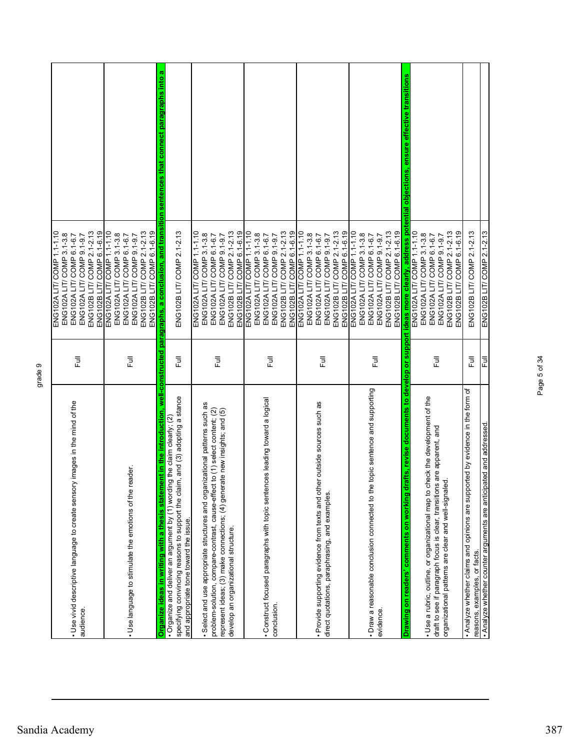|                                                                                           |      | ENG102A LIT/COMP 1.1-1.10                                                                                                                                                 |
|-------------------------------------------------------------------------------------------|------|---------------------------------------------------------------------------------------------------------------------------------------------------------------------------|
|                                                                                           |      | ENG102A LIT/ COMP 3.1-3.8                                                                                                                                                 |
| . Use vivid descriptive language to create sensory images in the mind of the              | Full | ENG102A LIT/ COMP 6.1-6.7                                                                                                                                                 |
| audience.                                                                                 |      | ENG102A LIT/ COMP 9.1-9.7                                                                                                                                                 |
|                                                                                           |      | ENG102B LIT/ COMP 6.1-6.19<br>ENG102B LIT/ COMP 2.1-2.13                                                                                                                  |
|                                                                                           |      | ENG102A LIT/ COMP 1.1-1.10                                                                                                                                                |
|                                                                                           |      | ENG102A LIT/ COMP 3.1-3.8                                                                                                                                                 |
|                                                                                           |      | ENG102A LIT/ COMP 6.1-6.7                                                                                                                                                 |
| reader.<br>. Use language to stimulate the emotions of the                                | 巨    | ENG102A LIT/ COMP 9.1-9.7                                                                                                                                                 |
|                                                                                           |      | ENG102B LIT/ COMP 2.1-2.13                                                                                                                                                |
|                                                                                           |      | ENG102B LIT/ COMP 6.1-6.19                                                                                                                                                |
|                                                                                           |      | Organize ideas in writing with a thesis statement in the introduction, well-constructed paragraphs, a conclusion, and transition sentences that connect paragraphs into a |
| • Organize and deliver an argument by (1) wording the claim clearly; $(2)$                |      |                                                                                                                                                                           |
| specifying convincing reasons to support the daim, and (3) adopting a stance              | 卮    | ENG102B LIT/ COMP 2.1-2.13                                                                                                                                                |
| and appropriate tone toward the issue.                                                    |      |                                                                                                                                                                           |
|                                                                                           |      | ENG102A LIT/ COMP 1.1-1.10                                                                                                                                                |
| · Select and use appropriate structures and organizational patterns such as               |      | ENG102A LIT/ COMP 3.1-3.8                                                                                                                                                 |
| problem-solution, compare-contrast, cause-effect to (1) select content; (2)               | 巨    | ENG102A LIT/ COMP 6.1-6.7                                                                                                                                                 |
| represent ideas; (3) make connections; (4) generate new insights; and (5)                 |      | ENG102A LIT/ COMP 9.1-9.7                                                                                                                                                 |
| develop an organizational structure.                                                      |      | ENG102B LIT/ COMP 2.1-2.13                                                                                                                                                |
|                                                                                           |      | ENG102B LIT/ COMP 6.1-6.19                                                                                                                                                |
|                                                                                           |      | ENG102A LIT/COMP 1.1-1.10                                                                                                                                                 |
|                                                                                           |      | ENG102A LIT/ COMP 3.1-3.8                                                                                                                                                 |
| Construct focused paragraphs with topic sentences leading toward a logical                | 卮    | ENG102A LIT/ COMP 6.1-6.7                                                                                                                                                 |
| conclusion.                                                                               |      | ENG102A LIT/ COMP 9.1-9.7                                                                                                                                                 |
|                                                                                           |      | ENG102B LIT/ COMP 6.1-6.19<br>ENG102B LIT/ COMP 2.1-2.13                                                                                                                  |
|                                                                                           |      |                                                                                                                                                                           |
|                                                                                           |      | ENG102A LIT/ COMP 1.1-1.10<br>ENG102A LIT/ COMP 3.1-3.8                                                                                                                   |
| · Provide supporting evidence from texts and other outside sources such as                |      | ENG102A LIT/ COMP 6.1-6.7                                                                                                                                                 |
| direct quotations, paraphrasing, and examples.                                            | 卮    | ENG102A LIT/ COMP 9.1-9.7                                                                                                                                                 |
|                                                                                           |      | ENG102B LIT/ COMP 2.1-2.13                                                                                                                                                |
|                                                                                           |      | ENG102B LIT/ COMP 6.1-6.19                                                                                                                                                |
|                                                                                           |      | ENG102A LIT/ COMP 1.1-1.10                                                                                                                                                |
|                                                                                           |      | ENG102A LIT/ COMP 3.1-3.8                                                                                                                                                 |
| · Draw a reasonable conclusion connected to the topic sentence and supporting             |      | ENG102A LIT/ COMP 6.1-6.7                                                                                                                                                 |
| evidence.                                                                                 | 巨    | ENG102A LIT/ COMP 9.1-9.7                                                                                                                                                 |
|                                                                                           |      | ENG102B LIT/ COMP 2.1-2.13                                                                                                                                                |
|                                                                                           |      | ENG102B LIT/ COMP 6.1-6.19                                                                                                                                                |
| drafts, revise documents to develop or support<br>Drawing on readers' comments on working |      | deas more clearly, address potential objections, ensure effective transitions                                                                                             |
|                                                                                           |      | ENG102A LIT/ COMP 1.1-1.10                                                                                                                                                |
| check the development of the<br>· Use a rubric, outline, or organizational map to         |      | ENG102A LIT/ COMP 3.1-3.8                                                                                                                                                 |
| draft to see if paragraph focus is clear, transitions are apparent, and                   | 卮    | ENG102A LIT/ COMP 6.1-6.7                                                                                                                                                 |
| <u>ed</u><br>≘<br>organizational patterns are clear and well-signa                        |      | ENG102A LIT/ COMP 9.1-9.7                                                                                                                                                 |
|                                                                                           |      | ENG102B LIT/ COMP 2.1-2.13<br>ENG102B LIT/COMP 6.1-6.19                                                                                                                   |
| . Analyze whether claims and opinions are supported by evidence in the form of            |      |                                                                                                                                                                           |
| reasons, examples, or facts.                                                              | 卮    | ENG102B LIT/ COMP 2.1-2.13                                                                                                                                                |
| . Analyze whether counter arguments are anticipated and addressed                         | 쿤    | ENG102B LIT/ COMP 2.1-2.13                                                                                                                                                |

Page 5 of 34

Page 5 of 34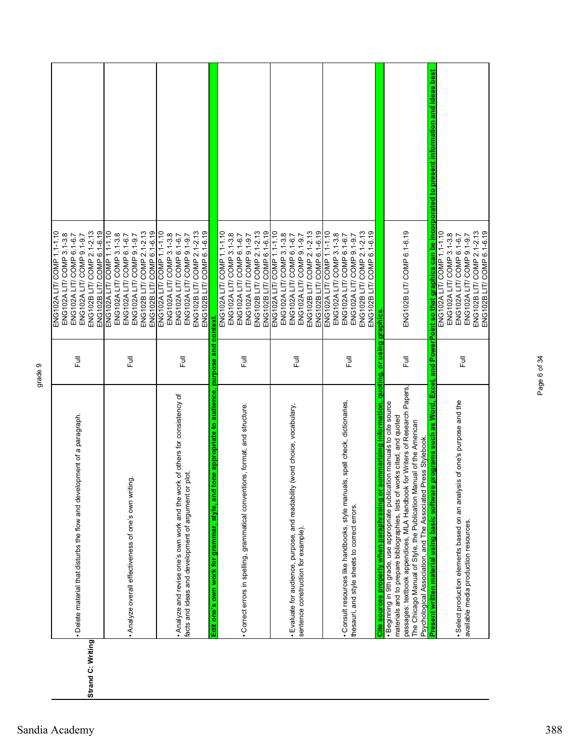|                   |                                                                                                                                                           |        | ENG102A LIT/ COMP 1.1-1.10                                                                                                                                            |  |
|-------------------|-----------------------------------------------------------------------------------------------------------------------------------------------------------|--------|-----------------------------------------------------------------------------------------------------------------------------------------------------------------------|--|
|                   |                                                                                                                                                           |        | ENG102A LIT/ COMP 3.1-3.8                                                                                                                                             |  |
|                   |                                                                                                                                                           |        | ENG102A LIT/ COMP 6.1-6.7                                                                                                                                             |  |
|                   | • Delete material that disturbs the flow and development of a paragraph.                                                                                  | 長      | ENG102A LIT/ COMP 9.1-9.7                                                                                                                                             |  |
| Strand C: Writing |                                                                                                                                                           |        | ENG102B LIT/ COMP 2.1-2.13                                                                                                                                            |  |
|                   |                                                                                                                                                           |        | ENG102B LIT/ COMP 6.1-6.19                                                                                                                                            |  |
|                   |                                                                                                                                                           |        | ENG102A LIT/ COMP 1.1-1.10                                                                                                                                            |  |
|                   |                                                                                                                                                           |        | ENG102A LIT/ COMP 3.1-3.8                                                                                                                                             |  |
|                   | . Analyze overall effectiveness of one's own writing.                                                                                                     | 昆      | ENG102A LIT/ COMP 6.1-6.7<br>ENG102A LIT/ COMP 9.1-9.7                                                                                                                |  |
|                   |                                                                                                                                                           |        | ENG102B LIT/ COMP 2.1-2.13                                                                                                                                            |  |
|                   |                                                                                                                                                           |        | ENG102B LIT/ COMP 6.1-6.19                                                                                                                                            |  |
|                   |                                                                                                                                                           |        | ENG102A LIT/ COMP 1.1-1.10                                                                                                                                            |  |
|                   |                                                                                                                                                           |        | ENG102A LIT/ COMP 3.1-3.8                                                                                                                                             |  |
|                   | . Analyze and revise one's own work and the work of others for consistency of                                                                             |        | ENG102A LIT/ COMP 6.1-6.7                                                                                                                                             |  |
|                   | facts and ideas and development of argument or plot.                                                                                                      | 쿤      | ENG102A LIT/ COMP 9.1-9.7                                                                                                                                             |  |
|                   |                                                                                                                                                           |        | ENG102B LIT/ COMP 2.1-2.13                                                                                                                                            |  |
|                   |                                                                                                                                                           |        | ENG102B LIT/COMP 6.1-6.19                                                                                                                                             |  |
|                   | tone appropriate to audience, purpose and<br>Edit one's own work for grammar, style, and                                                                  |        | context                                                                                                                                                               |  |
|                   |                                                                                                                                                           |        | ENG102A LIT/ COMP 1.1-1.10                                                                                                                                            |  |
|                   |                                                                                                                                                           |        | ENG102A LIT/ COMP 3.1-3.8                                                                                                                                             |  |
|                   | · Correct errors in spelling, grammatical conventions, format, and structure.                                                                             | 巨      | ENG102A LIT/ COMP 6.1-6.7                                                                                                                                             |  |
|                   |                                                                                                                                                           |        | ENG102A LIT/ COMP 9.1-9.7                                                                                                                                             |  |
|                   |                                                                                                                                                           |        | ENG102B LIT/ COMP 2.1-2.13<br>ENG102B LIT/ COMP 6.1-6.19                                                                                                              |  |
|                   |                                                                                                                                                           |        |                                                                                                                                                                       |  |
|                   |                                                                                                                                                           |        | ENG102A LIT/COMP 1.1-1.10<br>ENG102A LIT/ COMP 3.1-3.8                                                                                                                |  |
|                   | · Evaluate for audience, purpose, and readability (word choice, vocabulary,                                                                               |        | ENG102A LIT/ COMP 6.1-6.7                                                                                                                                             |  |
|                   | sentence construction for example).                                                                                                                       | Ē      | ENG102A LIT/ COMP 9.1-9.7                                                                                                                                             |  |
|                   |                                                                                                                                                           |        | ENG102B LIT/ COMP 2.1-2.13                                                                                                                                            |  |
|                   |                                                                                                                                                           |        | ENG102B LIT/ COMP 6.1-6.19                                                                                                                                            |  |
|                   |                                                                                                                                                           |        | ENG102A LIT/ COMP 1.1-1.10                                                                                                                                            |  |
|                   |                                                                                                                                                           |        | ENG102A LIT/ COMP 3.1-3.8                                                                                                                                             |  |
|                   | · Consult resources like handbooks, style manuals, spell check, dictionaries,                                                                             |        | ENG102A LIT/ COMP 6.1-6.7                                                                                                                                             |  |
|                   | thesauri, and style sheets to correct errors.                                                                                                             | 卮      | ENG102A LIT/ COMP 9.1-9.7                                                                                                                                             |  |
|                   |                                                                                                                                                           |        | ENG102B LIT/ COMP 2.1-2.13                                                                                                                                            |  |
|                   |                                                                                                                                                           |        | ENG102B LIT/ COMP 6.1-6.19                                                                                                                                            |  |
|                   | summarizing information, quoting, or using graphics<br>Cite sources properly when paraphrasing or                                                         |        |                                                                                                                                                                       |  |
|                   | · Beginning in 9th grade, use appropriate publication manuals to cite source<br>materials and to prepare bibliographies, lists of works cited, and quoted |        |                                                                                                                                                                       |  |
|                   | passages: textbook appendices, MLA Handbook for Writers of Research Papers                                                                                | ラ<br>L | ENG102B LIT/COMP 6.1-6.19                                                                                                                                             |  |
|                   | The Chicago Manual of Style, the Publication Manual of the American                                                                                       |        |                                                                                                                                                                       |  |
|                   | Psychological Association, and The Associated Press Stylebook.                                                                                            |        |                                                                                                                                                                       |  |
|                   |                                                                                                                                                           |        | Present written material using basic software programs such as Word, Excel, and PowerPoint so that graphics can be incorporated to present information and ideas best |  |
|                   |                                                                                                                                                           |        | ENG102A LIT/ COMP 1.1-1.10                                                                                                                                            |  |
|                   |                                                                                                                                                           |        | ENG102A LIT/ COMP 3.1-3.8                                                                                                                                             |  |
|                   | · Select production elements based on an analysis of one's purpose and the                                                                                | 言      | ENG102A LIT/ COMP 6.1-6.7                                                                                                                                             |  |
|                   | available media production resources.                                                                                                                     |        | ENG102B LIT/ COMP 2.1-2.13<br>ENG102A LIT/ COMP 9.1-9.7                                                                                                               |  |
|                   |                                                                                                                                                           |        | ENG102B LIT/ COMP 6.1-6.19                                                                                                                                            |  |
|                   |                                                                                                                                                           |        |                                                                                                                                                                       |  |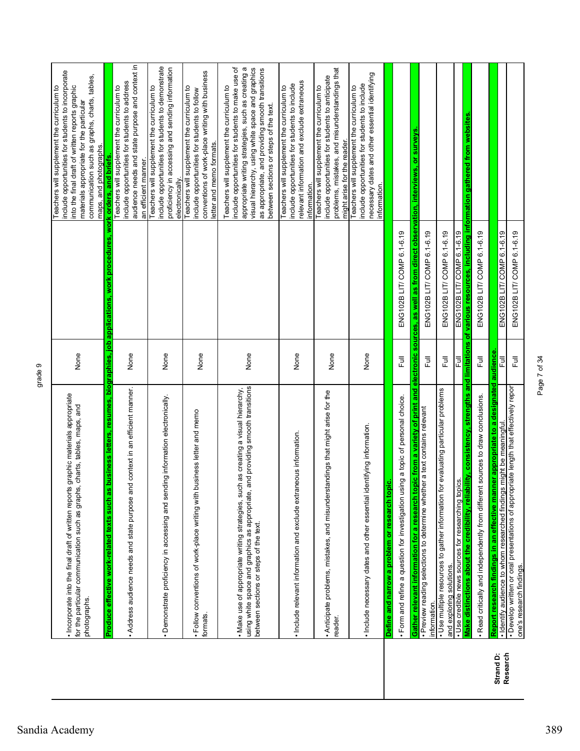| Г                |
|------------------|
| ٣                |
| ŕ                |
| Φ<br>o<br>Ć<br>i |
| ٦                |

|           | . Incorporate into the final draft of written reports graphic materials appropriate<br>for the particular communication such as graphs, charts, tables, maps, and<br>photographs.                                  | None                      |                                                                                                   | include opportunities for students to incorporate<br>communication such as graphs, charts, tables,<br>into the final draft of written reports graphic<br>Teachers will supplement the curriculum to<br>materials appropriate for the particular<br>maps, and photographs.                               |
|-----------|--------------------------------------------------------------------------------------------------------------------------------------------------------------------------------------------------------------------|---------------------------|---------------------------------------------------------------------------------------------------|---------------------------------------------------------------------------------------------------------------------------------------------------------------------------------------------------------------------------------------------------------------------------------------------------------|
|           | Produce effective work-related texts such as b                                                                                                                                                                     |                           | usiness letters, resumes, biographies, job applications, work procedures, work orders, and briefs |                                                                                                                                                                                                                                                                                                         |
|           | context in an efficient manner.<br>. Address audience needs and state purpose and                                                                                                                                  | None                      |                                                                                                   | audience needs and state purpose and context in<br>include opportunities for students to address<br>Teachers will supplement the curriculum to<br>an efficient manner.                                                                                                                                  |
|           | information electronically.<br>• Demonstrate proficiency in accessing and sendir                                                                                                                                   | None                      |                                                                                                   | include opportunities for students to demonstrate<br>proficiency in accessing and sending information<br>Teachers will supplement the curriculum to<br>electronically.                                                                                                                                  |
|           | . Follow conventions of work-place writing with business letter and memo<br>formats.                                                                                                                               | None                      |                                                                                                   | conventions of work-place writing with business<br>Teachers will supplement the curriculum to<br>include opportunities for students to follow<br>letter and memo formats.                                                                                                                               |
|           | using white space and graphics as appropriate, and providing smooth transitions<br>as creating a visual hierarchy,<br>. Make use of appropriate writing strategies, such<br>between sections or steps of the text. | None                      |                                                                                                   | include opportunities for students to make use of<br>appropriate writing strategies, such as creating a<br>visual hierarchy, using white space and graphics<br>as appropriate, and providing smooth transitions<br>Teachers will supplement the curriculum to<br>between sections or steps of the text. |
|           | · Include relevant information and exclude extraneous information.                                                                                                                                                 | None                      |                                                                                                   | relevant information and exclude extraneous<br>include opportunities for students to include<br>Teachers will supplement the curriculum to<br>information.                                                                                                                                              |
|           | . Anticipate problems, mistakes, and misunderstandings that might arise for the<br>reader.                                                                                                                         | None                      |                                                                                                   | problems, mistakes, and misunderstandings that<br>include opportunities for students to anticipate<br>Teachers will supplement the curriculum to<br>might arise for the reader.                                                                                                                         |
|           | . Include necessary dates and other essential identifying information.                                                                                                                                             | None                      |                                                                                                   | necessary dates and other essential identifying<br>include opportunities for students to include<br>Teachers will supplement the curriculum to<br>information                                                                                                                                           |
|           | Define and narrow a problem or research topic                                                                                                                                                                      |                           |                                                                                                   |                                                                                                                                                                                                                                                                                                         |
|           | · Form and refine a question for investigation using a topic of personal choice.                                                                                                                                   | 巨                         | ENG102B LIT/ COMP 6.1-6.19                                                                        |                                                                                                                                                                                                                                                                                                         |
|           | c from a variety of print and electronic<br>Gather relevant information for a research topi                                                                                                                        |                           | sources, as well as from direct observation, interviews, or surveys                               |                                                                                                                                                                                                                                                                                                         |
|           | a text contains relevant<br>· Preview reading selections to determine whether<br>information.                                                                                                                      | Full                      | ENG102B LIT/ COMP 6.1-6.19                                                                        |                                                                                                                                                                                                                                                                                                         |
|           | evaluating particular problems<br>· Use multiple resources to gather information for<br>and exploring solutions.                                                                                                   | 豆                         | ENG102B LIT/ COMP 6.1-6.19                                                                        |                                                                                                                                                                                                                                                                                                         |
|           | · Use credible news sources for researching topics                                                                                                                                                                 | 쿤                         | ENG102B LIT COMP 6.1-6.19                                                                         |                                                                                                                                                                                                                                                                                                         |
|           | ity, consistency, strengths and limitations<br>Make distinctions about the credibility, reliabil                                                                                                                   |                           | of various resources, including information gathered from websites                                |                                                                                                                                                                                                                                                                                                         |
|           | . Read critically and independently from different sources to draw conclusions.                                                                                                                                    | $\overline{\overline{z}}$ | ENG102B LIT/ COMP 6.1-6.19                                                                        |                                                                                                                                                                                                                                                                                                         |
| Strand D: | Report research findings in an effective manner appropriate to a designated audience                                                                                                                               |                           |                                                                                                   |                                                                                                                                                                                                                                                                                                         |
| Research  | · Develop written or oral presentations of appropriate length that effectively report<br>· Identify audience to whom researched findings might be meaningful<br>one's research findings.                           | こ<br>Full<br>큲            | ENG102B LIT/ COMP 6.1-6.19<br>ENG102B LIT/ COMP 6.1-6.19                                          |                                                                                                                                                                                                                                                                                                         |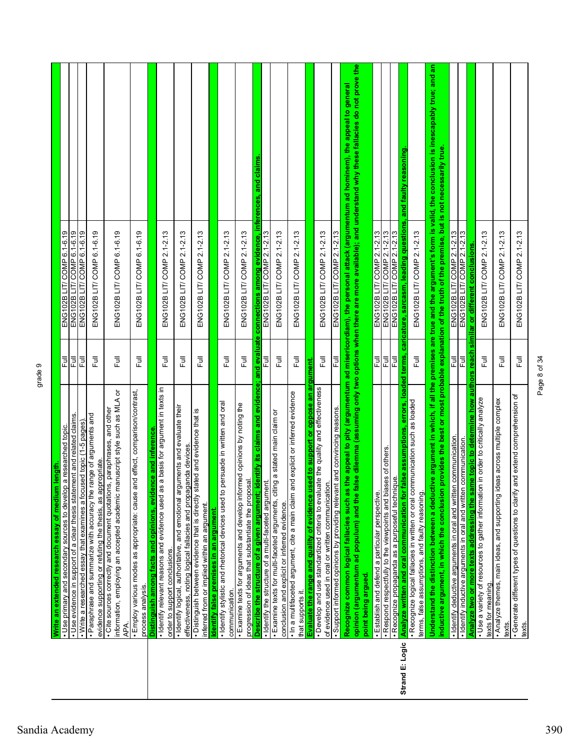|                 | . Use primary and secondary sources to develop a researched topic.<br>Write an extended research essay of medium length                                                                               | Full           | ENG102B LIT/ COMP 6.1-6.19                                                                                                                                                                                                                                                             |
|-----------------|-------------------------------------------------------------------------------------------------------------------------------------------------------------------------------------------------------|----------------|----------------------------------------------------------------------------------------------------------------------------------------------------------------------------------------------------------------------------------------------------------------------------------------|
|                 | · Use evidence in support of a clear thesis statement and related claims.                                                                                                                             | Ē              | ENG102B LIT/ COMP 6.1-6.19                                                                                                                                                                                                                                                             |
|                 | $\bullet$ Write a researched essay that examines a focused topic (1-5 pages).                                                                                                                         | 쿤              | ENG102B LIT/ COMP 6.1-6.19                                                                                                                                                                                                                                                             |
|                 | . Paraphrase and summarize with accuracy the range of arguments and<br>evidence supporting or refuting the thesis, as appropriate.                                                                    | 卮              | ENG102B LIT/ COMP 6.1-6.19                                                                                                                                                                                                                                                             |
|                 | information, employing an accepted academic manuscript style such as MLA or<br>· Cite sources correctly and document quotations, paraphrases, and other<br>APA.                                       | Ē              | ENG102B LIT/ COMP 6.1-6.19                                                                                                                                                                                                                                                             |
|                 | · Employ various modes as appropriate: cause and effect, comparison/contrast,<br>process analysis.                                                                                                    | 言              | ENG102B LIT/ COMP 6.1-6.19                                                                                                                                                                                                                                                             |
|                 | Distinguish among facts and opinions, evidence and inference.                                                                                                                                         |                |                                                                                                                                                                                                                                                                                        |
|                 | · Identify relevant reasons and evidence used as a basis for argument in texts in<br>order to support conclusions.                                                                                    | $\overline{B}$ | ENG102B LIT/ COMP 2.1-2.13                                                                                                                                                                                                                                                             |
|                 | · Identify logical, authoritative, and emotional arguments and evaluate their<br>effectiveness, noting logical fallacies and propaganda devices                                                       | Full           | ENG102B LIT/ COMP 2.1-2.13                                                                                                                                                                                                                                                             |
|                 | ഇ<br>· Distinguish between evidence that is directly stated and evidence that<br>inferred from or implied within an argument.                                                                         | Full           | ENG102B LIT/ COMP 2.1-2.13                                                                                                                                                                                                                                                             |
|                 | Identify false premises in an argument.                                                                                                                                                               |                |                                                                                                                                                                                                                                                                                        |
|                 | persuade in written and oral<br>· Identify stylistic and metorical devices used to<br>communication.                                                                                                  | 卮              | ENG102B LIT/ COMP 2.1-2.13                                                                                                                                                                                                                                                             |
|                 | . Examine texts for arguments and develop informed opinions by noting the<br>progression of ideas that substantiate the proposal.                                                                     | 卮              | ENG102B LIT/ COMP 2.1-2.13                                                                                                                                                                                                                                                             |
|                 | <u>Describe the structure of a given argument; identify its claims and evidence; and evaluate</u><br>· Identify the structure of a multi-faceted argument.                                            | 쿤              | connections among evidence, inferences, and claims<br>ENG102B LIT/ COMP 2.1-2.13                                                                                                                                                                                                       |
|                 | · Examine texts for multi-faceted arguments, citing a stated main claim or<br>conclusion and explicit or inferred evidence                                                                            | 豆              | ENG102B LIT/ COMP 2.1-2.13                                                                                                                                                                                                                                                             |
|                 | . In a multifaceted argument, cite a main claim and explicit or inferred evidence<br>that supports it.                                                                                                | 쿤              | ENG102B LIT/ COMP 2.1-2.13                                                                                                                                                                                                                                                             |
|                 | Evaluate the range and quality of evidence used to support or oppose an argument.                                                                                                                     |                |                                                                                                                                                                                                                                                                                        |
|                 | · Develop and use standardized criteria to evaluate the quality and effectiveness<br>of evidence used in oral or written communication.                                                               | う<br>Full      | ENG102B LIT/ COMP 2.1-2.13                                                                                                                                                                                                                                                             |
|                 | · Support informed opinions by providing relevant and convincing reasons.                                                                                                                             | 쿤              | ENG102B LIT/ COMP 2.1-2.13                                                                                                                                                                                                                                                             |
|                 | Recognize common logical fallacies such as<br>opinion (argumentum ad populum) and the<br>point being argued.                                                                                          |                | alse dilemma (assuming only two options when there are more available); and understand why these fallacies do not prove the<br>the appeal to pity (argumentum ad misericordiam), the personal attack (argumentum ad hominem), the appeal to general                                    |
|                 |                                                                                                                                                                                                       | 巨              | ENG102B LIT/ COMP 2.1-2.13                                                                                                                                                                                                                                                             |
|                 | . Respond respectfully to the viewpoints and biases of others.<br>· Establish and defend a particular perspective.                                                                                    | 尼              | ENG102B LIT/ COMP 2.1-2.13                                                                                                                                                                                                                                                             |
| Strand E: Logic | false assumptions, errors, loaded terms,<br>· Recognize propaganda as a purposeful technique.<br>Analyze written and oral communication for                                                           | 쿤              | caricature, sarcasm, leading questions, and faulty reasoning<br>ENG102B LIT/ COMP 2.1-2.13                                                                                                                                                                                             |
|                 | · Recognize logical fallacies in written or oral communication such as loaded<br>terms, false assumptions, and faulty reasoning.                                                                      | 卮              | ENG102B LIT/ COMP 2.1-2.13                                                                                                                                                                                                                                                             |
|                 | inductive argument, in which the conclusion                                                                                                                                                           |                | Understand the distinction between a deductive argument in which, if all the premises are true and the argument's form is valid, the conclusion is inescapably true; and an<br>provides the best or most probable explanation of the truth of the premise, but is not necessarily true |
|                 | · Identify deductive arguments in oral and written communication.                                                                                                                                     | 쿤              | ENG102B LIT/ COMP 2.1-2.13                                                                                                                                                                                                                                                             |
|                 | · Identify inductive arguments in oral and written communication.                                                                                                                                     | 큔              | ENG102B LIT/ COMP 2.1-2.13                                                                                                                                                                                                                                                             |
|                 | ime topic to determine how authors reach<br>Analyze two or more texts addressing the same topic to determine how<br>• Use a variety of resources to gather information in order to critically analyze |                | similar or different conclusions.                                                                                                                                                                                                                                                      |
|                 | texts for meaning.                                                                                                                                                                                    | Full           | ENG102B LIT/ COMP 2.1-2.13                                                                                                                                                                                                                                                             |
|                 | deas across multiple complex<br>Analyze themes, main ideas, and supporting id<br>texts.                                                                                                               | Full           | ENG102B LIT/ COMP 2.1-2.13                                                                                                                                                                                                                                                             |
|                 | and extend comprehension of<br>· Generate different types of questions to clarify<br>texts.                                                                                                           | Full           | ENG102B LIT/ COMP 2.1-2.13                                                                                                                                                                                                                                                             |

Page 8 of 34

Page 8 of 34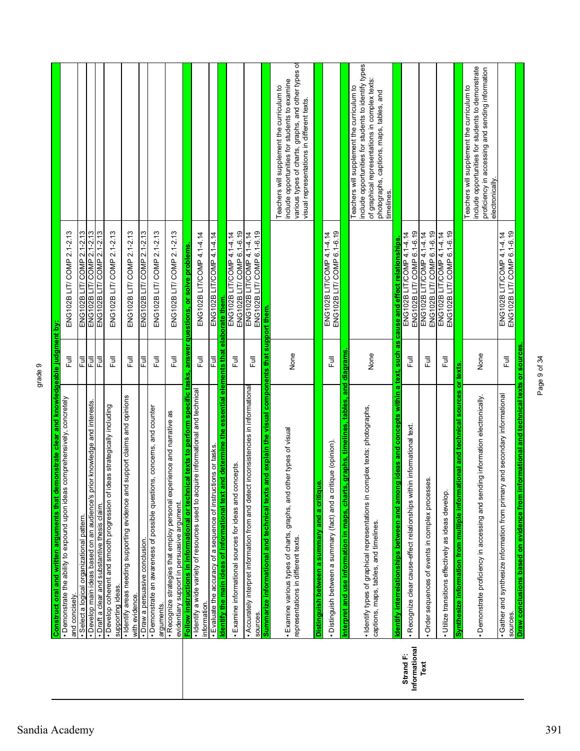|                            | Construct oral and written arguments that demonstrate clear and knowledgeable judgment by:                                 |                  |                                                         |                                                                                                                                                                                                                |
|----------------------------|----------------------------------------------------------------------------------------------------------------------------|------------------|---------------------------------------------------------|----------------------------------------------------------------------------------------------------------------------------------------------------------------------------------------------------------------|
|                            | comprehensively, concretely<br>• Demonstrate the ability to expound upon ideas<br>and concisely.                           | 卮                | ENG102B LIT/ COMP 2.1-2.13                              |                                                                                                                                                                                                                |
|                            | · Select a logical organizational pattern.                                                                                 | 쿤                | ENG102B LIT/ COMP 2.1-2.13                              |                                                                                                                                                                                                                |
|                            | or knowledge and interests.<br>· Develop main ideas based on an audience's pri                                             | 큔                | ENG102B LIT/ COMP 2.1-2.13                              |                                                                                                                                                                                                                |
|                            | • Draft a clear and substantive thesis daim.                                                                               | 쿤                | ENG102B LIT/ COMP 2.1-2.13                              |                                                                                                                                                                                                                |
|                            | · Develop coherent and smooth progression of ideas strategically including<br>supporting ideas.                            | 危                | ENG102B LIT/ COMP 2.1-2.13                              |                                                                                                                                                                                                                |
|                            | support claims and opinions<br>· Identify areas needing supporting evidence and<br>with evidence.                          | Ē                | ENG102B LIT/ COMP 2.1-2.13                              |                                                                                                                                                                                                                |
|                            | · Draw a persuasive conclusion.                                                                                            | 쿤                | ENG102B LIT/ COMP 2.1-2.13                              |                                                                                                                                                                                                                |
|                            | · Demonstrate an awareness of possible questions, concerns, and counter<br>arguments.                                      | 쿤                | ENG102B LIT/ COMP 2.1-2.13                              |                                                                                                                                                                                                                |
|                            | · Recognize strategies that employ personal experience and narrative as<br>evidentiary support in persuasive argument.     | 豆                | ENG102B LIT/ COMP 2.1-2.13                              |                                                                                                                                                                                                                |
|                            | Follow instructions in informational or technical texts to perform specific tasks, answer questions, or solve problems.    |                  |                                                         |                                                                                                                                                                                                                |
|                            | uire informational and technical<br>· Identify a wide variety of resources used to acqu<br>information                     | 쿤                | ENG102B LIT/COMP 4.14.14                                |                                                                                                                                                                                                                |
|                            | · Evaluate the accuracy of a sequence of instructions or tasks.                                                            | Ē                | ENG102B LIT/COMP 4.14.14                                |                                                                                                                                                                                                                |
|                            | <u>ldentify the main ideas of informational text and determine the essential elements that elaborate them.</u>             |                  |                                                         |                                                                                                                                                                                                                |
|                            | · Examine informational sources for ideas and concepts.                                                                    | 豆                | ENG102B LIT/ COMP 6.1-6.19<br>ENG102B LIT/COMP 4.14.14  |                                                                                                                                                                                                                |
|                            | inconsistencies in informational<br>. Accurately interpret information from and detect<br>sources                          | 豆                | ENG102B LIT/ COMP 6.1-6.19<br>ENG102B LIT/COMP 4.1-4.14 |                                                                                                                                                                                                                |
|                            | and explain the visual components that support them.<br>texts<br>and technical<br>Summarize informational                  |                  |                                                         |                                                                                                                                                                                                                |
|                            | · Examine various types of charts, graphs, and other types of visual<br>representations in different texts.                | None             |                                                         | various types of charts, graphs, and other types of<br>include opportunities for students to examine<br>Teachers will supplement the curriculum to<br>visual representations in different texts.               |
|                            | Distinguish between a summary and a critique.                                                                              |                  |                                                         |                                                                                                                                                                                                                |
|                            | · Distinguish between a summary (fact) and a critique (opinion)                                                            | $\bar{E}$        | ENG102B LIT/ COMP 6.1-6.19<br>ENG102B LIT/COMP 4.1-4.14 |                                                                                                                                                                                                                |
|                            | graphs, timelines, tables, and<br>Interpret and use information in maps, charts                                            | diagrams         |                                                         |                                                                                                                                                                                                                |
|                            | mplex texts: photographs,<br>· Identify types of graphical representations in co<br>captions, maps, tables, and timelines. | None             |                                                         | include opportunities for students to identify types<br>of graphical representations in complex texts:<br>Teachers will supplement the curriculum to<br>photographs, captions, maps, tables, and<br>timelines. |
|                            | g ideas and concepts within a text, such as<br>Identify interrelationships between and amon                                |                  | cause and effect relationships                          |                                                                                                                                                                                                                |
| Informational<br>Strand F: | · Recognize clear cause-effect relationships within informational text.                                                    | 卮                | ENG102B LIT/ COMP 6.1-6.19<br>ENG102B LIT/COMP 4.1-4.14 |                                                                                                                                                                                                                |
| Text                       | Order sequences of events in complex processes.                                                                            | $\overline{\Xi}$ | ENG102B LIT/COMP 6.1-6.19<br>ENG102B LIT/COMP 4.1-4.14  |                                                                                                                                                                                                                |
|                            | · Utilize transitions effectively as ideas develop.                                                                        | Ē                | ENG102B LIT/ COMP 6.1-6.19<br>ENG102B LIT/COMP 4.1-4.14 |                                                                                                                                                                                                                |
|                            | tional and technical sources or texts<br>Synthesize information from multiple informat                                     |                  |                                                         |                                                                                                                                                                                                                |
|                            | · Demonstrate proficiency in accessing and sending information electronically.                                             | None             |                                                         | include opportunities for students to demonstrate<br>proficiency in accessing and sending information<br>Teachers will supplement the curriculum to<br>electronically.                                         |
|                            | and secondary informational<br>• Gather and synthesize information from primary<br>sources                                 | 卮                | ENG102B LIT/ COMP 6.1-6.19<br>ENG102B LIT/COMP 4.1-4.14 |                                                                                                                                                                                                                |
|                            | Draw conclusions based on evidence from informational and technical texts or sources.                                      |                  |                                                         |                                                                                                                                                                                                                |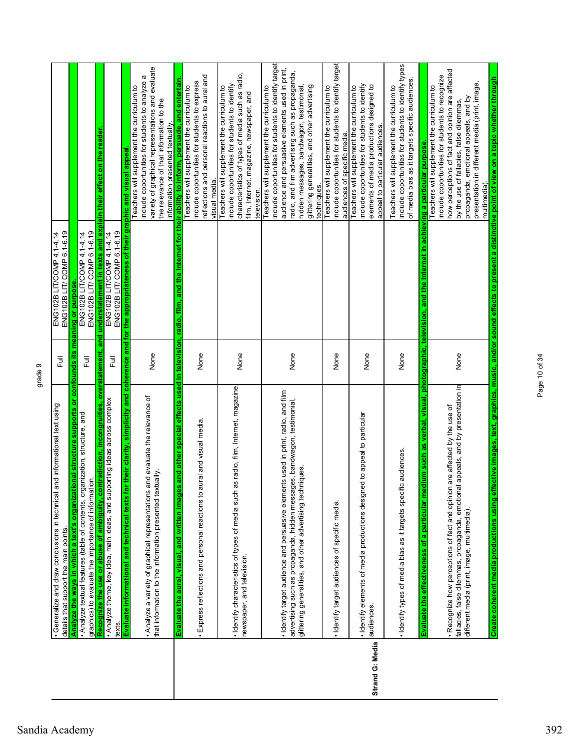|                 | Generalize and draw conclusions in technical and informational text using                                                                  |                | ENG102B LIT/COMP 4.1-4.14                                                                             |                                                                                                                                                                                                                                    |
|-----------------|--------------------------------------------------------------------------------------------------------------------------------------------|----------------|-------------------------------------------------------------------------------------------------------|------------------------------------------------------------------------------------------------------------------------------------------------------------------------------------------------------------------------------------|
|                 | details that support the main points                                                                                                       | 卮              | ENG102B LIT/ COMP 6.1-6.19                                                                            |                                                                                                                                                                                                                                    |
|                 | Analyze the ways in which a text's organizational structure supports or confounds its meaning or purpose.                                  |                |                                                                                                       |                                                                                                                                                                                                                                    |
|                 | . Analyze textual features (table of contents, organization, structure, and<br>graphics) to evaluate the importance of information.        | ラ<br>L         | ENG102B LIT/ COMP 6.1-6.19<br>ENG102B LIT/COMP 4.1-4.14                                               |                                                                                                                                                                                                                                    |
|                 | Recognize the use or abuse of ambiguity, contradiction, incongruities, overstatement, and                                                  |                | understatement in texts and explain their effect on the reader                                        |                                                                                                                                                                                                                                    |
|                 | . Analyze theme, key idea, main ideas, and supporting ideas across complex<br>texts.                                                       | 昆              | ENG102B LIT/ COMP 6.1-6.19<br>ENG102B LIT/COMP 4.14.14                                                |                                                                                                                                                                                                                                    |
|                 | Evaluate informational and technical texts for t                                                                                           |                | heir clarity, simplicity and coherence and for the appropriateness of their graphic and visual appeal |                                                                                                                                                                                                                                    |
|                 | . Analyze a variety of graphical representations and evaluate the relevance of<br>that information to the information presented textually. | None           |                                                                                                       | variety of graphical representations and evaluate<br>include opportunities for students to analyze a<br>Teachers will supplement the curriculum to<br>the relevance of that information to the<br>information presented textually. |
|                 | ind other special effects used<br>Evaluate the aural, visual, and written images                                                           | in television, |                                                                                                       | radio, film, and the Internet for their ability to inform, persuade, and entertain                                                                                                                                                 |
|                 |                                                                                                                                            |                |                                                                                                       | include opportunities for students to express<br>Teachers will supplement the curriculum to                                                                                                                                        |
|                 | Express reflections and personal reactions to aural and visual media.                                                                      | None           |                                                                                                       | reflections and personal reactions to aural and<br>visual media.                                                                                                                                                                   |
|                 |                                                                                                                                            |                |                                                                                                       | Teachers will supplement the curriculum to                                                                                                                                                                                         |
|                 | radio, film, Internet, magazine<br>· Identify characteristics of types of media such as                                                    |                |                                                                                                       | include opportunities for students to identify                                                                                                                                                                                     |
|                 | newspaper, and television.                                                                                                                 | None           |                                                                                                       | characteristics of types of media such as radio,                                                                                                                                                                                   |
|                 |                                                                                                                                            |                |                                                                                                       | film, Internet, magazine, newspaper, and<br>television.                                                                                                                                                                            |
|                 |                                                                                                                                            |                |                                                                                                       | Teachers will supplement the curriculum to                                                                                                                                                                                         |
|                 |                                                                                                                                            |                |                                                                                                       | include opportunities for students to identify target                                                                                                                                                                              |
|                 | · Identify target audience and persuasive elements used in print, radio, and film                                                          |                |                                                                                                       | audience and persuasive elements used in print,                                                                                                                                                                                    |
|                 | advertising such as propaganda, hidden messages, bandwagon, testimonial,                                                                   | None           |                                                                                                       | radio, and film advertising such as propaganda,                                                                                                                                                                                    |
|                 | glittering generalities, and other advertising techniques.                                                                                 |                |                                                                                                       | hidden messages, bandwagon, testimonial,                                                                                                                                                                                           |
|                 |                                                                                                                                            |                |                                                                                                       | glittering generalities, and other advertising<br>techniques.                                                                                                                                                                      |
|                 |                                                                                                                                            |                |                                                                                                       | Teachers will supplement the curriculum to                                                                                                                                                                                         |
|                 | · Identify target audiences of specific media.                                                                                             | None           |                                                                                                       | include opportunities for students to identify target<br>audiences of specific media.                                                                                                                                              |
|                 |                                                                                                                                            |                |                                                                                                       | Teachers will supplement the curriculum to                                                                                                                                                                                         |
|                 | to appeal to particular<br>· Identify elements of media productions designed<br>audiences.                                                 | None           |                                                                                                       | include opportunities for students to identify<br>elements of media productions designed to                                                                                                                                        |
| Strand G: Media |                                                                                                                                            |                |                                                                                                       | appeal to particular audiences.                                                                                                                                                                                                    |
|                 |                                                                                                                                            |                |                                                                                                       | Teachers will supplement the curriculum to                                                                                                                                                                                         |
|                 | · Identify types of media bias as it targets specific audiences.                                                                           | None           |                                                                                                       | include opportunities for students to identify types<br>of media bias as it targets specific audiences.                                                                                                                            |
|                 | im such as verbal, visual, photographic, television, and<br>a particular medi<br>Evaluate the effectiveness of                             |                | the Internet                                                                                          | in achieving a particular purpose.                                                                                                                                                                                                 |
|                 |                                                                                                                                            |                |                                                                                                       | Teachers will supplement the curriculum to                                                                                                                                                                                         |
|                 | . Recognize how perceptions of fact and opinion are affected by the use of                                                                 |                |                                                                                                       | how perceptions of fact and opinion are affected<br>include opportunities for students to recognize                                                                                                                                |
|                 | fallacies, false dilemmas, propaganda, emotional appeals, and by presentation in                                                           | None           |                                                                                                       | by the use of fallacies, false dilemmas,                                                                                                                                                                                           |
|                 | different media (print, image, multimedia).                                                                                                |                |                                                                                                       | presentation in different media (print, image,<br>propaganda, emotional appeals, and by                                                                                                                                            |
|                 |                                                                                                                                            |                |                                                                                                       | multimedia).                                                                                                                                                                                                                       |
|                 | Create coherent media productions using effec                                                                                              |                |                                                                                                       | tive images, text, graphics, music, and/or sound effects to present a distinctive point of view on a topic whether through                                                                                                         |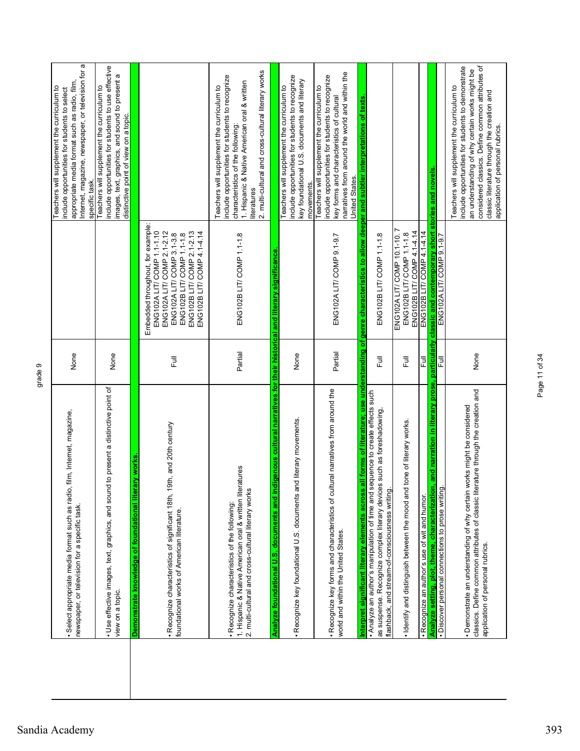| Internet, magazine, newspaper, or television for a<br>considered classics. Define common attributes of<br>include opportunities for students to use effective<br>include opportunities for students to demonstrate<br>an understanding of why certain works might be<br>2. multi-cultural and cross-cultural literary works<br>narratives from around the world and within the<br>images, text, graphics, and sound to present a<br>include opportunities for students to recognize<br>include opportunities for students to recognize<br>include opportunities for students to recognize<br>key foundational U.S. documents and literary<br>1. Hispanic & Native American oral & written<br>Teachers will supplement the curriculum to<br>Teachers will supplement the curriculum to<br>Teachers will supplement the curriculum to<br>Teachers will supplement the curriculum to<br>Teachers will supplement the curriculum to<br>classic literature through the creation and<br>key forms and characteristics of cultural<br>genre characteristics to allow deeper and subtler interpretations of texts<br>distinctive point of view on a topic.<br>characteristics of the following:<br>application of personal rubrics.<br>classic and contemporary short stories and novels.<br>United States.<br>specific task.<br>movements.<br>literatures<br>Embedded throughout, for example:<br>ENG102A LIT/ COMP 1.1-1.10<br>ENG102A LIT/ COMP 2.1-2.12<br>ENG102B LIT/ COMP 2.1-2.13<br>ENG102B LIT/ COMP 4.14.14<br>ENG102B LIT/COMP 4.1-4.14<br>ENG102B LIT/ COMP 4.1-4.14<br>ENG102A LIT/ COMP 3.1-3.8<br>ENG102B LIT/ COMP 1.1-1.8<br>ENG102B LIT/ COMP 1.1-1.8<br>ENG102B LIT/ COMP 1.1-1.8<br>ENG102A LIT/ COMP 10.1-10.<br>ENG102B LIT/ COMP 1.1-1.8<br>ENG102A LIT/ COMP 9.1-9.7<br>ENG102A LIT/ COMP 9.1-9.7<br>ligenous cultural narratives for their historical and literary significance<br>all forms of literature; use understanding of<br>and narration in literary prose, particularly<br>Partial<br>Partial<br>None<br>None<br>None<br>昆<br>Ē<br>Full<br>쿤<br>쿤<br>to present a distinctive point of<br>. Recognize key forms and characteristics of cultural narratives from around the<br>classics. Define common attributes of classic literature through the creation and<br>. Analyze an author's manipulation of time and sequence to create effects such<br>· Demonstrate an understanding of why certain works might be considered<br>as suspense. Recognize complex literary devices such as foreshadowing,<br>id literary movements.<br>tone of literary works.<br>· Recognize characteristics of significant 18th, 19th, and 20th century<br>ary works<br>1. Hispanic & Native American oral & written literatures<br>· Use effective images, text, graphics, and sound<br>· Recognize key foundational U.S. documents ar<br>Analyze setting, plot, theme, characterization<br>Analyze foundational U.S. documents and ino<br>· Identify and distinguish between the mood and<br>Liter<br>2. multi-cultural and cross-cultural literary works<br>· Discover personal connections to prose writing<br>flashback, and stream-of-consciousness writing.<br>Interpret significant literary elements across<br>. Recognize an author's use of wit and humor.<br>· Recognize characteristics of the following:<br>Demonstrate knowledge of foundational<br>foundational works of American literature.<br>world and within the United States.<br>application of personal rubrics.<br>view on a topic. |
|-------------------------------------------------------------------------------------------------------------------------------------------------------------------------------------------------------------------------------------------------------------------------------------------------------------------------------------------------------------------------------------------------------------------------------------------------------------------------------------------------------------------------------------------------------------------------------------------------------------------------------------------------------------------------------------------------------------------------------------------------------------------------------------------------------------------------------------------------------------------------------------------------------------------------------------------------------------------------------------------------------------------------------------------------------------------------------------------------------------------------------------------------------------------------------------------------------------------------------------------------------------------------------------------------------------------------------------------------------------------------------------------------------------------------------------------------------------------------------------------------------------------------------------------------------------------------------------------------------------------------------------------------------------------------------------------------------------------------------------------------------------------------------------------------------------------------------------------------------------------------------------------------------------------------------------------------------------------------------------------------------------------------------------------------------------------------------------------------------------------------------------------------------------------------------------------------------------------------------------------------------------------------------------------------------------------------------------------------------------------------------------------------------------------------------------------------------------------------------------------------------------------------------------------------------------------------------------------------------------------------------------------------------------------------------------------------------------------------------------------------------------------------------------------------------------------------------------------------------------------------------------------------------------------------------------------------------------------------------------------------------------------------------------------------------------------------------------------------------------------------------------------------------------------------------------------------------------------------------------------------------------------------------------------------------------------------------------------------------------------------------------------------------------------------------------------------------------------------------------------------------------------------|
| None<br>newspaper, or television for a specific task.                                                                                                                                                                                                                                                                                                                                                                                                                                                                                                                                                                                                                                                                                                                                                                                                                                                                                                                                                                                                                                                                                                                                                                                                                                                                                                                                                                                                                                                                                                                                                                                                                                                                                                                                                                                                                                                                                                                                                                                                                                                                                                                                                                                                                                                                                                                                                                                                                                                                                                                                                                                                                                                                                                                                                                                                                                                                                                                                                                                                                                                                                                                                                                                                                                                                                                                                                                                                                                                                   |
| film, Internet, magazine,<br>· Select appropriate media format such as radio,                                                                                                                                                                                                                                                                                                                                                                                                                                                                                                                                                                                                                                                                                                                                                                                                                                                                                                                                                                                                                                                                                                                                                                                                                                                                                                                                                                                                                                                                                                                                                                                                                                                                                                                                                                                                                                                                                                                                                                                                                                                                                                                                                                                                                                                                                                                                                                                                                                                                                                                                                                                                                                                                                                                                                                                                                                                                                                                                                                                                                                                                                                                                                                                                                                                                                                                                                                                                                                           |
|                                                                                                                                                                                                                                                                                                                                                                                                                                                                                                                                                                                                                                                                                                                                                                                                                                                                                                                                                                                                                                                                                                                                                                                                                                                                                                                                                                                                                                                                                                                                                                                                                                                                                                                                                                                                                                                                                                                                                                                                                                                                                                                                                                                                                                                                                                                                                                                                                                                                                                                                                                                                                                                                                                                                                                                                                                                                                                                                                                                                                                                                                                                                                                                                                                                                                                                                                                                                                                                                                                                         |
|                                                                                                                                                                                                                                                                                                                                                                                                                                                                                                                                                                                                                                                                                                                                                                                                                                                                                                                                                                                                                                                                                                                                                                                                                                                                                                                                                                                                                                                                                                                                                                                                                                                                                                                                                                                                                                                                                                                                                                                                                                                                                                                                                                                                                                                                                                                                                                                                                                                                                                                                                                                                                                                                                                                                                                                                                                                                                                                                                                                                                                                                                                                                                                                                                                                                                                                                                                                                                                                                                                                         |

Page 11 of 34

Page 11 of 34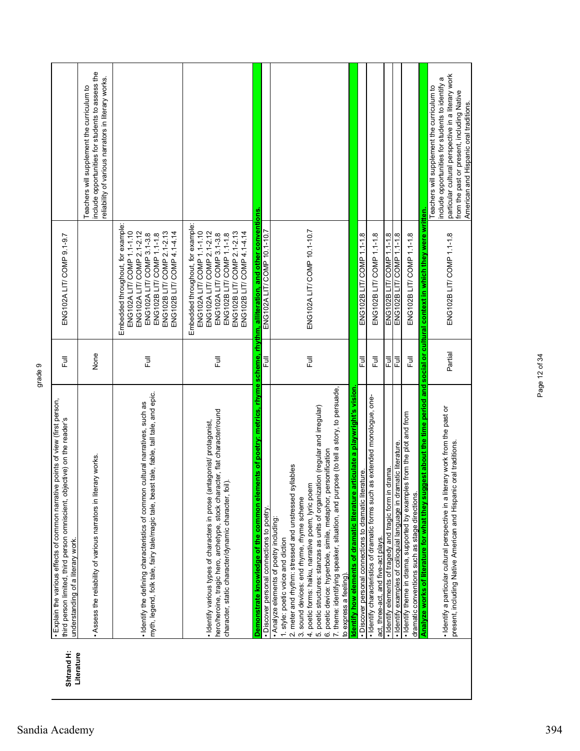| Shtrand H:<br>Literature | · Explain the various effects of common narrative points of view (first person,<br>ective) on the reader's<br>third person limited, third person omniscient, obj<br>understanding of a literary work.                                                                                                                                                                                                                                                                                                           | Ē       | ENG102A LIT/ COMP 9.1-9.7                                                                                                                                                                                           |                                                                                                                                                                                                                                              |  |
|--------------------------|-----------------------------------------------------------------------------------------------------------------------------------------------------------------------------------------------------------------------------------------------------------------------------------------------------------------------------------------------------------------------------------------------------------------------------------------------------------------------------------------------------------------|---------|---------------------------------------------------------------------------------------------------------------------------------------------------------------------------------------------------------------------|----------------------------------------------------------------------------------------------------------------------------------------------------------------------------------------------------------------------------------------------|--|
|                          | rary works.<br>. Assess the reliability of various narrators in liter                                                                                                                                                                                                                                                                                                                                                                                                                                           | None    |                                                                                                                                                                                                                     | include opportunities for students to assess the<br>reliability of various narrators in literary works.<br>Teachers will supplement the curriculum to                                                                                        |  |
|                          | myth, legend, folk tale, fairy tale/magic tale, beast tale, fable, tall tale, and epic.<br>· Identify the defining characteristics of common cultural narratives, such as                                                                                                                                                                                                                                                                                                                                       | Ē       | Embedded throughout, for example:<br>ENG102A LIT/ COMP 1.1-1.10<br>ENG102B LIT/ COMP 2.1-2.13<br>ENG102A LIT/ COMP 2.1-2.12<br>ENG102B LIT/ COMP 4.1-4.14<br>ENG102A LIT/ COMP 3.1-3.8<br>ENG102B LIT/ COMP 1.1-1.8 |                                                                                                                                                                                                                                              |  |
|                          | hero/heroine, tragic hero, archetype, stock character, flat character/round<br>· Identify various types of characters in prose (antagonist/ protagonist,<br>character, static character/dynamic character, foil).                                                                                                                                                                                                                                                                                               | Ē       | Embedded throughout, for example:<br>ENG102A LIT/ COMP 1.1-1.10<br>ENG102B LIT/ COMP 2.1-2.13<br>ENG102A LIT/ COMP 2.1-2.12<br>ENG102B LIT/ COMP 4.1-4.14<br>ENG102A LIT/ COMP 3.1-3.8<br>ENG102B LIT/ COMP 1.1-1.8 |                                                                                                                                                                                                                                              |  |
|                          | Demonstrate knowledge of the common elements of poetry: metrics, rhyme scheme, rhythm, alliteration, and other conventions<br>· Discover personal connections to poetry                                                                                                                                                                                                                                                                                                                                         | 쿤       | ENG102A LIT/ COMP 10.1-10.7                                                                                                                                                                                         |                                                                                                                                                                                                                                              |  |
|                          | 7. theme: identifying speaker, situation, and purpose (to tell a story, to persuade,<br>5. poetic structures: stanzas as units of organization (regular and irregular)<br>6. poetic device: hyperbole, simile, metaphor, personification<br>2. meter and rhythm: stressed and unstressed syllables<br>4. poetic forms: haiku, narrative poem, lyric poem<br>3. sound devices: end rhyme, rhyme scheme<br>• Analyze elements of poetry including:<br>1. style: poetic voice and diction<br>to express a feeling) | Ē       | ENG102A LIT/ COMP 10.1-10.7                                                                                                                                                                                         |                                                                                                                                                                                                                                              |  |
|                          | rticulate a playwright's vision<br>Identify how elements of dramatic literature a                                                                                                                                                                                                                                                                                                                                                                                                                               |         |                                                                                                                                                                                                                     |                                                                                                                                                                                                                                              |  |
|                          | · Identify characteristics of dramatic forms such as extended monologue, one-<br>· Discover personal connections to dramatic literature.                                                                                                                                                                                                                                                                                                                                                                        | 큔       | ENG102B LIT/ COMP 1.1-1.8                                                                                                                                                                                           |                                                                                                                                                                                                                                              |  |
|                          | act, three-act, and five-act plays.                                                                                                                                                                                                                                                                                                                                                                                                                                                                             | 巨       | ENG102B LIT/ COMP 1.1-1.8                                                                                                                                                                                           |                                                                                                                                                                                                                                              |  |
|                          | drama<br>· Identify elements of tragedy and tragic form in                                                                                                                                                                                                                                                                                                                                                                                                                                                      | 쿤       | ENG102B LIT/ COMP 1.1-1.8                                                                                                                                                                                           |                                                                                                                                                                                                                                              |  |
|                          | · Identify examples of colloquial language in dramatic literature.                                                                                                                                                                                                                                                                                                                                                                                                                                              | 큹       | ENG102B LIT/ COMP 1.1-1.8                                                                                                                                                                                           |                                                                                                                                                                                                                                              |  |
|                          | · Identify theme in drama, supported by examples from the plot and from<br>dramatic conventions such as stage directions.                                                                                                                                                                                                                                                                                                                                                                                       | Full    | ENG102B LIT/ COMP 1.1-1.8                                                                                                                                                                                           |                                                                                                                                                                                                                                              |  |
|                          | Analyze works of literature for what they sug                                                                                                                                                                                                                                                                                                                                                                                                                                                                   |         | gest about the time period and social or cultural context in which they were written.                                                                                                                               |                                                                                                                                                                                                                                              |  |
|                          | . Identify a particular cultural perspective in a literary work from the past or<br>oral traditions.<br>present, including Native American and Hispanic                                                                                                                                                                                                                                                                                                                                                         | Partial | ENG102B LIT/ COMP 1.1-1.8                                                                                                                                                                                           | particular cultural perspective in a literary work<br>include opportunities for students to identify a<br>Teachers will supplement the curriculum to<br>from the past or present, including Native<br>American and Hispanic oral traditions. |  |

grade 9

## Sandia Academy 394

Page 12 of 34

Page 12 of 34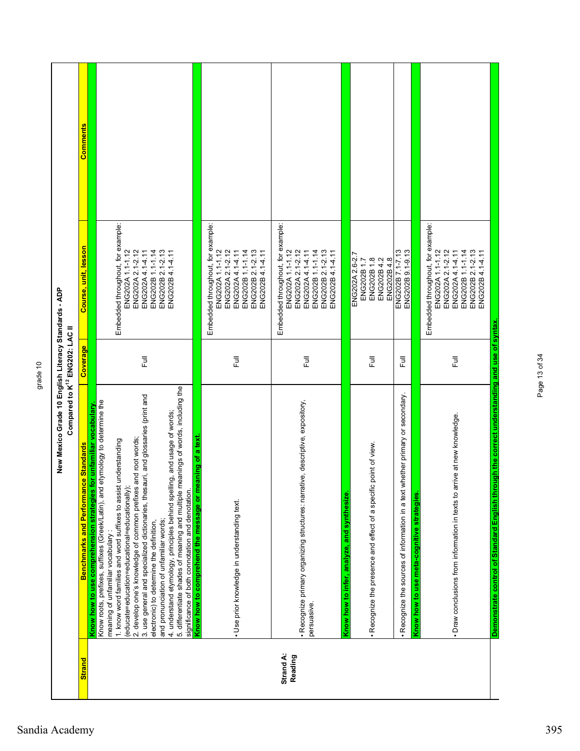| Compared to K <sup>12</sup> ENG202: LAC II                                                                                                                                                                                                                                                                                                                                                                                                                                                                                                                                                                                                                                                                                                                                   |          |                                                                                                                                                           |          |
|------------------------------------------------------------------------------------------------------------------------------------------------------------------------------------------------------------------------------------------------------------------------------------------------------------------------------------------------------------------------------------------------------------------------------------------------------------------------------------------------------------------------------------------------------------------------------------------------------------------------------------------------------------------------------------------------------------------------------------------------------------------------------|----------|-----------------------------------------------------------------------------------------------------------------------------------------------------------|----------|
| <b>Benchmarks and Performance Standards</b>                                                                                                                                                                                                                                                                                                                                                                                                                                                                                                                                                                                                                                                                                                                                  | Coverage | Course, unit, lesson                                                                                                                                      | Comments |
| 5. differentiate shades of meaning and multiple meanings of words, including the<br>3. use general and specialized dictionaries, thesauri, and glossaries (print and<br>Know roots, prefixes, suffixes (Greek/Latin), and etymology to determine the<br>for unfamiliar vocabulary<br>4. understand etymology, principles behind spelling, and usage of words;<br>2. develop one's knowledge of common prefixes and root words;<br>1. know word families and word suffixes to assist understanding<br>(educate=education=educational=educationally)<br>significance of both connotation and denotation.<br>Know how to use comprehension strategies<br>and pronunciation of unfamiliar words;<br>electronic) to determine the definition,<br>meaning of unfamiliar vocabulary | ラ<br>L   | Embedded throughout, for example:<br>ENG202A 1.1-1.12<br>ENG202A 2.1-2.12<br>ENG202B 1.1-1.14<br>ENG202A 4.1-4.11<br>ENG202B 2.1-2.13<br>ENG202B4.14.11   |          |
| Know how to comprehend the message or meaning of a text.<br>· Use prior knowledge in understanding text.                                                                                                                                                                                                                                                                                                                                                                                                                                                                                                                                                                                                                                                                     | 巨        | Embedded throughout, for example:<br>ENG202A 1.1-1.12<br>ENG202A 2.1-2.12<br>ENG202B 1.1-1.14<br>ENG202A 4.1-4.11<br>ENG202B 2.1-2.13<br>ENG202B 4.1-4.11 |          |
| · Recognize primary organizing structures: narrative, descriptive, expository,                                                                                                                                                                                                                                                                                                                                                                                                                                                                                                                                                                                                                                                                                               | Ē        | Embedded throughout, for example:<br>ENG202A 1.1-1.12<br>ENG202A 2.1-2.12<br>ENG202B 1.1-1.14<br>ENG202A 4.1-4.11<br>ENG202B 2.1-2.13<br>ENG202B4.14.11   |          |
| ic point of view.<br>. Recognize the presence and effect of a specifi<br>Know how to infer, analyze, and synthesize.                                                                                                                                                                                                                                                                                                                                                                                                                                                                                                                                                                                                                                                         | 巨        | ENG202A 2.6-2.7<br>ENG202B1.8<br>ENG202B4.2<br>ENG202B4.8<br>ENG202B1.7                                                                                   |          |
| whether primary or secondary.<br>. Recognize the sources of information in a text                                                                                                                                                                                                                                                                                                                                                                                                                                                                                                                                                                                                                                                                                            | 巨        | ENG202B 7.1-7.13<br>ENG202B 9.1-9.13                                                                                                                      |          |
| · Draw conclusions from information in texts to arrive at new knowledge.                                                                                                                                                                                                                                                                                                                                                                                                                                                                                                                                                                                                                                                                                                     | 同<br>Lul | Embedded throughout, for example:<br>ENG202A 1.1-1.12<br>ENG202A 2.1-2.12<br>ENG202B 1.1-1.14<br>ENG202A4.14.11<br>ENG202B 2.1-2.13<br>ENG202B4.14.11     |          |
| Demonstrate control of Standard English through the correct understanding and use of syntax<br>Know how to use meta-cognitive strategies.                                                                                                                                                                                                                                                                                                                                                                                                                                                                                                                                                                                                                                    |          |                                                                                                                                                           |          |

Page 13 of 34

Page 13 of 34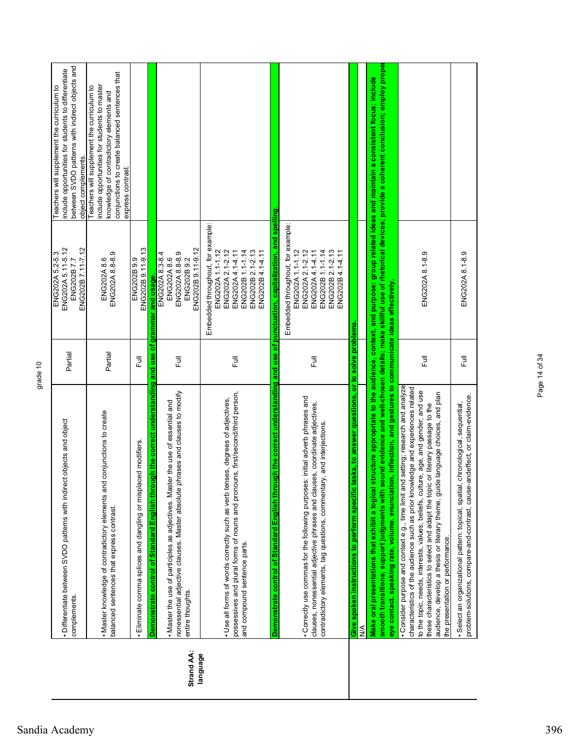|            | ect objects and object<br>· Differentiate between SVDO patterns with indir<br>complements.                                                                                                                                                                                                                                                                                                                                                                         | Partial | ENG202A 5.11-5.12<br>ENG202B 7.11-7.12<br>ENG202A 5.2-5.3<br>ENG202B7.7                                                                                                                              | between SVDO patterns with indirect objects and<br>nclude opportunities for students to differentiate<br>Teachers will supplement the curriculum to<br>object complements.                                   |
|------------|--------------------------------------------------------------------------------------------------------------------------------------------------------------------------------------------------------------------------------------------------------------------------------------------------------------------------------------------------------------------------------------------------------------------------------------------------------------------|---------|------------------------------------------------------------------------------------------------------------------------------------------------------------------------------------------------------|--------------------------------------------------------------------------------------------------------------------------------------------------------------------------------------------------------------|
|            | . Master knowledge of contradictory elements and conjunctions to create<br>balanced sentences that express contrast.                                                                                                                                                                                                                                                                                                                                               | Partial | ENG202A 8.8-8.9<br>ENG202A8.6                                                                                                                                                                        | conjunctions to create balanced sentences that<br>include opportunities for students to master<br>Teachers will supplement the curriculum to<br>knowledge of contradictory elements and<br>express contrast. |
|            | laced modifiers.<br>Eliminate comma splices and dangling or misp                                                                                                                                                                                                                                                                                                                                                                                                   | こ<br>こ  | ENG202B 9.11-9.13<br>ENG202B 9.9                                                                                                                                                                     |                                                                                                                                                                                                              |
| Strand AA: | Demonstrate control of Standard English through the correct understanding<br>nonessential adjective clauses. Master absolute phrases and clauses to modify<br>. Master the use of participles as adjectives. Master the use of essential and<br>entire thoughts.                                                                                                                                                                                                   | Ē       | ENG202B 9.11-9.12<br>ENG202A 8.3-8.4<br>ENG202A 8.8-8.9<br>ENG202B 9.2<br>ENG202A8.6<br>and use of grammar and usage.                                                                                |                                                                                                                                                                                                              |
| language   | possessives and plural forms of nouns and pronouns, first/second/third person,<br>· Use all forms of words correctly such as verb tenses, degrees of adjectives,<br>and compound sentence parts.                                                                                                                                                                                                                                                                   | Ē       | Embedded throughout, for example:<br>ENG202A 2.1-2.12<br>ENG202B 1.1-1.14<br>ENG202A 1.1-1.12<br>ENG202A4.14.11<br>ENG202B 2.1-2.13<br>ENG202B 4.1-4.11                                              |                                                                                                                                                                                                              |
|            | Demonstrate control of Standard English through the correct understanding and use of<br>Correctly use commas for the following purposes: initial adverb phrases and<br>clauses, nonessential adjective phrases and clauses, coordinate adjectives,<br>contradictory elements, tag questions, commentary, and interjections.                                                                                                                                        | Ē       | punctuation, capitalization, and spelling<br>Embedded throughout, for example:<br>ENG202A 1.1-1.12<br>ENG202A 2.1-2.12<br>ENG202B 1.1-1.14<br>ENG202B 2.1-2.13<br>ENG202A 4.1-4.11<br>ENG202B4.14.11 |                                                                                                                                                                                                              |
|            | tasks, to answer questions, or to solve problems<br>Give spoken instructions to perform specific<br>$\frac{1}{2}$                                                                                                                                                                                                                                                                                                                                                  |         |                                                                                                                                                                                                      |                                                                                                                                                                                                              |
|            | smooth transitions; support judgments with sound evidence and well-chosen details; make skillful use of rhetorical devices; provide a coherent conclusion; employ prope<br>eye contact, speaking rate, volume, enunciation, inflection, and gestures to communicate ideas effectively<br>Make oral presentations that exhibit a logical                                                                                                                            |         |                                                                                                                                                                                                      | structure appropriate to the audience, context, and purpose; group related ideas and maintain a consistent focus; include                                                                                    |
|            | · Consider purpose and context e.g., time limit and setting; research and analyze<br>characteristics of the audience such as prior knowledge and experiences related<br>to the topic, needs, interests, values, beliefs, culture, age, and gender; and use<br>audience, develop a thesis or literary theme, guide language choices, and plan<br>these characteristics to select and adapt the topic or literary passage to the<br>the presentation or performance. | 言       | ENG202A 8.1-8.9                                                                                                                                                                                      |                                                                                                                                                                                                              |
|            | problem-solutions, compare-and-contrast, cause-andeffect, or claim-evidence.<br>·Select an organizational pattern: topical, spatial, chronological, sequential,                                                                                                                                                                                                                                                                                                    | Full    | ENG202A 8.1-8.9                                                                                                                                                                                      |                                                                                                                                                                                                              |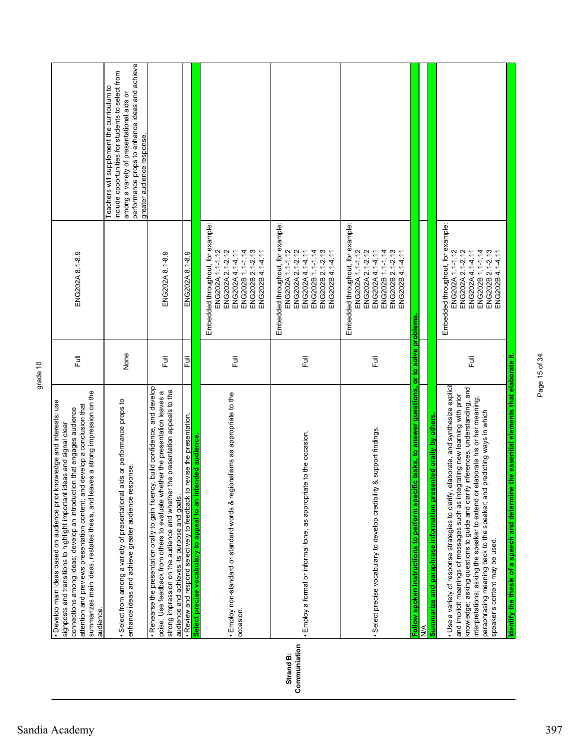|                           | summarizes main ideas, restates thesis, and leaves a strong impression on the<br>· Develop main ideas based on audience prior knowledge and interests; use<br>attention and previews presentation content; and develop a conclusion that<br>connections among ideas; develop an introduction that engages audience<br>signposts and transitions to highlight important ideas and signal clear<br>audience.                                                                                                                                                                                                               | 卮                | ENG202A 8.1-8.9                                                                                                                                           |                                                                                                                                                                                                                              |
|---------------------------|--------------------------------------------------------------------------------------------------------------------------------------------------------------------------------------------------------------------------------------------------------------------------------------------------------------------------------------------------------------------------------------------------------------------------------------------------------------------------------------------------------------------------------------------------------------------------------------------------------------------------|------------------|-----------------------------------------------------------------------------------------------------------------------------------------------------------|------------------------------------------------------------------------------------------------------------------------------------------------------------------------------------------------------------------------------|
|                           | • Select from among a variety of presentational aids or performance props to<br>enhance ideas and achieve greater audience response.                                                                                                                                                                                                                                                                                                                                                                                                                                                                                     | None             |                                                                                                                                                           | performance props to enhance ideas and achieve<br>include opportunities for students to select from<br>Teachers will supplement the curriculum to<br>among a variety of presentational aids or<br>greater audience response. |
|                           | , build confidence, and develop<br>strong impression on the audience and whether the presentation appeals to the<br>poise. Use feedback from others to evaluate whether the presentation leaves a<br>. Rehearse the presentation orally to gain fluency<br>audience and achieves its purpose and goals.                                                                                                                                                                                                                                                                                                                  | 卮                | ENG202A 8.1-8.9                                                                                                                                           |                                                                                                                                                                                                                              |
|                           | . Review and respond selectively to feedback to revise the presentation.                                                                                                                                                                                                                                                                                                                                                                                                                                                                                                                                                 | Ē                | ENG202A 8.1-8.9                                                                                                                                           |                                                                                                                                                                                                                              |
|                           | . Employ non-standard or standard words & regionalisms as appropriate to the<br>Select precise vocabulary to appeal to an intended audience<br>occasion.                                                                                                                                                                                                                                                                                                                                                                                                                                                                 | 쿤                | Embedded throughout, for example:<br>ENG202A 1.1-1.12<br>ENG202A 2.1-2.12<br>ENG202A 4.1-4.11<br>ENG202B 1.1-1.14<br>ENG202B 2.1-2.13<br>ENG202B 4.1-4.11 |                                                                                                                                                                                                                              |
| Communiation<br>Strand B: | . Employ a formal or informal tone, as appropriate to the occasion.                                                                                                                                                                                                                                                                                                                                                                                                                                                                                                                                                      | 쿤                | Embedded throughout, for example:<br>ENG202A 1.1-1.12<br>ENG202A 2.1-2.12<br>ENG202B 1.1-1.14<br>ENG202B 2.1-2.13<br>ENG202A4.14.11<br>ENG202B4.14.11     |                                                                                                                                                                                                                              |
|                           | & support findings.<br>. Select precise vocabulary to develop credibility                                                                                                                                                                                                                                                                                                                                                                                                                                                                                                                                                | 큔                | Embedded throughout, for example:<br>ENG202A 1.1-1.12<br>ENG202A 2.1-2.12<br>ENG202A4.14.11<br>ENG202B 1.1-1.14<br>ENG202B 2.1-2.13<br>ENG202B4.14.11     |                                                                                                                                                                                                                              |
|                           | c tasks, to answer questions, or to solve problems<br>Follow spoken instructions to perform specifi<br>⋚                                                                                                                                                                                                                                                                                                                                                                                                                                                                                                                 |                  |                                                                                                                                                           |                                                                                                                                                                                                                              |
|                           | Identify the thesis of a speech and determine the essential elements that elaborate it.<br>· Use a variety of response strategies to clarify, elaborate, and synthesize explicit<br>knowledge; asking questions to guide and darify inferences, understanding, and<br>and implicit meanings of messages such as integrating new learning with prior<br>interpretations; asking the speaker to extend or elaborate his or her meaning;<br>paraphrasing meaning back to the speaker; and predicting ways in which<br>nted orally by others<br>Summarize and paraphrase information prese<br>speaker's content may be used. | $\overline{\Xi}$ | Embedded throughout, for example:<br>ENG202A 1.1-1.12<br>ENG202A 2.1-2.12<br>ENG202B 1.1-1.14<br>ENG202B 2.1-2.13<br>ENG202A 4.1-4.11<br>ENG202B4.14.11   |                                                                                                                                                                                                                              |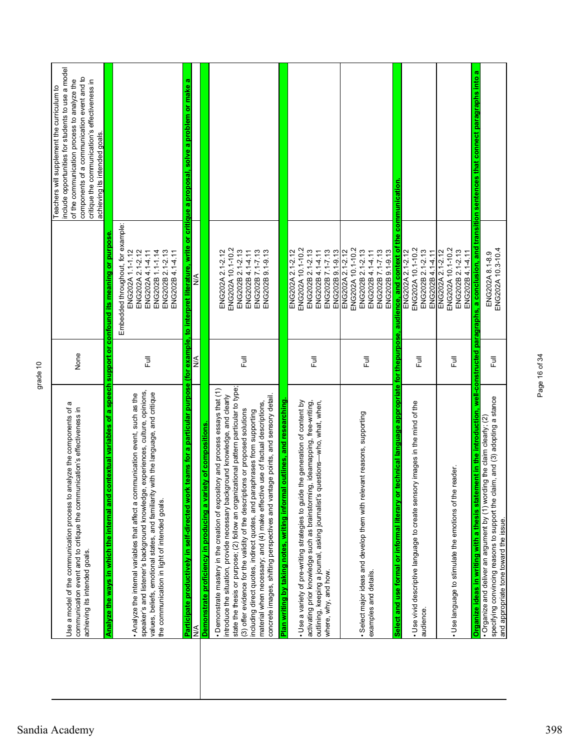| Use a model of the communication process to analyze the components of a<br>communication event and to critique the communication's effectiveness in<br>achieving its intended goals.                                                                                                                                                                                                                                                                                                                                                                                                     | None       |                                                                                                                                                           | include opportunities for students to use a model<br>components of a communication event and to<br>of the communication process to analyze the<br>critique the communication's effectiveness in<br>Teachers will supplement the curriculum to<br>achieving its intended goals. |
|------------------------------------------------------------------------------------------------------------------------------------------------------------------------------------------------------------------------------------------------------------------------------------------------------------------------------------------------------------------------------------------------------------------------------------------------------------------------------------------------------------------------------------------------------------------------------------------|------------|-----------------------------------------------------------------------------------------------------------------------------------------------------------|--------------------------------------------------------------------------------------------------------------------------------------------------------------------------------------------------------------------------------------------------------------------------------|
| Analyze the ways in which the internal and contextual variables of a speech support or confound its meaning or purpose<br>experiences, culture, opinions,<br>with the language, and critique<br>. Analyze the internal variables that affect a communication event, such as the<br>speaker's and listener's background knowledge,<br>values, beliefs, emotional states, and familiarity<br>the communication in light of intended goals.                                                                                                                                                 | 目          | Embedded throughout, for example:<br>ENG202A 2.1-2.12<br>ENG202B 1.1-1.14<br>ENG202B 2.1-2.13<br>ENG202A 1.1-1.12<br>ENG202A 4.1-4.11<br>ENG202B 4.1-4.11 |                                                                                                                                                                                                                                                                                |
| Demonstrate proficiency in producing a variety of compositions<br>Participate productively in self-directed work<br><b>A/N</b>                                                                                                                                                                                                                                                                                                                                                                                                                                                           | <b>A/N</b> | ⋚                                                                                                                                                         | teams for a particular purpose (for example, to interpret literature, write or critique a proposal, solve a problem or make a                                                                                                                                                  |
| state the thesis or purpose; (2) follow an organizational pattern particular to type;<br>• Demonstrate mastery in the creation of expository and process essays that (1)<br>introduce the situation, provide necessary background knowledge, and clearly<br>concrete images, shifting perspectives and vantage points, and sensory detail.<br>material when necessary; and (4) make effective use of factual descriptions,<br>(3) offer evidence for the validity of the descriptions or proposed solutions<br>including direct quotes, indirect quotes, and paraphrases from supporting | Ē          | ENG202A 10.1-10.2<br>ENG202B 2.1-2.13<br>ENG202B 7.1-7.13<br>ENG202A 2.1-2.12<br>ENG202B 4.1-4.11<br>ENG202B 9.1-9.13                                     |                                                                                                                                                                                                                                                                                |
| outlines, and researching<br>Plan writing by taking notes, writing informa                                                                                                                                                                                                                                                                                                                                                                                                                                                                                                               |            |                                                                                                                                                           |                                                                                                                                                                                                                                                                                |
| · Use a variety of pre-writing strategies to guide the generation of content by<br>activating prior knowledge such as brainstorming, ideamapping, free-writing,<br>outlining, keeping a journal, asking journalist's questions-who, what, when,<br>where, why, and how.                                                                                                                                                                                                                                                                                                                  | 卮          | ENG202A 10.1-10.2<br>ENG202B 2.1-2.13<br>ENG202A 2.1-2.12<br>ENG202B 7.1-7.13<br>ENG202B 9.1-9.13<br>ENG202B 4.1-4.11                                     |                                                                                                                                                                                                                                                                                |
| · Select major ideas and develop them with relevant reasons, supporting<br>examples and details.                                                                                                                                                                                                                                                                                                                                                                                                                                                                                         | 쿤          | ENG202A 10.1-10.2<br>ENG202B 2.1-2.13<br>ENG202B 7.1-7.13<br>ENG202A 2.1-2.12<br>ENG202B 4.1-4.11<br>ENG202B 9.1-9.13                                     |                                                                                                                                                                                                                                                                                |
| echnical language appropriate for thepurpose, audience, and context of<br>Select and use formal or informal literary or                                                                                                                                                                                                                                                                                                                                                                                                                                                                  |            |                                                                                                                                                           | the communication.                                                                                                                                                                                                                                                             |
| . Use vivid descriptive language to create sensory images in the mind of the<br>audience                                                                                                                                                                                                                                                                                                                                                                                                                                                                                                 | 豆          | ENG202A 10.1-10.2<br>ENG202B 2.1-2.13<br>ENG202A 2.1-2.12<br>ENG202B 4.1-4.11                                                                             |                                                                                                                                                                                                                                                                                |
| reader<br>. Use language to stimulate the emotions of the                                                                                                                                                                                                                                                                                                                                                                                                                                                                                                                                | 卮          | ENG202A 10.1-10.2<br>ENG202A 2.1-2.12<br>ENG202B 2.1-2.13<br>ENG202B 4.1-4.11                                                                             |                                                                                                                                                                                                                                                                                |
| Organize ideas in writing with a thesis statement in the introduction, well-constructed paragraphs, a conclusion, and                                                                                                                                                                                                                                                                                                                                                                                                                                                                    |            |                                                                                                                                                           | transition sentences that connect paragraphs into a                                                                                                                                                                                                                            |
| specifying convincing reasons to support the claim, and (3) adopting a stance<br>ing the claim clearly; (2)<br>• Organize and deliver an argument by (1) word<br>and appropriate tone toward the issue.                                                                                                                                                                                                                                                                                                                                                                                  | 長          | ENG202A 10.3-10.4<br>ENG202A 8.1-8.9                                                                                                                      |                                                                                                                                                                                                                                                                                |

Page 16 of 34

Page 16 of 34